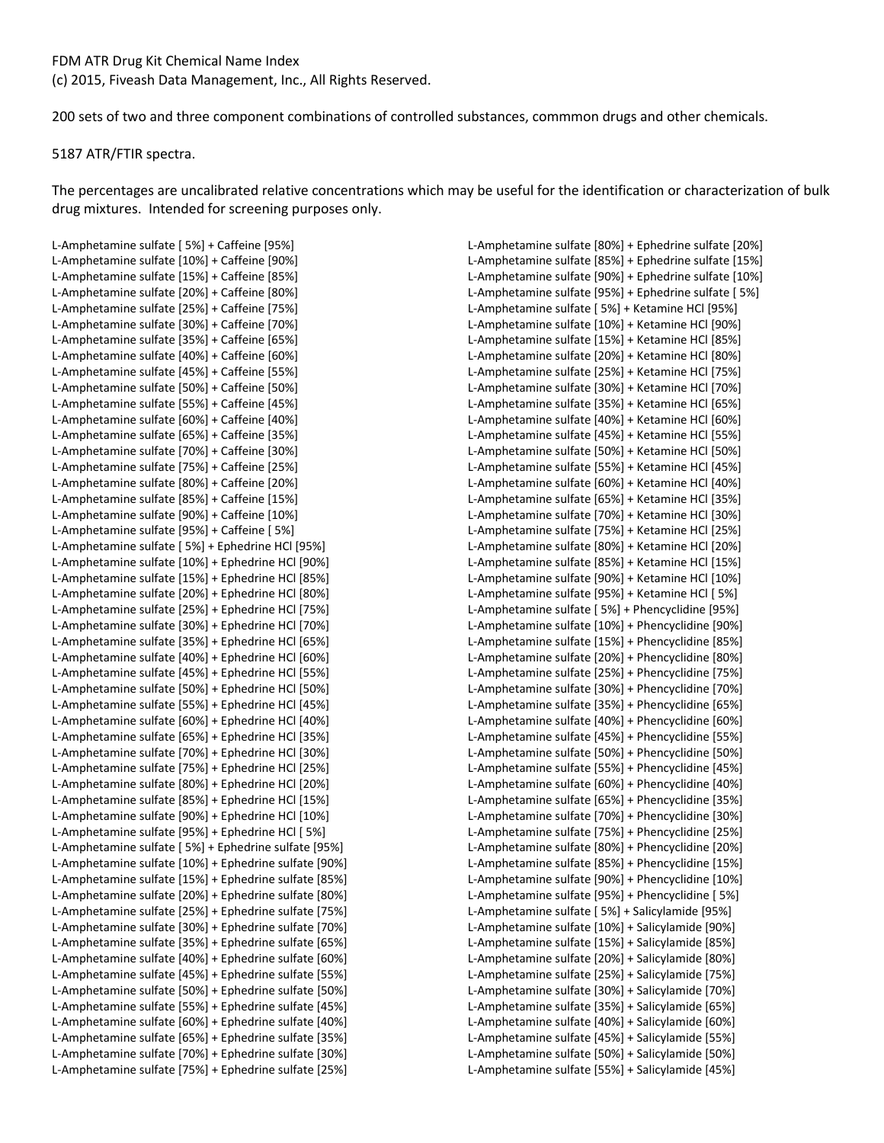200 sets of two and three component combinations of controlled substances, commmon drugs and other chemicals.

## 5187 ATR/FTIR spectra.

The percentages are uncalibrated relative concentrations which may be useful for the identification or characterization of bulk drug mixtures. Intended for screening purposes only.

L-Amphetamine sulfate [ 5%] + Caffeine [95%] L-Amphetamine sulfate [10%] + Caffeine [90%] L-Amphetamine sulfate [15%] + Caffeine [85%] L-Amphetamine sulfate [20%] + Caffeine [80%] L-Amphetamine sulfate [25%] + Caffeine [75%] L-Amphetamine sulfate [30%] + Caffeine [70%] L-Amphetamine sulfate [35%] + Caffeine [65%] L-Amphetamine sulfate [40%] + Caffeine [60%] L-Amphetamine sulfate [45%] + Caffeine [55%] L-Amphetamine sulfate [50%] + Caffeine [50%] L-Amphetamine sulfate [55%] + Caffeine [45%] L-Amphetamine sulfate [60%] + Caffeine [40%] L-Amphetamine sulfate [65%] + Caffeine [35%] L-Amphetamine sulfate [70%] + Caffeine [30%] L-Amphetamine sulfate [75%] + Caffeine [25%] L-Amphetamine sulfate [80%] + Caffeine [20%] L-Amphetamine sulfate [85%] + Caffeine [15%] L-Amphetamine sulfate [90%] + Caffeine [10%] L-Amphetamine sulfate [95%] + Caffeine [ 5%] L-Amphetamine sulfate [ 5%] + Ephedrine HCl [95%] L-Amphetamine sulfate [10%] + Ephedrine HCl [90%] L-Amphetamine sulfate [15%] + Ephedrine HCl [85%] L-Amphetamine sulfate [20%] + Ephedrine HCl [80%] L-Amphetamine sulfate [25%] + Ephedrine HCl [75%] L-Amphetamine sulfate [30%] + Ephedrine HCl [70%] L-Amphetamine sulfate [35%] + Ephedrine HCl [65%] L-Amphetamine sulfate [40%] + Ephedrine HCl [60%] L-Amphetamine sulfate [45%] + Ephedrine HCl [55%] L-Amphetamine sulfate [50%] + Ephedrine HCl [50%] L-Amphetamine sulfate [55%] + Ephedrine HCl [45%] L-Amphetamine sulfate [60%] + Ephedrine HCl [40%] L-Amphetamine sulfate [65%] + Ephedrine HCl [35%] L-Amphetamine sulfate [70%] + Ephedrine HCl [30%] L-Amphetamine sulfate [75%] + Ephedrine HCl [25%] L-Amphetamine sulfate [80%] + Ephedrine HCl [20%] L-Amphetamine sulfate [85%] + Ephedrine HCl [15%] L-Amphetamine sulfate [90%] + Ephedrine HCl [10%] L-Amphetamine sulfate [95%] + Ephedrine HCl [ 5%] L-Amphetamine sulfate [ 5%] + Ephedrine sulfate [95%] L-Amphetamine sulfate [10%] + Ephedrine sulfate [90%] L-Amphetamine sulfate [15%] + Ephedrine sulfate [85%] L-Amphetamine sulfate [20%] + Ephedrine sulfate [80%] L-Amphetamine sulfate [25%] + Ephedrine sulfate [75%] L-Amphetamine sulfate [30%] + Ephedrine sulfate [70%] L-Amphetamine sulfate [35%] + Ephedrine sulfate [65%] L-Amphetamine sulfate [40%] + Ephedrine sulfate [60%] L-Amphetamine sulfate [45%] + Ephedrine sulfate [55%] L-Amphetamine sulfate [50%] + Ephedrine sulfate [50%] L-Amphetamine sulfate [55%] + Ephedrine sulfate [45%] L-Amphetamine sulfate [60%] + Ephedrine sulfate [40%] L-Amphetamine sulfate [65%] + Ephedrine sulfate [35%] L-Amphetamine sulfate [70%] + Ephedrine sulfate [30%] L-Amphetamine sulfate [75%] + Ephedrine sulfate [25%]

L-Amphetamine sulfate [80%] + Ephedrine sulfate [20%] L-Amphetamine sulfate [85%] + Ephedrine sulfate [15%] L-Amphetamine sulfate [90%] + Ephedrine sulfate [10%] L-Amphetamine sulfate [95%] + Ephedrine sulfate [ 5%] L-Amphetamine sulfate [ 5%] + Ketamine HCl [95%] L-Amphetamine sulfate [10%] + Ketamine HCl [90%] L-Amphetamine sulfate [15%] + Ketamine HCl [85%] L-Amphetamine sulfate [20%] + Ketamine HCl [80%] L-Amphetamine sulfate [25%] + Ketamine HCl [75%] L-Amphetamine sulfate [30%] + Ketamine HCl [70%] L-Amphetamine sulfate [35%] + Ketamine HCl [65%] L-Amphetamine sulfate [40%] + Ketamine HCl [60%] L-Amphetamine sulfate [45%] + Ketamine HCl [55%] L-Amphetamine sulfate [50%] + Ketamine HCl [50%] L-Amphetamine sulfate [55%] + Ketamine HCl [45%] L-Amphetamine sulfate [60%] + Ketamine HCl [40%] L-Amphetamine sulfate [65%] + Ketamine HCl [35%] L-Amphetamine sulfate [70%] + Ketamine HCl [30%] L-Amphetamine sulfate [75%] + Ketamine HCl [25%] L-Amphetamine sulfate [80%] + Ketamine HCl [20%] L-Amphetamine sulfate [85%] + Ketamine HCl [15%] L-Amphetamine sulfate [90%] + Ketamine HCl [10%] L-Amphetamine sulfate [95%] + Ketamine HCl [ 5%] L-Amphetamine sulfate [ 5%] + Phencyclidine [95%] L-Amphetamine sulfate [10%] + Phencyclidine [90%] L-Amphetamine sulfate [15%] + Phencyclidine [85%] L-Amphetamine sulfate [20%] + Phencyclidine [80%] L-Amphetamine sulfate [25%] + Phencyclidine [75%] L-Amphetamine sulfate [30%] + Phencyclidine [70%] L-Amphetamine sulfate [35%] + Phencyclidine [65%] L-Amphetamine sulfate [40%] + Phencyclidine [60%] L-Amphetamine sulfate [45%] + Phencyclidine [55%] L-Amphetamine sulfate [50%] + Phencyclidine [50%] L-Amphetamine sulfate [55%] + Phencyclidine [45%] L-Amphetamine sulfate [60%] + Phencyclidine [40%] L-Amphetamine sulfate [65%] + Phencyclidine [35%] L-Amphetamine sulfate [70%] + Phencyclidine [30%] L-Amphetamine sulfate [75%] + Phencyclidine [25%] L-Amphetamine sulfate [80%] + Phencyclidine [20%] L-Amphetamine sulfate [85%] + Phencyclidine [15%] L-Amphetamine sulfate [90%] + Phencyclidine [10%] L-Amphetamine sulfate [95%] + Phencyclidine [ 5%] L-Amphetamine sulfate [ 5%] + Salicylamide [95%] L-Amphetamine sulfate [10%] + Salicylamide [90%] L-Amphetamine sulfate [15%] + Salicylamide [85%] L-Amphetamine sulfate [20%] + Salicylamide [80%] L-Amphetamine sulfate [25%] + Salicylamide [75%] L-Amphetamine sulfate [30%] + Salicylamide [70%] L-Amphetamine sulfate [35%] + Salicylamide [65%] L-Amphetamine sulfate [40%] + Salicylamide [60%] L-Amphetamine sulfate [45%] + Salicylamide [55%] L-Amphetamine sulfate [50%] + Salicylamide [50%] L-Amphetamine sulfate [55%] + Salicylamide [45%]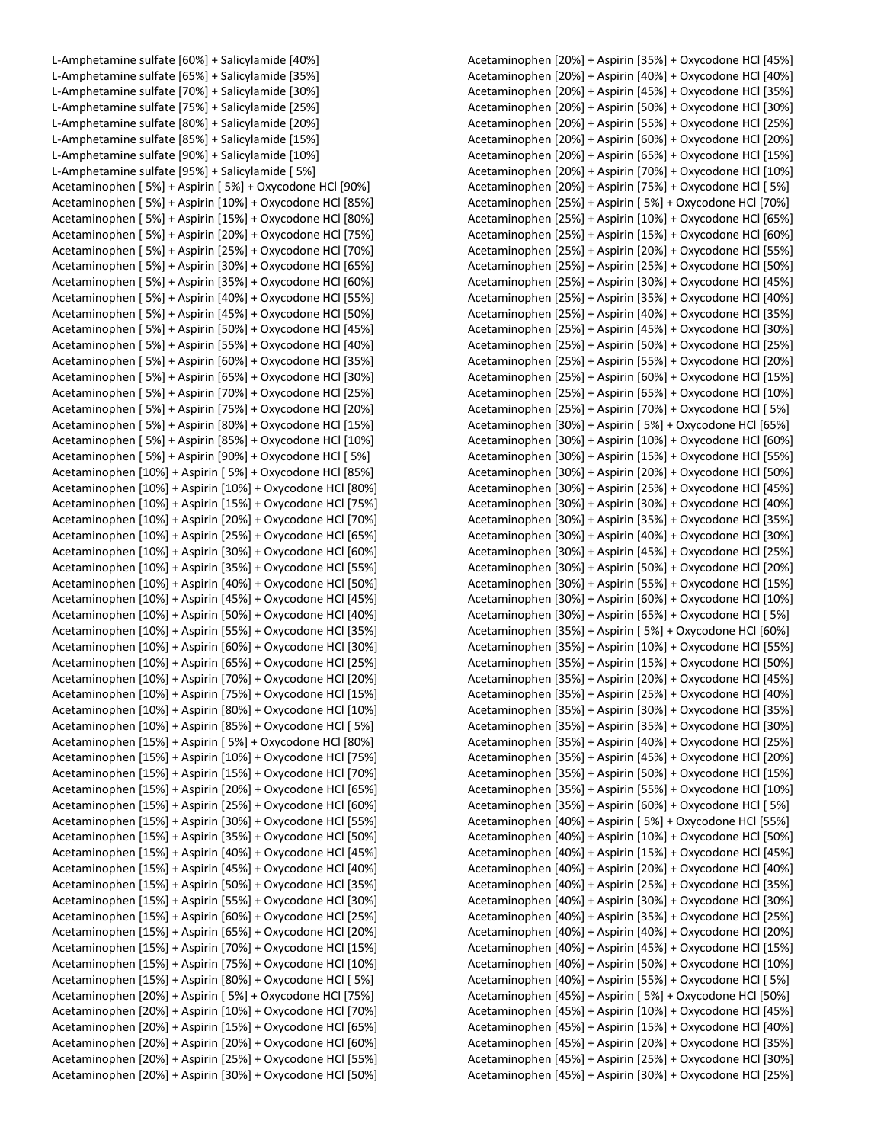L-Amphetamine sulfate [60%] + Salicylamide [40%] L-Amphetamine sulfate [65%] + Salicylamide [35%] L-Amphetamine sulfate [70%] + Salicylamide [30%] L-Amphetamine sulfate [75%] + Salicylamide [25%] L-Amphetamine sulfate [80%] + Salicylamide [20%] L-Amphetamine sulfate [85%] + Salicylamide [15%] L-Amphetamine sulfate [90%] + Salicylamide [10%] L-Amphetamine sulfate [95%] + Salicylamide [ 5%] Acetaminophen [ 5%] + Aspirin [ 5%] + Oxycodone HCl [90%] Acetaminophen [ 5%] + Aspirin [10%] + Oxycodone HCl [85%] Acetaminophen [ 5%] + Aspirin [15%] + Oxycodone HCl [80%] Acetaminophen [ 5%] + Aspirin [20%] + Oxycodone HCl [75%] Acetaminophen [ 5%] + Aspirin [25%] + Oxycodone HCl [70%] Acetaminophen [ 5%] + Aspirin [30%] + Oxycodone HCl [65%] Acetaminophen [ 5%] + Aspirin [35%] + Oxycodone HCl [60%] Acetaminophen [ 5%] + Aspirin [40%] + Oxycodone HCl [55%] Acetaminophen [ 5%] + Aspirin [45%] + Oxycodone HCl [50%] Acetaminophen [ 5%] + Aspirin [50%] + Oxycodone HCl [45%] Acetaminophen [ 5%] + Aspirin [55%] + Oxycodone HCl [40%] Acetaminophen [ 5%] + Aspirin [60%] + Oxycodone HCl [35%] Acetaminophen [ 5%] + Aspirin [65%] + Oxycodone HCl [30%] Acetaminophen [ 5%] + Aspirin [70%] + Oxycodone HCl [25%] Acetaminophen [ 5%] + Aspirin [75%] + Oxycodone HCl [20%] Acetaminophen [ 5%] + Aspirin [80%] + Oxycodone HCl [15%] Acetaminophen [ 5%] + Aspirin [85%] + Oxycodone HCl [10%] Acetaminophen [ 5%] + Aspirin [90%] + Oxycodone HCl [ 5%] Acetaminophen [10%] + Aspirin [ 5%] + Oxycodone HCl [85%] Acetaminophen [10%] + Aspirin [10%] + Oxycodone HCl [80%] Acetaminophen [10%] + Aspirin [15%] + Oxycodone HCl [75%] Acetaminophen [10%] + Aspirin [20%] + Oxycodone HCl [70%] Acetaminophen [10%] + Aspirin [25%] + Oxycodone HCl [65%] Acetaminophen [10%] + Aspirin [30%] + Oxycodone HCl [60%] Acetaminophen [10%] + Aspirin [35%] + Oxycodone HCl [55%] Acetaminophen [10%] + Aspirin [40%] + Oxycodone HCl [50%] Acetaminophen [10%] + Aspirin [45%] + Oxycodone HCl [45%] Acetaminophen [10%] + Aspirin [50%] + Oxycodone HCl [40%] Acetaminophen [10%] + Aspirin [55%] + Oxycodone HCl [35%] Acetaminophen [10%] + Aspirin [60%] + Oxycodone HCl [30%] Acetaminophen [10%] + Aspirin [65%] + Oxycodone HCl [25%] Acetaminophen [10%] + Aspirin [70%] + Oxycodone HCl [20%] Acetaminophen [10%] + Aspirin [75%] + Oxycodone HCl [15%] Acetaminophen [10%] + Aspirin [80%] + Oxycodone HCl [10%] Acetaminophen [10%] + Aspirin [85%] + Oxycodone HCl [ 5%] Acetaminophen [15%] + Aspirin [ 5%] + Oxycodone HCl [80%] Acetaminophen [15%] + Aspirin [10%] + Oxycodone HCl [75%] Acetaminophen [15%] + Aspirin [15%] + Oxycodone HCl [70%] Acetaminophen [15%] + Aspirin [20%] + Oxycodone HCl [65%] Acetaminophen [15%] + Aspirin [25%] + Oxycodone HCl [60%] Acetaminophen [15%] + Aspirin [30%] + Oxycodone HCl [55%] Acetaminophen [15%] + Aspirin [35%] + Oxycodone HCl [50%] Acetaminophen [15%] + Aspirin [40%] + Oxycodone HCl [45%] Acetaminophen [15%] + Aspirin [45%] + Oxycodone HCl [40%] Acetaminophen [15%] + Aspirin [50%] + Oxycodone HCl [35%] Acetaminophen [15%] + Aspirin [55%] + Oxycodone HCl [30%] Acetaminophen [15%] + Aspirin [60%] + Oxycodone HCl [25%] Acetaminophen [15%] + Aspirin [65%] + Oxycodone HCl [20%] Acetaminophen [15%] + Aspirin [70%] + Oxycodone HCl [15%] Acetaminophen [15%] + Aspirin [75%] + Oxycodone HCl [10%] Acetaminophen [15%] + Aspirin [80%] + Oxycodone HCl [ 5%] Acetaminophen [20%] + Aspirin [ 5%] + Oxycodone HCl [75%] Acetaminophen [20%] + Aspirin [10%] + Oxycodone HCl [70%] Acetaminophen [20%] + Aspirin [15%] + Oxycodone HCl [65%] Acetaminophen [20%] + Aspirin [20%] + Oxycodone HCl [60%] Acetaminophen [20%] + Aspirin [25%] + Oxycodone HCl [55%] Acetaminophen [20%] + Aspirin [30%] + Oxycodone HCl [50%] Acetaminophen [20%] + Aspirin [35%] + Oxycodone HCl [45%] Acetaminophen [20%] + Aspirin [40%] + Oxycodone HCl [40%] Acetaminophen [20%] + Aspirin [45%] + Oxycodone HCl [35%] Acetaminophen [20%] + Aspirin [50%] + Oxycodone HCl [30%] Acetaminophen [20%] + Aspirin [55%] + Oxycodone HCl [25%] Acetaminophen [20%] + Aspirin [60%] + Oxycodone HCl [20%] Acetaminophen [20%] + Aspirin [65%] + Oxycodone HCl [15%] Acetaminophen [20%] + Aspirin [70%] + Oxycodone HCl [10%] Acetaminophen [20%] + Aspirin [75%] + Oxycodone HCl [ 5%] Acetaminophen [25%] + Aspirin [ 5%] + Oxycodone HCl [70%] Acetaminophen [25%] + Aspirin [10%] + Oxycodone HCl [65%] Acetaminophen [25%] + Aspirin [15%] + Oxycodone HCl [60%] Acetaminophen [25%] + Aspirin [20%] + Oxycodone HCl [55%] Acetaminophen [25%] + Aspirin [25%] + Oxycodone HCl [50%] Acetaminophen [25%] + Aspirin [30%] + Oxycodone HCl [45%] Acetaminophen [25%] + Aspirin [35%] + Oxycodone HCl [40%] Acetaminophen [25%] + Aspirin [40%] + Oxycodone HCl [35%] Acetaminophen [25%] + Aspirin [45%] + Oxycodone HCl [30%] Acetaminophen [25%] + Aspirin [50%] + Oxycodone HCl [25%] Acetaminophen [25%] + Aspirin [55%] + Oxycodone HCl [20%] Acetaminophen [25%] + Aspirin [60%] + Oxycodone HCl [15%] Acetaminophen [25%] + Aspirin [65%] + Oxycodone HCl [10%] Acetaminophen [25%] + Aspirin [70%] + Oxycodone HCl [ 5%] Acetaminophen [30%] + Aspirin [ 5%] + Oxycodone HCl [65%] Acetaminophen [30%] + Aspirin [10%] + Oxycodone HCl [60%] Acetaminophen [30%] + Aspirin [15%] + Oxycodone HCl [55%] Acetaminophen [30%] + Aspirin [20%] + Oxycodone HCl [50%] Acetaminophen [30%] + Aspirin [25%] + Oxycodone HCl [45%] Acetaminophen [30%] + Aspirin [30%] + Oxycodone HCl [40%] Acetaminophen [30%] + Aspirin [35%] + Oxycodone HCl [35%] Acetaminophen [30%] + Aspirin [40%] + Oxycodone HCl [30%] Acetaminophen [30%] + Aspirin [45%] + Oxycodone HCl [25%] Acetaminophen [30%] + Aspirin [50%] + Oxycodone HCl [20%] Acetaminophen [30%] + Aspirin [55%] + Oxycodone HCl [15%] Acetaminophen [30%] + Aspirin [60%] + Oxycodone HCl [10%] Acetaminophen [30%] + Aspirin [65%] + Oxycodone HCl [ 5%] Acetaminophen [35%] + Aspirin [ 5%] + Oxycodone HCl [60%] Acetaminophen [35%] + Aspirin [10%] + Oxycodone HCl [55%] Acetaminophen [35%] + Aspirin [15%] + Oxycodone HCl [50%] Acetaminophen [35%] + Aspirin [20%] + Oxycodone HCl [45%] Acetaminophen [35%] + Aspirin [25%] + Oxycodone HCl [40%] Acetaminophen [35%] + Aspirin [30%] + Oxycodone HCl [35%] Acetaminophen [35%] + Aspirin [35%] + Oxycodone HCl [30%] Acetaminophen [35%] + Aspirin [40%] + Oxycodone HCl [25%] Acetaminophen [35%] + Aspirin [45%] + Oxycodone HCl [20%] Acetaminophen [35%] + Aspirin [50%] + Oxycodone HCl [15%] Acetaminophen [35%] + Aspirin [55%] + Oxycodone HCl [10%] Acetaminophen [35%] + Aspirin [60%] + Oxycodone HCl [ 5%] Acetaminophen [40%] + Aspirin [ 5%] + Oxycodone HCl [55%] Acetaminophen [40%] + Aspirin [10%] + Oxycodone HCl [50%] Acetaminophen [40%] + Aspirin [15%] + Oxycodone HCl [45%] Acetaminophen [40%] + Aspirin [20%] + Oxycodone HCl [40%] Acetaminophen [40%] + Aspirin [25%] + Oxycodone HCl [35%] Acetaminophen [40%] + Aspirin [30%] + Oxycodone HCl [30%] Acetaminophen [40%] + Aspirin [35%] + Oxycodone HCl [25%] Acetaminophen [40%] + Aspirin [40%] + Oxycodone HCl [20%] Acetaminophen [40%] + Aspirin [45%] + Oxycodone HCl [15%] Acetaminophen [40%] + Aspirin [50%] + Oxycodone HCl [10%] Acetaminophen [40%] + Aspirin [55%] + Oxycodone HCl [ 5%] Acetaminophen [45%] + Aspirin [ 5%] + Oxycodone HCl [50%] Acetaminophen [45%] + Aspirin [10%] + Oxycodone HCl [45%] Acetaminophen [45%] + Aspirin [15%] + Oxycodone HCl [40%] Acetaminophen [45%] + Aspirin [20%] + Oxycodone HCl [35%] Acetaminophen [45%] + Aspirin [25%] + Oxycodone HCl [30%] Acetaminophen [45%] + Aspirin [30%] + Oxycodone HCl [25%]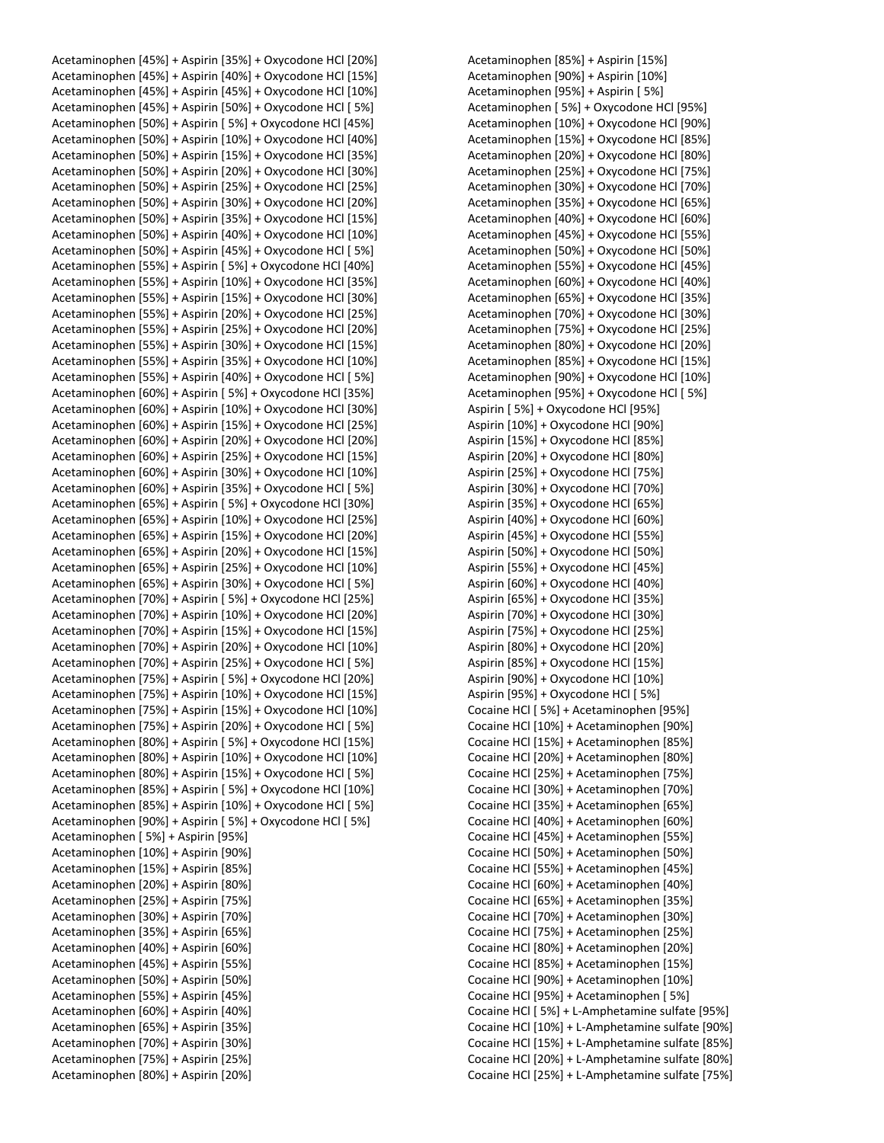Acetaminophen [45%] + Aspirin [35%] + Oxycodone HCl [20%] Acetaminophen [45%] + Aspirin [40%] + Oxycodone HCl [15%] Acetaminophen [45%] + Aspirin [45%] + Oxycodone HCl [10%] Acetaminophen [45%] + Aspirin [50%] + Oxycodone HCl [ 5%] Acetaminophen [50%] + Aspirin [ 5%] + Oxycodone HCl [45%] Acetaminophen [50%] + Aspirin [10%] + Oxycodone HCl [40%] Acetaminophen [50%] + Aspirin [15%] + Oxycodone HCl [35%] Acetaminophen [50%] + Aspirin [20%] + Oxycodone HCl [30%] Acetaminophen [50%] + Aspirin [25%] + Oxycodone HCl [25%] Acetaminophen [50%] + Aspirin [30%] + Oxycodone HCl [20%] Acetaminophen [50%] + Aspirin [35%] + Oxycodone HCl [15%] Acetaminophen [50%] + Aspirin [40%] + Oxycodone HCl [10%] Acetaminophen [50%] + Aspirin [45%] + Oxycodone HCl [ 5%] Acetaminophen [55%] + Aspirin [ 5%] + Oxycodone HCl [40%] Acetaminophen [55%] + Aspirin [10%] + Oxycodone HCl [35%] Acetaminophen [55%] + Aspirin [15%] + Oxycodone HCl [30%] Acetaminophen [55%] + Aspirin [20%] + Oxycodone HCl [25%] Acetaminophen [55%] + Aspirin [25%] + Oxycodone HCl [20%] Acetaminophen [55%] + Aspirin [30%] + Oxycodone HCl [15%] Acetaminophen [55%] + Aspirin [35%] + Oxycodone HCl [10%] Acetaminophen [55%] + Aspirin [40%] + Oxycodone HCl [ 5%] Acetaminophen [60%] + Aspirin [ 5%] + Oxycodone HCl [35%] Acetaminophen [60%] + Aspirin [10%] + Oxycodone HCl [30%] Acetaminophen [60%] + Aspirin [15%] + Oxycodone HCl [25%] Acetaminophen [60%] + Aspirin [20%] + Oxycodone HCl [20%] Acetaminophen [60%] + Aspirin [25%] + Oxycodone HCl [15%] Acetaminophen [60%] + Aspirin [30%] + Oxycodone HCl [10%] Acetaminophen [60%] + Aspirin [35%] + Oxycodone HCl [ 5%] Acetaminophen [65%] + Aspirin [ 5%] + Oxycodone HCl [30%] Acetaminophen [65%] + Aspirin [10%] + Oxycodone HCl [25%] Acetaminophen [65%] + Aspirin [15%] + Oxycodone HCl [20%] Acetaminophen [65%] + Aspirin [20%] + Oxycodone HCl [15%] Acetaminophen [65%] + Aspirin [25%] + Oxycodone HCl [10%] Acetaminophen [65%] + Aspirin [30%] + Oxycodone HCl [ 5%] Acetaminophen [70%] + Aspirin [ 5%] + Oxycodone HCl [25%] Acetaminophen [70%] + Aspirin [10%] + Oxycodone HCl [20%] Acetaminophen [70%] + Aspirin [15%] + Oxycodone HCl [15%] Acetaminophen [70%] + Aspirin [20%] + Oxycodone HCl [10%] Acetaminophen [70%] + Aspirin [25%] + Oxycodone HCl [ 5%] Acetaminophen [75%] + Aspirin [ 5%] + Oxycodone HCl [20%] Acetaminophen [75%] + Aspirin [10%] + Oxycodone HCl [15%] Acetaminophen [75%] + Aspirin [15%] + Oxycodone HCl [10%] Acetaminophen [75%] + Aspirin [20%] + Oxycodone HCl [ 5%] Acetaminophen [80%] + Aspirin [ 5%] + Oxycodone HCl [15%] Acetaminophen [80%] + Aspirin [10%] + Oxycodone HCl [10%] Acetaminophen [80%] + Aspirin [15%] + Oxycodone HCl [ 5%] Acetaminophen [85%] + Aspirin [ 5%] + Oxycodone HCl [10%] Acetaminophen [85%] + Aspirin [10%] + Oxycodone HCl [ 5%] Acetaminophen [90%] + Aspirin [ 5%] + Oxycodone HCl [ 5%] Acetaminophen [ 5%] + Aspirin [95%] Acetaminophen [10%] + Aspirin [90%] Acetaminophen [15%] + Aspirin [85%] Acetaminophen [20%] + Aspirin [80%] Acetaminophen [25%] + Aspirin [75%] Acetaminophen [30%] + Aspirin [70%] Acetaminophen [35%] + Aspirin [65%] Acetaminophen [40%] + Aspirin [60%] Acetaminophen [45%] + Aspirin [55%] Acetaminophen [50%] + Aspirin [50%] Acetaminophen [55%] + Aspirin [45%] Acetaminophen [60%] + Aspirin [40%] Acetaminophen [65%] + Aspirin [35%] Acetaminophen [70%] + Aspirin [30%] Acetaminophen [75%] + Aspirin [25%] Acetaminophen [80%] + Aspirin [20%]

Acetaminophen [85%] + Aspirin [15%] Acetaminophen [90%] + Aspirin [10%] Acetaminophen [95%] + Aspirin [ 5%] Acetaminophen [ 5%] + Oxycodone HCl [95%] Acetaminophen [10%] + Oxycodone HCl [90%] Acetaminophen [15%] + Oxycodone HCl [85%] Acetaminophen [20%] + Oxycodone HCl [80%] Acetaminophen [25%] + Oxycodone HCl [75%] Acetaminophen [30%] + Oxycodone HCl [70%] Acetaminophen [35%] + Oxycodone HCl [65%] Acetaminophen [40%] + Oxycodone HCl [60%] Acetaminophen [45%] + Oxycodone HCl [55%] Acetaminophen [50%] + Oxycodone HCl [50%] Acetaminophen [55%] + Oxycodone HCl [45%] Acetaminophen [60%] + Oxycodone HCl [40%] Acetaminophen [65%] + Oxycodone HCl [35%] Acetaminophen [70%] + Oxycodone HCl [30%] Acetaminophen [75%] + Oxycodone HCl [25%] Acetaminophen [80%] + Oxycodone HCl [20%] Acetaminophen [85%] + Oxycodone HCl [15%] Acetaminophen [90%] + Oxycodone HCl [10%] Acetaminophen [95%] + Oxycodone HCl [ 5%] Aspirin [ 5%] + Oxycodone HCl [95%] Aspirin [10%] + Oxycodone HCl [90%] Aspirin [15%] + Oxycodone HCl [85%] Aspirin [20%] + Oxycodone HCl [80%] Aspirin [25%] + Oxycodone HCl [75%] Aspirin [30%] + Oxycodone HCl [70%] Aspirin [35%] + Oxycodone HCl [65%] Aspirin [40%] + Oxycodone HCl [60%] Aspirin [45%] + Oxycodone HCl [55%] Aspirin [50%] + Oxycodone HCl [50%] Aspirin [55%] + Oxycodone HCl [45%] Aspirin [60%] + Oxycodone HCl [40%] Aspirin [65%] + Oxycodone HCl [35%] Aspirin [70%] + Oxycodone HCl [30%] Aspirin [75%] + Oxycodone HCl [25%] Aspirin [80%] + Oxycodone HCl [20%] Aspirin [85%] + Oxycodone HCl [15%] Aspirin [90%] + Oxycodone HCl [10%] Aspirin [95%] + Oxycodone HCl [ 5%] Cocaine HCl [ 5%] + Acetaminophen [95%] Cocaine HCl [10%] + Acetaminophen [90%] Cocaine HCl [15%] + Acetaminophen [85%] Cocaine HCl [20%] + Acetaminophen [80%] Cocaine HCl [25%] + Acetaminophen [75%] Cocaine HCl [30%] + Acetaminophen [70%] Cocaine HCl [35%] + Acetaminophen [65%] Cocaine HCl [40%] + Acetaminophen [60%] Cocaine HCl [45%] + Acetaminophen [55%] Cocaine HCl [50%] + Acetaminophen [50%] Cocaine HCl [55%] + Acetaminophen [45%] Cocaine HCl [60%] + Acetaminophen [40%] Cocaine HCl [65%] + Acetaminophen [35%] Cocaine HCl [70%] + Acetaminophen [30%] Cocaine HCl [75%] + Acetaminophen [25%] Cocaine HCl [80%] + Acetaminophen [20%] Cocaine HCl [85%] + Acetaminophen [15%] Cocaine HCl [90%] + Acetaminophen [10%] Cocaine HCl [95%] + Acetaminophen [ 5%] Cocaine HCl [ 5%] + L-Amphetamine sulfate [95%] Cocaine HCl [10%] + L-Amphetamine sulfate [90%] Cocaine HCl [15%] + L-Amphetamine sulfate [85%] Cocaine HCl [20%] + L-Amphetamine sulfate [80%] Cocaine HCl [25%] + L-Amphetamine sulfate [75%]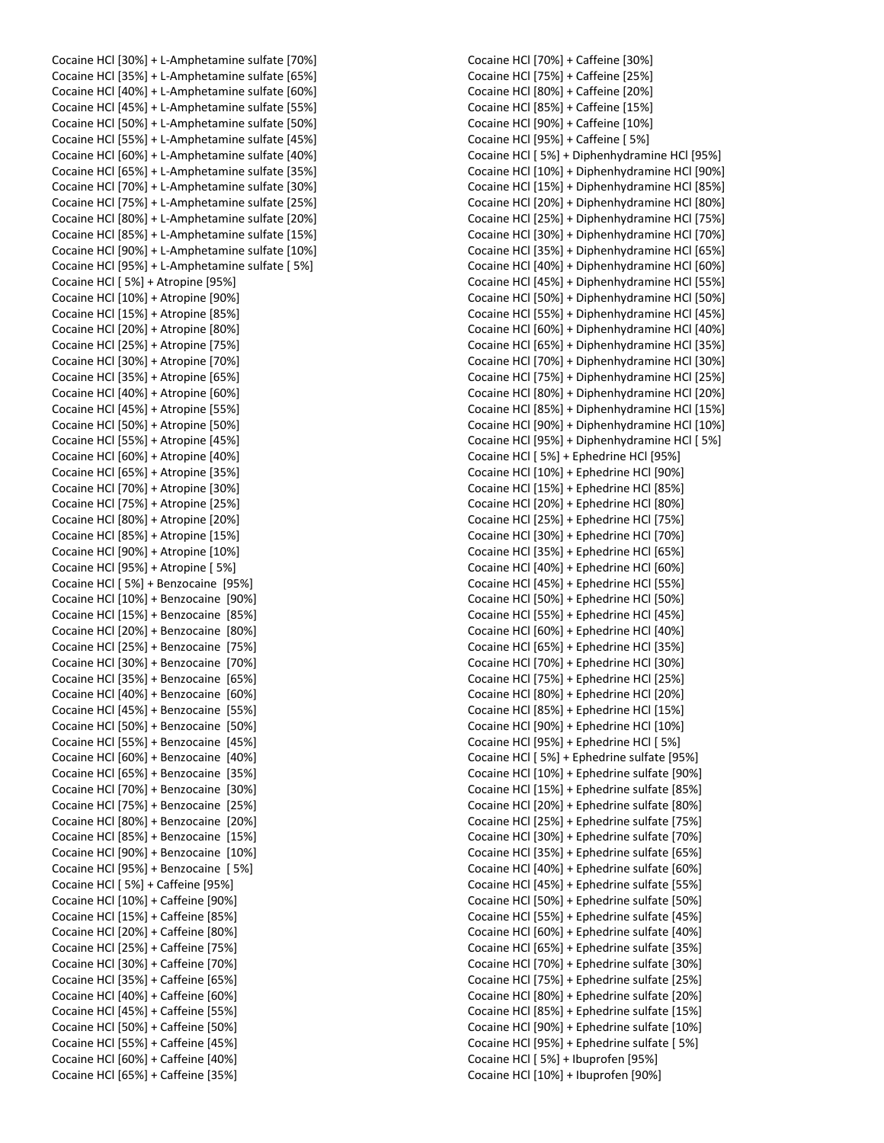Cocaine HCl [30%] + L-Amphetamine sulfate [70%] Cocaine HCl [35%] + L-Amphetamine sulfate [65%] Cocaine HCl [40%] + L-Amphetamine sulfate [60%] Cocaine HCl [45%] + L-Amphetamine sulfate [55%] Cocaine HCl [50%] + L-Amphetamine sulfate [50%] Cocaine HCl [55%] + L-Amphetamine sulfate [45%] Cocaine HCl [60%] + L-Amphetamine sulfate [40%] Cocaine HCl [65%] + L-Amphetamine sulfate [35%] Cocaine HCl [70%] + L-Amphetamine sulfate [30%] Cocaine HCl [75%] + L-Amphetamine sulfate [25%] Cocaine HCl [80%] + L-Amphetamine sulfate [20%] Cocaine HCl [85%] + L-Amphetamine sulfate [15%] Cocaine HCl [90%] + L-Amphetamine sulfate [10%] Cocaine HCl [95%] + L-Amphetamine sulfate [ 5%] Cocaine HCl [ 5%] + Atropine [95%] Cocaine HCl [10%] + Atropine [90%] Cocaine HCl [15%] + Atropine [85%] Cocaine HCl [20%] + Atropine [80%] Cocaine HCl [25%] + Atropine [75%] Cocaine HCl [30%] + Atropine [70%] Cocaine HCl [35%] + Atropine [65%] Cocaine HCl [40%] + Atropine [60%] Cocaine HCl [45%] + Atropine [55%] Cocaine HCl [50%] + Atropine [50%] Cocaine HCl [55%] + Atropine [45%] Cocaine HCl [60%] + Atropine [40%] Cocaine HCl [65%] + Atropine [35%] Cocaine HCl [70%] + Atropine [30%] Cocaine HCl [75%] + Atropine [25%] Cocaine HCl [80%] + Atropine [20%] Cocaine HCl [85%] + Atropine [15%] Cocaine HCl [90%] + Atropine [10%] Cocaine HCl [95%] + Atropine [ 5%] Cocaine HCl [ 5%] + Benzocaine [95%] Cocaine HCl [10%] + Benzocaine [90%] Cocaine HCl [15%] + Benzocaine [85%] Cocaine HCl [20%] + Benzocaine [80%] Cocaine HCl [25%] + Benzocaine [75%] Cocaine HCl [30%] + Benzocaine [70%] Cocaine HCl [35%] + Benzocaine [65%] Cocaine HCl [40%] + Benzocaine [60%] Cocaine HCl [45%] + Benzocaine [55%] Cocaine HCl [50%] + Benzocaine [50%] Cocaine HCl [55%] + Benzocaine [45%] Cocaine HCl [60%] + Benzocaine [40%] Cocaine HCl [65%] + Benzocaine [35%] Cocaine HCl [70%] + Benzocaine [30%] Cocaine HCl [75%] + Benzocaine [25%] Cocaine HCl [80%] + Benzocaine [20%] Cocaine HCl [85%] + Benzocaine [15%] Cocaine HCl [90%] + Benzocaine [10%] Cocaine HCl [95%] + Benzocaine [ 5%] Cocaine HCl [ 5%] + Caffeine [95%] Cocaine HCl [10%] + Caffeine [90%] Cocaine HCl [15%] + Caffeine [85%] Cocaine HCl [20%] + Caffeine [80%] Cocaine HCl [25%] + Caffeine [75%] Cocaine HCl [30%] + Caffeine [70%] Cocaine HCl [35%] + Caffeine [65%] Cocaine HCl [40%] + Caffeine [60%] Cocaine HCl [45%] + Caffeine [55%] Cocaine HCl [50%] + Caffeine [50%] Cocaine HCl [55%] + Caffeine [45%] Cocaine HCl [60%] + Caffeine [40%] Cocaine HCl [65%] + Caffeine [35%]

Cocaine HCl [70%] + Caffeine [30%] Cocaine HCl [75%] + Caffeine [25%] Cocaine HCl [80%] + Caffeine [20%] Cocaine HCl [85%] + Caffeine [15%] Cocaine HCl [90%] + Caffeine [10%] Cocaine HCl [95%] + Caffeine [ 5%] Cocaine HCl [ 5%] + Diphenhydramine HCl [95%] Cocaine HCl [10%] + Diphenhydramine HCl [90%] Cocaine HCl [15%] + Diphenhydramine HCl [85%] Cocaine HCl [20%] + Diphenhydramine HCl [80%] Cocaine HCl [25%] + Diphenhydramine HCl [75%] Cocaine HCl [30%] + Diphenhydramine HCl [70%] Cocaine HCl [35%] + Diphenhydramine HCl [65%] Cocaine HCl [40%] + Diphenhydramine HCl [60%] Cocaine HCl [45%] + Diphenhydramine HCl [55%] Cocaine HCl [50%] + Diphenhydramine HCl [50%] Cocaine HCl [55%] + Diphenhydramine HCl [45%] Cocaine HCl [60%] + Diphenhydramine HCl [40%] Cocaine HCl [65%] + Diphenhydramine HCl [35%] Cocaine HCl [70%] + Diphenhydramine HCl [30%] Cocaine HCl [75%] + Diphenhydramine HCl [25%] Cocaine HCl [80%] + Diphenhydramine HCl [20%] Cocaine HCl [85%] + Diphenhydramine HCl [15%] Cocaine HCl [90%] + Diphenhydramine HCl [10%] Cocaine HCl [95%] + Diphenhydramine HCl [ 5%] Cocaine HCl [ 5%] + Ephedrine HCl [95%] Cocaine HCl [10%] + Ephedrine HCl [90%] Cocaine HCl [15%] + Ephedrine HCl [85%] Cocaine HCl [20%] + Ephedrine HCl [80%] Cocaine HCl [25%] + Ephedrine HCl [75%] Cocaine HCl [30%] + Ephedrine HCl [70%] Cocaine HCl [35%] + Ephedrine HCl [65%] Cocaine HCl [40%] + Ephedrine HCl [60%] Cocaine HCl [45%] + Ephedrine HCl [55%] Cocaine HCl [50%] + Ephedrine HCl [50%] Cocaine HCl [55%] + Ephedrine HCl [45%] Cocaine HCl [60%] + Ephedrine HCl [40%] Cocaine HCl [65%] + Ephedrine HCl [35%] Cocaine HCl [70%] + Ephedrine HCl [30%] Cocaine HCl [75%] + Ephedrine HCl [25%] Cocaine HCl [80%] + Ephedrine HCl [20%] Cocaine HCl [85%] + Ephedrine HCl [15%] Cocaine HCl [90%] + Ephedrine HCl [10%] Cocaine HCl [95%] + Ephedrine HCl [ 5%] Cocaine HCl [ 5%] + Ephedrine sulfate [95%] Cocaine HCl [10%] + Ephedrine sulfate [90%] Cocaine HCl [15%] + Ephedrine sulfate [85%] Cocaine HCl [20%] + Ephedrine sulfate [80%] Cocaine HCl [25%] + Ephedrine sulfate [75%] Cocaine HCl [30%] + Ephedrine sulfate [70%] Cocaine HCl [35%] + Ephedrine sulfate [65%] Cocaine HCl [40%] + Ephedrine sulfate [60%] Cocaine HCl [45%] + Ephedrine sulfate [55%] Cocaine HCl [50%] + Ephedrine sulfate [50%] Cocaine HCl [55%] + Ephedrine sulfate [45%] Cocaine HCl [60%] + Ephedrine sulfate [40%] Cocaine HCl [65%] + Ephedrine sulfate [35%] Cocaine HCl [70%] + Ephedrine sulfate [30%] Cocaine HCl [75%] + Ephedrine sulfate [25%] Cocaine HCl [80%] + Ephedrine sulfate [20%] Cocaine HCl [85%] + Ephedrine sulfate [15%] Cocaine HCl [90%] + Ephedrine sulfate [10%] Cocaine HCl [95%] + Ephedrine sulfate [ 5%] Cocaine HCl [ 5%] + Ibuprofen [95%] Cocaine HCl [10%] + Ibuprofen [90%]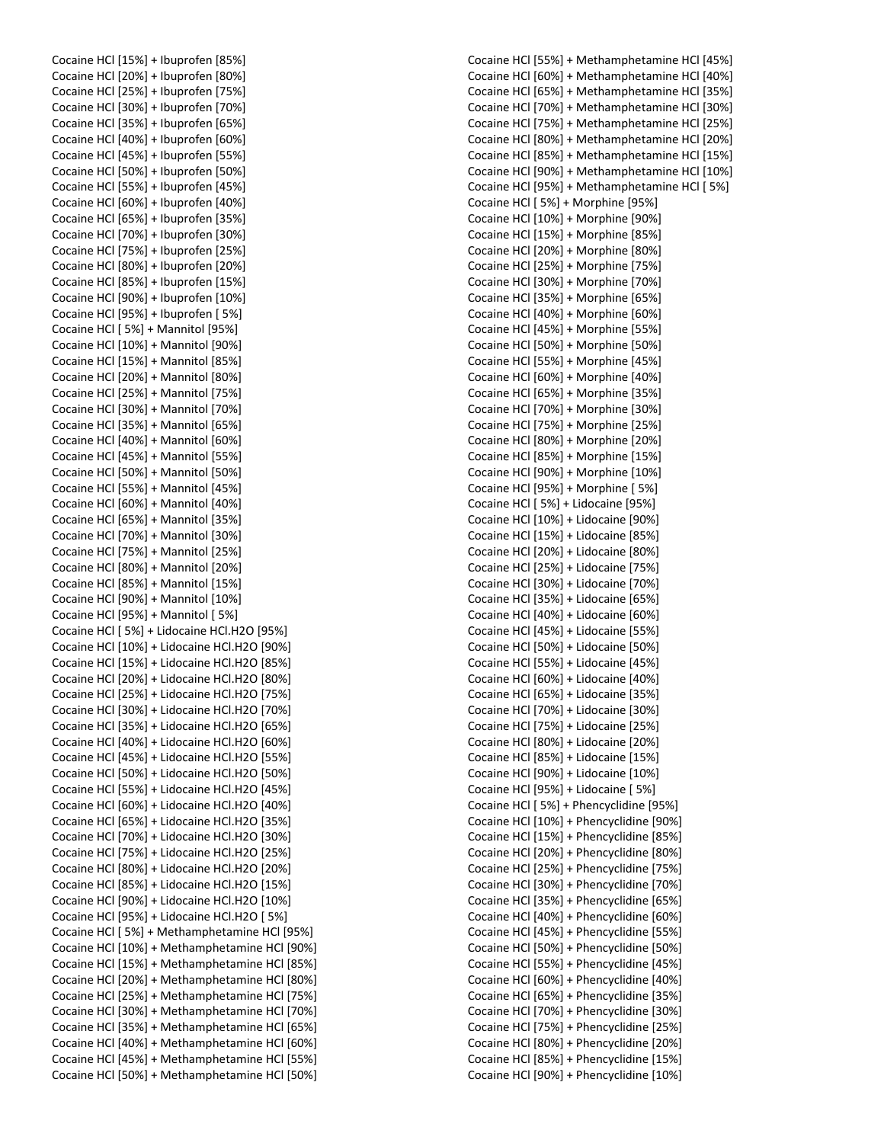Cocaine HCl [15%] + Ibuprofen [85%] Cocaine HCl [20%] + Ibuprofen [80%] Cocaine HCl [25%] + Ibuprofen [75%] Cocaine HCl [30%] + Ibuprofen [70%] Cocaine HCl [35%] + Ibuprofen [65%] Cocaine HCl [40%] + Ibuprofen [60%] Cocaine HCl [45%] + Ibuprofen [55%] Cocaine HCl [50%] + Ibuprofen [50%] Cocaine HCl [55%] + Ibuprofen [45%] Cocaine HCl [60%] + Ibuprofen [40%] Cocaine HCl [65%] + Ibuprofen [35%] Cocaine HCl [70%] + Ibuprofen [30%] Cocaine HCl [75%] + Ibuprofen [25%] Cocaine HCl [80%] + Ibuprofen [20%] Cocaine HCl [85%] + Ibuprofen [15%] Cocaine HCl [90%] + Ibuprofen [10%] Cocaine HCl [95%] + Ibuprofen [ 5%] Cocaine HCl [ 5%] + Mannitol [95%] Cocaine HCl [10%] + Mannitol [90%] Cocaine HCl [15%] + Mannitol [85%] Cocaine HCl [20%] + Mannitol [80%] Cocaine HCl [25%] + Mannitol [75%] Cocaine HCl [30%] + Mannitol [70%] Cocaine HCl [35%] + Mannitol [65%] Cocaine HCl [40%] + Mannitol [60%] Cocaine HCl [45%] + Mannitol [55%] Cocaine HCl [50%] + Mannitol [50%] Cocaine HCl [55%] + Mannitol [45%] Cocaine HCl [60%] + Mannitol [40%] Cocaine HCl [65%] + Mannitol [35%] Cocaine HCl [70%] + Mannitol [30%] Cocaine HCl [75%] + Mannitol [25%] Cocaine HCl [80%] + Mannitol [20%] Cocaine HCl [85%] + Mannitol [15%] Cocaine HCl [90%] + Mannitol [10%] Cocaine HCl [95%] + Mannitol [ 5%] Cocaine HCl [ 5%] + Lidocaine HCl.H2O [95%] Cocaine HCl [10%] + Lidocaine HCl.H2O [90%] Cocaine HCl [15%] + Lidocaine HCl.H2O [85%] Cocaine HCl [20%] + Lidocaine HCl.H2O [80%] Cocaine HCl [25%] + Lidocaine HCl.H2O [75%] Cocaine HCl [30%] + Lidocaine HCl.H2O [70%] Cocaine HCl [35%] + Lidocaine HCl.H2O [65%] Cocaine HCl [40%] + Lidocaine HCl.H2O [60%] Cocaine HCl [45%] + Lidocaine HCl.H2O [55%] Cocaine HCl [50%] + Lidocaine HCl.H2O [50%] Cocaine HCl [55%] + Lidocaine HCl.H2O [45%] Cocaine HCl [60%] + Lidocaine HCl.H2O [40%] Cocaine HCl [65%] + Lidocaine HCl.H2O [35%] Cocaine HCl [70%] + Lidocaine HCl.H2O [30%] Cocaine HCl [75%] + Lidocaine HCl.H2O [25%] Cocaine HCl [80%] + Lidocaine HCl.H2O [20%] Cocaine HCl [85%] + Lidocaine HCl.H2O [15%] Cocaine HCl [90%] + Lidocaine HCl.H2O [10%] Cocaine HCl [95%] + Lidocaine HCl.H2O [ 5%] Cocaine HCl [ 5%] + Methamphetamine HCl [95%] Cocaine HCl [10%] + Methamphetamine HCl [90%] Cocaine HCl [15%] + Methamphetamine HCl [85%] Cocaine HCl [20%] + Methamphetamine HCl [80%] Cocaine HCl [25%] + Methamphetamine HCl [75%] Cocaine HCl [30%] + Methamphetamine HCl [70%] Cocaine HCl [35%] + Methamphetamine HCl [65%] Cocaine HCl [40%] + Methamphetamine HCl [60%] Cocaine HCl [45%] + Methamphetamine HCl [55%] Cocaine HCl [50%] + Methamphetamine HCl [50%]

Cocaine HCl [55%] + Methamphetamine HCl [45%] Cocaine HCl [60%] + Methamphetamine HCl [40%] Cocaine HCl [65%] + Methamphetamine HCl [35%] Cocaine HCl [70%] + Methamphetamine HCl [30%] Cocaine HCl [75%] + Methamphetamine HCl [25%] Cocaine HCl [80%] + Methamphetamine HCl [20%] Cocaine HCl [85%] + Methamphetamine HCl [15%] Cocaine HCl [90%] + Methamphetamine HCl [10%] Cocaine HCl [95%] + Methamphetamine HCl [ 5%] Cocaine HCl [ 5%] + Morphine [95%] Cocaine HCl [10%] + Morphine [90%] Cocaine HCl [15%] + Morphine [85%] Cocaine HCl [20%] + Morphine [80%] Cocaine HCl [25%] + Morphine [75%] Cocaine HCl [30%] + Morphine [70%] Cocaine HCl [35%] + Morphine [65%] Cocaine HCl [40%] + Morphine [60%] Cocaine HCl [45%] + Morphine [55%] Cocaine HCl [50%] + Morphine [50%] Cocaine HCl [55%] + Morphine [45%] Cocaine HCl [60%] + Morphine [40%] Cocaine HCl [65%] + Morphine [35%] Cocaine HCl [70%] + Morphine [30%] Cocaine HCl [75%] + Morphine [25%] Cocaine HCl [80%] + Morphine [20%] Cocaine HCl [85%] + Morphine [15%] Cocaine HCl [90%] + Morphine [10%] Cocaine HCl [95%] + Morphine [ 5%] Cocaine HCl [ 5%] + Lidocaine [95%] Cocaine HCl [10%] + Lidocaine [90%] Cocaine HCl [15%] + Lidocaine [85%] Cocaine HCl [20%] + Lidocaine [80%] Cocaine HCl [25%] + Lidocaine [75%] Cocaine HCl [30%] + Lidocaine [70%] Cocaine HCl [35%] + Lidocaine [65%] Cocaine HCl [40%] + Lidocaine [60%] Cocaine HCl [45%] + Lidocaine [55%] Cocaine HCl [50%] + Lidocaine [50%] Cocaine HCl [55%] + Lidocaine [45%] Cocaine HCl [60%] + Lidocaine [40%] Cocaine HCl [65%] + Lidocaine [35%] Cocaine HCl [70%] + Lidocaine [30%] Cocaine HCl [75%] + Lidocaine [25%] Cocaine HCl [80%] + Lidocaine [20%] Cocaine HCl [85%] + Lidocaine [15%] Cocaine HCl [90%] + Lidocaine [10%] Cocaine HCl [95%] + Lidocaine [ 5%] Cocaine HCl [ 5%] + Phencyclidine [95%] Cocaine HCl [10%] + Phencyclidine [90%] Cocaine HCl [15%] + Phencyclidine [85%] Cocaine HCl [20%] + Phencyclidine [80%] Cocaine HCl [25%] + Phencyclidine [75%] Cocaine HCl [30%] + Phencyclidine [70%] Cocaine HCl [35%] + Phencyclidine [65%] Cocaine HCl [40%] + Phencyclidine [60%] Cocaine HCl [45%] + Phencyclidine [55%] Cocaine HCl [50%] + Phencyclidine [50%] Cocaine HCl [55%] + Phencyclidine [45%] Cocaine HCl [60%] + Phencyclidine [40%] Cocaine HCl [65%] + Phencyclidine [35%] Cocaine HCl [70%] + Phencyclidine [30%] Cocaine HCl [75%] + Phencyclidine [25%] Cocaine HCl [80%] + Phencyclidine [20%] Cocaine HCl [85%] + Phencyclidine [15%] Cocaine HCl [90%] + Phencyclidine [10%]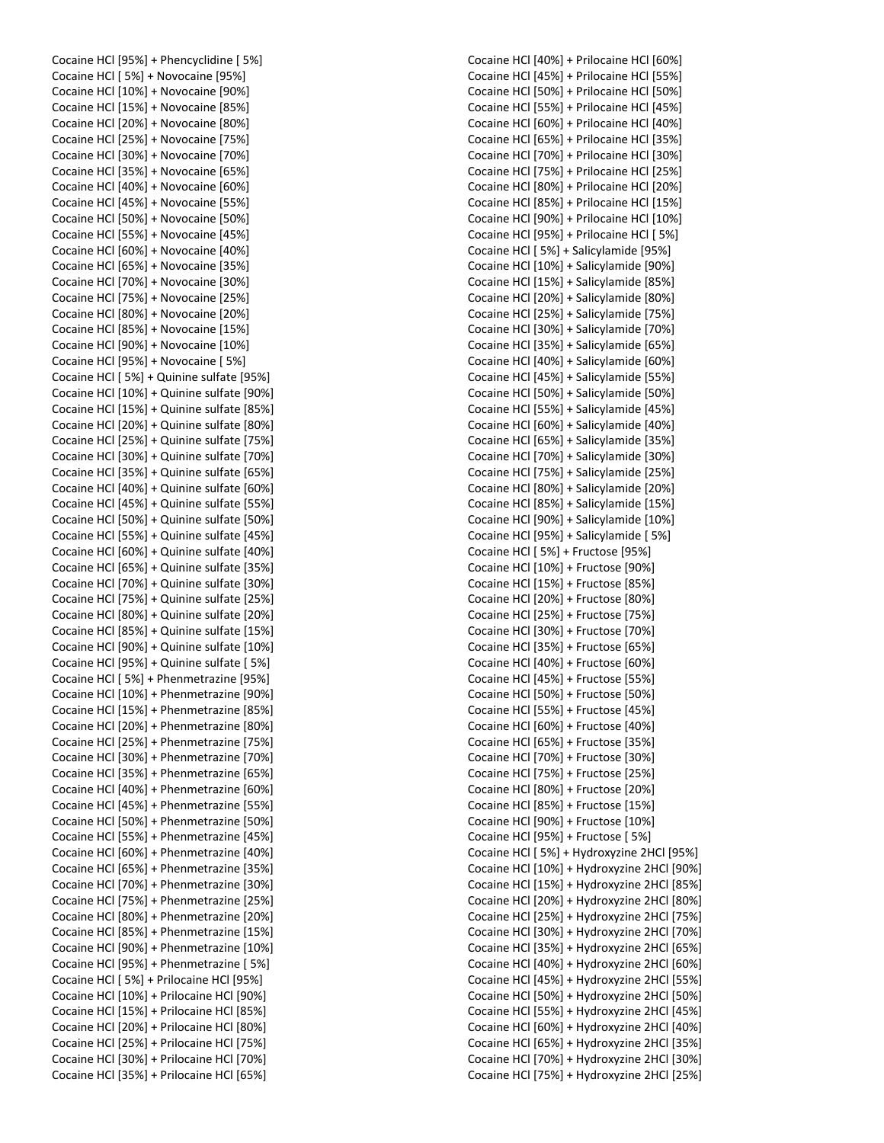Cocaine HCl [95%] + Phencyclidine [ 5%] Cocaine HCl [ 5%] + Novocaine [95%] Cocaine HCl [10%] + Novocaine [90%] Cocaine HCl [15%] + Novocaine [85%] Cocaine HCl [20%] + Novocaine [80%] Cocaine HCl [25%] + Novocaine [75%] Cocaine HCl [30%] + Novocaine [70%] Cocaine HCl [35%] + Novocaine [65%] Cocaine HCl [40%] + Novocaine [60%] Cocaine HCl [45%] + Novocaine [55%] Cocaine HCl [50%] + Novocaine [50%] Cocaine HCl [55%] + Novocaine [45%] Cocaine HCl [60%] + Novocaine [40%] Cocaine HCl [65%] + Novocaine [35%] Cocaine HCl [70%] + Novocaine [30%] Cocaine HCl [75%] + Novocaine [25%] Cocaine HCl [80%] + Novocaine [20%] Cocaine HCl [85%] + Novocaine [15%] Cocaine HCl [90%] + Novocaine [10%] Cocaine HCl [95%] + Novocaine [ 5%] Cocaine HCl [ 5%] + Quinine sulfate [95%] Cocaine HCl [10%] + Quinine sulfate [90%] Cocaine HCl [15%] + Quinine sulfate [85%] Cocaine HCl [20%] + Quinine sulfate [80%] Cocaine HCl [25%] + Quinine sulfate [75%] Cocaine HCl [30%] + Quinine sulfate [70%] Cocaine HCl [35%] + Quinine sulfate [65%] Cocaine HCl [40%] + Quinine sulfate [60%] Cocaine HCl [45%] + Quinine sulfate [55%] Cocaine HCl [50%] + Quinine sulfate [50%] Cocaine HCl [55%] + Quinine sulfate [45%] Cocaine HCl [60%] + Quinine sulfate [40%] Cocaine HCl [65%] + Quinine sulfate [35%] Cocaine HCl [70%] + Quinine sulfate [30%] Cocaine HCl [75%] + Quinine sulfate [25%] Cocaine HCl [80%] + Quinine sulfate [20%] Cocaine HCl [85%] + Quinine sulfate [15%] Cocaine HCl [90%] + Quinine sulfate [10%] Cocaine HCl [95%] + Quinine sulfate [ 5%] Cocaine HCl [ 5%] + Phenmetrazine [95%] Cocaine HCl [10%] + Phenmetrazine [90%] Cocaine HCl [15%] + Phenmetrazine [85%] Cocaine HCl [20%] + Phenmetrazine [80%] Cocaine HCl [25%] + Phenmetrazine [75%] Cocaine HCl [30%] + Phenmetrazine [70%] Cocaine HCl [35%] + Phenmetrazine [65%] Cocaine HCl [40%] + Phenmetrazine [60%] Cocaine HCl [45%] + Phenmetrazine [55%] Cocaine HCl [50%] + Phenmetrazine [50%] Cocaine HCl [55%] + Phenmetrazine [45%] Cocaine HCl [60%] + Phenmetrazine [40%] Cocaine HCl [65%] + Phenmetrazine [35%] Cocaine HCl [70%] + Phenmetrazine [30%] Cocaine HCl [75%] + Phenmetrazine [25%] Cocaine HCl [80%] + Phenmetrazine [20%] Cocaine HCl [85%] + Phenmetrazine [15%] Cocaine HCl [90%] + Phenmetrazine [10%] Cocaine HCl [95%] + Phenmetrazine [ 5%] Cocaine HCl [ 5%] + Prilocaine HCl [95%] Cocaine HCl [10%] + Prilocaine HCl [90%] Cocaine HCl [15%] + Prilocaine HCl [85%] Cocaine HCl [20%] + Prilocaine HCl [80%] Cocaine HCl [25%] + Prilocaine HCl [75%] Cocaine HCl [30%] + Prilocaine HCl [70%] Cocaine HCl [35%] + Prilocaine HCl [65%]

Cocaine HCl [40%] + Prilocaine HCl [60%] Cocaine HCl [45%] + Prilocaine HCl [55%] Cocaine HCl [50%] + Prilocaine HCl [50%] Cocaine HCl [55%] + Prilocaine HCl [45%] Cocaine HCl [60%] + Prilocaine HCl [40%] Cocaine HCl [65%] + Prilocaine HCl [35%] Cocaine HCl [70%] + Prilocaine HCl [30%] Cocaine HCl [75%] + Prilocaine HCl [25%] Cocaine HCl [80%] + Prilocaine HCl [20%] Cocaine HCl [85%] + Prilocaine HCl [15%] Cocaine HCl [90%] + Prilocaine HCl [10%] Cocaine HCl [95%] + Prilocaine HCl [ 5%] Cocaine HCl [ 5%] + Salicylamide [95%] Cocaine HCl [10%] + Salicylamide [90%] Cocaine HCl [15%] + Salicylamide [85%] Cocaine HCl [20%] + Salicylamide [80%] Cocaine HCl [25%] + Salicylamide [75%] Cocaine HCl [30%] + Salicylamide [70%] Cocaine HCl [35%] + Salicylamide [65%] Cocaine HCl [40%] + Salicylamide [60%] Cocaine HCl [45%] + Salicylamide [55%] Cocaine HCl [50%] + Salicylamide [50%] Cocaine HCl [55%] + Salicylamide [45%] Cocaine HCl [60%] + Salicylamide [40%] Cocaine HCl [65%] + Salicylamide [35%] Cocaine HCl [70%] + Salicylamide [30%] Cocaine HCl [75%] + Salicylamide [25%] Cocaine HCl [80%] + Salicylamide [20%] Cocaine HCl [85%] + Salicylamide [15%] Cocaine HCl [90%] + Salicylamide [10%] Cocaine HCl [95%] + Salicylamide [ 5%] Cocaine HCl [ 5%] + Fructose [95%] Cocaine HCl [10%] + Fructose [90%] Cocaine HCl [15%] + Fructose [85%] Cocaine HCl [20%] + Fructose [80%] Cocaine HCl [25%] + Fructose [75%] Cocaine HCl [30%] + Fructose [70%] Cocaine HCl [35%] + Fructose [65%] Cocaine HCl [40%] + Fructose [60%] Cocaine HCl [45%] + Fructose [55%] Cocaine HCl [50%] + Fructose [50%] Cocaine HCl [55%] + Fructose [45%] Cocaine HCl [60%] + Fructose [40%] Cocaine HCl [65%] + Fructose [35%] Cocaine HCl [70%] + Fructose [30%] Cocaine HCl [75%] + Fructose [25%] Cocaine HCl [80%] + Fructose [20%] Cocaine HCl [85%] + Fructose [15%] Cocaine HCl [90%] + Fructose [10%] Cocaine HCl [95%] + Fructose [ 5%] Cocaine HCl [ 5%] + Hydroxyzine 2HCl [95%] Cocaine HCl [10%] + Hydroxyzine 2HCl [90%] Cocaine HCl [15%] + Hydroxyzine 2HCl [85%] Cocaine HCl [20%] + Hydroxyzine 2HCl [80%] Cocaine HCl [25%] + Hydroxyzine 2HCl [75%] Cocaine HCl [30%] + Hydroxyzine 2HCl [70%] Cocaine HCl [35%] + Hydroxyzine 2HCl [65%] Cocaine HCl [40%] + Hydroxyzine 2HCl [60%] Cocaine HCl [45%] + Hydroxyzine 2HCl [55%] Cocaine HCl [50%] + Hydroxyzine 2HCl [50%] Cocaine HCl [55%] + Hydroxyzine 2HCl [45%] Cocaine HCl [60%] + Hydroxyzine 2HCl [40%] Cocaine HCl [65%] + Hydroxyzine 2HCl [35%] Cocaine HCl [70%] + Hydroxyzine 2HCl [30%] Cocaine HCl [75%] + Hydroxyzine 2HCl [25%]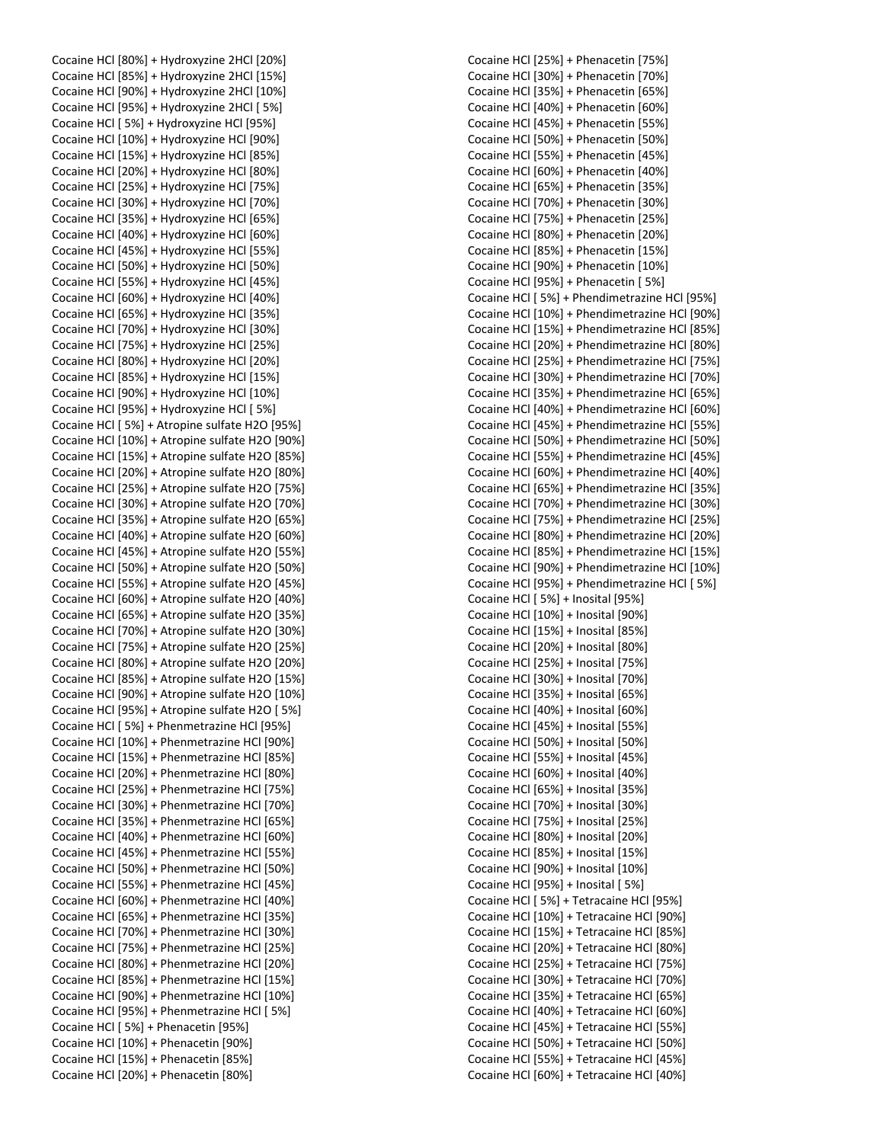Cocaine HCl [80%] + Hydroxyzine 2HCl [20%] Cocaine HCl [85%] + Hydroxyzine 2HCl [15%] Cocaine HCl [90%] + Hydroxyzine 2HCl [10%] Cocaine HCl [95%] + Hydroxyzine 2HCl [ 5%] Cocaine HCl [ 5%] + Hydroxyzine HCl [95%] Cocaine HCl [10%] + Hydroxyzine HCl [90%] Cocaine HCl [15%] + Hydroxyzine HCl [85%] Cocaine HCl [20%] + Hydroxyzine HCl [80%] Cocaine HCl [25%] + Hydroxyzine HCl [75%] Cocaine HCl [30%] + Hydroxyzine HCl [70%] Cocaine HCl [35%] + Hydroxyzine HCl [65%] Cocaine HCl [40%] + Hydroxyzine HCl [60%] Cocaine HCl [45%] + Hydroxyzine HCl [55%] Cocaine HCl [50%] + Hydroxyzine HCl [50%] Cocaine HCl [55%] + Hydroxyzine HCl [45%] Cocaine HCl [60%] + Hydroxyzine HCl [40%] Cocaine HCl [65%] + Hydroxyzine HCl [35%] Cocaine HCl [70%] + Hydroxyzine HCl [30%] Cocaine HCl [75%] + Hydroxyzine HCl [25%] Cocaine HCl [80%] + Hydroxyzine HCl [20%] Cocaine HCl [85%] + Hydroxyzine HCl [15%] Cocaine HCl [90%] + Hydroxyzine HCl [10%] Cocaine HCl [95%] + Hydroxyzine HCl [ 5%] Cocaine HCl [ 5%] + Atropine sulfate H2O [95%] Cocaine HCl [10%] + Atropine sulfate H2O [90%] Cocaine HCl [15%] + Atropine sulfate H2O [85%] Cocaine HCl [20%] + Atropine sulfate H2O [80%] Cocaine HCl [25%] + Atropine sulfate H2O [75%] Cocaine HCl [30%] + Atropine sulfate H2O [70%] Cocaine HCl [35%] + Atropine sulfate H2O [65%] Cocaine HCl [40%] + Atropine sulfate H2O [60%] Cocaine HCl [45%] + Atropine sulfate H2O [55%] Cocaine HCl [50%] + Atropine sulfate H2O [50%] Cocaine HCl [55%] + Atropine sulfate H2O [45%] Cocaine HCl [60%] + Atropine sulfate H2O [40%] Cocaine HCl [65%] + Atropine sulfate H2O [35%] Cocaine HCl [70%] + Atropine sulfate H2O [30%] Cocaine HCl [75%] + Atropine sulfate H2O [25%] Cocaine HCl [80%] + Atropine sulfate H2O [20%] Cocaine HCl [85%] + Atropine sulfate H2O [15%] Cocaine HCl [90%] + Atropine sulfate H2O [10%] Cocaine HCl [95%] + Atropine sulfate H2O [ 5%] Cocaine HCl [ 5%] + Phenmetrazine HCl [95%] Cocaine HCl [10%] + Phenmetrazine HCl [90%] Cocaine HCl [15%] + Phenmetrazine HCl [85%] Cocaine HCl [20%] + Phenmetrazine HCl [80%] Cocaine HCl [25%] + Phenmetrazine HCl [75%] Cocaine HCl [30%] + Phenmetrazine HCl [70%] Cocaine HCl [35%] + Phenmetrazine HCl [65%] Cocaine HCl [40%] + Phenmetrazine HCl [60%] Cocaine HCl [45%] + Phenmetrazine HCl [55%] Cocaine HCl [50%] + Phenmetrazine HCl [50%] Cocaine HCl [55%] + Phenmetrazine HCl [45%] Cocaine HCl [60%] + Phenmetrazine HCl [40%] Cocaine HCl [65%] + Phenmetrazine HCl [35%] Cocaine HCl [70%] + Phenmetrazine HCl [30%] Cocaine HCl [75%] + Phenmetrazine HCl [25%] Cocaine HCl [80%] + Phenmetrazine HCl [20%] Cocaine HCl [85%] + Phenmetrazine HCl [15%] Cocaine HCl [90%] + Phenmetrazine HCl [10%] Cocaine HCl [95%] + Phenmetrazine HCl [ 5%] Cocaine HCl [ 5%] + Phenacetin [95%] Cocaine HCl [10%] + Phenacetin [90%] Cocaine HCl [15%] + Phenacetin [85%] Cocaine HCl [20%] + Phenacetin [80%]

Cocaine HCl [25%] + Phenacetin [75%] Cocaine HCl [30%] + Phenacetin [70%] Cocaine HCl [35%] + Phenacetin [65%] Cocaine HCl [40%] + Phenacetin [60%] Cocaine HCl [45%] + Phenacetin [55%] Cocaine HCl [50%] + Phenacetin [50%] Cocaine HCl [55%] + Phenacetin [45%] Cocaine HCl [60%] + Phenacetin [40%] Cocaine HCl [65%] + Phenacetin [35%] Cocaine HCl [70%] + Phenacetin [30%] Cocaine HCl [75%] + Phenacetin [25%] Cocaine HCl [80%] + Phenacetin [20%] Cocaine HCl [85%] + Phenacetin [15%] Cocaine HCl [90%] + Phenacetin [10%] Cocaine HCl [95%] + Phenacetin [ 5%] Cocaine HCl [ 5%] + Phendimetrazine HCl [95%] Cocaine HCl [10%] + Phendimetrazine HCl [90%] Cocaine HCl [15%] + Phendimetrazine HCl [85%] Cocaine HCl [20%] + Phendimetrazine HCl [80%] Cocaine HCl [25%] + Phendimetrazine HCl [75%] Cocaine HCl [30%] + Phendimetrazine HCl [70%] Cocaine HCl [35%] + Phendimetrazine HCl [65%] Cocaine HCl [40%] + Phendimetrazine HCl [60%] Cocaine HCl [45%] + Phendimetrazine HCl [55%] Cocaine HCl [50%] + Phendimetrazine HCl [50%] Cocaine HCl [55%] + Phendimetrazine HCl [45%] Cocaine HCl [60%] + Phendimetrazine HCl [40%] Cocaine HCl [65%] + Phendimetrazine HCl [35%] Cocaine HCl [70%] + Phendimetrazine HCl [30%] Cocaine HCl [75%] + Phendimetrazine HCl [25%] Cocaine HCl [80%] + Phendimetrazine HCl [20%] Cocaine HCl [85%] + Phendimetrazine HCl [15%] Cocaine HCl [90%] + Phendimetrazine HCl [10%] Cocaine HCl [95%] + Phendimetrazine HCl [ 5%] Cocaine HCl [ 5%] + Inosital [95%] Cocaine HCl [10%] + Inosital [90%] Cocaine HCl [15%] + Inosital [85%] Cocaine HCl [20%] + Inosital [80%] Cocaine HCl [25%] + Inosital [75%] Cocaine HCl [30%] + Inosital [70%] Cocaine HCl [35%] + Inosital [65%] Cocaine HCl [40%] + Inosital [60%] Cocaine HCl [45%] + Inosital [55%] Cocaine HCl [50%] + Inosital [50%] Cocaine HCl [55%] + Inosital [45%] Cocaine HCl [60%] + Inosital [40%] Cocaine HCl [65%] + Inosital [35%] Cocaine HCl [70%] + Inosital [30%] Cocaine HCl [75%] + Inosital [25%] Cocaine HCl [80%] + Inosital [20%] Cocaine HCl [85%] + Inosital [15%] Cocaine HCl [90%] + Inosital [10%] Cocaine HCl [95%] + Inosital [ 5%] Cocaine HCl [ 5%] + Tetracaine HCl [95%] Cocaine HCl [10%] + Tetracaine HCl [90%] Cocaine HCl [15%] + Tetracaine HCl [85%] Cocaine HCl [20%] + Tetracaine HCl [80%] Cocaine HCl [25%] + Tetracaine HCl [75%] Cocaine HCl [30%] + Tetracaine HCl [70%] Cocaine HCl [35%] + Tetracaine HCl [65%] Cocaine HCl [40%] + Tetracaine HCl [60%] Cocaine HCl [45%] + Tetracaine HCl [55%] Cocaine HCl [50%] + Tetracaine HCl [50%] Cocaine HCl [55%] + Tetracaine HCl [45%] Cocaine HCl [60%] + Tetracaine HCl [40%]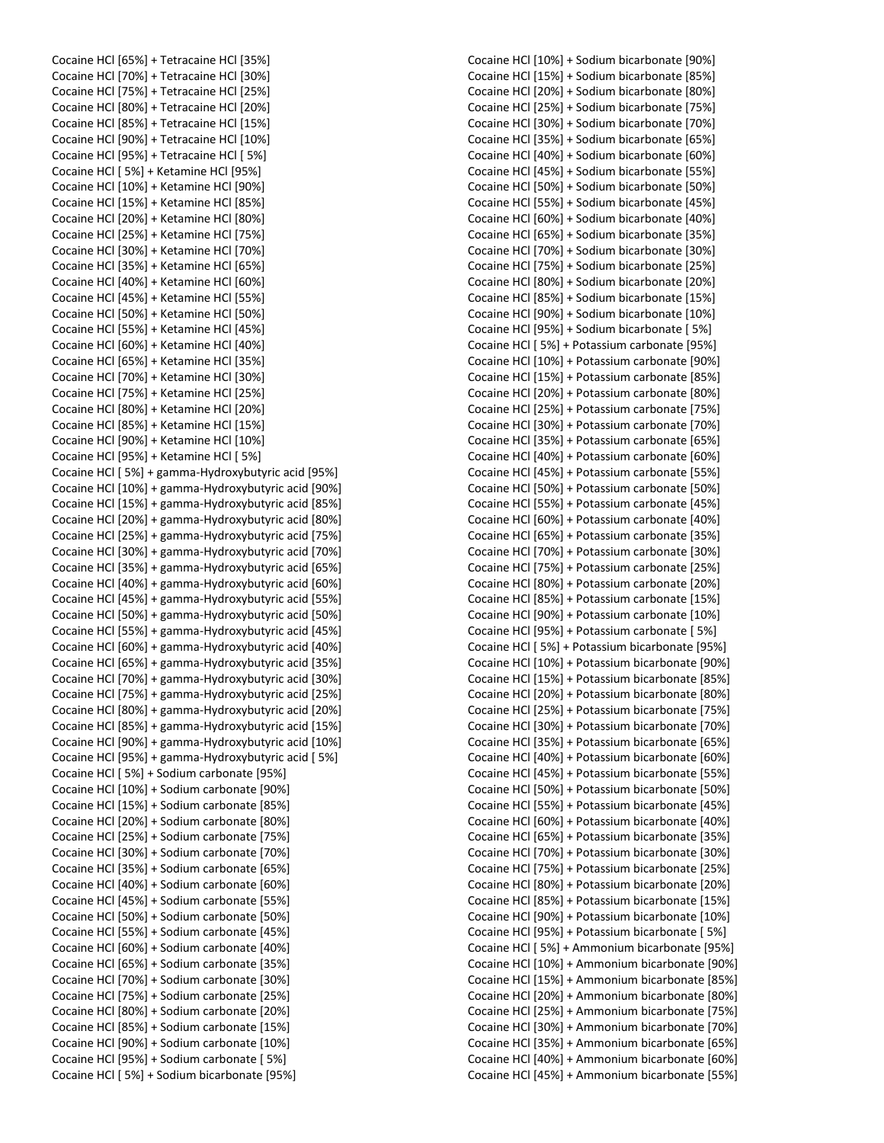Cocaine HCl [65%] + Tetracaine HCl [35%] Cocaine HCl [70%] + Tetracaine HCl [30%] Cocaine HCl [75%] + Tetracaine HCl [25%] Cocaine HCl [80%] + Tetracaine HCl [20%] Cocaine HCl [85%] + Tetracaine HCl [15%] Cocaine HCl [90%] + Tetracaine HCl [10%] Cocaine HCl [95%] + Tetracaine HCl [ 5%] Cocaine HCl [ 5%] + Ketamine HCl [95%] Cocaine HCl [10%] + Ketamine HCl [90%] Cocaine HCl [15%] + Ketamine HCl [85%] Cocaine HCl [20%] + Ketamine HCl [80%] Cocaine HCl [25%] + Ketamine HCl [75%] Cocaine HCl [30%] + Ketamine HCl [70%] Cocaine HCl [35%] + Ketamine HCl [65%] Cocaine HCl [40%] + Ketamine HCl [60%] Cocaine HCl [45%] + Ketamine HCl [55%] Cocaine HCl [50%] + Ketamine HCl [50%] Cocaine HCl [55%] + Ketamine HCl [45%] Cocaine HCl [60%] + Ketamine HCl [40%] Cocaine HCl [65%] + Ketamine HCl [35%] Cocaine HCl [70%] + Ketamine HCl [30%] Cocaine HCl [75%] + Ketamine HCl [25%] Cocaine HCl [80%] + Ketamine HCl [20%] Cocaine HCl [85%] + Ketamine HCl [15%] Cocaine HCl [90%] + Ketamine HCl [10%] Cocaine HCl [95%] + Ketamine HCl [ 5%] Cocaine HCl [ 5%] + gamma-Hydroxybutyric acid [95%] Cocaine HCl [10%] + gamma-Hydroxybutyric acid [90%] Cocaine HCl [15%] + gamma-Hydroxybutyric acid [85%] Cocaine HCl [20%] + gamma-Hydroxybutyric acid [80%] Cocaine HCl [25%] + gamma-Hydroxybutyric acid [75%] Cocaine HCl [30%] + gamma-Hydroxybutyric acid [70%] Cocaine HCl [35%] + gamma-Hydroxybutyric acid [65%] Cocaine HCl [40%] + gamma-Hydroxybutyric acid [60%] Cocaine HCl [45%] + gamma-Hydroxybutyric acid [55%] Cocaine HCl [50%] + gamma-Hydroxybutyric acid [50%] Cocaine HCl [55%] + gamma-Hydroxybutyric acid [45%] Cocaine HCl [60%] + gamma-Hydroxybutyric acid [40%] Cocaine HCl [65%] + gamma-Hydroxybutyric acid [35%] Cocaine HCl [70%] + gamma-Hydroxybutyric acid [30%] Cocaine HCl [75%] + gamma-Hydroxybutyric acid [25%] Cocaine HCl [80%] + gamma-Hydroxybutyric acid [20%] Cocaine HCl [85%] + gamma-Hydroxybutyric acid [15%] Cocaine HCl [90%] + gamma-Hydroxybutyric acid [10%] Cocaine HCl [95%] + gamma-Hydroxybutyric acid [ 5%] Cocaine HCl [ 5%] + Sodium carbonate [95%] Cocaine HCl [10%] + Sodium carbonate [90%] Cocaine HCl [15%] + Sodium carbonate [85%] Cocaine HCl [20%] + Sodium carbonate [80%] Cocaine HCl [25%] + Sodium carbonate [75%] Cocaine HCl [30%] + Sodium carbonate [70%] Cocaine HCl [35%] + Sodium carbonate [65%] Cocaine HCl [40%] + Sodium carbonate [60%] Cocaine HCl [45%] + Sodium carbonate [55%] Cocaine HCl [50%] + Sodium carbonate [50%] Cocaine HCl [55%] + Sodium carbonate [45%] Cocaine HCl [60%] + Sodium carbonate [40%] Cocaine HCl [65%] + Sodium carbonate [35%] Cocaine HCl [70%] + Sodium carbonate [30%] Cocaine HCl [75%] + Sodium carbonate [25%] Cocaine HCl [80%] + Sodium carbonate [20%] Cocaine HCl [85%] + Sodium carbonate [15%] Cocaine HCl [90%] + Sodium carbonate [10%] Cocaine HCl [95%] + Sodium carbonate [ 5%] Cocaine HCl [ 5%] + Sodium bicarbonate [95%]

Cocaine HCl [10%] + Sodium bicarbonate [90%] Cocaine HCl [15%] + Sodium bicarbonate [85%] Cocaine HCl [20%] + Sodium bicarbonate [80%] Cocaine HCl [25%] + Sodium bicarbonate [75%] Cocaine HCl [30%] + Sodium bicarbonate [70%] Cocaine HCl [35%] + Sodium bicarbonate [65%] Cocaine HCl [40%] + Sodium bicarbonate [60%] Cocaine HCl [45%] + Sodium bicarbonate [55%] Cocaine HCl [50%] + Sodium bicarbonate [50%] Cocaine HCl [55%] + Sodium bicarbonate [45%] Cocaine HCl [60%] + Sodium bicarbonate [40%] Cocaine HCl [65%] + Sodium bicarbonate [35%] Cocaine HCl [70%] + Sodium bicarbonate [30%] Cocaine HCl [75%] + Sodium bicarbonate [25%] Cocaine HCl [80%] + Sodium bicarbonate [20%] Cocaine HCl [85%] + Sodium bicarbonate [15%] Cocaine HCl [90%] + Sodium bicarbonate [10%] Cocaine HCl [95%] + Sodium bicarbonate [ 5%] Cocaine HCl [ 5%] + Potassium carbonate [95%] Cocaine HCl [10%] + Potassium carbonate [90%] Cocaine HCl [15%] + Potassium carbonate [85%] Cocaine HCl [20%] + Potassium carbonate [80%] Cocaine HCl [25%] + Potassium carbonate [75%] Cocaine HCl [30%] + Potassium carbonate [70%] Cocaine HCl [35%] + Potassium carbonate [65%] Cocaine HCl [40%] + Potassium carbonate [60%] Cocaine HCl [45%] + Potassium carbonate [55%] Cocaine HCl [50%] + Potassium carbonate [50%] Cocaine HCl [55%] + Potassium carbonate [45%] Cocaine HCl [60%] + Potassium carbonate [40%] Cocaine HCl [65%] + Potassium carbonate [35%] Cocaine HCl [70%] + Potassium carbonate [30%] Cocaine HCl [75%] + Potassium carbonate [25%] Cocaine HCl [80%] + Potassium carbonate [20%] Cocaine HCl [85%] + Potassium carbonate [15%] Cocaine HCl [90%] + Potassium carbonate [10%] Cocaine HCl [95%] + Potassium carbonate [ 5%] Cocaine HCl [ 5%] + Potassium bicarbonate [95%] Cocaine HCl [10%] + Potassium bicarbonate [90%] Cocaine HCl [15%] + Potassium bicarbonate [85%] Cocaine HCl [20%] + Potassium bicarbonate [80%] Cocaine HCl [25%] + Potassium bicarbonate [75%] Cocaine HCl [30%] + Potassium bicarbonate [70%] Cocaine HCl [35%] + Potassium bicarbonate [65%] Cocaine HCl [40%] + Potassium bicarbonate [60%] Cocaine HCl [45%] + Potassium bicarbonate [55%] Cocaine HCl [50%] + Potassium bicarbonate [50%] Cocaine HCl [55%] + Potassium bicarbonate [45%] Cocaine HCl [60%] + Potassium bicarbonate [40%] Cocaine HCl [65%] + Potassium bicarbonate [35%] Cocaine HCl [70%] + Potassium bicarbonate [30%] Cocaine HCl [75%] + Potassium bicarbonate [25%] Cocaine HCl [80%] + Potassium bicarbonate [20%] Cocaine HCl [85%] + Potassium bicarbonate [15%] Cocaine HCl [90%] + Potassium bicarbonate [10%] Cocaine HCl [95%] + Potassium bicarbonate [ 5%] Cocaine HCl [ 5%] + Ammonium bicarbonate [95%] Cocaine HCl [10%] + Ammonium bicarbonate [90%] Cocaine HCl [15%] + Ammonium bicarbonate [85%] Cocaine HCl [20%] + Ammonium bicarbonate [80%] Cocaine HCl [25%] + Ammonium bicarbonate [75%] Cocaine HCl [30%] + Ammonium bicarbonate [70%] Cocaine HCl [35%] + Ammonium bicarbonate [65%] Cocaine HCl [40%] + Ammonium bicarbonate [60%] Cocaine HCl [45%] + Ammonium bicarbonate [55%]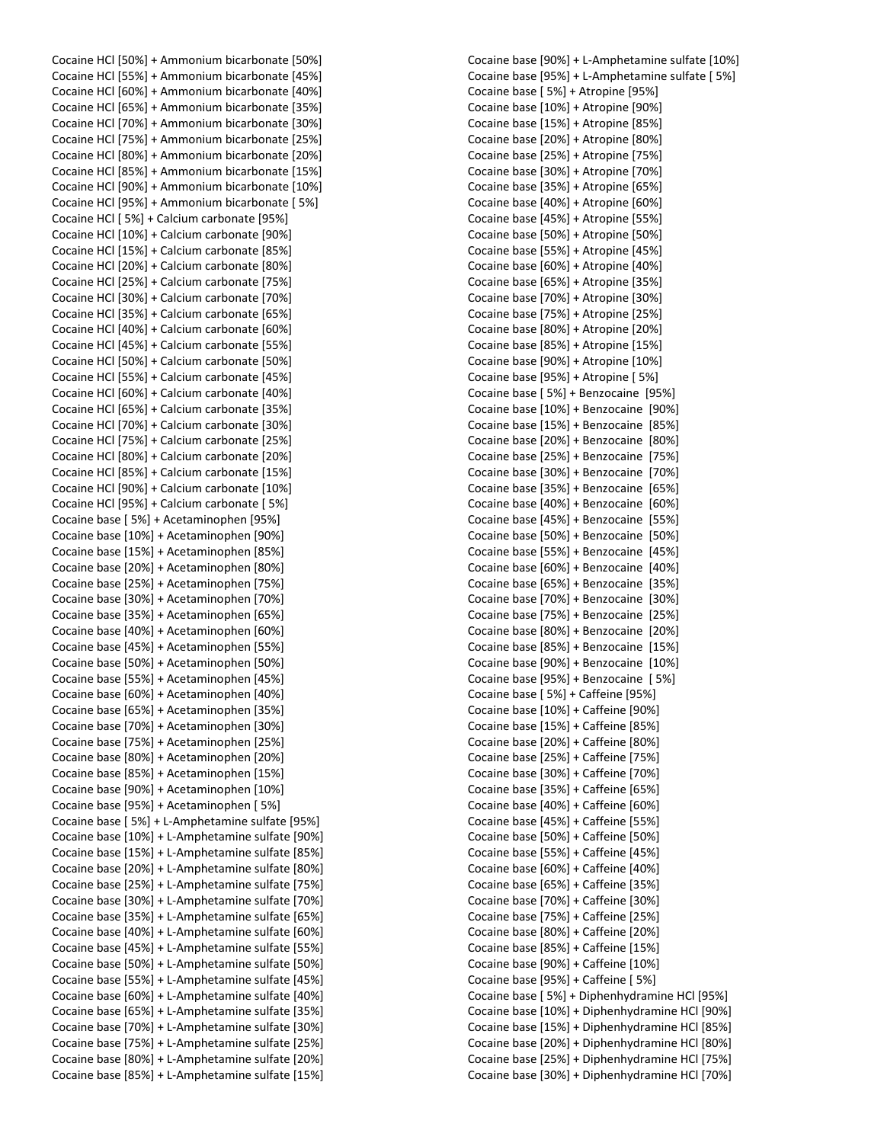Cocaine HCl [50%] + Ammonium bicarbonate [50%] Cocaine HCl [55%] + Ammonium bicarbonate [45%] Cocaine HCl [60%] + Ammonium bicarbonate [40%] Cocaine HCl [65%] + Ammonium bicarbonate [35%] Cocaine HCl [70%] + Ammonium bicarbonate [30%] Cocaine HCl [75%] + Ammonium bicarbonate [25%] Cocaine HCl [80%] + Ammonium bicarbonate [20%] Cocaine HCl [85%] + Ammonium bicarbonate [15%] Cocaine HCl [90%] + Ammonium bicarbonate [10%] Cocaine HCl [95%] + Ammonium bicarbonate [ 5%] Cocaine HCl [ 5%] + Calcium carbonate [95%] Cocaine HCl [10%] + Calcium carbonate [90%] Cocaine HCl [15%] + Calcium carbonate [85%] Cocaine HCl [20%] + Calcium carbonate [80%] Cocaine HCl [25%] + Calcium carbonate [75%] Cocaine HCl [30%] + Calcium carbonate [70%] Cocaine HCl [35%] + Calcium carbonate [65%] Cocaine HCl [40%] + Calcium carbonate [60%] Cocaine HCl [45%] + Calcium carbonate [55%] Cocaine HCl [50%] + Calcium carbonate [50%] Cocaine HCl [55%] + Calcium carbonate [45%] Cocaine HCl [60%] + Calcium carbonate [40%] Cocaine HCl [65%] + Calcium carbonate [35%] Cocaine HCl [70%] + Calcium carbonate [30%] Cocaine HCl [75%] + Calcium carbonate [25%] Cocaine HCl [80%] + Calcium carbonate [20%] Cocaine HCl [85%] + Calcium carbonate [15%] Cocaine HCl [90%] + Calcium carbonate [10%] Cocaine HCl [95%] + Calcium carbonate [ 5%] Cocaine base [ 5%] + Acetaminophen [95%] Cocaine base [10%] + Acetaminophen [90%] Cocaine base [15%] + Acetaminophen [85%] Cocaine base [20%] + Acetaminophen [80%] Cocaine base [25%] + Acetaminophen [75%] Cocaine base [30%] + Acetaminophen [70%] Cocaine base [35%] + Acetaminophen [65%] Cocaine base [40%] + Acetaminophen [60%] Cocaine base [45%] + Acetaminophen [55%] Cocaine base [50%] + Acetaminophen [50%] Cocaine base [55%] + Acetaminophen [45%] Cocaine base [60%] + Acetaminophen [40%] Cocaine base [65%] + Acetaminophen [35%] Cocaine base [70%] + Acetaminophen [30%] Cocaine base [75%] + Acetaminophen [25%] Cocaine base [80%] + Acetaminophen [20%] Cocaine base [85%] + Acetaminophen [15%] Cocaine base [90%] + Acetaminophen [10%] Cocaine base [95%] + Acetaminophen [ 5%] Cocaine base [ 5%] + L-Amphetamine sulfate [95%] Cocaine base [10%] + L-Amphetamine sulfate [90%] Cocaine base [15%] + L-Amphetamine sulfate [85%] Cocaine base [20%] + L-Amphetamine sulfate [80%] Cocaine base [25%] + L-Amphetamine sulfate [75%] Cocaine base [30%] + L-Amphetamine sulfate [70%] Cocaine base [35%] + L-Amphetamine sulfate [65%] Cocaine base [40%] + L-Amphetamine sulfate [60%] Cocaine base [45%] + L-Amphetamine sulfate [55%] Cocaine base [50%] + L-Amphetamine sulfate [50%] Cocaine base [55%] + L-Amphetamine sulfate [45%] Cocaine base [60%] + L-Amphetamine sulfate [40%] Cocaine base [65%] + L-Amphetamine sulfate [35%] Cocaine base [70%] + L-Amphetamine sulfate [30%] Cocaine base [75%] + L-Amphetamine sulfate [25%] Cocaine base [80%] + L-Amphetamine sulfate [20%] Cocaine base [85%] + L-Amphetamine sulfate [15%]

Cocaine base [90%] + L-Amphetamine sulfate [10%] Cocaine base [95%] + L-Amphetamine sulfate [ 5%] Cocaine base [ 5%] + Atropine [95%] Cocaine base [10%] + Atropine [90%] Cocaine base [15%] + Atropine [85%] Cocaine base [20%] + Atropine [80%] Cocaine base [25%] + Atropine [75%] Cocaine base [30%] + Atropine [70%] Cocaine base [35%] + Atropine [65%] Cocaine base [40%] + Atropine [60%] Cocaine base [45%] + Atropine [55%] Cocaine base [50%] + Atropine [50%] Cocaine base [55%] + Atropine [45%] Cocaine base [60%] + Atropine [40%] Cocaine base [65%] + Atropine [35%] Cocaine base [70%] + Atropine [30%] Cocaine base [75%] + Atropine [25%] Cocaine base [80%] + Atropine [20%] Cocaine base [85%] + Atropine [15%] Cocaine base [90%] + Atropine [10%] Cocaine base [95%] + Atropine [ 5%] Cocaine base [ 5%] + Benzocaine [95%] Cocaine base [10%] + Benzocaine [90%] Cocaine base [15%] + Benzocaine [85%] Cocaine base [20%] + Benzocaine [80%] Cocaine base [25%] + Benzocaine [75%] Cocaine base [30%] + Benzocaine [70%] Cocaine base [35%] + Benzocaine [65%] Cocaine base [40%] + Benzocaine [60%] Cocaine base [45%] + Benzocaine [55%] Cocaine base [50%] + Benzocaine [50%] Cocaine base [55%] + Benzocaine [45%] Cocaine base [60%] + Benzocaine [40%] Cocaine base [65%] + Benzocaine [35%] Cocaine base [70%] + Benzocaine [30%] Cocaine base [75%] + Benzocaine [25%] Cocaine base [80%] + Benzocaine [20%] Cocaine base [85%] + Benzocaine [15%] Cocaine base [90%] + Benzocaine [10%] Cocaine base [95%] + Benzocaine [ 5%] Cocaine base [ 5%] + Caffeine [95%] Cocaine base [10%] + Caffeine [90%] Cocaine base [15%] + Caffeine [85%] Cocaine base [20%] + Caffeine [80%] Cocaine base [25%] + Caffeine [75%] Cocaine base [30%] + Caffeine [70%] Cocaine base [35%] + Caffeine [65%] Cocaine base [40%] + Caffeine [60%] Cocaine base [45%] + Caffeine [55%] Cocaine base [50%] + Caffeine [50%] Cocaine base [55%] + Caffeine [45%] Cocaine base [60%] + Caffeine [40%] Cocaine base [65%] + Caffeine [35%] Cocaine base [70%] + Caffeine [30%] Cocaine base [75%] + Caffeine [25%] Cocaine base [80%] + Caffeine [20%] Cocaine base [85%] + Caffeine [15%] Cocaine base [90%] + Caffeine [10%] Cocaine base [95%] + Caffeine [ 5%] Cocaine base [ 5%] + Diphenhydramine HCl [95%] Cocaine base [10%] + Diphenhydramine HCl [90%] Cocaine base [15%] + Diphenhydramine HCl [85%] Cocaine base [20%] + Diphenhydramine HCl [80%] Cocaine base [25%] + Diphenhydramine HCl [75%] Cocaine base [30%] + Diphenhydramine HCl [70%]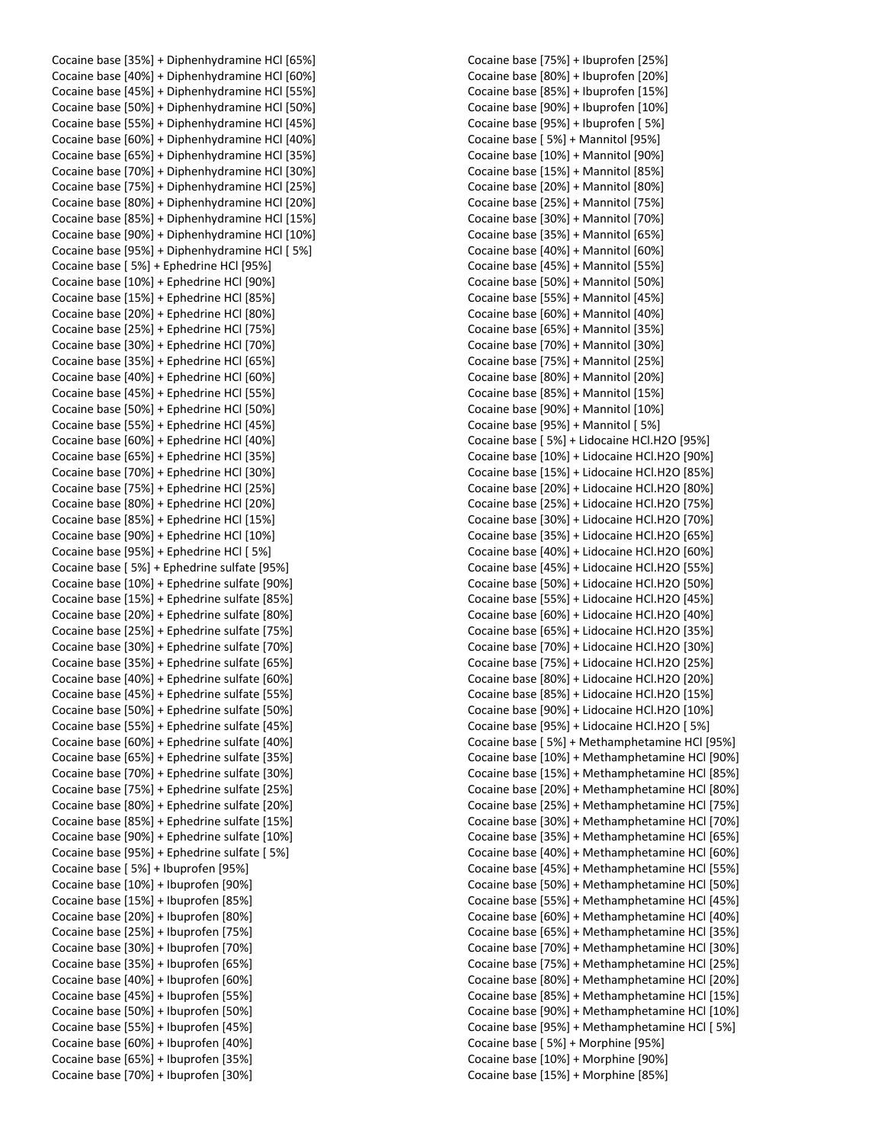Cocaine base [35%] + Diphenhydramine HCl [65%] Cocaine base [40%] + Diphenhydramine HCl [60%] Cocaine base [45%] + Diphenhydramine HCl [55%] Cocaine base [50%] + Diphenhydramine HCl [50%] Cocaine base [55%] + Diphenhydramine HCl [45%] Cocaine base [60%] + Diphenhydramine HCl [40%] Cocaine base [65%] + Diphenhydramine HCl [35%] Cocaine base [70%] + Diphenhydramine HCl [30%] Cocaine base [75%] + Diphenhydramine HCl [25%] Cocaine base [80%] + Diphenhydramine HCl [20%] Cocaine base [85%] + Diphenhydramine HCl [15%] Cocaine base [90%] + Diphenhydramine HCl [10%] Cocaine base [95%] + Diphenhydramine HCl [ 5%] Cocaine base [ 5%] + Ephedrine HCl [95%] Cocaine base [10%] + Ephedrine HCl [90%] Cocaine base [15%] + Ephedrine HCl [85%] Cocaine base [20%] + Ephedrine HCl [80%] Cocaine base [25%] + Ephedrine HCl [75%] Cocaine base [30%] + Ephedrine HCl [70%] Cocaine base [35%] + Ephedrine HCl [65%] Cocaine base [40%] + Ephedrine HCl [60%] Cocaine base [45%] + Ephedrine HCl [55%] Cocaine base [50%] + Ephedrine HCl [50%] Cocaine base [55%] + Ephedrine HCl [45%] Cocaine base [60%] + Ephedrine HCl [40%] Cocaine base [65%] + Ephedrine HCl [35%] Cocaine base [70%] + Ephedrine HCl [30%] Cocaine base [75%] + Ephedrine HCl [25%] Cocaine base [80%] + Ephedrine HCl [20%] Cocaine base [85%] + Ephedrine HCl [15%] Cocaine base [90%] + Ephedrine HCl [10%] Cocaine base [95%] + Ephedrine HCl [ 5%] Cocaine base [ 5%] + Ephedrine sulfate [95%] Cocaine base [10%] + Ephedrine sulfate [90%] Cocaine base [15%] + Ephedrine sulfate [85%] Cocaine base [20%] + Ephedrine sulfate [80%] Cocaine base [25%] + Ephedrine sulfate [75%] Cocaine base [30%] + Ephedrine sulfate [70%] Cocaine base [35%] + Ephedrine sulfate [65%] Cocaine base [40%] + Ephedrine sulfate [60%] Cocaine base [45%] + Ephedrine sulfate [55%] Cocaine base [50%] + Ephedrine sulfate [50%] Cocaine base [55%] + Ephedrine sulfate [45%] Cocaine base [60%] + Ephedrine sulfate [40%] Cocaine base [65%] + Ephedrine sulfate [35%] Cocaine base [70%] + Ephedrine sulfate [30%] Cocaine base [75%] + Ephedrine sulfate [25%] Cocaine base [80%] + Ephedrine sulfate [20%] Cocaine base [85%] + Ephedrine sulfate [15%] Cocaine base [90%] + Ephedrine sulfate [10%] Cocaine base [95%] + Ephedrine sulfate [ 5%] Cocaine base [ 5%] + Ibuprofen [95%] Cocaine base [10%] + Ibuprofen [90%] Cocaine base [15%] + Ibuprofen [85%] Cocaine base [20%] + Ibuprofen [80%] Cocaine base [25%] + Ibuprofen [75%] Cocaine base [30%] + Ibuprofen [70%] Cocaine base [35%] + Ibuprofen [65%] Cocaine base [40%] + Ibuprofen [60%] Cocaine base [45%] + Ibuprofen [55%] Cocaine base [50%] + Ibuprofen [50%] Cocaine base [55%] + Ibuprofen [45%] Cocaine base [60%] + Ibuprofen [40%] Cocaine base [65%] + Ibuprofen [35%] Cocaine base [70%] + Ibuprofen [30%]

Cocaine base [75%] + Ibuprofen [25%] Cocaine base [80%] + Ibuprofen [20%] Cocaine base [85%] + Ibuprofen [15%] Cocaine base [90%] + Ibuprofen [10%] Cocaine base [95%] + Ibuprofen [ 5%] Cocaine base [ 5%] + Mannitol [95%] Cocaine base [10%] + Mannitol [90%] Cocaine base [15%] + Mannitol [85%] Cocaine base [20%] + Mannitol [80%] Cocaine base [25%] + Mannitol [75%] Cocaine base [30%] + Mannitol [70%] Cocaine base [35%] + Mannitol [65%] Cocaine base [40%] + Mannitol [60%] Cocaine base [45%] + Mannitol [55%] Cocaine base [50%] + Mannitol [50%] Cocaine base [55%] + Mannitol [45%] Cocaine base [60%] + Mannitol [40%] Cocaine base [65%] + Mannitol [35%] Cocaine base [70%] + Mannitol [30%] Cocaine base [75%] + Mannitol [25%] Cocaine base [80%] + Mannitol [20%] Cocaine base [85%] + Mannitol [15%] Cocaine base [90%] + Mannitol [10%] Cocaine base [95%] + Mannitol [ 5%] Cocaine base [ 5%] + Lidocaine HCl.H2O [95%] Cocaine base [10%] + Lidocaine HCl.H2O [90%] Cocaine base [15%] + Lidocaine HCl.H2O [85%] Cocaine base [20%] + Lidocaine HCl.H2O [80%] Cocaine base [25%] + Lidocaine HCl.H2O [75%] Cocaine base [30%] + Lidocaine HCl.H2O [70%] Cocaine base [35%] + Lidocaine HCl.H2O [65%] Cocaine base [40%] + Lidocaine HCl.H2O [60%] Cocaine base [45%] + Lidocaine HCl.H2O [55%] Cocaine base [50%] + Lidocaine HCl.H2O [50%] Cocaine base [55%] + Lidocaine HCl.H2O [45%] Cocaine base [60%] + Lidocaine HCl.H2O [40%] Cocaine base [65%] + Lidocaine HCl.H2O [35%] Cocaine base [70%] + Lidocaine HCl.H2O [30%] Cocaine base [75%] + Lidocaine HCl.H2O [25%] Cocaine base [80%] + Lidocaine HCl.H2O [20%] Cocaine base [85%] + Lidocaine HCl.H2O [15%] Cocaine base [90%] + Lidocaine HCl.H2O [10%] Cocaine base [95%] + Lidocaine HCl.H2O [ 5%] Cocaine base [ 5%] + Methamphetamine HCl [95%] Cocaine base [10%] + Methamphetamine HCl [90%] Cocaine base [15%] + Methamphetamine HCl [85%] Cocaine base [20%] + Methamphetamine HCl [80%] Cocaine base [25%] + Methamphetamine HCl [75%] Cocaine base [30%] + Methamphetamine HCl [70%] Cocaine base [35%] + Methamphetamine HCl [65%] Cocaine base [40%] + Methamphetamine HCl [60%] Cocaine base [45%] + Methamphetamine HCl [55%] Cocaine base [50%] + Methamphetamine HCl [50%] Cocaine base [55%] + Methamphetamine HCl [45%] Cocaine base [60%] + Methamphetamine HCl [40%] Cocaine base [65%] + Methamphetamine HCl [35%] Cocaine base [70%] + Methamphetamine HCl [30%] Cocaine base [75%] + Methamphetamine HCl [25%] Cocaine base [80%] + Methamphetamine HCl [20%] Cocaine base [85%] + Methamphetamine HCl [15%] Cocaine base [90%] + Methamphetamine HCl [10%] Cocaine base [95%] + Methamphetamine HCl [ 5%] Cocaine base [ 5%] + Morphine [95%] Cocaine base [10%] + Morphine [90%] Cocaine base [15%] + Morphine [85%]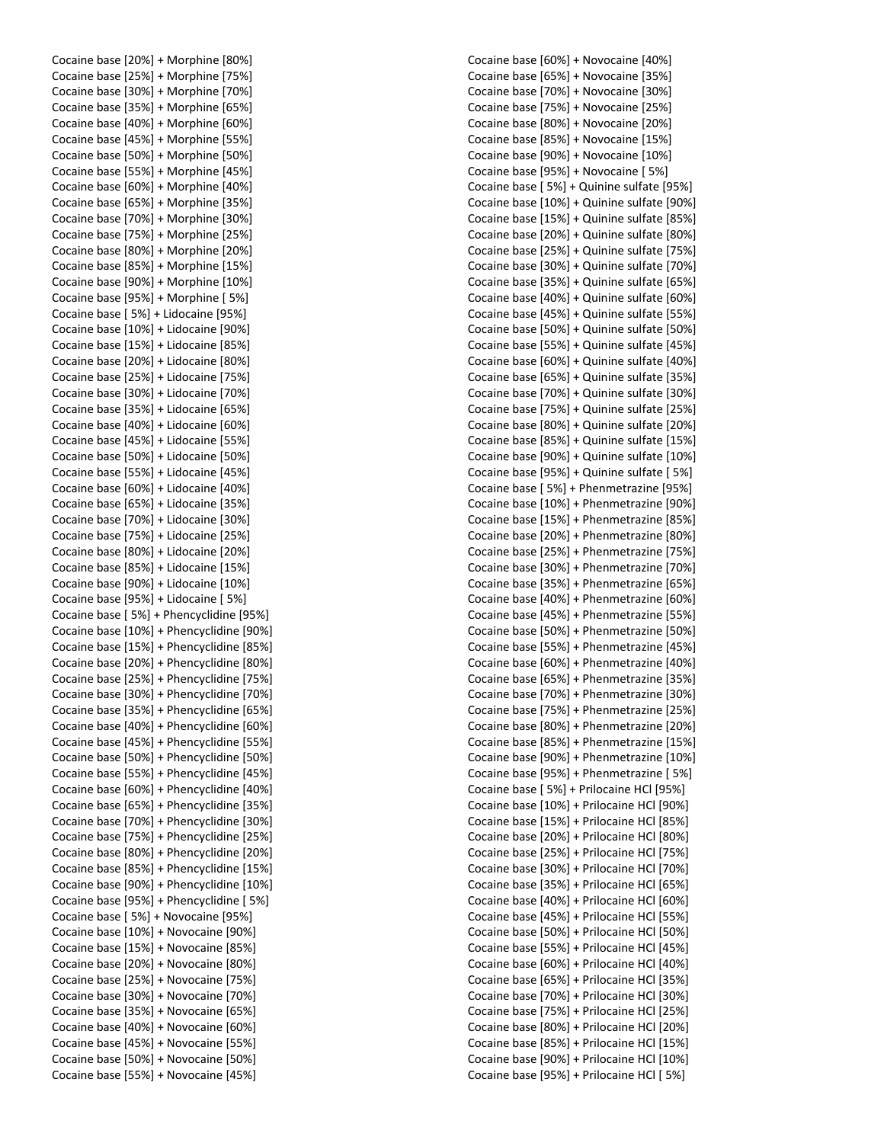|  | Cocaine base [20%] + Morphine [80%]                                          |
|--|------------------------------------------------------------------------------|
|  | Cocaine base [25%] + Morphine [75%]                                          |
|  | Cocaine base [30%] + Morphine [70%]                                          |
|  | Cocaine base [35%] + Morphine [65%]                                          |
|  | Cocaine base [40%] + Morphine [60%]                                          |
|  | Cocaine base [45%] + Morphine [55%]                                          |
|  | Cocaine base [50%] + Morphine [50%]                                          |
|  | Cocaine base [55%] + Morphine [45%]                                          |
|  | Cocaine base [60%] + Morphine [40%]                                          |
|  | Cocaine base [65%] + Morphine [35%]                                          |
|  | Cocaine base [70%] + Morphine [30%]                                          |
|  | Cocaine base [75%] + Morphine [25%]                                          |
|  | Cocaine base [80%] + Morphine [20%]                                          |
|  | Cocaine base [85%] + Morphine [15%]                                          |
|  | Cocaine base [90%] + Morphine [10%]                                          |
|  | Cocaine base [95%] + Morphine [5%]                                           |
|  | Cocaine base [ 5%] + Lidocaine [95%]                                         |
|  | Cocaine base [10%] + Lidocaine [90%]                                         |
|  | Cocaine base [15%] + Lidocaine [85%]                                         |
|  | Cocaine base [20%] + Lidocaine [80%]                                         |
|  | Cocaine base [25%] + Lidocaine [75%]                                         |
|  | Cocaine base [30%] + Lidocaine [70%]                                         |
|  | Cocaine base [35%] + Lidocaine [65%]                                         |
|  | Cocaine base [40%] + Lidocaine [60%]                                         |
|  | Cocaine base [45%] + Lidocaine [55%]                                         |
|  | Cocaine base [50%] + Lidocaine [50%]                                         |
|  | Cocaine base [55%] + Lidocaine [45%]                                         |
|  |                                                                              |
|  | Cocaine base [60%] + Lidocaine [40%]                                         |
|  | Cocaine base [65%] + Lidocaine [35%]                                         |
|  | Cocaine base [70%] + Lidocaine [30%]                                         |
|  | Cocaine base [75%] + Lidocaine [25%]                                         |
|  | Cocaine base [80%] + Lidocaine [20%]                                         |
|  | Cocaine base [85%] + Lidocaine [15%]                                         |
|  | Cocaine base [90%] + Lidocaine [10%]                                         |
|  | Cocaine base [95%] + Lidocaine [ 5%]                                         |
|  | Cocaine base [5%] + Phencyclidine [95%]                                      |
|  | Cocaine base [10%] + Phencyclidine [90%]                                     |
|  | Cocaine base [15%] + Phencyclidine [85%]                                     |
|  | Cocaine base [20%] + Phencyclidine [80%]                                     |
|  | Cocaine base [25%] + Phencyclidine [75%]                                     |
|  | Cocaine base [30%] + Phencyclidine [70%]                                     |
|  | Cocaine base [35%] + Phencyclidine [65%]                                     |
|  | Cocaine base [40%] + Phencyclidine [60%]                                     |
|  | Cocaine base [45%] + Phencyclidine [55%]                                     |
|  | Cocaine base [50%] + Phencyclidine [50%]                                     |
|  | Cocaine base [55%] + Phencyclidine [45%]                                     |
|  | Cocaine base [60%] + Phencyclidine [40%]                                     |
|  | Cocaine base [65%] + Phencyclidine [35%]                                     |
|  | Cocaine base [70%] + Phencyclidine [30%]                                     |
|  | Cocaine base [75%] + Phencyclidine [25%]                                     |
|  | Cocaine base [80%] + Phencyclidine [20%]                                     |
|  | Cocaine base [85%] + Phencyclidine [15%]                                     |
|  | Cocaine base [90%] + Phencyclidine [10%]                                     |
|  | Cocaine base [95%] + Phencyclidine [5%]                                      |
|  | Cocaine base [5%] + Novocaine [95%]                                          |
|  | Cocaine base [10%] + Novocaine [90%]                                         |
|  | Cocaine base [15%] + Novocaine [85%]                                         |
|  | Cocaine base [20%] + Novocaine [80%]                                         |
|  | Cocaine base [25%] + Novocaine [75%]                                         |
|  | Cocaine base [30%] + Novocaine [70%]                                         |
|  | Cocaine base [35%] + Novocaine [65%]                                         |
|  | Cocaine base [40%] + Novocaine [60%]                                         |
|  | Cocaine base [45%] + Novocaine [55%]                                         |
|  |                                                                              |
|  | Cocaine base [50%] + Novocaine [50%]<br>Cocaine base [55%] + Novocaine [45%] |

Cocaine base [60%] + Novocaine [40%] Cocaine base [65%] + Novocaine [35%] Cocaine base [70%] + Novocaine [30%] Cocaine base [75%] + Novocaine [25%] Cocaine base [80%] + Novocaine [20%] Cocaine base [85%] + Novocaine [15%] Cocaine base [90%] + Novocaine [10%] Cocaine base [95%] + Novocaine [ 5%] Cocaine base [ 5%] + Quinine sulfate [95%] Cocaine base [10%] + Quinine sulfate [90%] Cocaine base [15%] + Quinine sulfate [85%] Cocaine base [20%] + Quinine sulfate [80%] Cocaine base [25%] + Quinine sulfate [75%] Cocaine base [30%] + Quinine sulfate [70%] Cocaine base [35%] + Quinine sulfate [65%] Cocaine base [40%] + Quinine sulfate [60%] Cocaine base [45%] + Quinine sulfate [55%] Cocaine base [50%] + Quinine sulfate [50%] Cocaine base [55%] + Quinine sulfate [45%] Cocaine base [60%] + Quinine sulfate [40%] Cocaine base [65%] + Quinine sulfate [35%] Cocaine base [70%] + Quinine sulfate [30%] Cocaine base [75%] + Quinine sulfate [25%] Cocaine base [80%] + Quinine sulfate [20%] Cocaine base [85%] + Quinine sulfate [15%] Cocaine base [90%] + Quinine sulfate [10%] Cocaine base [95%] + Quinine sulfate [ 5%] Cocaine base [ 5%] + Phenmetrazine [95%] Cocaine base [10%] + Phenmetrazine [90%] Cocaine base [15%] + Phenmetrazine [85%] Cocaine base [20%] + Phenmetrazine [80%] Cocaine base [25%] + Phenmetrazine [75%] Cocaine base [30%] + Phenmetrazine [70%] Cocaine base [35%] + Phenmetrazine [65%] Cocaine base [40%] + Phenmetrazine [60%] Cocaine base [45%] + Phenmetrazine [55%] Cocaine base [50%] + Phenmetrazine [50%] Cocaine base [55%] + Phenmetrazine [45%] Cocaine base [60%] + Phenmetrazine [40%] Cocaine base [65%] + Phenmetrazine [35%] Cocaine base [70%] + Phenmetrazine [30%] Cocaine base [75%] + Phenmetrazine [25%] Cocaine base [80%] + Phenmetrazine [20%] Cocaine base [85%] + Phenmetrazine [15%] Cocaine base [90%] + Phenmetrazine [10%] Cocaine base [95%] + Phenmetrazine [ 5%] Cocaine base [ 5%] + Prilocaine HCl [95%] Cocaine base [10%] + Prilocaine HCl [90%] Cocaine base [15%] + Prilocaine HCl [85%] Cocaine base [20%] + Prilocaine HCl [80%] Cocaine base [25%] + Prilocaine HCl [75%] Cocaine base [30%] + Prilocaine HCl [70%] Cocaine base [35%] + Prilocaine HCl [65%] Cocaine base [40%] + Prilocaine HCl [60%] Cocaine base [45%] + Prilocaine HCl [55%] Cocaine base [50%] + Prilocaine HCl [50%] Cocaine base [55%] + Prilocaine HCl [45%] Cocaine base [60%] + Prilocaine HCl [40%] Cocaine base [65%] + Prilocaine HCl [35%] Cocaine base [70%] + Prilocaine HCl [30%] Cocaine base [75%] + Prilocaine HCl [25%] Cocaine base [80%] + Prilocaine HCl [20%] Cocaine base [85%] + Prilocaine HCl [15%] Cocaine base [90%] + Prilocaine HCl [10%] Cocaine base [95%] + Prilocaine HCl [ 5%]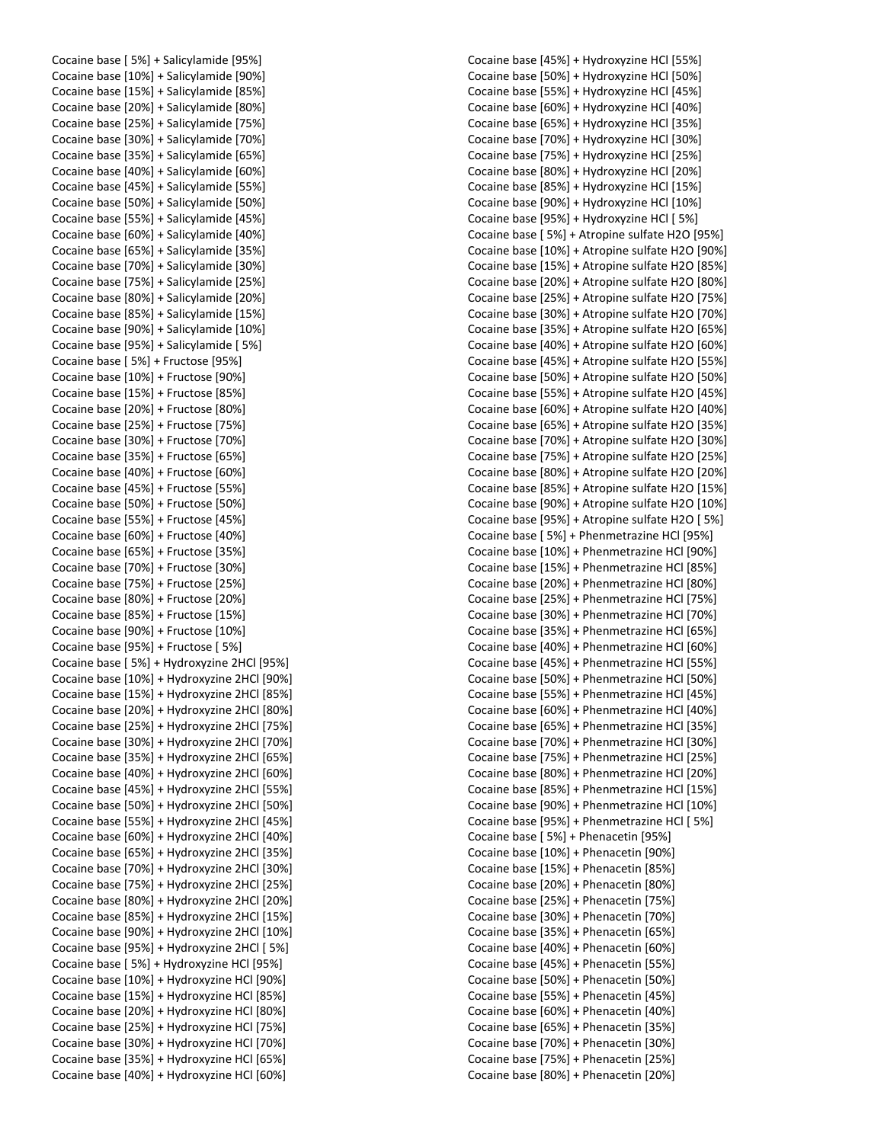Cocaine base [ 5%] + Salicylamide [95%] Cocaine base [10%] + Salicylamide [90%] Cocaine base [15%] + Salicylamide [85%] Cocaine base [20%] + Salicylamide [80%] Cocaine base [25%] + Salicylamide [75%] Cocaine base [30%] + Salicylamide [70%] Cocaine base [35%] + Salicylamide [65%] Cocaine base [40%] + Salicylamide [60%] Cocaine base [45%] + Salicylamide [55%] Cocaine base [50%] + Salicylamide [50%] Cocaine base [55%] + Salicylamide [45%] Cocaine base [60%] + Salicylamide [40%] Cocaine base [65%] + Salicylamide [35%] Cocaine base [70%] + Salicylamide [30%] Cocaine base [75%] + Salicylamide [25%] Cocaine base [80%] + Salicylamide [20%] Cocaine base [85%] + Salicylamide [15%] Cocaine base [90%] + Salicylamide [10%] Cocaine base [95%] + Salicylamide [ 5%] Cocaine base [ 5%] + Fructose [95%] Cocaine base [10%] + Fructose [90%] Cocaine base [15%] + Fructose [85%] Cocaine base [20%] + Fructose [80%] Cocaine base [25%] + Fructose [75%] Cocaine base [30%] + Fructose [70%] Cocaine base [35%] + Fructose [65%] Cocaine base [40%] + Fructose [60%] Cocaine base [45%] + Fructose [55%] Cocaine base [50%] + Fructose [50%] Cocaine base [55%] + Fructose [45%] Cocaine base [60%] + Fructose [40%] Cocaine base [65%] + Fructose [35%] Cocaine base [70%] + Fructose [30%] Cocaine base [75%] + Fructose [25%] Cocaine base [80%] + Fructose [20%] Cocaine base [85%] + Fructose [15%] Cocaine base [90%] + Fructose [10%] Cocaine base [95%] + Fructose [ 5%] Cocaine base [ 5%] + Hydroxyzine 2HCl [95%] Cocaine base [10%] + Hydroxyzine 2HCl [90%] Cocaine base [15%] + Hydroxyzine 2HCl [85%] Cocaine base [20%] + Hydroxyzine 2HCl [80%] Cocaine base [25%] + Hydroxyzine 2HCl [75%] Cocaine base [30%] + Hydroxyzine 2HCl [70%] Cocaine base [35%] + Hydroxyzine 2HCl [65%] Cocaine base [40%] + Hydroxyzine 2HCl [60%] Cocaine base [45%] + Hydroxyzine 2HCl [55%] Cocaine base [50%] + Hydroxyzine 2HCl [50%] Cocaine base [55%] + Hydroxyzine 2HCl [45%] Cocaine base [60%] + Hydroxyzine 2HCl [40%] Cocaine base [65%] + Hydroxyzine 2HCl [35%] Cocaine base [70%] + Hydroxyzine 2HCl [30%] Cocaine base [75%] + Hydroxyzine 2HCl [25%] Cocaine base [80%] + Hydroxyzine 2HCl [20%] Cocaine base [85%] + Hydroxyzine 2HCl [15%] Cocaine base [90%] + Hydroxyzine 2HCl [10%] Cocaine base [95%] + Hydroxyzine 2HCl [ 5%] Cocaine base [ 5%] + Hydroxyzine HCl [95%] Cocaine base [10%] + Hydroxyzine HCl [90%] Cocaine base [15%] + Hydroxyzine HCl [85%] Cocaine base [20%] + Hydroxyzine HCl [80%] Cocaine base [25%] + Hydroxyzine HCl [75%] Cocaine base [30%] + Hydroxyzine HCl [70%] Cocaine base [35%] + Hydroxyzine HCl [65%] Cocaine base [40%] + Hydroxyzine HCl [60%]

Cocaine base [45%] + Hydroxyzine HCl [55%] Cocaine base [50%] + Hydroxyzine HCl [50%] Cocaine base [55%] + Hydroxyzine HCl [45%] Cocaine base [60%] + Hydroxyzine HCl [40%] Cocaine base [65%] + Hydroxyzine HCl [35%] Cocaine base [70%] + Hydroxyzine HCl [30%] Cocaine base [75%] + Hydroxyzine HCl [25%] Cocaine base [80%] + Hydroxyzine HCl [20%] Cocaine base [85%] + Hydroxyzine HCl [15%] Cocaine base [90%] + Hydroxyzine HCl [10%] Cocaine base [95%] + Hydroxyzine HCl [ 5%] Cocaine base [ 5%] + Atropine sulfate H2O [95%] Cocaine base [10%] + Atropine sulfate H2O [90%] Cocaine base [15%] + Atropine sulfate H2O [85%] Cocaine base [20%] + Atropine sulfate H2O [80%] Cocaine base [25%] + Atropine sulfate H2O [75%] Cocaine base [30%] + Atropine sulfate H2O [70%] Cocaine base [35%] + Atropine sulfate H2O [65%] Cocaine base [40%] + Atropine sulfate H2O [60%] Cocaine base [45%] + Atropine sulfate H2O [55%] Cocaine base [50%] + Atropine sulfate H2O [50%] Cocaine base [55%] + Atropine sulfate H2O [45%] Cocaine base [60%] + Atropine sulfate H2O [40%] Cocaine base [65%] + Atropine sulfate H2O [35%] Cocaine base [70%] + Atropine sulfate H2O [30%] Cocaine base [75%] + Atropine sulfate H2O [25%] Cocaine base [80%] + Atropine sulfate H2O [20%] Cocaine base [85%] + Atropine sulfate H2O [15%] Cocaine base [90%] + Atropine sulfate H2O [10%] Cocaine base [95%] + Atropine sulfate H2O [ 5%] Cocaine base [ 5%] + Phenmetrazine HCl [95%] Cocaine base [10%] + Phenmetrazine HCl [90%] Cocaine base [15%] + Phenmetrazine HCl [85%] Cocaine base [20%] + Phenmetrazine HCl [80%] Cocaine base [25%] + Phenmetrazine HCl [75%] Cocaine base [30%] + Phenmetrazine HCl [70%] Cocaine base [35%] + Phenmetrazine HCl [65%] Cocaine base [40%] + Phenmetrazine HCl [60%] Cocaine base [45%] + Phenmetrazine HCl [55%] Cocaine base [50%] + Phenmetrazine HCl [50%] Cocaine base [55%] + Phenmetrazine HCl [45%] Cocaine base [60%] + Phenmetrazine HCl [40%] Cocaine base [65%] + Phenmetrazine HCl [35%] Cocaine base [70%] + Phenmetrazine HCl [30%] Cocaine base [75%] + Phenmetrazine HCl [25%] Cocaine base [80%] + Phenmetrazine HCl [20%] Cocaine base [85%] + Phenmetrazine HCl [15%] Cocaine base [90%] + Phenmetrazine HCl [10%] Cocaine base [95%] + Phenmetrazine HCl [ 5%] Cocaine base [ 5%] + Phenacetin [95%] Cocaine base [10%] + Phenacetin [90%] Cocaine base [15%] + Phenacetin [85%] Cocaine base [20%] + Phenacetin [80%] Cocaine base [25%] + Phenacetin [75%] Cocaine base [30%] + Phenacetin [70%] Cocaine base [35%] + Phenacetin [65%] Cocaine base [40%] + Phenacetin [60%] Cocaine base [45%] + Phenacetin [55%] Cocaine base [50%] + Phenacetin [50%] Cocaine base [55%] + Phenacetin [45%] Cocaine base [60%] + Phenacetin [40%] Cocaine base [65%] + Phenacetin [35%] Cocaine base [70%] + Phenacetin [30%] Cocaine base [75%] + Phenacetin [25%] Cocaine base [80%] + Phenacetin [20%]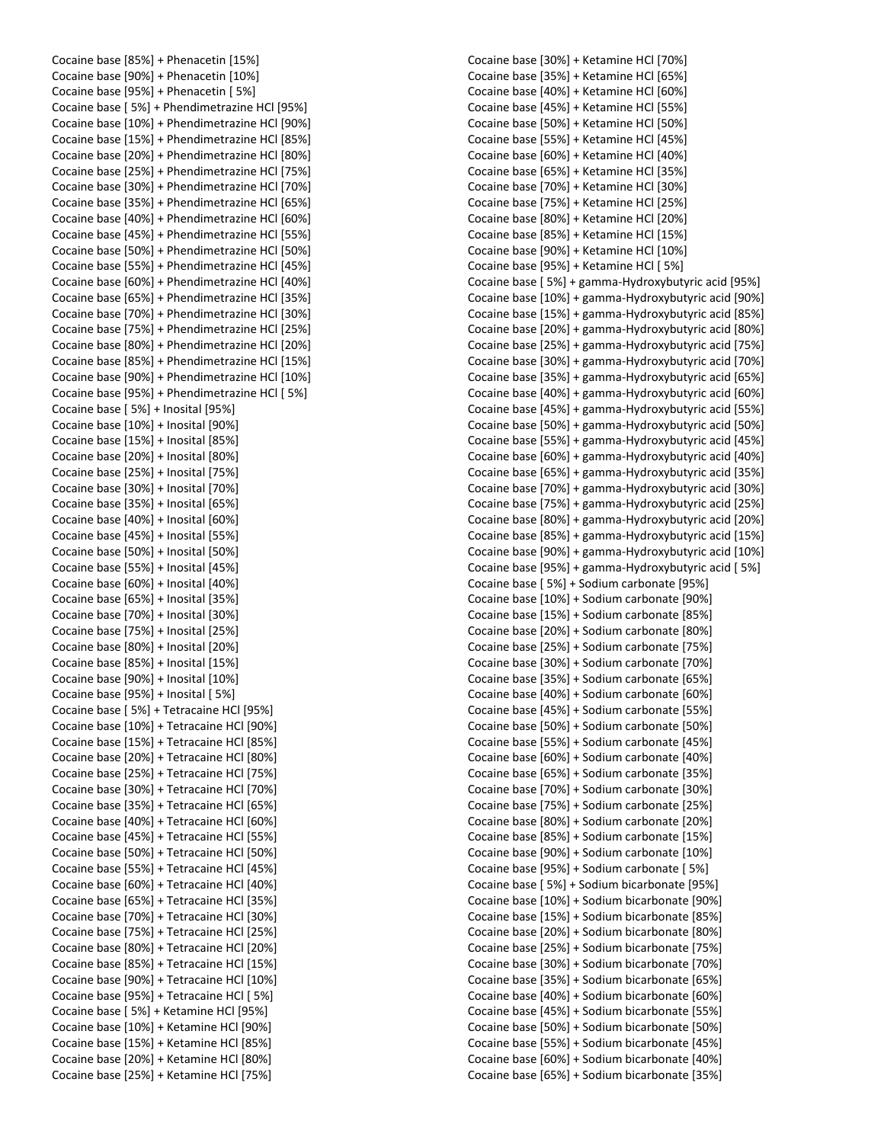Cocaine base [85%] + Phenacetin [15%] Cocaine base [90%] + Phenacetin [10%] Cocaine base [95%] + Phenacetin [ 5%] Cocaine base [ 5%] + Phendimetrazine HCl [95%] Cocaine base [10%] + Phendimetrazine HCl [90%] Cocaine base [15%] + Phendimetrazine HCl [85%] Cocaine base [20%] + Phendimetrazine HCl [80%] Cocaine base [25%] + Phendimetrazine HCl [75%] Cocaine base [30%] + Phendimetrazine HCl [70%] Cocaine base [35%] + Phendimetrazine HCl [65%] Cocaine base [40%] + Phendimetrazine HCl [60%] Cocaine base [45%] + Phendimetrazine HCl [55%] Cocaine base [50%] + Phendimetrazine HCl [50%] Cocaine base [55%] + Phendimetrazine HCl [45%] Cocaine base [60%] + Phendimetrazine HCl [40%] Cocaine base [65%] + Phendimetrazine HCl [35%] Cocaine base [70%] + Phendimetrazine HCl [30%] Cocaine base [75%] + Phendimetrazine HCl [25%] Cocaine base [80%] + Phendimetrazine HCl [20%] Cocaine base [85%] + Phendimetrazine HCl [15%] Cocaine base [90%] + Phendimetrazine HCl [10%] Cocaine base [95%] + Phendimetrazine HCl [ 5%] Cocaine base [ 5%] + Inosital [95%] Cocaine base [10%] + Inosital [90%] Cocaine base [15%] + Inosital [85%] Cocaine base [20%] + Inosital [80%] Cocaine base [25%] + Inosital [75%] Cocaine base [30%] + Inosital [70%] Cocaine base [35%] + Inosital [65%] Cocaine base [40%] + Inosital [60%] Cocaine base [45%] + Inosital [55%] Cocaine base [50%] + Inosital [50%] Cocaine base [55%] + Inosital [45%] Cocaine base [60%] + Inosital [40%] Cocaine base [65%] + Inosital [35%] Cocaine base [70%] + Inosital [30%] Cocaine base [75%] + Inosital [25%] Cocaine base [80%] + Inosital [20%] Cocaine base [85%] + Inosital [15%] Cocaine base [90%] + Inosital [10%] Cocaine base [95%] + Inosital [ 5%] Cocaine base [ 5%] + Tetracaine HCl [95%] Cocaine base [10%] + Tetracaine HCl [90%] Cocaine base [15%] + Tetracaine HCl [85%] Cocaine base [20%] + Tetracaine HCl [80%] Cocaine base [25%] + Tetracaine HCl [75%] Cocaine base [30%] + Tetracaine HCl [70%] Cocaine base [35%] + Tetracaine HCl [65%] Cocaine base [40%] + Tetracaine HCl [60%] Cocaine base [45%] + Tetracaine HCl [55%] Cocaine base [50%] + Tetracaine HCl [50%] Cocaine base [55%] + Tetracaine HCl [45%] Cocaine base [60%] + Tetracaine HCl [40%] Cocaine base [65%] + Tetracaine HCl [35%] Cocaine base [70%] + Tetracaine HCl [30%] Cocaine base [75%] + Tetracaine HCl [25%] Cocaine base [80%] + Tetracaine HCl [20%] Cocaine base [85%] + Tetracaine HCl [15%] Cocaine base [90%] + Tetracaine HCl [10%] Cocaine base [95%] + Tetracaine HCl [ 5%] Cocaine base [ 5%] + Ketamine HCl [95%] Cocaine base [10%] + Ketamine HCl [90%] Cocaine base [15%] + Ketamine HCl [85%] Cocaine base [20%] + Ketamine HCl [80%] Cocaine base [25%] + Ketamine HCl [75%]

Cocaine base [30%] + Ketamine HCl [70%] Cocaine base [35%] + Ketamine HCl [65%] Cocaine base [40%] + Ketamine HCl [60%] Cocaine base [45%] + Ketamine HCl [55%] Cocaine base [50%] + Ketamine HCl [50%] Cocaine base [55%] + Ketamine HCl [45%] Cocaine base [60%] + Ketamine HCl [40%] Cocaine base [65%] + Ketamine HCl [35%] Cocaine base [70%] + Ketamine HCl [30%] Cocaine base [75%] + Ketamine HCl [25%] Cocaine base [80%] + Ketamine HCl [20%] Cocaine base [85%] + Ketamine HCl [15%] Cocaine base [90%] + Ketamine HCl [10%] Cocaine base [95%] + Ketamine HCl [ 5%] Cocaine base [ 5%] + gamma-Hydroxybutyric acid [95%] Cocaine base [10%] + gamma-Hydroxybutyric acid [90%] Cocaine base [15%] + gamma-Hydroxybutyric acid [85%] Cocaine base [20%] + gamma-Hydroxybutyric acid [80%] Cocaine base [25%] + gamma-Hydroxybutyric acid [75%] Cocaine base [30%] + gamma-Hydroxybutyric acid [70%] Cocaine base [35%] + gamma-Hydroxybutyric acid [65%] Cocaine base [40%] + gamma-Hydroxybutyric acid [60%] Cocaine base [45%] + gamma-Hydroxybutyric acid [55%] Cocaine base [50%] + gamma-Hydroxybutyric acid [50%] Cocaine base [55%] + gamma-Hydroxybutyric acid [45%] Cocaine base [60%] + gamma-Hydroxybutyric acid [40%] Cocaine base [65%] + gamma-Hydroxybutyric acid [35%] Cocaine base [70%] + gamma-Hydroxybutyric acid [30%] Cocaine base [75%] + gamma-Hydroxybutyric acid [25%] Cocaine base [80%] + gamma-Hydroxybutyric acid [20%] Cocaine base [85%] + gamma-Hydroxybutyric acid [15%] Cocaine base [90%] + gamma-Hydroxybutyric acid [10%] Cocaine base [95%] + gamma-Hydroxybutyric acid [ 5%] Cocaine base [ 5%] + Sodium carbonate [95%] Cocaine base [10%] + Sodium carbonate [90%] Cocaine base [15%] + Sodium carbonate [85%] Cocaine base [20%] + Sodium carbonate [80%] Cocaine base [25%] + Sodium carbonate [75%] Cocaine base [30%] + Sodium carbonate [70%] Cocaine base [35%] + Sodium carbonate [65%] Cocaine base [40%] + Sodium carbonate [60%] Cocaine base [45%] + Sodium carbonate [55%] Cocaine base [50%] + Sodium carbonate [50%] Cocaine base [55%] + Sodium carbonate [45%] Cocaine base [60%] + Sodium carbonate [40%] Cocaine base [65%] + Sodium carbonate [35%] Cocaine base [70%] + Sodium carbonate [30%] Cocaine base [75%] + Sodium carbonate [25%] Cocaine base [80%] + Sodium carbonate [20%] Cocaine base [85%] + Sodium carbonate [15%] Cocaine base [90%] + Sodium carbonate [10%] Cocaine base [95%] + Sodium carbonate [ 5%] Cocaine base [ 5%] + Sodium bicarbonate [95%] Cocaine base [10%] + Sodium bicarbonate [90%] Cocaine base [15%] + Sodium bicarbonate [85%] Cocaine base [20%] + Sodium bicarbonate [80%] Cocaine base [25%] + Sodium bicarbonate [75%] Cocaine base [30%] + Sodium bicarbonate [70%] Cocaine base [35%] + Sodium bicarbonate [65%] Cocaine base [40%] + Sodium bicarbonate [60%] Cocaine base [45%] + Sodium bicarbonate [55%] Cocaine base [50%] + Sodium bicarbonate [50%] Cocaine base [55%] + Sodium bicarbonate [45%] Cocaine base [60%] + Sodium bicarbonate [40%] Cocaine base [65%] + Sodium bicarbonate [35%]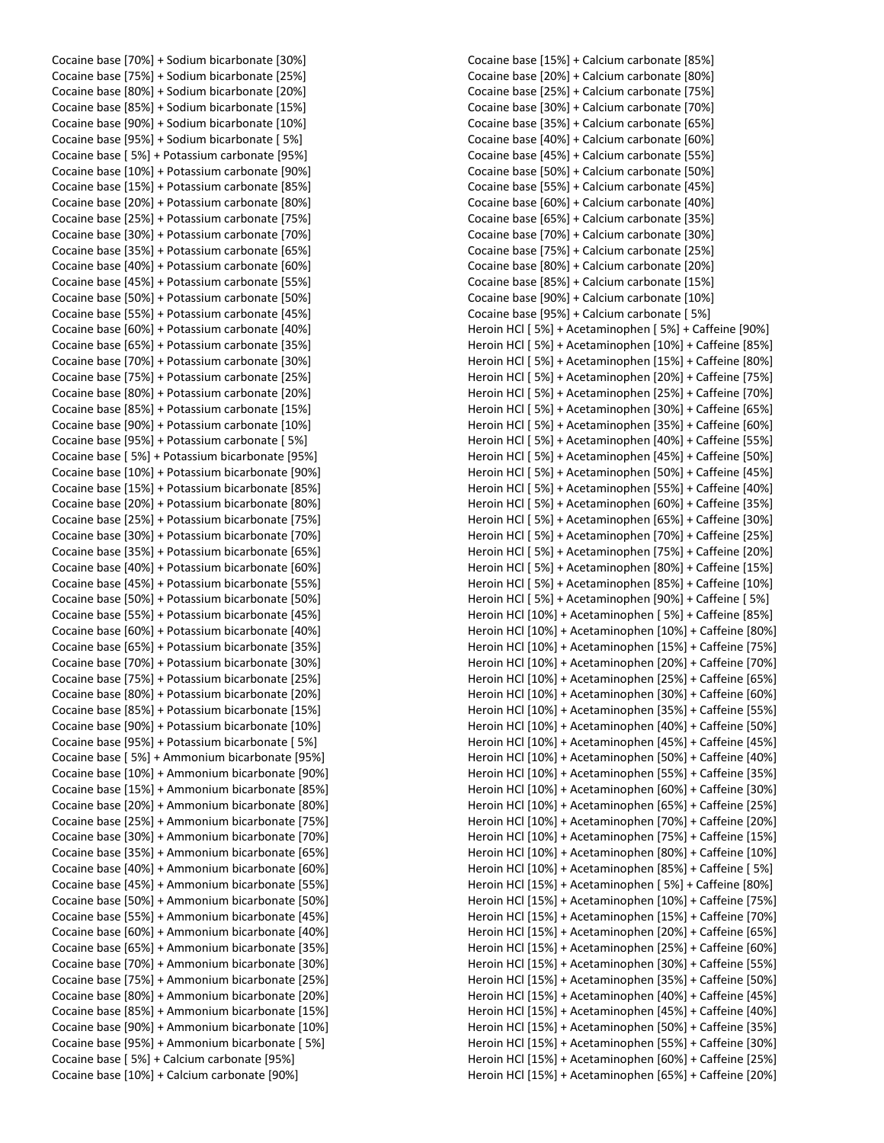Cocaine base [70%] + Sodium bicarbonate [30%] Cocaine base [75%] + Sodium bicarbonate [25%] Cocaine base [80%] + Sodium bicarbonate [20%] Cocaine base [85%] + Sodium bicarbonate [15%] Cocaine base [90%] + Sodium bicarbonate [10%] Cocaine base [95%] + Sodium bicarbonate [ 5%] Cocaine base [ 5%] + Potassium carbonate [95%] Cocaine base [10%] + Potassium carbonate [90%] Cocaine base [15%] + Potassium carbonate [85%] Cocaine base [20%] + Potassium carbonate [80%] Cocaine base [25%] + Potassium carbonate [75%] Cocaine base [30%] + Potassium carbonate [70%] Cocaine base [35%] + Potassium carbonate [65%] Cocaine base [40%] + Potassium carbonate [60%] Cocaine base [45%] + Potassium carbonate [55%] Cocaine base [50%] + Potassium carbonate [50%] Cocaine base [55%] + Potassium carbonate [45%] Cocaine base [60%] + Potassium carbonate [40%] Cocaine base [65%] + Potassium carbonate [35%] Cocaine base [70%] + Potassium carbonate [30%] Cocaine base [75%] + Potassium carbonate [25%] Cocaine base [80%] + Potassium carbonate [20%] Cocaine base [85%] + Potassium carbonate [15%] Cocaine base [90%] + Potassium carbonate [10%] Cocaine base [95%] + Potassium carbonate [ 5%] Cocaine base [ 5%] + Potassium bicarbonate [95%] Cocaine base [10%] + Potassium bicarbonate [90%] Cocaine base [15%] + Potassium bicarbonate [85%] Cocaine base [20%] + Potassium bicarbonate [80%] Cocaine base [25%] + Potassium bicarbonate [75%] Cocaine base [30%] + Potassium bicarbonate [70%] Cocaine base [35%] + Potassium bicarbonate [65%] Cocaine base [40%] + Potassium bicarbonate [60%] Cocaine base [45%] + Potassium bicarbonate [55%] Cocaine base [50%] + Potassium bicarbonate [50%] Cocaine base [55%] + Potassium bicarbonate [45%] Cocaine base [60%] + Potassium bicarbonate [40%] Cocaine base [65%] + Potassium bicarbonate [35%] Cocaine base [70%] + Potassium bicarbonate [30%] Cocaine base [75%] + Potassium bicarbonate [25%] Cocaine base [80%] + Potassium bicarbonate [20%] Cocaine base [85%] + Potassium bicarbonate [15%] Cocaine base [90%] + Potassium bicarbonate [10%] Cocaine base [95%] + Potassium bicarbonate [ 5%] Cocaine base [ 5%] + Ammonium bicarbonate [95%] Cocaine base [10%] + Ammonium bicarbonate [90%] Cocaine base [15%] + Ammonium bicarbonate [85%] Cocaine base [20%] + Ammonium bicarbonate [80%] Cocaine base [25%] + Ammonium bicarbonate [75%] Cocaine base [30%] + Ammonium bicarbonate [70%] Cocaine base [35%] + Ammonium bicarbonate [65%] Cocaine base [40%] + Ammonium bicarbonate [60%] Cocaine base [45%] + Ammonium bicarbonate [55%] Cocaine base [50%] + Ammonium bicarbonate [50%] Cocaine base [55%] + Ammonium bicarbonate [45%] Cocaine base [60%] + Ammonium bicarbonate [40%] Cocaine base [65%] + Ammonium bicarbonate [35%] Cocaine base [70%] + Ammonium bicarbonate [30%] Cocaine base [75%] + Ammonium bicarbonate [25%] Cocaine base [80%] + Ammonium bicarbonate [20%] Cocaine base [85%] + Ammonium bicarbonate [15%] Cocaine base [90%] + Ammonium bicarbonate [10%] Cocaine base [95%] + Ammonium bicarbonate [ 5%] Cocaine base [ 5%] + Calcium carbonate [95%] Cocaine base [10%] + Calcium carbonate [90%]

Cocaine base [15%] + Calcium carbonate [85%] Cocaine base [20%] + Calcium carbonate [80%] Cocaine base [25%] + Calcium carbonate [75%] Cocaine base [30%] + Calcium carbonate [70%] Cocaine base [35%] + Calcium carbonate [65%] Cocaine base [40%] + Calcium carbonate [60%] Cocaine base [45%] + Calcium carbonate [55%] Cocaine base [50%] + Calcium carbonate [50%] Cocaine base [55%] + Calcium carbonate [45%] Cocaine base [60%] + Calcium carbonate [40%] Cocaine base [65%] + Calcium carbonate [35%] Cocaine base [70%] + Calcium carbonate [30%] Cocaine base [75%] + Calcium carbonate [25%] Cocaine base [80%] + Calcium carbonate [20%] Cocaine base [85%] + Calcium carbonate [15%] Cocaine base [90%] + Calcium carbonate [10%] Cocaine base [95%] + Calcium carbonate [ 5%] Heroin HCl [ 5%] + Acetaminophen [ 5%] + Caffeine [90%] Heroin HCl [ 5%] + Acetaminophen [10%] + Caffeine [85%] Heroin HCl [ 5%] + Acetaminophen [15%] + Caffeine [80%] Heroin HCl [ 5%] + Acetaminophen [20%] + Caffeine [75%] Heroin HCl [ 5%] + Acetaminophen [25%] + Caffeine [70%] Heroin HCl [ 5%] + Acetaminophen [30%] + Caffeine [65%] Heroin HCl [ 5%] + Acetaminophen [35%] + Caffeine [60%] Heroin HCl [ 5%] + Acetaminophen [40%] + Caffeine [55%] Heroin HCl [ 5%] + Acetaminophen [45%] + Caffeine [50%] Heroin HCl [ 5%] + Acetaminophen [50%] + Caffeine [45%] Heroin HCl [ 5%] + Acetaminophen [55%] + Caffeine [40%] Heroin HCl [ 5%] + Acetaminophen [60%] + Caffeine [35%] Heroin HCl [ 5%] + Acetaminophen [65%] + Caffeine [30%] Heroin HCl [ 5%] + Acetaminophen [70%] + Caffeine [25%] Heroin HCl [ 5%] + Acetaminophen [75%] + Caffeine [20%] Heroin HCl [ 5%] + Acetaminophen [80%] + Caffeine [15%] Heroin HCl [ 5%] + Acetaminophen [85%] + Caffeine [10%] Heroin HCl [ 5%] + Acetaminophen [90%] + Caffeine [ 5%] Heroin HCl [10%] + Acetaminophen [ 5%] + Caffeine [85%] Heroin HCl [10%] + Acetaminophen [10%] + Caffeine [80%] Heroin HCl [10%] + Acetaminophen [15%] + Caffeine [75%] Heroin HCl [10%] + Acetaminophen [20%] + Caffeine [70%] Heroin HCl [10%] + Acetaminophen [25%] + Caffeine [65%] Heroin HCl [10%] + Acetaminophen [30%] + Caffeine [60%] Heroin HCl [10%] + Acetaminophen [35%] + Caffeine [55%] Heroin HCl [10%] + Acetaminophen [40%] + Caffeine [50%] Heroin HCl [10%] + Acetaminophen [45%] + Caffeine [45%] Heroin HCl [10%] + Acetaminophen [50%] + Caffeine [40%] Heroin HCl [10%] + Acetaminophen [55%] + Caffeine [35%] Heroin HCl [10%] + Acetaminophen [60%] + Caffeine [30%] Heroin HCl [10%] + Acetaminophen [65%] + Caffeine [25%] Heroin HCl [10%] + Acetaminophen [70%] + Caffeine [20%] Heroin HCl [10%] + Acetaminophen [75%] + Caffeine [15%] Heroin HCl [10%] + Acetaminophen [80%] + Caffeine [10%] Heroin HCl [10%] + Acetaminophen [85%] + Caffeine [ 5%] Heroin HCl [15%] + Acetaminophen [ 5%] + Caffeine [80%] Heroin HCl [15%] + Acetaminophen [10%] + Caffeine [75%] Heroin HCl [15%] + Acetaminophen [15%] + Caffeine [70%] Heroin HCl [15%] + Acetaminophen [20%] + Caffeine [65%] Heroin HCl [15%] + Acetaminophen [25%] + Caffeine [60%] Heroin HCl [15%] + Acetaminophen [30%] + Caffeine [55%] Heroin HCl [15%] + Acetaminophen [35%] + Caffeine [50%] Heroin HCl [15%] + Acetaminophen [40%] + Caffeine [45%] Heroin HCl [15%] + Acetaminophen [45%] + Caffeine [40%] Heroin HCl [15%] + Acetaminophen [50%] + Caffeine [35%] Heroin HCl [15%] + Acetaminophen [55%] + Caffeine [30%] Heroin HCl [15%] + Acetaminophen [60%] + Caffeine [25%] Heroin HCl [15%] + Acetaminophen [65%] + Caffeine [20%]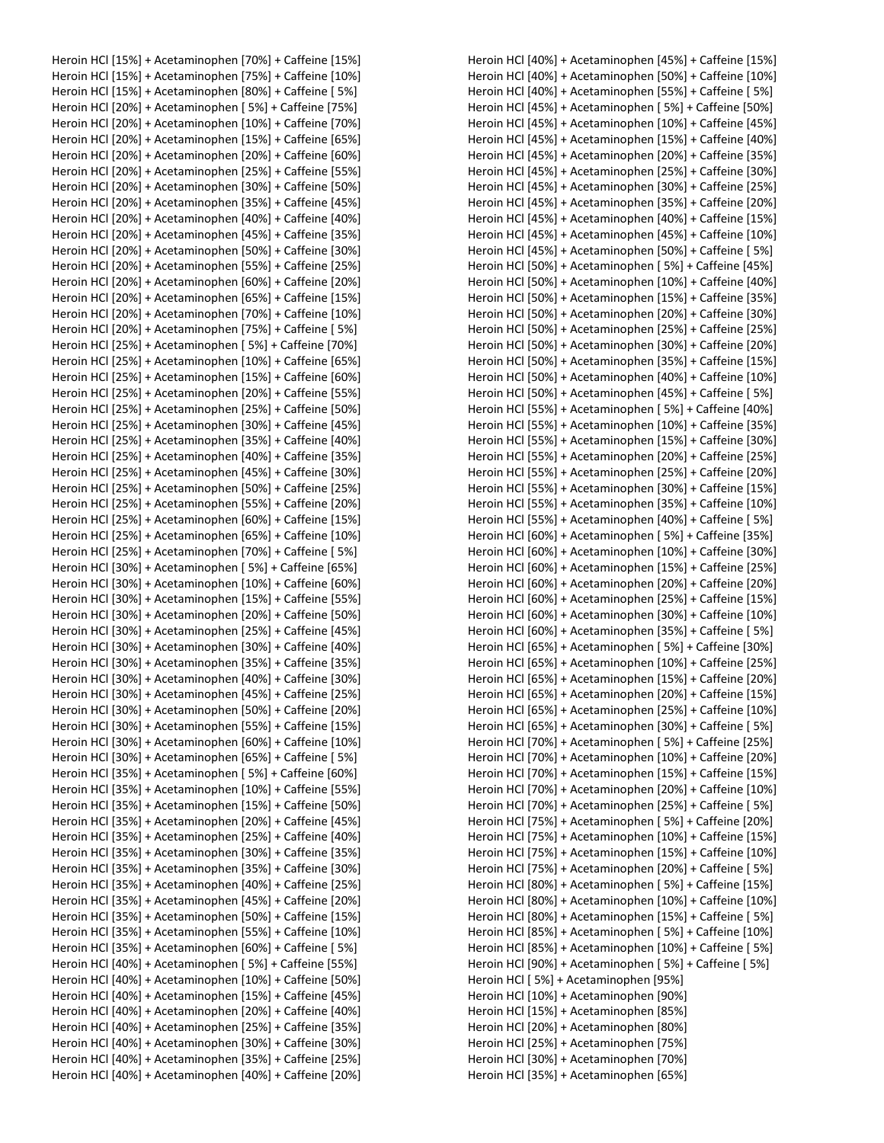Heroin HCl [15%] + Acetaminophen [70%] + Caffeine [15%] Heroin HCl [15%] + Acetaminophen [75%] + Caffeine [10%] Heroin HCl [15%] + Acetaminophen [80%] + Caffeine [ 5%] Heroin HCl [20%] + Acetaminophen [ 5%] + Caffeine [75%] Heroin HCl [20%] + Acetaminophen [10%] + Caffeine [70%] Heroin HCl [20%] + Acetaminophen [15%] + Caffeine [65%] Heroin HCl [20%] + Acetaminophen [20%] + Caffeine [60%] Heroin HCl [20%] + Acetaminophen [25%] + Caffeine [55%] Heroin HCl [20%] + Acetaminophen [30%] + Caffeine [50%] Heroin HCl [20%] + Acetaminophen [35%] + Caffeine [45%] Heroin HCl [20%] + Acetaminophen [40%] + Caffeine [40%] Heroin HCl [20%] + Acetaminophen [45%] + Caffeine [35%] Heroin HCl [20%] + Acetaminophen [50%] + Caffeine [30%] Heroin HCl [20%] + Acetaminophen [55%] + Caffeine [25%] Heroin HCl [20%] + Acetaminophen [60%] + Caffeine [20%] Heroin HCl [20%] + Acetaminophen [65%] + Caffeine [15%] Heroin HCl [20%] + Acetaminophen [70%] + Caffeine [10%] Heroin HCl [20%] + Acetaminophen [75%] + Caffeine [ 5%] Heroin HCl [25%] + Acetaminophen [ 5%] + Caffeine [70%] Heroin HCl [25%] + Acetaminophen [10%] + Caffeine [65%] Heroin HCl [25%] + Acetaminophen [15%] + Caffeine [60%] Heroin HCl [25%] + Acetaminophen [20%] + Caffeine [55%] Heroin HCl [25%] + Acetaminophen [25%] + Caffeine [50%] Heroin HCl [25%] + Acetaminophen [30%] + Caffeine [45%] Heroin HCl [25%] + Acetaminophen [35%] + Caffeine [40%] Heroin HCl [25%] + Acetaminophen [40%] + Caffeine [35%] Heroin HCl [25%] + Acetaminophen [45%] + Caffeine [30%] Heroin HCl [25%] + Acetaminophen [50%] + Caffeine [25%] Heroin HCl [25%] + Acetaminophen [55%] + Caffeine [20%] Heroin HCl [25%] + Acetaminophen [60%] + Caffeine [15%] Heroin HCl [25%] + Acetaminophen [65%] + Caffeine [10%] Heroin HCl [25%] + Acetaminophen [70%] + Caffeine [ 5%] Heroin HCl [30%] + Acetaminophen [ 5%] + Caffeine [65%] Heroin HCl [30%] + Acetaminophen [10%] + Caffeine [60%] Heroin HCl [30%] + Acetaminophen [15%] + Caffeine [55%] Heroin HCl [30%] + Acetaminophen [20%] + Caffeine [50%] Heroin HCl [30%] + Acetaminophen [25%] + Caffeine [45%] Heroin HCl [30%] + Acetaminophen [30%] + Caffeine [40%] Heroin HCl [30%] + Acetaminophen [35%] + Caffeine [35%] Heroin HCl [30%] + Acetaminophen [40%] + Caffeine [30%] Heroin HCl [30%] + Acetaminophen [45%] + Caffeine [25%] Heroin HCl [30%] + Acetaminophen [50%] + Caffeine [20%] Heroin HCl [30%] + Acetaminophen [55%] + Caffeine [15%] Heroin HCl [30%] + Acetaminophen [60%] + Caffeine [10%] Heroin HCl [30%] + Acetaminophen [65%] + Caffeine [ 5%] Heroin HCl [35%] + Acetaminophen [ 5%] + Caffeine [60%] Heroin HCl [35%] + Acetaminophen [10%] + Caffeine [55%] Heroin HCl [35%] + Acetaminophen [15%] + Caffeine [50%] Heroin HCl [35%] + Acetaminophen [20%] + Caffeine [45%] Heroin HCl [35%] + Acetaminophen [25%] + Caffeine [40%] Heroin HCl [35%] + Acetaminophen [30%] + Caffeine [35%] Heroin HCl [35%] + Acetaminophen [35%] + Caffeine [30%] Heroin HCl [35%] + Acetaminophen [40%] + Caffeine [25%] Heroin HCl [35%] + Acetaminophen [45%] + Caffeine [20%] Heroin HCl [35%] + Acetaminophen [50%] + Caffeine [15%] Heroin HCl [35%] + Acetaminophen [55%] + Caffeine [10%] Heroin HCl [35%] + Acetaminophen [60%] + Caffeine [ 5%] Heroin HCl [40%] + Acetaminophen [ 5%] + Caffeine [55%] Heroin HCl [40%] + Acetaminophen [10%] + Caffeine [50%] Heroin HCl [40%] + Acetaminophen [15%] + Caffeine [45%] Heroin HCl [40%] + Acetaminophen [20%] + Caffeine [40%] Heroin HCl [40%] + Acetaminophen [25%] + Caffeine [35%] Heroin HCl [40%] + Acetaminophen [30%] + Caffeine [30%] Heroin HCl [40%] + Acetaminophen [35%] + Caffeine [25%] Heroin HCl [40%] + Acetaminophen [40%] + Caffeine [20%]

Heroin HCl [40%] + Acetaminophen [45%] + Caffeine [15%] Heroin HCl [40%] + Acetaminophen [50%] + Caffeine [10%] Heroin HCl [40%] + Acetaminophen [55%] + Caffeine [ 5%] Heroin HCl [45%] + Acetaminophen [ 5%] + Caffeine [50%] Heroin HCl [45%] + Acetaminophen [10%] + Caffeine [45%] Heroin HCl [45%] + Acetaminophen [15%] + Caffeine [40%] Heroin HCl [45%] + Acetaminophen [20%] + Caffeine [35%] Heroin HCl [45%] + Acetaminophen [25%] + Caffeine [30%] Heroin HCl [45%] + Acetaminophen [30%] + Caffeine [25%] Heroin HCl [45%] + Acetaminophen [35%] + Caffeine [20%] Heroin HCl [45%] + Acetaminophen [40%] + Caffeine [15%] Heroin HCl [45%] + Acetaminophen [45%] + Caffeine [10%] Heroin HCl [45%] + Acetaminophen [50%] + Caffeine [ 5%] Heroin HCl [50%] + Acetaminophen [ 5%] + Caffeine [45%] Heroin HCl [50%] + Acetaminophen [10%] + Caffeine [40%] Heroin HCl [50%] + Acetaminophen [15%] + Caffeine [35%] Heroin HCl [50%] + Acetaminophen [20%] + Caffeine [30%] Heroin HCl [50%] + Acetaminophen [25%] + Caffeine [25%] Heroin HCl [50%] + Acetaminophen [30%] + Caffeine [20%] Heroin HCl [50%] + Acetaminophen [35%] + Caffeine [15%] Heroin HCl [50%] + Acetaminophen [40%] + Caffeine [10%] Heroin HCl [50%] + Acetaminophen [45%] + Caffeine [ 5%] Heroin HCl [55%] + Acetaminophen [ 5%] + Caffeine [40%] Heroin HCl [55%] + Acetaminophen [10%] + Caffeine [35%] Heroin HCl [55%] + Acetaminophen [15%] + Caffeine [30%] Heroin HCl [55%] + Acetaminophen [20%] + Caffeine [25%] Heroin HCl [55%] + Acetaminophen [25%] + Caffeine [20%] Heroin HCl [55%] + Acetaminophen [30%] + Caffeine [15%] Heroin HCl [55%] + Acetaminophen [35%] + Caffeine [10%] Heroin HCl [55%] + Acetaminophen [40%] + Caffeine [ 5%] Heroin HCl [60%] + Acetaminophen [ 5%] + Caffeine [35%] Heroin HCl [60%] + Acetaminophen [10%] + Caffeine [30%] Heroin HCl [60%] + Acetaminophen [15%] + Caffeine [25%] Heroin HCl [60%] + Acetaminophen [20%] + Caffeine [20%] Heroin HCl [60%] + Acetaminophen [25%] + Caffeine [15%] Heroin HCl [60%] + Acetaminophen [30%] + Caffeine [10%] Heroin HCl [60%] + Acetaminophen [35%] + Caffeine [ 5%] Heroin HCl [65%] + Acetaminophen [ 5%] + Caffeine [30%] Heroin HCl [65%] + Acetaminophen [10%] + Caffeine [25%] Heroin HCl [65%] + Acetaminophen [15%] + Caffeine [20%] Heroin HCl [65%] + Acetaminophen [20%] + Caffeine [15%] Heroin HCl [65%] + Acetaminophen [25%] + Caffeine [10%] Heroin HCl [65%] + Acetaminophen [30%] + Caffeine [ 5%] Heroin HCl [70%] + Acetaminophen [ 5%] + Caffeine [25%] Heroin HCl [70%] + Acetaminophen [10%] + Caffeine [20%] Heroin HCl [70%] + Acetaminophen [15%] + Caffeine [15%] Heroin HCl [70%] + Acetaminophen [20%] + Caffeine [10%] Heroin HCl [70%] + Acetaminophen [25%] + Caffeine [ 5%] Heroin HCl [75%] + Acetaminophen [ 5%] + Caffeine [20%] Heroin HCl [75%] + Acetaminophen [10%] + Caffeine [15%] Heroin HCl [75%] + Acetaminophen [15%] + Caffeine [10%] Heroin HCl [75%] + Acetaminophen [20%] + Caffeine [ 5%] Heroin HCl [80%] + Acetaminophen [ 5%] + Caffeine [15%] Heroin HCl [80%] + Acetaminophen [10%] + Caffeine [10%] Heroin HCl [80%] + Acetaminophen [15%] + Caffeine [ 5%] Heroin HCl [85%] + Acetaminophen [ 5%] + Caffeine [10%] Heroin HCl [85%] + Acetaminophen [10%] + Caffeine [ 5%] Heroin HCl [90%] + Acetaminophen [ 5%] + Caffeine [ 5%] Heroin HCl [ 5%] + Acetaminophen [95%] Heroin HCl [10%] + Acetaminophen [90%] Heroin HCl [15%] + Acetaminophen [85%] Heroin HCl [20%] + Acetaminophen [80%] Heroin HCl [25%] + Acetaminophen [75%] Heroin HCl [30%] + Acetaminophen [70%] Heroin HCl [35%] + Acetaminophen [65%]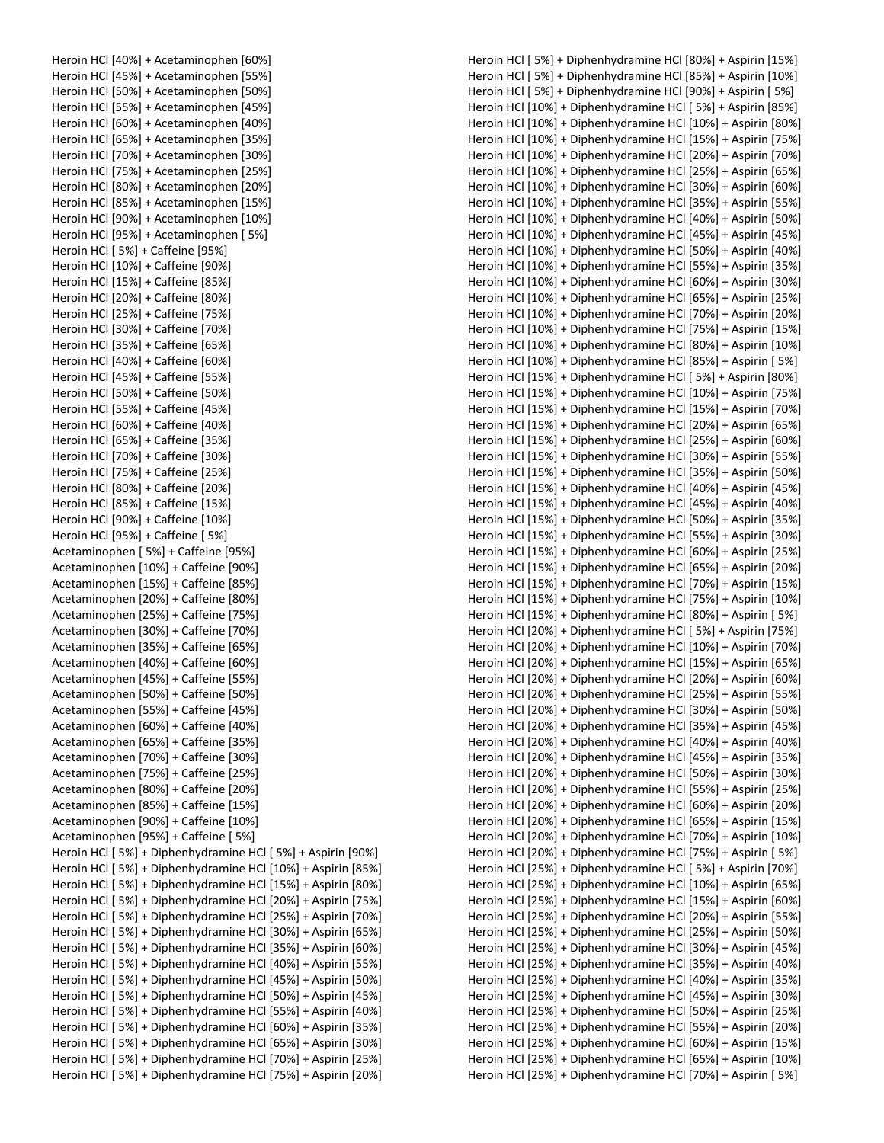| Heroin HCl [40%] + Acetaminophen [60%]                       |
|--------------------------------------------------------------|
| Heroin HCl [45%] + Acetaminophen [55%]                       |
| Heroin HCl [50%] + Acetaminophen [50%]                       |
| Heroin HCl [55%] + Acetaminophen [45%]                       |
| Heroin HCl [60%] + Acetaminophen [40%]                       |
| Heroin HCl [65%] + Acetaminophen [35%]                       |
| Heroin HCl [70%] + Acetaminophen [30%]                       |
| Heroin HCl [75%] + Acetaminophen [25%]                       |
| Heroin HCl [80%] + Acetaminophen [20%]                       |
| Heroin HCl [85%] + Acetaminophen [15%]                       |
| Heroin HCl [90%] + Acetaminophen [10%]                       |
| Heroin HCl [95%] + Acetaminophen [5%]                        |
| Heroin HCl [5%] + Caffeine [95%]                             |
| Heroin HCl [10%] + Caffeine [90%]                            |
| Heroin HCl [15%] + Caffeine [85%]                            |
| Heroin HCl [20%] + Caffeine [80%]                            |
| Heroin HCl [25%] + Caffeine [75%]                            |
| Heroin HCl [30%] + Caffeine [70%]                            |
| Heroin HCl [35%] + Caffeine [65%]                            |
| Heroin HCl [40%] + Caffeine [60%]                            |
| Heroin HCl [45%] + Caffeine [55%]                            |
| Heroin HCl [50%] + Caffeine [50%]                            |
| Heroin HCl [55%] + Caffeine [45%]                            |
| Heroin HCl [60%] + Caffeine [40%]                            |
| Heroin HCl [65%] + Caffeine [35%]                            |
| Heroin HCl [70%] + Caffeine [30%]                            |
| Heroin HCl [75%] + Caffeine [25%]                            |
| Heroin HCl [80%] + Caffeine [20%]                            |
| Heroin HCl [85%] + Caffeine [15%]                            |
| Heroin HCl [90%] + Caffeine [10%]                            |
| Heroin HCl [95%] + Caffeine [5%]                             |
| Acetaminophen [5%] + Caffeine [95%]                          |
| Acetaminophen [10%] + Caffeine [90%]                         |
| Acetaminophen [15%] + Caffeine [85%]                         |
| Acetaminophen [20%] + Caffeine [80%]                         |
| Acetaminophen [25%] + Caffeine [75%]                         |
| Acetaminophen [30%] + Caffeine [70%]                         |
| Acetaminophen [35%] + Caffeine [65%]                         |
| Acetaminophen [40%] + Caffeine [60%]                         |
| Acetaminophen [45%] + Caffeine [55%]                         |
| Acetaminophen [50%] + Caffeine [50%]                         |
| Acetaminophen [55%] + Caffeine [45%]                         |
| Acetaminophen [60%] + Caffeine [40%]                         |
| Acetaminophen [65%] + Caffeine [35%]                         |
| Acetaminophen [70%] + Caffeine [30%]                         |
| Acetaminophen [75%] + Caffeine [25%]                         |
| Acetaminophen [80%] + Caffeine [20%]                         |
| Acetaminophen [85%] + Caffeine [15%]                         |
| Acetaminophen [90%] + Caffeine [10%]                         |
| Acetaminophen [95%] + Caffeine [5%]                          |
| Heroin HCl [5%] + Diphenhydramine HCl [5%] + Aspirin [90%]   |
| Heroin HCl [5%] + Diphenhydramine HCl [10%] + Aspirin [85%]  |
| Heroin HCl [ 5%] + Diphenhydramine HCl [15%] + Aspirin [80%] |
| Heroin HCl [ 5%] + Diphenhydramine HCl [20%] + Aspirin [75%] |
| Heroin HCl [5%] + Diphenhydramine HCl [25%] + Aspirin [70%]  |
| Heroin HCl [ 5%] + Diphenhydramine HCl [30%] + Aspirin [65%] |
| Heroin HCl [ 5%] + Diphenhydramine HCl [35%] + Aspirin [60%] |
| Heroin HCl [5%] + Diphenhydramine HCl [40%] + Aspirin [55%]  |
| Heroin HCl [5%] + Diphenhydramine HCl [45%] + Aspirin [50%]  |
| Heroin HCl [ 5%] + Diphenhydramine HCl [50%] + Aspirin [45%] |
| Heroin HCl [ 5%] + Diphenhydramine HCl [55%] + Aspirin [40%] |
| Heroin HCl [5%] + Diphenhydramine HCl [60%] + Aspirin [35%]  |
| Heroin HCl [ 5%] + Diphenhydramine HCl [65%] + Aspirin [30%] |
| Heroin HCl [ 5%] + Diphenhydramine HCl [70%] + Aspirin [25%] |
| Heroin HCl [5%] + Diphenhydramine HCl [75%] + Aspirin [20%]  |

Heroin HCl [ 5%] + Diphenhydramine HCl [80%] + Aspirin [15%] Heroin HCl [ 5%] + Diphenhydramine HCl [85%] + Aspirin [10%] Heroin HCl [ 5%] + Diphenhydramine HCl [90%] + Aspirin [ 5%] Heroin HCl [10%] + Diphenhydramine HCl [ 5%] + Aspirin [85%] Heroin HCl [10%] + Diphenhydramine HCl [10%] + Aspirin [80%] Heroin HCl [10%] + Diphenhydramine HCl [15%] + Aspirin [75%] Heroin HCl [10%] + Diphenhydramine HCl [20%] + Aspirin [70%] Heroin HCl [10%] + Diphenhydramine HCl [25%] + Aspirin [65%] Heroin HCl [10%] + Diphenhydramine HCl [30%] + Aspirin [60%] Heroin HCl [10%] + Diphenhydramine HCl [35%] + Aspirin [55%] Heroin HCl [10%] + Diphenhydramine HCl [40%] + Aspirin [50%] Heroin HCl [10%] + Diphenhydramine HCl [45%] + Aspirin [45%] Heroin HCl [10%] + Diphenhydramine HCl [50%] + Aspirin [40%] Heroin HCl [10%] + Diphenhydramine HCl [55%] + Aspirin [35%] Heroin HCl [10%] + Diphenhydramine HCl [60%] + Aspirin [30%] Heroin HCl [10%] + Diphenhydramine HCl [65%] + Aspirin [25%] Heroin HCl [10%] + Diphenhydramine HCl [70%] + Aspirin [20%] Heroin HCl [10%] + Diphenhydramine HCl [75%] + Aspirin [15%] Heroin HCl [10%] + Diphenhydramine HCl [80%] + Aspirin [10%] Heroin HCl [10%] + Diphenhydramine HCl [85%] + Aspirin [ 5%] Heroin HCl [15%] + Diphenhydramine HCl [ 5%] + Aspirin [80%] Heroin HCl [15%] + Diphenhydramine HCl [10%] + Aspirin [75%] Heroin HCl [15%] + Diphenhydramine HCl [15%] + Aspirin [70%] Heroin HCl [15%] + Diphenhydramine HCl [20%] + Aspirin [65%] Heroin HCl [15%] + Diphenhydramine HCl [25%] + Aspirin [60%] Heroin HCl [15%] + Diphenhydramine HCl [30%] + Aspirin [55%] Heroin HCl [15%] + Diphenhydramine HCl [35%] + Aspirin [50%] Heroin HCl [15%] + Diphenhydramine HCl [40%] + Aspirin [45%] Heroin HCl [15%] + Diphenhydramine HCl [45%] + Aspirin [40%] Heroin HCl [15%] + Diphenhydramine HCl [50%] + Aspirin [35%] Heroin HCl [15%] + Diphenhydramine HCl [55%] + Aspirin [30%] Heroin HCl [15%] + Diphenhydramine HCl [60%] + Aspirin [25%] Heroin HCl [15%] + Diphenhydramine HCl [65%] + Aspirin [20%] Heroin HCl [15%] + Diphenhydramine HCl [70%] + Aspirin [15%] Heroin HCl [15%] + Diphenhydramine HCl [75%] + Aspirin [10%] Heroin HCl [15%] + Diphenhydramine HCl [80%] + Aspirin [ 5%] Heroin HCl [20%] + Diphenhydramine HCl [ 5%] + Aspirin [75%] Heroin HCl [20%] + Diphenhydramine HCl [10%] + Aspirin [70%] Heroin HCl [20%] + Diphenhydramine HCl [15%] + Aspirin [65%] Heroin HCl [20%] + Diphenhydramine HCl [20%] + Aspirin [60%] Heroin HCl [20%] + Diphenhydramine HCl [25%] + Aspirin [55%] Heroin HCl [20%] + Diphenhydramine HCl [30%] + Aspirin [50%] Heroin HCl [20%] + Diphenhydramine HCl [35%] + Aspirin [45%] Heroin HCl [20%] + Diphenhydramine HCl [40%] + Aspirin [40%] Heroin HCl [20%] + Diphenhydramine HCl [45%] + Aspirin [35%] Heroin HCl [20%] + Diphenhydramine HCl [50%] + Aspirin [30%] Heroin HCl [20%] + Diphenhydramine HCl [55%] + Aspirin [25%] Heroin HCl [20%] + Diphenhydramine HCl [60%] + Aspirin [20%] Heroin HCl [20%] + Diphenhydramine HCl [65%] + Aspirin [15%] Heroin HCl [20%] + Diphenhydramine HCl [70%] + Aspirin [10%] Heroin HCl [20%] + Diphenhydramine HCl [75%] + Aspirin [ 5%] Heroin HCl [25%] + Diphenhydramine HCl [ 5%] + Aspirin [70%] Heroin HCl [25%] + Diphenhydramine HCl [10%] + Aspirin [65%] Heroin HCl [25%] + Diphenhydramine HCl [15%] + Aspirin [60%] Heroin HCl [25%] + Diphenhydramine HCl [20%] + Aspirin [55%] Heroin HCl [25%] + Diphenhydramine HCl [25%] + Aspirin [50%] Heroin HCl [25%] + Diphenhydramine HCl [30%] + Aspirin [45%] Heroin HCl [25%] + Diphenhydramine HCl [35%] + Aspirin [40%] Heroin HCl [25%] + Diphenhydramine HCl [40%] + Aspirin [35%] Heroin HCl [25%] + Diphenhydramine HCl [45%] + Aspirin [30%] Heroin HCl [25%] + Diphenhydramine HCl [50%] + Aspirin [25%] Heroin HCl [25%] + Diphenhydramine HCl [55%] + Aspirin [20%] Heroin HCl [25%] + Diphenhydramine HCl [60%] + Aspirin [15%] Heroin HCl [25%] + Diphenhydramine HCl [65%] + Aspirin [10%] Heroin HCl [25%] + Diphenhydramine HCl [70%] + Aspirin [ 5%]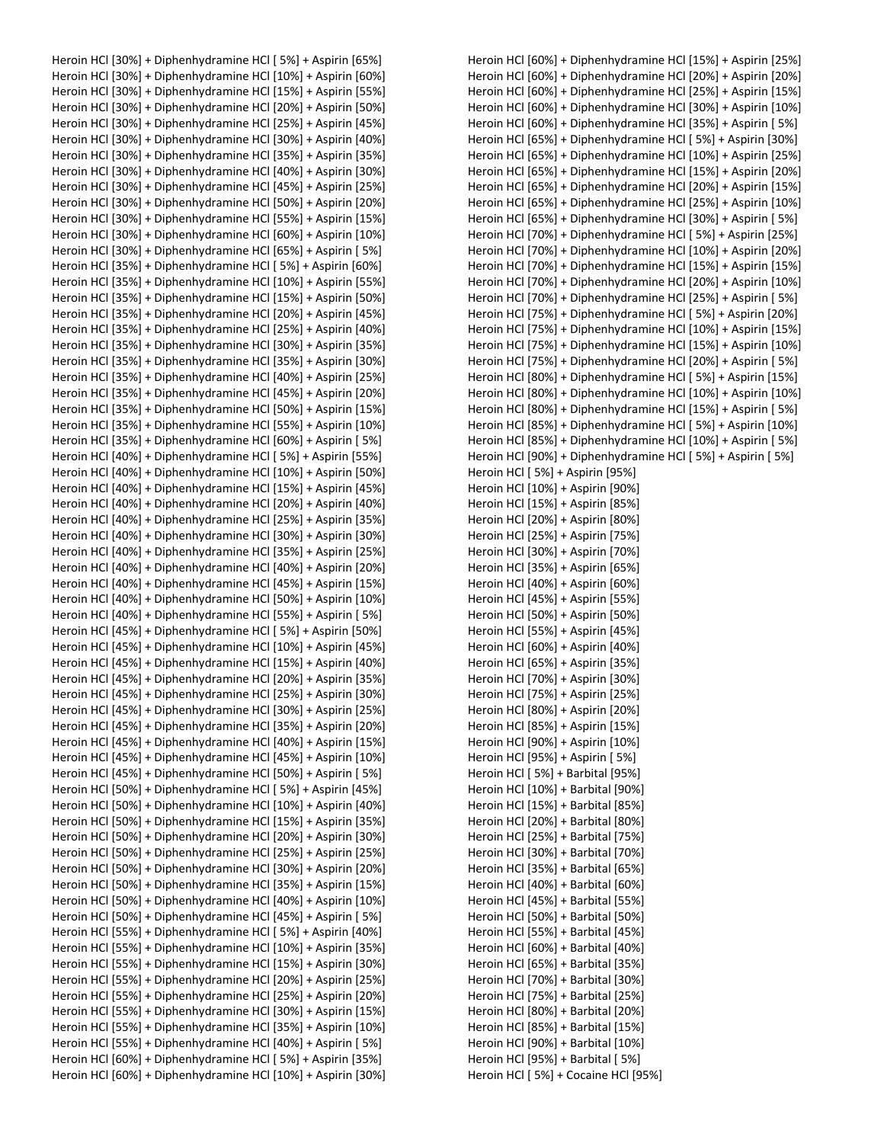Heroin HCl [30%] + Diphenhydramine HCl [ 5%] + Aspirin [65%] Heroin HCl [30%] + Diphenhydramine HCl [10%] + Aspirin [60%] Heroin HCl [30%] + Diphenhydramine HCl [15%] + Aspirin [55%] Heroin HCl [30%] + Diphenhydramine HCl [20%] + Aspirin [50%] Heroin HCl [30%] + Diphenhydramine HCl [25%] + Aspirin [45%] Heroin HCl [30%] + Diphenhydramine HCl [30%] + Aspirin [40%] Heroin HCl [30%] + Diphenhydramine HCl [35%] + Aspirin [35%] Heroin HCl [30%] + Diphenhydramine HCl [40%] + Aspirin [30%] Heroin HCl [30%] + Diphenhydramine HCl [45%] + Aspirin [25%] Heroin HCl [30%] + Diphenhydramine HCl [50%] + Aspirin [20%] Heroin HCl [30%] + Diphenhydramine HCl [55%] + Aspirin [15%] Heroin HCl [30%] + Diphenhydramine HCl [60%] + Aspirin [10%] Heroin HCl [30%] + Diphenhydramine HCl [65%] + Aspirin [ 5%] Heroin HCl [35%] + Diphenhydramine HCl [ 5%] + Aspirin [60%] Heroin HCl [35%] + Diphenhydramine HCl [10%] + Aspirin [55%] Heroin HCl [35%] + Diphenhydramine HCl [15%] + Aspirin [50%] Heroin HCl [35%] + Diphenhydramine HCl [20%] + Aspirin [45%] Heroin HCl [35%] + Diphenhydramine HCl [25%] + Aspirin [40%] Heroin HCl [35%] + Diphenhydramine HCl [30%] + Aspirin [35%] Heroin HCl [35%] + Diphenhydramine HCl [35%] + Aspirin [30%] Heroin HCl [35%] + Diphenhydramine HCl [40%] + Aspirin [25%] Heroin HCl [35%] + Diphenhydramine HCl [45%] + Aspirin [20%] Heroin HCl [35%] + Diphenhydramine HCl [50%] + Aspirin [15%] Heroin HCl [35%] + Diphenhydramine HCl [55%] + Aspirin [10%] Heroin HCl [35%] + Diphenhydramine HCl [60%] + Aspirin [ 5%] Heroin HCl [40%] + Diphenhydramine HCl [ 5%] + Aspirin [55%] Heroin HCl [40%] + Diphenhydramine HCl [10%] + Aspirin [50%] Heroin HCl [40%] + Diphenhydramine HCl [15%] + Aspirin [45%] Heroin HCl [40%] + Diphenhydramine HCl [20%] + Aspirin [40%] Heroin HCl [40%] + Diphenhydramine HCl [25%] + Aspirin [35%] Heroin HCl [40%] + Diphenhydramine HCl [30%] + Aspirin [30%] Heroin HCl [40%] + Diphenhydramine HCl [35%] + Aspirin [25%] Heroin HCl [40%] + Diphenhydramine HCl [40%] + Aspirin [20%] Heroin HCl [40%] + Diphenhydramine HCl [45%] + Aspirin [15%] Heroin HCl [40%] + Diphenhydramine HCl [50%] + Aspirin [10%] Heroin HCl [40%] + Diphenhydramine HCl [55%] + Aspirin [ 5%] Heroin HCl [45%] + Diphenhydramine HCl [ 5%] + Aspirin [50%] Heroin HCl [45%] + Diphenhydramine HCl [10%] + Aspirin [45%] Heroin HCl [45%] + Diphenhydramine HCl [15%] + Aspirin [40%] Heroin HCl [45%] + Diphenhydramine HCl [20%] + Aspirin [35%] Heroin HCl [45%] + Diphenhydramine HCl [25%] + Aspirin [30%] Heroin HCl [45%] + Diphenhydramine HCl [30%] + Aspirin [25%] Heroin HCl [45%] + Diphenhydramine HCl [35%] + Aspirin [20%] Heroin HCl [45%] + Diphenhydramine HCl [40%] + Aspirin [15%] Heroin HCl [45%] + Diphenhydramine HCl [45%] + Aspirin [10%] Heroin HCl [45%] + Diphenhydramine HCl [50%] + Aspirin [ 5%] Heroin HCl [50%] + Diphenhydramine HCl [ 5%] + Aspirin [45%] Heroin HCl [50%] + Diphenhydramine HCl [10%] + Aspirin [40%] Heroin HCl [50%] + Diphenhydramine HCl [15%] + Aspirin [35%] Heroin HCl [50%] + Diphenhydramine HCl [20%] + Aspirin [30%] Heroin HCl [50%] + Diphenhydramine HCl [25%] + Aspirin [25%] Heroin HCl [50%] + Diphenhydramine HCl [30%] + Aspirin [20%] Heroin HCl [50%] + Diphenhydramine HCl [35%] + Aspirin [15%] Heroin HCl [50%] + Diphenhydramine HCl [40%] + Aspirin [10%] Heroin HCl [50%] + Diphenhydramine HCl [45%] + Aspirin [ 5%] Heroin HCl [55%] + Diphenhydramine HCl [ 5%] + Aspirin [40%] Heroin HCl [55%] + Diphenhydramine HCl [10%] + Aspirin [35%] Heroin HCl [55%] + Diphenhydramine HCl [15%] + Aspirin [30%] Heroin HCl [55%] + Diphenhydramine HCl [20%] + Aspirin [25%] Heroin HCl [55%] + Diphenhydramine HCl [25%] + Aspirin [20%] Heroin HCl [55%] + Diphenhydramine HCl [30%] + Aspirin [15%] Heroin HCl [55%] + Diphenhydramine HCl [35%] + Aspirin [10%] Heroin HCl [55%] + Diphenhydramine HCl [40%] + Aspirin [ 5%] Heroin HCl [60%] + Diphenhydramine HCl [ 5%] + Aspirin [35%] Heroin HCl [60%] + Diphenhydramine HCl [10%] + Aspirin [30%] Heroin HCl [60%] + Diphenhydramine HCl [15%] + Aspirin [25%] Heroin HCl [60%] + Diphenhydramine HCl [20%] + Aspirin [20%] Heroin HCl [60%] + Diphenhydramine HCl [25%] + Aspirin [15%] Heroin HCl [60%] + Diphenhydramine HCl [30%] + Aspirin [10%] Heroin HCl [60%] + Diphenhydramine HCl [35%] + Aspirin [ 5%] Heroin HCl [65%] + Diphenhydramine HCl [ 5%] + Aspirin [30%] Heroin HCl [65%] + Diphenhydramine HCl [10%] + Aspirin [25%] Heroin HCl [65%] + Diphenhydramine HCl [15%] + Aspirin [20%] Heroin HCl [65%] + Diphenhydramine HCl [20%] + Aspirin [15%] Heroin HCl [65%] + Diphenhydramine HCl [25%] + Aspirin [10%] Heroin HCl [65%] + Diphenhydramine HCl [30%] + Aspirin [ 5%] Heroin HCl [70%] + Diphenhydramine HCl [ 5%] + Aspirin [25%] Heroin HCl [70%] + Diphenhydramine HCl [10%] + Aspirin [20%] Heroin HCl [70%] + Diphenhydramine HCl [15%] + Aspirin [15%] Heroin HCl [70%] + Diphenhydramine HCl [20%] + Aspirin [10%] Heroin HCl [70%] + Diphenhydramine HCl [25%] + Aspirin [ 5%] Heroin HCl [75%] + Diphenhydramine HCl [ 5%] + Aspirin [20%] Heroin HCl [75%] + Diphenhydramine HCl [10%] + Aspirin [15%] Heroin HCl [75%] + Diphenhydramine HCl [15%] + Aspirin [10%] Heroin HCl [75%] + Diphenhydramine HCl [20%] + Aspirin [ 5%] Heroin HCl [80%] + Diphenhydramine HCl [ 5%] + Aspirin [15%] Heroin HCl [80%] + Diphenhydramine HCl [10%] + Aspirin [10%] Heroin HCl [80%] + Diphenhydramine HCl [15%] + Aspirin [ 5%] Heroin HCl [85%] + Diphenhydramine HCl [ 5%] + Aspirin [10%] Heroin HCl [85%] + Diphenhydramine HCl [10%] + Aspirin [ 5%] Heroin HCl [90%] + Diphenhydramine HCl [ 5%] + Aspirin [ 5%] Heroin HCl [ 5%] + Aspirin [95%] Heroin HCl [10%] + Aspirin [90%] Heroin HCl [15%] + Aspirin [85%] Heroin HCl [20%] + Aspirin [80%] Heroin HCl [25%] + Aspirin [75%] Heroin HCl [30%] + Aspirin [70%] Heroin HCl [35%] + Aspirin [65%] Heroin HCl [40%] + Aspirin [60%] Heroin HCl [45%] + Aspirin [55%] Heroin HCl [50%] + Aspirin [50%] Heroin HCl [55%] + Aspirin [45%] Heroin HCl [60%] + Aspirin [40%] Heroin HCl [65%] + Aspirin [35%] Heroin HCl [70%] + Aspirin [30%] Heroin HCl [75%] + Aspirin [25%] Heroin HCl [80%] + Aspirin [20%] Heroin HCl [85%] + Aspirin [15%] Heroin HCl [90%] + Aspirin [10%] Heroin HCl [95%] + Aspirin [ 5%] Heroin HCl [ 5%] + Barbital [95%] Heroin HCl [10%] + Barbital [90%] Heroin HCl [15%] + Barbital [85%] Heroin HCl [20%] + Barbital [80%] Heroin HCl [25%] + Barbital [75%] Heroin HCl [30%] + Barbital [70%] Heroin HCl [35%] + Barbital [65%] Heroin HCl [40%] + Barbital [60%] Heroin HCl [45%] + Barbital [55%] Heroin HCl [50%] + Barbital [50%] Heroin HCl [55%] + Barbital [45%] Heroin HCl [60%] + Barbital [40%] Heroin HCl [65%] + Barbital [35%] Heroin HCl [70%] + Barbital [30%] Heroin HCl [75%] + Barbital [25%] Heroin HCl [80%] + Barbital [20%] Heroin HCl [85%] + Barbital [15%] Heroin HCl [90%] + Barbital [10%] Heroin HCl [95%] + Barbital [ 5%] Heroin HCl [ 5%] + Cocaine HCl [95%]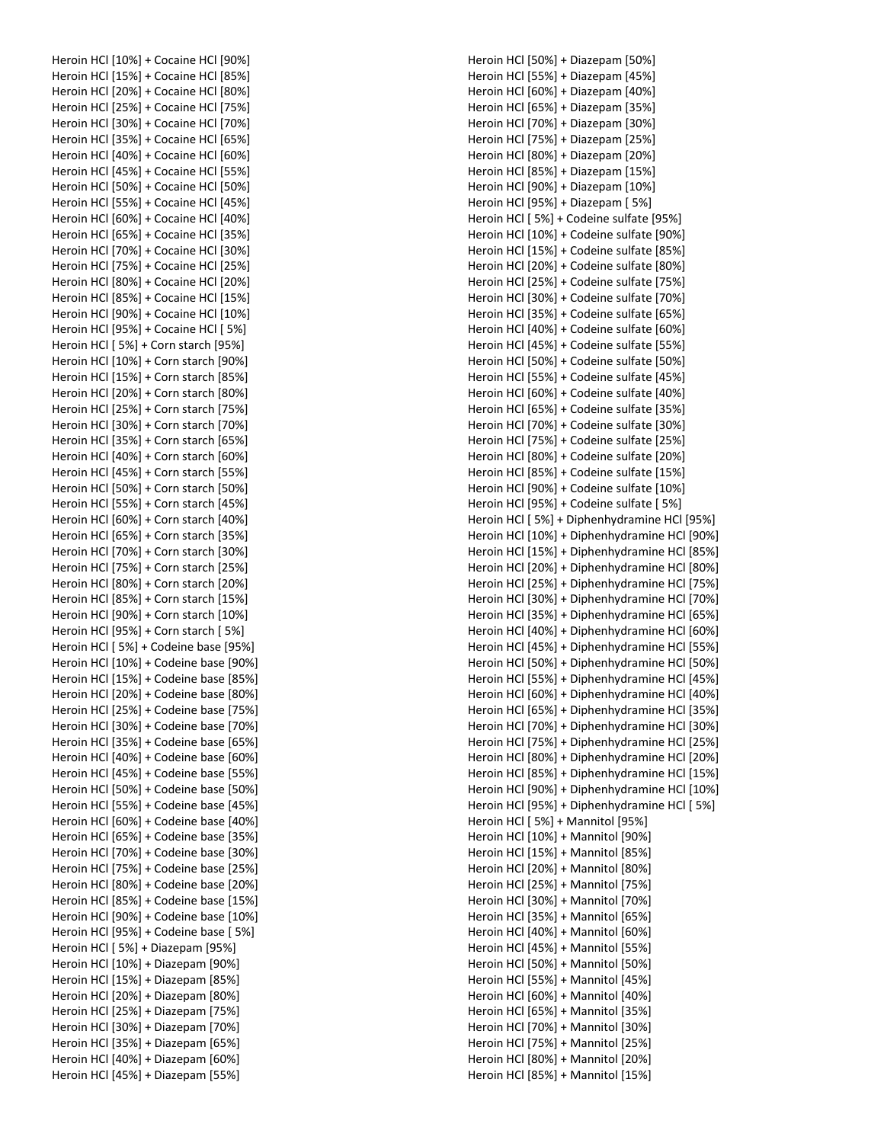|  | Heroin HCl [10%] + Cocaine HCl [90%]  |
|--|---------------------------------------|
|  | Heroin HCl [15%] + Cocaine HCl [85%]  |
|  | Heroin HCl [20%] + Cocaine HCl [80%]  |
|  |                                       |
|  | Heroin HCl [25%] + Cocaine HCl [75%]  |
|  | Heroin HCl [30%] + Cocaine HCl [70%]  |
|  | Heroin HCl [35%] + Cocaine HCl [65%]  |
|  | Heroin HCl [40%] + Cocaine HCl [60%]  |
|  | Heroin HCl [45%] + Cocaine HCl [55%]  |
|  | Heroin HCl [50%] + Cocaine HCl [50%]  |
|  | Heroin HCl [55%] + Cocaine HCl [45%]  |
|  | Heroin HCl [60%] + Cocaine HCl [40%]  |
|  | Heroin HCl [65%] + Cocaine HCl [35%]  |
|  | Heroin HCl [70%] + Cocaine HCl [30%]  |
|  | Heroin HCl [75%] + Cocaine HCl [25%]  |
|  |                                       |
|  | Heroin HCl [80%] + Cocaine HCl [20%]  |
|  | Heroin HCl [85%] + Cocaine HCl [15%]  |
|  | Heroin HCl [90%] + Cocaine HCl [10%]  |
|  | Heroin HCl [95%] + Cocaine HCl [ 5%]  |
|  | Heroin HCl [ 5%] + Corn starch [95%]  |
|  | Heroin HCl [10%] + Corn starch [90%]  |
|  | Heroin HCl [15%] + Corn starch [85%]  |
|  | Heroin HCl [20%] + Corn starch [80%]  |
|  | Heroin HCl [25%] + Corn starch [75%]  |
|  | Heroin HCl [30%] + Corn starch [70%]  |
|  | Heroin HCl [35%] + Corn starch [65%]  |
|  | Heroin HCl [40%] + Corn starch [60%]  |
|  | Heroin HCl [45%] + Corn starch [55%]  |
|  |                                       |
|  | Heroin HCl [50%] + Corn starch [50%]  |
|  | Heroin HCl [55%] + Corn starch [45%]  |
|  | Heroin HCl [60%] + Corn starch [40%]  |
|  | Heroin HCl [65%] + Corn starch [35%]  |
|  | Heroin HCl [70%] + Corn starch [30%]  |
|  | Heroin HCl [75%] + Corn starch [25%]  |
|  | Heroin HCl [80%] + Corn starch [20%]  |
|  | Heroin HCl [85%] + Corn starch [15%]  |
|  | Heroin HCl [90%] + Corn starch [10%]  |
|  | Heroin HCl [95%] + Corn starch [5%]   |
|  | Heroin HCl [ 5%] + Codeine base [95%] |
|  | Heroin HCl [10%] + Codeine base [90%] |
|  | Heroin HCl [15%] + Codeine base [85%] |
|  | Heroin HCl [20%] + Codeine base [80%] |
|  |                                       |
|  | Heroin HCl [25%] + Codeine base [75%] |
|  | Heroin HCl [30%] + Codeine base [70%] |
|  | Heroin HCl [35%] + Codeine base [65%] |
|  | Heroin HCl [40%] + Codeine base [60%] |
|  | Heroin HCl [45%] + Codeine base [55%] |
|  | Heroin HCl [50%] + Codeine base [50%] |
|  | Heroin HCl [55%] + Codeine base [45%] |
|  | Heroin HCl [60%] + Codeine base [40%] |
|  | Heroin HCl [65%] + Codeine base [35%] |
|  | Heroin HCl [70%] + Codeine base [30%] |
|  | Heroin HCl [75%] + Codeine base [25%] |
|  | Heroin HCl [80%] + Codeine base [20%] |
|  | Heroin HCl [85%] + Codeine base [15%] |
|  |                                       |
|  | Heroin HCl [90%] + Codeine base [10%] |
|  | Heroin HCl [95%] + Codeine base [ 5%] |
|  | Heroin HCl [ 5%] + Diazepam [95%]     |
|  | Heroin HCl [10%] + Diazepam [90%]     |
|  | Heroin HCl [15%] + Diazepam [85%]     |
|  | Heroin HCl [20%] + Diazepam [80%]     |
|  | Heroin HCl [25%] + Diazepam [75%]     |
|  | Heroin HCl [30%] + Diazepam [70%]     |
|  | Heroin HCl [35%] + Diazepam [65%]     |
|  | Heroin HCl [40%] + Diazepam [60%]     |
|  | Heroin HCl [45%] + Diazepam [55%]     |
|  |                                       |

Heroin HCl [50%] + Diazepam [50%] Heroin HCl [55%] + Diazepam [45%] Heroin HCl [60%] + Diazepam [40%] Heroin HCl [65%] + Diazepam [35%] Heroin HCl [70%] + Diazepam [30%] Heroin HCl [75%] + Diazepam [25%] Heroin HCl [80%] + Diazepam [20%] Heroin HCl [85%] + Diazepam [15%] Heroin HCl [90%] + Diazepam [10%] Heroin HCl [95%] + Diazepam [ 5%] Heroin HCl [ 5%] + Codeine sulfate [95%] Heroin HCl [10%] + Codeine sulfate [90%] Heroin HCl [15%] + Codeine sulfate [85%] Heroin HCl [20%] + Codeine sulfate [80%] Heroin HCl [25%] + Codeine sulfate [75%] Heroin HCl [30%] + Codeine sulfate [70%] Heroin HCl [35%] + Codeine sulfate [65%] Heroin HCl [40%] + Codeine sulfate [60%] Heroin HCl [45%] + Codeine sulfate [55%] Heroin HCl [50%] + Codeine sulfate [50%] Heroin HCl [55%] + Codeine sulfate [45%] Heroin HCl [60%] + Codeine sulfate [40%] Heroin HCl [65%] + Codeine sulfate [35%] Heroin HCl [70%] + Codeine sulfate [30%] Heroin HCl [75%] + Codeine sulfate [25%] Heroin HCl [80%] + Codeine sulfate [20%] Heroin HCl [85%] + Codeine sulfate [15%] Heroin HCl [90%] + Codeine sulfate [10%] Heroin HCl [95%] + Codeine sulfate [ 5%] Heroin HCl [ 5%] + Diphenhydramine HCl [95%] Heroin HCl [10%] + Diphenhydramine HCl [90%] Heroin HCl [15%] + Diphenhydramine HCl [85%] Heroin HCl [20%] + Diphenhydramine HCl [80%] Heroin HCl [25%] + Diphenhydramine HCl [75%] Heroin HCl [30%] + Diphenhydramine HCl [70%] Heroin HCl [35%] + Diphenhydramine HCl [65%] Heroin HCl [40%] + Diphenhydramine HCl [60%] Heroin HCl [45%] + Diphenhydramine HCl [55%] Heroin HCl [50%] + Diphenhydramine HCl [50%] Heroin HCl [55%] + Diphenhydramine HCl [45%] Heroin HCl [60%] + Diphenhydramine HCl [40%] Heroin HCl [65%] + Diphenhydramine HCl [35%] Heroin HCl [70%] + Diphenhydramine HCl [30%] Heroin HCl [75%] + Diphenhydramine HCl [25%] Heroin HCl [80%] + Diphenhydramine HCl [20%] Heroin HCl [85%] + Diphenhydramine HCl [15%] Heroin HCl [90%] + Diphenhydramine HCl [10%] Heroin HCl [95%] + Diphenhydramine HCl [ 5%] Heroin HCl [ 5%] + Mannitol [95%] Heroin HCl [10%] + Mannitol [90%] Heroin HCl [15%] + Mannitol [85%] Heroin HCl [20%] + Mannitol [80%] Heroin HCl [25%] + Mannitol [75%] Heroin HCl [30%] + Mannitol [70%] Heroin HCl [35%] + Mannitol [65%] Heroin HCl [40%] + Mannitol [60%] Heroin HCl [45%] + Mannitol [55%] Heroin HCl [50%] + Mannitol [50%] Heroin HCl [55%] + Mannitol [45%] Heroin HCl [60%] + Mannitol [40%] Heroin HCl [65%] + Mannitol [35%] Heroin HCl [70%] + Mannitol [30%] Heroin HCl [75%] + Mannitol [25%] Heroin HCl [80%] + Mannitol [20%] Heroin HCl [85%] + Mannitol [15%]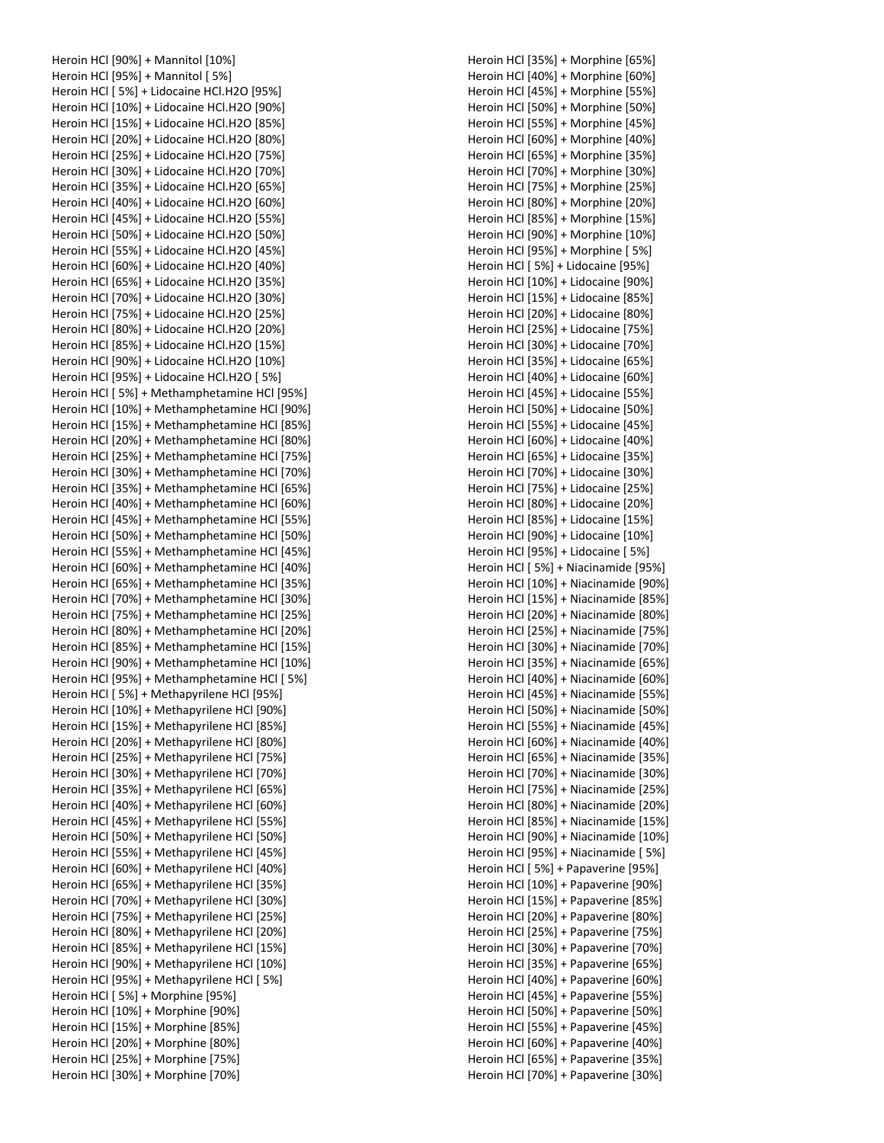Heroin HCl [90%] + Mannitol [10%] Heroin HCl [95%] + Mannitol [ 5%] Heroin HCl [ 5%] + Lidocaine HCl.H2O [95%] Heroin HCl [10%] + Lidocaine HCl.H2O [90%] Heroin HCl [15%] + Lidocaine HCl.H2O [85%] Heroin HCl [20%] + Lidocaine HCl.H2O [80%] Heroin HCl [25%] + Lidocaine HCl.H2O [75%] Heroin HCl [30%] + Lidocaine HCl.H2O [70%] Heroin HCl [35%] + Lidocaine HCl.H2O [65%] Heroin HCl [40%] + Lidocaine HCl.H2O [60%] Heroin HCl [45%] + Lidocaine HCl.H2O [55%] Heroin HCl [50%] + Lidocaine HCl.H2O [50%] Heroin HCl [55%] + Lidocaine HCl.H2O [45%] Heroin HCl [60%] + Lidocaine HCl.H2O [40%] Heroin HCl [65%] + Lidocaine HCl.H2O [35%] Heroin HCl [70%] + Lidocaine HCl.H2O [30%] Heroin HCl [75%] + Lidocaine HCl.H2O [25%] Heroin HCl [80%] + Lidocaine HCl.H2O [20%] Heroin HCl [85%] + Lidocaine HCl.H2O [15%] Heroin HCl [90%] + Lidocaine HCl.H2O [10%] Heroin HCl [95%] + Lidocaine HCl.H2O [ 5%] Heroin HCl [ 5%] + Methamphetamine HCl [95%] Heroin HCl [10%] + Methamphetamine HCl [90%] Heroin HCl [15%] + Methamphetamine HCl [85%] Heroin HCl [20%] + Methamphetamine HCl [80%] Heroin HCl [25%] + Methamphetamine HCl [75%] Heroin HCl [30%] + Methamphetamine HCl [70%] Heroin HCl [35%] + Methamphetamine HCl [65%] Heroin HCl [40%] + Methamphetamine HCl [60%] Heroin HCl [45%] + Methamphetamine HCl [55%] Heroin HCl [50%] + Methamphetamine HCl [50%] Heroin HCl [55%] + Methamphetamine HCl [45%] Heroin HCl [60%] + Methamphetamine HCl [40%] Heroin HCl [65%] + Methamphetamine HCl [35%] Heroin HCl [70%] + Methamphetamine HCl [30%] Heroin HCl [75%] + Methamphetamine HCl [25%] Heroin HCl [80%] + Methamphetamine HCl [20%] Heroin HCl [85%] + Methamphetamine HCl [15%] Heroin HCl [90%] + Methamphetamine HCl [10%] Heroin HCl [95%] + Methamphetamine HCl [ 5%] Heroin HCl [ 5%] + Methapyrilene HCl [95%] Heroin HCl [10%] + Methapyrilene HCl [90%] Heroin HCl [15%] + Methapyrilene HCl [85%] Heroin HCl [20%] + Methapyrilene HCl [80%] Heroin HCl [25%] + Methapyrilene HCl [75%] Heroin HCl [30%] + Methapyrilene HCl [70%] Heroin HCl [35%] + Methapyrilene HCl [65%] Heroin HCl [40%] + Methapyrilene HCl [60%] Heroin HCl [45%] + Methapyrilene HCl [55%] Heroin HCl [50%] + Methapyrilene HCl [50%] Heroin HCl [55%] + Methapyrilene HCl [45%] Heroin HCl [60%] + Methapyrilene HCl [40%] Heroin HCl [65%] + Methapyrilene HCl [35%] Heroin HCl [70%] + Methapyrilene HCl [30%] Heroin HCl [75%] + Methapyrilene HCl [25%] Heroin HCl [80%] + Methapyrilene HCl [20%] Heroin HCl [85%] + Methapyrilene HCl [15%] Heroin HCl [90%] + Methapyrilene HCl [10%] Heroin HCl [95%] + Methapyrilene HCl [ 5%] Heroin HCl [ 5%] + Morphine [95%] Heroin HCl [10%] + Morphine [90%] Heroin HCl [15%] + Morphine [85%] Heroin HCl [20%] + Morphine [80%] Heroin HCl [25%] + Morphine [75%] Heroin HCl [30%] + Morphine [70%]

Heroin HCl [35%] + Morphine [65%] Heroin HCl [40%] + Morphine [60%] Heroin HCl [45%] + Morphine [55%] Heroin HCl [50%] + Morphine [50%] Heroin HCl [55%] + Morphine [45%] Heroin HCl [60%] + Morphine [40%] Heroin HCl [65%] + Morphine [35%] Heroin HCl [70%] + Morphine [30%] Heroin HCl [75%] + Morphine [25%] Heroin HCl [80%] + Morphine [20%] Heroin HCl [85%] + Morphine [15%] Heroin HCl [90%] + Morphine [10%] Heroin HCl [95%] + Morphine [ 5%] Heroin HCl [ 5%] + Lidocaine [95%] Heroin HCl [10%] + Lidocaine [90%] Heroin HCl [15%] + Lidocaine [85%] Heroin HCl [20%] + Lidocaine [80%] Heroin HCl [25%] + Lidocaine [75%] Heroin HCl [30%] + Lidocaine [70%] Heroin HCl [35%] + Lidocaine [65%] Heroin HCl [40%] + Lidocaine [60%] Heroin HCl [45%] + Lidocaine [55%] Heroin HCl [50%] + Lidocaine [50%] Heroin HCl [55%] + Lidocaine [45%] Heroin HCl [60%] + Lidocaine [40%] Heroin HCl [65%] + Lidocaine [35%] Heroin HCl [70%] + Lidocaine [30%] Heroin HCl [75%] + Lidocaine [25%] Heroin HCl [80%] + Lidocaine [20%] Heroin HCl [85%] + Lidocaine [15%] Heroin HCl [90%] + Lidocaine [10%] Heroin HCl [95%] + Lidocaine [ 5%] Heroin HCl [ 5%] + Niacinamide [95%] Heroin HCl [10%] + Niacinamide [90%] Heroin HCl [15%] + Niacinamide [85%] Heroin HCl [20%] + Niacinamide [80%] Heroin HCl [25%] + Niacinamide [75%] Heroin HCl [30%] + Niacinamide [70%] Heroin HCl [35%] + Niacinamide [65%] Heroin HCl [40%] + Niacinamide [60%] Heroin HCl [45%] + Niacinamide [55%] Heroin HCl [50%] + Niacinamide [50%] Heroin HCl [55%] + Niacinamide [45%] Heroin HCl [60%] + Niacinamide [40%] Heroin HCl [65%] + Niacinamide [35%] Heroin HCl [70%] + Niacinamide [30%] Heroin HCl [75%] + Niacinamide [25%] Heroin HCl [80%] + Niacinamide [20%] Heroin HCl [85%] + Niacinamide [15%] Heroin HCl [90%] + Niacinamide [10%] Heroin HCl [95%] + Niacinamide [ 5%] Heroin HCl [ 5%] + Papaverine [95%] Heroin HCl [10%] + Papaverine [90%] Heroin HCl [15%] + Papaverine [85%] Heroin HCl [20%] + Papaverine [80%] Heroin HCl [25%] + Papaverine [75%] Heroin HCl [30%] + Papaverine [70%] Heroin HCl [35%] + Papaverine [65%] Heroin HCl [40%] + Papaverine [60%] Heroin HCl [45%] + Papaverine [55%] Heroin HCl [50%] + Papaverine [50%] Heroin HCl [55%] + Papaverine [45%] Heroin HCl [60%] + Papaverine [40%] Heroin HCl [65%] + Papaverine [35%] Heroin HCl [70%] + Papaverine [30%]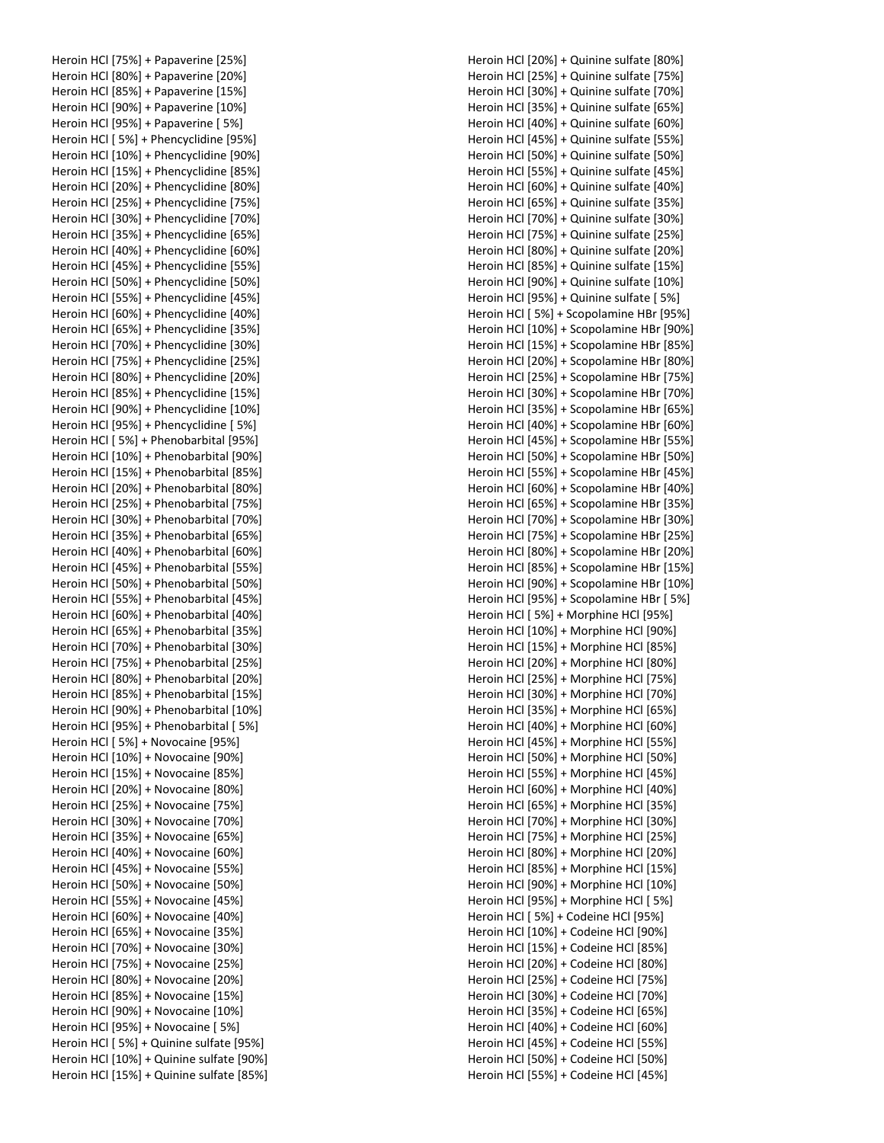|  | Heroin HCl [75%] + Papaverine [25%]      |
|--|------------------------------------------|
|  | Heroin HCl [80%] + Papaverine [20%]      |
|  | Heroin HCl [85%] + Papaverine [15%]      |
|  | Heroin HCl [90%] + Papaverine [10%]      |
|  | Heroin HCl [95%] + Papaverine [ 5%]      |
|  |                                          |
|  | Heroin HCl [ 5%] + Phencyclidine [95%]   |
|  | Heroin HCl [10%] + Phencyclidine [90%]   |
|  | Heroin HCl [15%] + Phencyclidine [85%]   |
|  | Heroin HCl [20%] + Phencyclidine [80%]   |
|  | Heroin HCl [25%] + Phencyclidine [75%]   |
|  | Heroin HCl [30%] + Phencyclidine [70%]   |
|  | Heroin HCl [35%] + Phencyclidine [65%]   |
|  | Heroin HCl [40%] + Phencyclidine [60%]   |
|  | Heroin HCl [45%] + Phencyclidine [55%]   |
|  | Heroin HCl [50%] + Phencyclidine [50%]   |
|  | Heroin HCl [55%] + Phencyclidine [45%]   |
|  | Heroin HCl [60%] + Phencyclidine [40%]   |
|  | Heroin HCl [65%] + Phencyclidine [35%]   |
|  | Heroin HCl [70%] + Phencyclidine [30%]   |
|  | Heroin HCl [75%] + Phencyclidine [25%]   |
|  | Heroin HCl [80%] + Phencyclidine [20%]   |
|  | Heroin HCl [85%] + Phencyclidine [15%]   |
|  | Heroin HCl [90%] + Phencyclidine [10%]   |
|  | Heroin HCl [95%] + Phencyclidine [ 5%]   |
|  | Heroin HCl [5%] + Phenobarbital [95%]    |
|  | Heroin HCl [10%] + Phenobarbital [90%]   |
|  | Heroin HCl [15%] + Phenobarbital [85%]   |
|  | Heroin HCl [20%] + Phenobarbital [80%]   |
|  | Heroin HCl [25%] + Phenobarbital [75%]   |
|  | Heroin HCl [30%] + Phenobarbital [70%]   |
|  | Heroin HCl [35%] + Phenobarbital [65%]   |
|  | Heroin HCl [40%] + Phenobarbital [60%]   |
|  | Heroin HCl [45%] + Phenobarbital [55%]   |
|  | Heroin HCl [50%] + Phenobarbital [50%]   |
|  | Heroin HCl [55%] + Phenobarbital [45%]   |
|  | Heroin HCl [60%] + Phenobarbital [40%]   |
|  | Heroin HCl [65%] + Phenobarbital [35%]   |
|  | Heroin HCl [70%] + Phenobarbital [30%]   |
|  | Heroin HCl [75%] + Phenobarbital [25%]   |
|  | Heroin HCl [80%] + Phenobarbital [20%]   |
|  | Heroin HCl [85%] + Phenobarbital [15%]   |
|  | Heroin HCl [90%] + Phenobarbital [10%]   |
|  | Heroin HCl [95%] + Phenobarbital [5%]    |
|  | Heroin HCl [5%] + Novocaine [95%]        |
|  | Heroin HCl [10%] + Novocaine [90%]       |
|  | Heroin HCl [15%] + Novocaine [85%]       |
|  | Heroin HCl [20%] + Novocaine [80%]       |
|  | Heroin HCl [25%] + Novocaine [75%]       |
|  | Heroin HCl [30%] + Novocaine [70%]       |
|  | Heroin HCl [35%] + Novocaine [65%]       |
|  | Heroin HCl [40%] + Novocaine [60%]       |
|  |                                          |
|  | Heroin HCl [45%] + Novocaine [55%]       |
|  | Heroin HCl [50%] + Novocaine [50%]       |
|  | Heroin HCl [55%] + Novocaine [45%]       |
|  | Heroin HCl [60%] + Novocaine [40%]       |
|  | Heroin HCl [65%] + Novocaine [35%]       |
|  | Heroin HCl [70%] + Novocaine [30%]       |
|  | Heroin HCl [75%] + Novocaine [25%]       |
|  | Heroin HCl [80%] + Novocaine [20%]       |
|  | Heroin HCl [85%] + Novocaine [15%]       |
|  | Heroin HCl [90%] + Novocaine [10%]       |
|  | Heroin HCl [95%] + Novocaine [5%]        |
|  | Heroin HCl [5%] + Quinine sulfate [95%]  |
|  | Heroin HCl [10%] + Quinine sulfate [90%] |
|  | Heroin HCl [15%] + Quinine sulfate [85%] |

Heroin HCl [20%] + Quinine sulfate [80%] Heroin HCl [25%] + Quinine sulfate [75%] Heroin HCl [30%] + Quinine sulfate [70%] Heroin HCl [35%] + Quinine sulfate [65%] Heroin HCl [40%] + Quinine sulfate [60%] Heroin HCl [45%] + Quinine sulfate [55%] Heroin HCl [50%] + Quinine sulfate [50%] Heroin HCl [55%] + Quinine sulfate [45%] Heroin HCl [60%] + Quinine sulfate [40%] Heroin HCl [65%] + Quinine sulfate [35%] Heroin HCl [70%] + Quinine sulfate [30%] Heroin HCl [75%] + Quinine sulfate [25%] Heroin HCl [80%] + Quinine sulfate [20%] Heroin HCl [85%] + Quinine sulfate [15%] Heroin HCl [90%] + Quinine sulfate [10%] Heroin HCl [95%] + Quinine sulfate [ 5%] Heroin HCl [ 5%] + Scopolamine HBr [95%] Heroin HCl [10%] + Scopolamine HBr [90%] Heroin HCl [15%] + Scopolamine HBr [85%] Heroin HCl [20%] + Scopolamine HBr [80%] Heroin HCl [25%] + Scopolamine HBr [75%] Heroin HCl [30%] + Scopolamine HBr [70%] Heroin HCl [35%] + Scopolamine HBr [65%] Heroin HCl [40%] + Scopolamine HBr [60%] Heroin HCl [45%] + Scopolamine HBr [55%] Heroin HCl [50%] + Scopolamine HBr [50%] Heroin HCl [55%] + Scopolamine HBr [45%] Heroin HCl [60%] + Scopolamine HBr [40%] Heroin HCl [65%] + Scopolamine HBr [35%] Heroin HCl [70%] + Scopolamine HBr [30%] Heroin HCl [75%] + Scopolamine HBr [25%] Heroin HCl [80%] + Scopolamine HBr [20%] Heroin HCl [85%] + Scopolamine HBr [15%] Heroin HCl [90%] + Scopolamine HBr [10%] Heroin HCl [95%] + Scopolamine HBr [ 5%] Heroin HCl [ 5%] + Morphine HCl [95%] Heroin HCl [10%] + Morphine HCl [90%] Heroin HCl [15%] + Morphine HCl [85%] Heroin HCl [20%] + Morphine HCl [80%] Heroin HCl [25%] + Morphine HCl [75%] Heroin HCl [30%] + Morphine HCl [70%] Heroin HCl [35%] + Morphine HCl [65%] Heroin HCl [40%] + Morphine HCl [60%] Heroin HCl [45%] + Morphine HCl [55%] Heroin HCl [50%] + Morphine HCl [50%] Heroin HCl [55%] + Morphine HCl [45%] Heroin HCl [60%] + Morphine HCl [40%] Heroin HCl [65%] + Morphine HCl [35%] Heroin HCl [70%] + Morphine HCl [30%] Heroin HCl [75%] + Morphine HCl [25%] Heroin HCl [80%] + Morphine HCl [20%] Heroin HCl [85%] + Morphine HCl [15%] Heroin HCl [90%] + Morphine HCl [10%] Heroin HCl [95%] + Morphine HCl [ 5%] Heroin HCl [ 5%] + Codeine HCl [95%] Heroin HCl [10%] + Codeine HCl [90%] Heroin HCl [15%] + Codeine HCl [85%] Heroin HCl [20%] + Codeine HCl [80%] Heroin HCl [25%] + Codeine HCl [75%] Heroin HCl [30%] + Codeine HCl [70%] Heroin HCl [35%] + Codeine HCl [65%] Heroin HCl [40%] + Codeine HCl [60%] Heroin HCl [45%] + Codeine HCl [55%] Heroin HCl [50%] + Codeine HCl [50%] Heroin HCl [55%] + Codeine HCl [45%]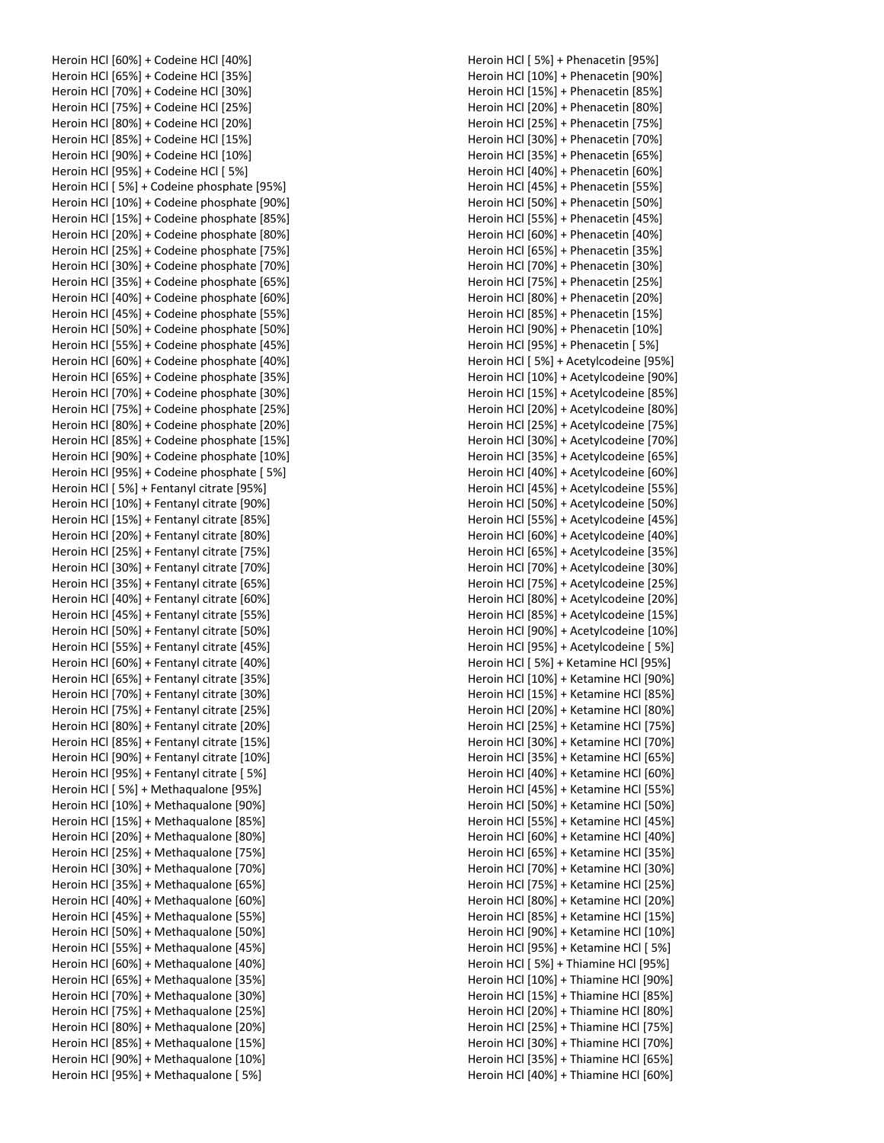Heroin HCl [60%] + Codeine HCl [40%] Heroin HCl [65%] + Codeine HCl [35%] Heroin HCl [70%] + Codeine HCl [30%] Heroin HCl [75%] + Codeine HCl [25%] Heroin HCl [80%] + Codeine HCl [20%] Heroin HCl [85%] + Codeine HCl [15%] Heroin HCl [90%] + Codeine HCl [10%] Heroin HCl [95%] + Codeine HCl [ 5%] Heroin HCl [ 5%] + Codeine phosphate [95%] Heroin HCl [10%] + Codeine phosphate [90%] Heroin HCl [15%] + Codeine phosphate [85%] Heroin HCl [20%] + Codeine phosphate [80%] Heroin HCl [25%] + Codeine phosphate [75%] Heroin HCl [30%] + Codeine phosphate [70%] Heroin HCl [35%] + Codeine phosphate [65%] Heroin HCl [40%] + Codeine phosphate [60%] Heroin HCl [45%] + Codeine phosphate [55%] Heroin HCl [50%] + Codeine phosphate [50%] Heroin HCl [55%] + Codeine phosphate [45%] Heroin HCl [60%] + Codeine phosphate [40%] Heroin HCl [65%] + Codeine phosphate [35%] Heroin HCl [70%] + Codeine phosphate [30%] Heroin HCl [75%] + Codeine phosphate [25%] Heroin HCl [80%] + Codeine phosphate [20%] Heroin HCl [85%] + Codeine phosphate [15%] Heroin HCl [90%] + Codeine phosphate [10%] Heroin HCl [95%] + Codeine phosphate [ 5%] Heroin HCl [ 5%] + Fentanyl citrate [95%] Heroin HCl [10%] + Fentanyl citrate [90%] Heroin HCl [15%] + Fentanyl citrate [85%] Heroin HCl [20%] + Fentanyl citrate [80%] Heroin HCl [25%] + Fentanyl citrate [75%] Heroin HCl [30%] + Fentanyl citrate [70%] Heroin HCl [35%] + Fentanyl citrate [65%] Heroin HCl [40%] + Fentanyl citrate [60%] Heroin HCl [45%] + Fentanyl citrate [55%] Heroin HCl [50%] + Fentanyl citrate [50%] Heroin HCl [55%] + Fentanyl citrate [45%] Heroin HCl [60%] + Fentanyl citrate [40%] Heroin HCl [65%] + Fentanyl citrate [35%] Heroin HCl [70%] + Fentanyl citrate [30%] Heroin HCl [75%] + Fentanyl citrate [25%] Heroin HCl [80%] + Fentanyl citrate [20%] Heroin HCl [85%] + Fentanyl citrate [15%] Heroin HCl [90%] + Fentanyl citrate [10%] Heroin HCl [95%] + Fentanyl citrate [ 5%] Heroin HCl [ 5%] + Methaqualone [95%] Heroin HCl [10%] + Methaqualone [90%] Heroin HCl [15%] + Methaqualone [85%] Heroin HCl [20%] + Methaqualone [80%] Heroin HCl [25%] + Methaqualone [75%] Heroin HCl [30%] + Methaqualone [70%] Heroin HCl [35%] + Methaqualone [65%] Heroin HCl [40%] + Methaqualone [60%] Heroin HCl [45%] + Methaqualone [55%] Heroin HCl [50%] + Methaqualone [50%] Heroin HCl [55%] + Methaqualone [45%] Heroin HCl [60%] + Methaqualone [40%] Heroin HCl [65%] + Methaqualone [35%] Heroin HCl [70%] + Methaqualone [30%] Heroin HCl [75%] + Methaqualone [25%] Heroin HCl [80%] + Methaqualone [20%] Heroin HCl [85%] + Methaqualone [15%] Heroin HCl [90%] + Methaqualone [10%] Heroin HCl [95%] + Methaqualone [ 5%]

Heroin HCl [ 5%] + Phenacetin [95%] Heroin HCl [10%] + Phenacetin [90%] Heroin HCl [15%] + Phenacetin [85%] Heroin HCl [20%] + Phenacetin [80%] Heroin HCl [25%] + Phenacetin [75%] Heroin HCl [30%] + Phenacetin [70%] Heroin HCl [35%] + Phenacetin [65%] Heroin HCl [40%] + Phenacetin [60%] Heroin HCl [45%] + Phenacetin [55%] Heroin HCl [50%] + Phenacetin [50%] Heroin HCl [55%] + Phenacetin [45%] Heroin HCl [60%] + Phenacetin [40%] Heroin HCl [65%] + Phenacetin [35%] Heroin HCl [70%] + Phenacetin [30%] Heroin HCl [75%] + Phenacetin [25%] Heroin HCl [80%] + Phenacetin [20%] Heroin HCl [85%] + Phenacetin [15%] Heroin HCl [90%] + Phenacetin [10%] Heroin HCl [95%] + Phenacetin [ 5%] Heroin HCl [ 5%] + Acetylcodeine [95%] Heroin HCl [10%] + Acetylcodeine [90%] Heroin HCl [15%] + Acetylcodeine [85%] Heroin HCl [20%] + Acetylcodeine [80%] Heroin HCl [25%] + Acetylcodeine [75%] Heroin HCl [30%] + Acetylcodeine [70%] Heroin HCl [35%] + Acetylcodeine [65%] Heroin HCl [40%] + Acetylcodeine [60%] Heroin HCl [45%] + Acetylcodeine [55%] Heroin HCl [50%] + Acetylcodeine [50%] Heroin HCl [55%] + Acetylcodeine [45%] Heroin HCl [60%] + Acetylcodeine [40%] Heroin HCl [65%] + Acetylcodeine [35%] Heroin HCl [70%] + Acetylcodeine [30%] Heroin HCl [75%] + Acetylcodeine [25%] Heroin HCl [80%] + Acetylcodeine [20%] Heroin HCl [85%] + Acetylcodeine [15%] Heroin HCl [90%] + Acetylcodeine [10%] Heroin HCl [95%] + Acetylcodeine [ 5%] Heroin HCl [ 5%] + Ketamine HCl [95%] Heroin HCl [10%] + Ketamine HCl [90%] Heroin HCl [15%] + Ketamine HCl [85%] Heroin HCl [20%] + Ketamine HCl [80%] Heroin HCl [25%] + Ketamine HCl [75%] Heroin HCl [30%] + Ketamine HCl [70%] Heroin HCl [35%] + Ketamine HCl [65%] Heroin HCl [40%] + Ketamine HCl [60%] Heroin HCl [45%] + Ketamine HCl [55%] Heroin HCl [50%] + Ketamine HCl [50%] Heroin HCl [55%] + Ketamine HCl [45%] Heroin HCl [60%] + Ketamine HCl [40%] Heroin HCl [65%] + Ketamine HCl [35%] Heroin HCl [70%] + Ketamine HCl [30%] Heroin HCl [75%] + Ketamine HCl [25%] Heroin HCl [80%] + Ketamine HCl [20%] Heroin HCl [85%] + Ketamine HCl [15%] Heroin HCl [90%] + Ketamine HCl [10%] Heroin HCl [95%] + Ketamine HCl [ 5%] Heroin HCl [ 5%] + Thiamine HCl [95%] Heroin HCl [10%] + Thiamine HCl [90%] Heroin HCl [15%] + Thiamine HCl [85%] Heroin HCl [20%] + Thiamine HCl [80%] Heroin HCl [25%] + Thiamine HCl [75%] Heroin HCl [30%] + Thiamine HCl [70%] Heroin HCl [35%] + Thiamine HCl [65%] Heroin HCl [40%] + Thiamine HCl [60%]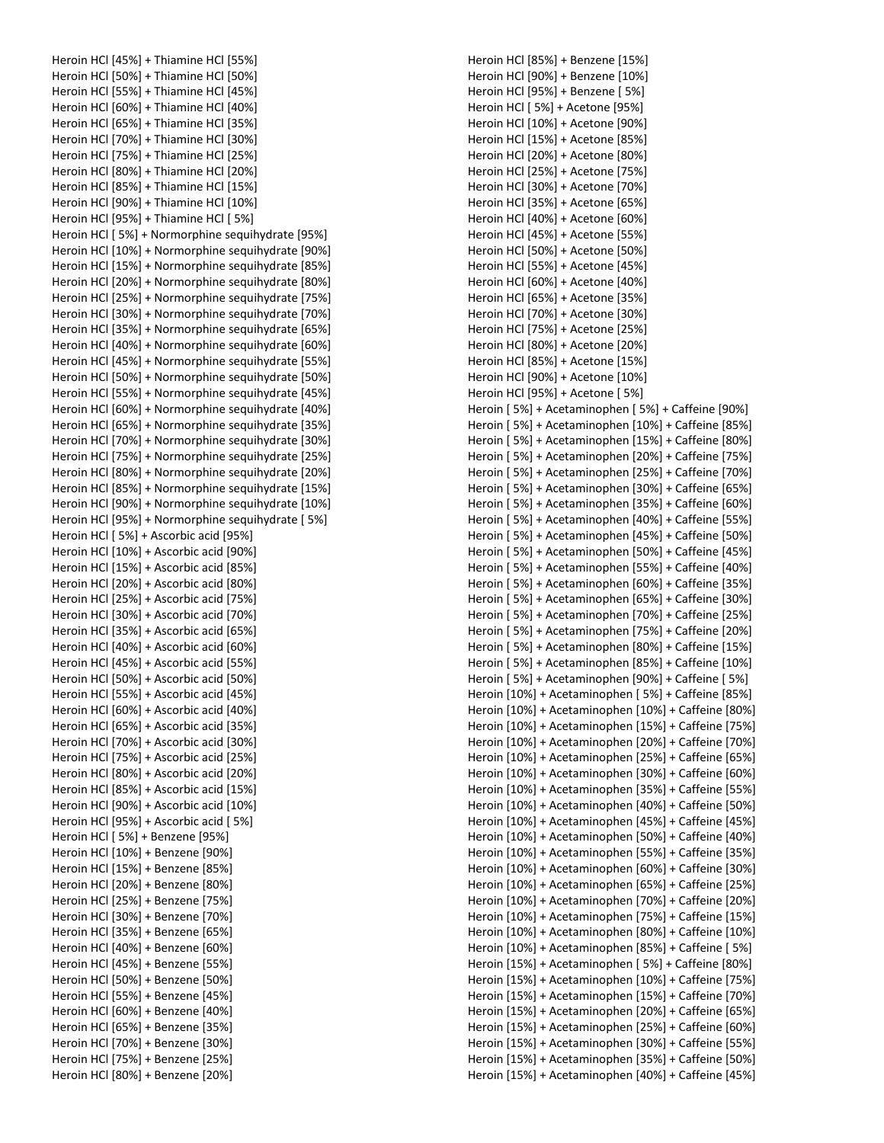Heroin HCl [45%] + Thiamine HCl [55%] Heroin HCl [50%] + Thiamine HCl [50%] Heroin HCl [55%] + Thiamine HCl [45%] Heroin HCl [60%] + Thiamine HCl [40%] Heroin HCl [65%] + Thiamine HCl [35%] Heroin HCl [70%] + Thiamine HCl [30%] Heroin HCl [75%] + Thiamine HCl [25%] Heroin HCl [80%] + Thiamine HCl [20%] Heroin HCl [85%] + Thiamine HCl [15%] Heroin HCl [90%] + Thiamine HCl [10%] Heroin HCl [95%] + Thiamine HCl [ 5%] Heroin HCl [ 5%] + Normorphine sequihydrate [95%] Heroin HCl [10%] + Normorphine sequihydrate [90%] Heroin HCl [15%] + Normorphine sequihydrate [85%] Heroin HCl [20%] + Normorphine sequihydrate [80%] Heroin HCl [25%] + Normorphine sequihydrate [75%] Heroin HCl [30%] + Normorphine sequihydrate [70%] Heroin HCl [35%] + Normorphine sequihydrate [65%] Heroin HCl [40%] + Normorphine sequihydrate [60%] Heroin HCl [45%] + Normorphine sequihydrate [55%] Heroin HCl [50%] + Normorphine sequihydrate [50%] Heroin HCl [55%] + Normorphine sequihydrate [45%] Heroin HCl [60%] + Normorphine sequihydrate [40%] Heroin HCl [65%] + Normorphine sequihydrate [35%] Heroin HCl [70%] + Normorphine sequihydrate [30%] Heroin HCl [75%] + Normorphine sequihydrate [25%] Heroin HCl [80%] + Normorphine sequihydrate [20%] Heroin HCl [85%] + Normorphine sequihydrate [15%] Heroin HCl [90%] + Normorphine sequihydrate [10%] Heroin HCl [95%] + Normorphine sequihydrate [ 5%] Heroin HCl [ 5%] + Ascorbic acid [95%] Heroin HCl [10%] + Ascorbic acid [90%] Heroin HCl [15%] + Ascorbic acid [85%] Heroin HCl [20%] + Ascorbic acid [80%] Heroin HCl [25%] + Ascorbic acid [75%] Heroin HCl [30%] + Ascorbic acid [70%] Heroin HCl [35%] + Ascorbic acid [65%] Heroin HCl [40%] + Ascorbic acid [60%] Heroin HCl [45%] + Ascorbic acid [55%] Heroin HCl [50%] + Ascorbic acid [50%] Heroin HCl [55%] + Ascorbic acid [45%] Heroin HCl [60%] + Ascorbic acid [40%] Heroin HCl [65%] + Ascorbic acid [35%] Heroin HCl [70%] + Ascorbic acid [30%] Heroin HCl [75%] + Ascorbic acid [25%] Heroin HCl [80%] + Ascorbic acid [20%] Heroin HCl [85%] + Ascorbic acid [15%] Heroin HCl [90%] + Ascorbic acid [10%] Heroin HCl [95%] + Ascorbic acid [ 5%] Heroin HCl [ 5%] + Benzene [95%] Heroin HCl [10%] + Benzene [90%] Heroin HCl [15%] + Benzene [85%] Heroin HCl [20%] + Benzene [80%] Heroin HCl [25%] + Benzene [75%] Heroin HCl [30%] + Benzene [70%] Heroin HCl [35%] + Benzene [65%] Heroin HCl [40%] + Benzene [60%] Heroin HCl [45%] + Benzene [55%] Heroin HCl [50%] + Benzene [50%] Heroin HCl [55%] + Benzene [45%] Heroin HCl [60%] + Benzene [40%] Heroin HCl [65%] + Benzene [35%] Heroin HCl [70%] + Benzene [30%] Heroin HCl [75%] + Benzene [25%] Heroin HCl [80%] + Benzene [20%]

Heroin HCl [85%] + Benzene [15%] Heroin HCl [90%] + Benzene [10%] Heroin HCl [95%] + Benzene [ 5%] Heroin HCl [ 5%] + Acetone [95%] Heroin HCl [10%] + Acetone [90%] Heroin HCl [15%] + Acetone [85%] Heroin HCl [20%] + Acetone [80%] Heroin HCl [25%] + Acetone [75%] Heroin HCl [30%] + Acetone [70%] Heroin HCl [35%] + Acetone [65%] Heroin HCl [40%] + Acetone [60%] Heroin HCl [45%] + Acetone [55%] Heroin HCl [50%] + Acetone [50%] Heroin HCl [55%] + Acetone [45%] Heroin HCl [60%] + Acetone [40%] Heroin HCl [65%] + Acetone [35%] Heroin HCl [70%] + Acetone [30%] Heroin HCl [75%] + Acetone [25%] Heroin HCl [80%] + Acetone [20%] Heroin HCl [85%] + Acetone [15%] Heroin HCl [90%] + Acetone [10%] Heroin HCl [95%] + Acetone [ 5%] Heroin [ 5%] + Acetaminophen [ 5%] + Caffeine [90%] Heroin [ 5%] + Acetaminophen [10%] + Caffeine [85%] Heroin [ 5%] + Acetaminophen [15%] + Caffeine [80%] Heroin [ 5%] + Acetaminophen [20%] + Caffeine [75%] Heroin [ 5%] + Acetaminophen [25%] + Caffeine [70%] Heroin [ 5%] + Acetaminophen [30%] + Caffeine [65%] Heroin [ 5%] + Acetaminophen [35%] + Caffeine [60%] Heroin [ 5%] + Acetaminophen [40%] + Caffeine [55%] Heroin [ 5%] + Acetaminophen [45%] + Caffeine [50%] Heroin [ 5%] + Acetaminophen [50%] + Caffeine [45%] Heroin [ 5%] + Acetaminophen [55%] + Caffeine [40%] Heroin [ 5%] + Acetaminophen [60%] + Caffeine [35%] Heroin [ 5%] + Acetaminophen [65%] + Caffeine [30%] Heroin [ 5%] + Acetaminophen [70%] + Caffeine [25%] Heroin [ 5%] + Acetaminophen [75%] + Caffeine [20%] Heroin [ 5%] + Acetaminophen [80%] + Caffeine [15%] Heroin [ 5%] + Acetaminophen [85%] + Caffeine [10%] Heroin [ 5%] + Acetaminophen [90%] + Caffeine [ 5%] Heroin [10%] + Acetaminophen [ 5%] + Caffeine [85%] Heroin [10%] + Acetaminophen [10%] + Caffeine [80%] Heroin [10%] + Acetaminophen [15%] + Caffeine [75%] Heroin [10%] + Acetaminophen [20%] + Caffeine [70%] Heroin [10%] + Acetaminophen [25%] + Caffeine [65%] Heroin [10%] + Acetaminophen [30%] + Caffeine [60%] Heroin [10%] + Acetaminophen [35%] + Caffeine [55%] Heroin [10%] + Acetaminophen [40%] + Caffeine [50%] Heroin [10%] + Acetaminophen [45%] + Caffeine [45%] Heroin [10%] + Acetaminophen [50%] + Caffeine [40%] Heroin [10%] + Acetaminophen [55%] + Caffeine [35%] Heroin [10%] + Acetaminophen [60%] + Caffeine [30%] Heroin [10%] + Acetaminophen [65%] + Caffeine [25%] Heroin [10%] + Acetaminophen [70%] + Caffeine [20%] Heroin [10%] + Acetaminophen [75%] + Caffeine [15%] Heroin [10%] + Acetaminophen [80%] + Caffeine [10%] Heroin [10%] + Acetaminophen [85%] + Caffeine [ 5%] Heroin [15%] + Acetaminophen [ 5%] + Caffeine [80%] Heroin [15%] + Acetaminophen [10%] + Caffeine [75%] Heroin [15%] + Acetaminophen [15%] + Caffeine [70%] Heroin [15%] + Acetaminophen [20%] + Caffeine [65%] Heroin [15%] + Acetaminophen [25%] + Caffeine [60%] Heroin [15%] + Acetaminophen [30%] + Caffeine [55%] Heroin [15%] + Acetaminophen [35%] + Caffeine [50%] Heroin [15%] + Acetaminophen [40%] + Caffeine [45%]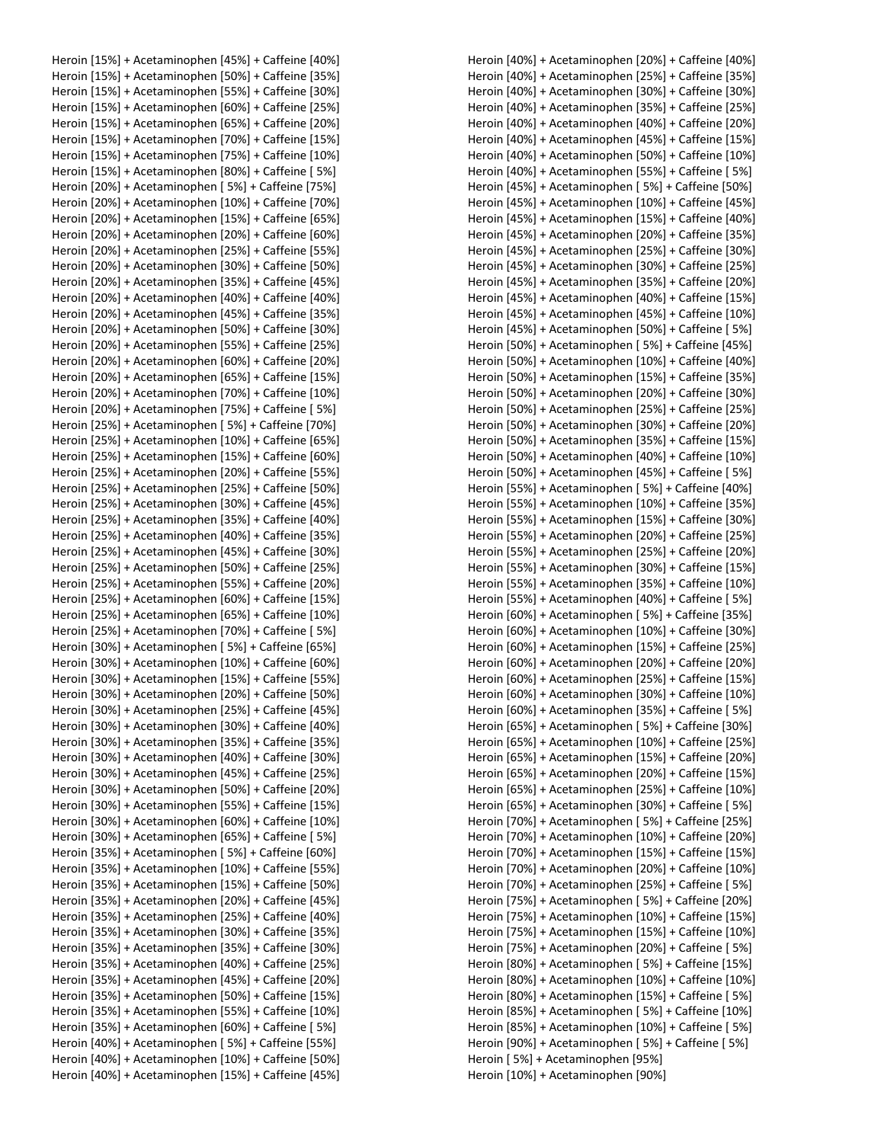Heroin [15%] + Acetaminophen [45%] + Caffeine [40%] Heroin [15%] + Acetaminophen [50%] + Caffeine [35%] Heroin [15%] + Acetaminophen [55%] + Caffeine [30%] Heroin [15%] + Acetaminophen [60%] + Caffeine [25%] Heroin [15%] + Acetaminophen [65%] + Caffeine [20%] Heroin [15%] + Acetaminophen [70%] + Caffeine [15%] Heroin [15%] + Acetaminophen [75%] + Caffeine [10%] Heroin [15%] + Acetaminophen [80%] + Caffeine [ 5%] Heroin [20%] + Acetaminophen [ 5%] + Caffeine [75%] Heroin [20%] + Acetaminophen [10%] + Caffeine [70%] Heroin [20%] + Acetaminophen [15%] + Caffeine [65%] Heroin [20%] + Acetaminophen [20%] + Caffeine [60%] Heroin [20%] + Acetaminophen [25%] + Caffeine [55%] Heroin [20%] + Acetaminophen [30%] + Caffeine [50%] Heroin [20%] + Acetaminophen [35%] + Caffeine [45%] Heroin [20%] + Acetaminophen [40%] + Caffeine [40%] Heroin [20%] + Acetaminophen [45%] + Caffeine [35%] Heroin [20%] + Acetaminophen [50%] + Caffeine [30%] Heroin [20%] + Acetaminophen [55%] + Caffeine [25%] Heroin [20%] + Acetaminophen [60%] + Caffeine [20%] Heroin [20%] + Acetaminophen [65%] + Caffeine [15%] Heroin [20%] + Acetaminophen [70%] + Caffeine [10%] Heroin [20%] + Acetaminophen [75%] + Caffeine [ 5%] Heroin [25%] + Acetaminophen [ 5%] + Caffeine [70%] Heroin [25%] + Acetaminophen [10%] + Caffeine [65%] Heroin [25%] + Acetaminophen [15%] + Caffeine [60%] Heroin [25%] + Acetaminophen [20%] + Caffeine [55%] Heroin [25%] + Acetaminophen [25%] + Caffeine [50%] Heroin [25%] + Acetaminophen [30%] + Caffeine [45%] Heroin [25%] + Acetaminophen [35%] + Caffeine [40%] Heroin [25%] + Acetaminophen [40%] + Caffeine [35%] Heroin [25%] + Acetaminophen [45%] + Caffeine [30%] Heroin [25%] + Acetaminophen [50%] + Caffeine [25%] Heroin [25%] + Acetaminophen [55%] + Caffeine [20%] Heroin [25%] + Acetaminophen [60%] + Caffeine [15%] Heroin [25%] + Acetaminophen [65%] + Caffeine [10%] Heroin [25%] + Acetaminophen [70%] + Caffeine [ 5%] Heroin [30%] + Acetaminophen [ 5%] + Caffeine [65%] Heroin [30%] + Acetaminophen [10%] + Caffeine [60%] Heroin [30%] + Acetaminophen [15%] + Caffeine [55%] Heroin [30%] + Acetaminophen [20%] + Caffeine [50%] Heroin [30%] + Acetaminophen [25%] + Caffeine [45%] Heroin [30%] + Acetaminophen [30%] + Caffeine [40%] Heroin [30%] + Acetaminophen [35%] + Caffeine [35%] Heroin [30%] + Acetaminophen [40%] + Caffeine [30%] Heroin [30%] + Acetaminophen [45%] + Caffeine [25%] Heroin [30%] + Acetaminophen [50%] + Caffeine [20%] Heroin [30%] + Acetaminophen [55%] + Caffeine [15%] Heroin [30%] + Acetaminophen [60%] + Caffeine [10%] Heroin [30%] + Acetaminophen [65%] + Caffeine [ 5%] Heroin [35%] + Acetaminophen [ 5%] + Caffeine [60%] Heroin [35%] + Acetaminophen [10%] + Caffeine [55%] Heroin [35%] + Acetaminophen [15%] + Caffeine [50%] Heroin [35%] + Acetaminophen [20%] + Caffeine [45%] Heroin [35%] + Acetaminophen [25%] + Caffeine [40%] Heroin [35%] + Acetaminophen [30%] + Caffeine [35%] Heroin [35%] + Acetaminophen [35%] + Caffeine [30%] Heroin [35%] + Acetaminophen [40%] + Caffeine [25%] Heroin [35%] + Acetaminophen [45%] + Caffeine [20%] Heroin [35%] + Acetaminophen [50%] + Caffeine [15%] Heroin [35%] + Acetaminophen [55%] + Caffeine [10%] Heroin [35%] + Acetaminophen [60%] + Caffeine [ 5%] Heroin [40%] + Acetaminophen [ 5%] + Caffeine [55%] Heroin [40%] + Acetaminophen [10%] + Caffeine [50%] Heroin [40%] + Acetaminophen [15%] + Caffeine [45%]

Heroin [40%] + Acetaminophen [20%] + Caffeine [40%] Heroin [40%] + Acetaminophen [25%] + Caffeine [35%] Heroin [40%] + Acetaminophen [30%] + Caffeine [30%] Heroin [40%] + Acetaminophen [35%] + Caffeine [25%] Heroin [40%] + Acetaminophen [40%] + Caffeine [20%] Heroin [40%] + Acetaminophen [45%] + Caffeine [15%] Heroin [40%] + Acetaminophen [50%] + Caffeine [10%] Heroin [40%] + Acetaminophen [55%] + Caffeine [ 5%] Heroin [45%] + Acetaminophen [ 5%] + Caffeine [50%] Heroin [45%] + Acetaminophen [10%] + Caffeine [45%] Heroin [45%] + Acetaminophen [15%] + Caffeine [40%] Heroin [45%] + Acetaminophen [20%] + Caffeine [35%] Heroin [45%] + Acetaminophen [25%] + Caffeine [30%] Heroin [45%] + Acetaminophen [30%] + Caffeine [25%] Heroin [45%] + Acetaminophen [35%] + Caffeine [20%] Heroin [45%] + Acetaminophen [40%] + Caffeine [15%] Heroin [45%] + Acetaminophen [45%] + Caffeine [10%] Heroin [45%] + Acetaminophen [50%] + Caffeine [ 5%] Heroin [50%] + Acetaminophen [ 5%] + Caffeine [45%] Heroin [50%] + Acetaminophen [10%] + Caffeine [40%] Heroin [50%] + Acetaminophen [15%] + Caffeine [35%] Heroin [50%] + Acetaminophen [20%] + Caffeine [30%] Heroin [50%] + Acetaminophen [25%] + Caffeine [25%] Heroin [50%] + Acetaminophen [30%] + Caffeine [20%] Heroin [50%] + Acetaminophen [35%] + Caffeine [15%] Heroin [50%] + Acetaminophen [40%] + Caffeine [10%] Heroin [50%] + Acetaminophen [45%] + Caffeine [ 5%] Heroin [55%] + Acetaminophen [ 5%] + Caffeine [40%] Heroin [55%] + Acetaminophen [10%] + Caffeine [35%] Heroin [55%] + Acetaminophen [15%] + Caffeine [30%] Heroin [55%] + Acetaminophen [20%] + Caffeine [25%] Heroin [55%] + Acetaminophen [25%] + Caffeine [20%] Heroin [55%] + Acetaminophen [30%] + Caffeine [15%] Heroin [55%] + Acetaminophen [35%] + Caffeine [10%] Heroin [55%] + Acetaminophen [40%] + Caffeine [ 5%] Heroin [60%] + Acetaminophen [ 5%] + Caffeine [35%] Heroin [60%] + Acetaminophen [10%] + Caffeine [30%] Heroin [60%] + Acetaminophen [15%] + Caffeine [25%] Heroin [60%] + Acetaminophen [20%] + Caffeine [20%] Heroin [60%] + Acetaminophen [25%] + Caffeine [15%] Heroin [60%] + Acetaminophen [30%] + Caffeine [10%] Heroin [60%] + Acetaminophen [35%] + Caffeine [ 5%] Heroin [65%] + Acetaminophen [ 5%] + Caffeine [30%] Heroin [65%] + Acetaminophen [10%] + Caffeine [25%] Heroin [65%] + Acetaminophen [15%] + Caffeine [20%] Heroin [65%] + Acetaminophen [20%] + Caffeine [15%] Heroin [65%] + Acetaminophen [25%] + Caffeine [10%] Heroin [65%] + Acetaminophen [30%] + Caffeine [ 5%] Heroin [70%] + Acetaminophen [ 5%] + Caffeine [25%] Heroin [70%] + Acetaminophen [10%] + Caffeine [20%] Heroin [70%] + Acetaminophen [15%] + Caffeine [15%] Heroin [70%] + Acetaminophen [20%] + Caffeine [10%] Heroin [70%] + Acetaminophen [25%] + Caffeine [ 5%] Heroin [75%] + Acetaminophen [ 5%] + Caffeine [20%] Heroin [75%] + Acetaminophen [10%] + Caffeine [15%] Heroin [75%] + Acetaminophen [15%] + Caffeine [10%] Heroin [75%] + Acetaminophen [20%] + Caffeine [ 5%] Heroin [80%] + Acetaminophen [ 5%] + Caffeine [15%] Heroin [80%] + Acetaminophen [10%] + Caffeine [10%] Heroin [80%] + Acetaminophen [15%] + Caffeine [ 5%] Heroin [85%] + Acetaminophen [ 5%] + Caffeine [10%] Heroin [85%] + Acetaminophen [10%] + Caffeine [ 5%] Heroin [90%] + Acetaminophen [ 5%] + Caffeine [ 5%] Heroin [ 5%] + Acetaminophen [95%] Heroin [10%] + Acetaminophen [90%]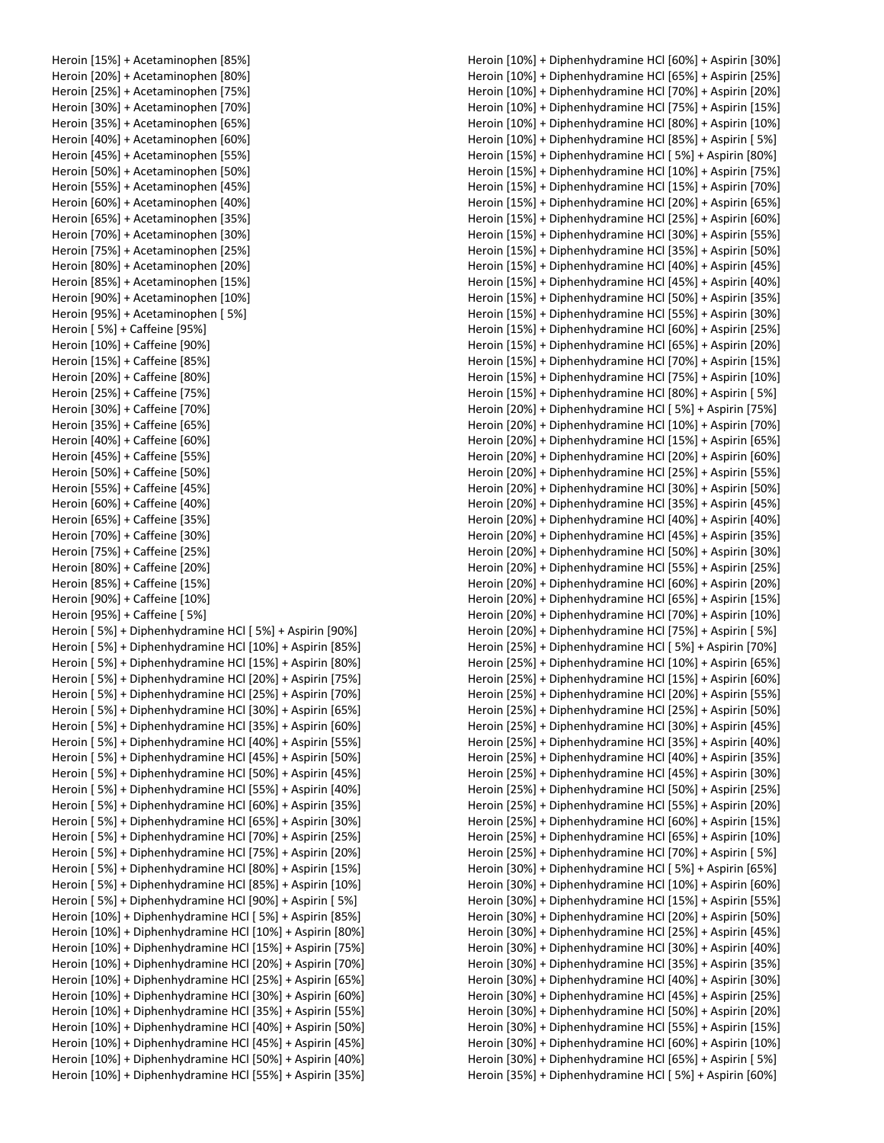Heroin [15%] + Acetaminophen [85%] Heroin [20%] + Acetaminophen [80%] Heroin [25%] + Acetaminophen [75%] Heroin [30%] + Acetaminophen [70%] Heroin [35%] + Acetaminophen [65%] Heroin [40%] + Acetaminophen [60%] Heroin [45%] + Acetaminophen [55%] Heroin [50%] + Acetaminophen [50%] Heroin [55%] + Acetaminophen [45%] Heroin [60%] + Acetaminophen [40%] Heroin [65%] + Acetaminophen [35%] Heroin [70%] + Acetaminophen [30%] Heroin [75%] + Acetaminophen [25%] Heroin [80%] + Acetaminophen [20%] Heroin [85%] + Acetaminophen [15%] Heroin [90%] + Acetaminophen [10%] Heroin [95%] + Acetaminophen [ 5%] Heroin [ 5%] + Caffeine [95%] Heroin [10%] + Caffeine [90%] Heroin [15%] + Caffeine [85%] Heroin [20%] + Caffeine [80%] Heroin [25%] + Caffeine [75%] Heroin [30%] + Caffeine [70%] Heroin [35%] + Caffeine [65%] Heroin [40%] + Caffeine [60%] Heroin [45%] + Caffeine [55%] Heroin [50%] + Caffeine [50%] Heroin [55%] + Caffeine [45%] Heroin [60%] + Caffeine [40%] Heroin [65%] + Caffeine [35%] Heroin [70%] + Caffeine [30%] Heroin [75%] + Caffeine [25%] Heroin [80%] + Caffeine [20%] Heroin [85%] + Caffeine [15%] Heroin [90%] + Caffeine [10%] Heroin [95%] + Caffeine [ 5%] Heroin [ 5%] + Diphenhydramine HCl [ 5%] + Aspirin [90%] Heroin [ 5%] + Diphenhydramine HCl [10%] + Aspirin [85%] Heroin [ 5%] + Diphenhydramine HCl [15%] + Aspirin [80%] Heroin [ 5%] + Diphenhydramine HCl [20%] + Aspirin [75%] Heroin [ 5%] + Diphenhydramine HCl [25%] + Aspirin [70%] Heroin [ 5%] + Diphenhydramine HCl [30%] + Aspirin [65%] Heroin [ 5%] + Diphenhydramine HCl [35%] + Aspirin [60%] Heroin [ 5%] + Diphenhydramine HCl [40%] + Aspirin [55%] Heroin [ 5%] + Diphenhydramine HCl [45%] + Aspirin [50%] Heroin [ 5%] + Diphenhydramine HCl [50%] + Aspirin [45%] Heroin [ 5%] + Diphenhydramine HCl [55%] + Aspirin [40%] Heroin [ 5%] + Diphenhydramine HCl [60%] + Aspirin [35%] Heroin [ 5%] + Diphenhydramine HCl [65%] + Aspirin [30%] Heroin [ 5%] + Diphenhydramine HCl [70%] + Aspirin [25%] Heroin [ 5%] + Diphenhydramine HCl [75%] + Aspirin [20%] Heroin [ 5%] + Diphenhydramine HCl [80%] + Aspirin [15%] Heroin [ 5%] + Diphenhydramine HCl [85%] + Aspirin [10%] Heroin [ 5%] + Diphenhydramine HCl [90%] + Aspirin [ 5%] Heroin [10%] + Diphenhydramine HCl [ 5%] + Aspirin [85%] Heroin [10%] + Diphenhydramine HCl [10%] + Aspirin [80%] Heroin [10%] + Diphenhydramine HCl [15%] + Aspirin [75%] Heroin [10%] + Diphenhydramine HCl [20%] + Aspirin [70%] Heroin [10%] + Diphenhydramine HCl [25%] + Aspirin [65%] Heroin [10%] + Diphenhydramine HCl [30%] + Aspirin [60%] Heroin [10%] + Diphenhydramine HCl [35%] + Aspirin [55%] Heroin [10%] + Diphenhydramine HCl [40%] + Aspirin [50%] Heroin [10%] + Diphenhydramine HCl [45%] + Aspirin [45%] Heroin [10%] + Diphenhydramine HCl [50%] + Aspirin [40%] Heroin [10%] + Diphenhydramine HCl [55%] + Aspirin [35%] Heroin [10%] + Diphenhydramine HCl [60%] + Aspirin [30%] Heroin [10%] + Diphenhydramine HCl [65%] + Aspirin [25%] Heroin [10%] + Diphenhydramine HCl [70%] + Aspirin [20%] Heroin [10%] + Diphenhydramine HCl [75%] + Aspirin [15%] Heroin [10%] + Diphenhydramine HCl [80%] + Aspirin [10%] Heroin [10%] + Diphenhydramine HCl [85%] + Aspirin [ 5%] Heroin [15%] + Diphenhydramine HCl [ 5%] + Aspirin [80%] Heroin [15%] + Diphenhydramine HCl [10%] + Aspirin [75%] Heroin [15%] + Diphenhydramine HCl [15%] + Aspirin [70%] Heroin [15%] + Diphenhydramine HCl [20%] + Aspirin [65%] Heroin [15%] + Diphenhydramine HCl [25%] + Aspirin [60%] Heroin [15%] + Diphenhydramine HCl [30%] + Aspirin [55%] Heroin [15%] + Diphenhydramine HCl [35%] + Aspirin [50%] Heroin [15%] + Diphenhydramine HCl [40%] + Aspirin [45%] Heroin [15%] + Diphenhydramine HCl [45%] + Aspirin [40%] Heroin [15%] + Diphenhydramine HCl [50%] + Aspirin [35%] Heroin [15%] + Diphenhydramine HCl [55%] + Aspirin [30%] Heroin [15%] + Diphenhydramine HCl [60%] + Aspirin [25%] Heroin [15%] + Diphenhydramine HCl [65%] + Aspirin [20%] Heroin [15%] + Diphenhydramine HCl [70%] + Aspirin [15%] Heroin [15%] + Diphenhydramine HCl [75%] + Aspirin [10%] Heroin [15%] + Diphenhydramine HCl [80%] + Aspirin [ 5%] Heroin [20%] + Diphenhydramine HCl [ 5%] + Aspirin [75%] Heroin [20%] + Diphenhydramine HCl [10%] + Aspirin [70%] Heroin [20%] + Diphenhydramine HCl [15%] + Aspirin [65%] Heroin [20%] + Diphenhydramine HCl [20%] + Aspirin [60%] Heroin [20%] + Diphenhydramine HCl [25%] + Aspirin [55%] Heroin [20%] + Diphenhydramine HCl [30%] + Aspirin [50%] Heroin [20%] + Diphenhydramine HCl [35%] + Aspirin [45%] Heroin [20%] + Diphenhydramine HCl [40%] + Aspirin [40%] Heroin [20%] + Diphenhydramine HCl [45%] + Aspirin [35%] Heroin [20%] + Diphenhydramine HCl [50%] + Aspirin [30%] Heroin [20%] + Diphenhydramine HCl [55%] + Aspirin [25%] Heroin [20%] + Diphenhydramine HCl [60%] + Aspirin [20%] Heroin [20%] + Diphenhydramine HCl [65%] + Aspirin [15%] Heroin [20%] + Diphenhydramine HCl [70%] + Aspirin [10%] Heroin [20%] + Diphenhydramine HCl [75%] + Aspirin [ 5%] Heroin [25%] + Diphenhydramine HCl [ 5%] + Aspirin [70%] Heroin [25%] + Diphenhydramine HCl [10%] + Aspirin [65%] Heroin [25%] + Diphenhydramine HCl [15%] + Aspirin [60%] Heroin [25%] + Diphenhydramine HCl [20%] + Aspirin [55%] Heroin [25%] + Diphenhydramine HCl [25%] + Aspirin [50%] Heroin [25%] + Diphenhydramine HCl [30%] + Aspirin [45%] Heroin [25%] + Diphenhydramine HCl [35%] + Aspirin [40%] Heroin [25%] + Diphenhydramine HCl [40%] + Aspirin [35%] Heroin [25%] + Diphenhydramine HCl [45%] + Aspirin [30%] Heroin [25%] + Diphenhydramine HCl [50%] + Aspirin [25%] Heroin [25%] + Diphenhydramine HCl [55%] + Aspirin [20%] Heroin [25%] + Diphenhydramine HCl [60%] + Aspirin [15%] Heroin [25%] + Diphenhydramine HCl [65%] + Aspirin [10%] Heroin [25%] + Diphenhydramine HCl [70%] + Aspirin [ 5%] Heroin [30%] + Diphenhydramine HCl [ 5%] + Aspirin [65%] Heroin [30%] + Diphenhydramine HCl [10%] + Aspirin [60%] Heroin [30%] + Diphenhydramine HCl [15%] + Aspirin [55%] Heroin [30%] + Diphenhydramine HCl [20%] + Aspirin [50%] Heroin [30%] + Diphenhydramine HCl [25%] + Aspirin [45%] Heroin [30%] + Diphenhydramine HCl [30%] + Aspirin [40%] Heroin [30%] + Diphenhydramine HCl [35%] + Aspirin [35%] Heroin [30%] + Diphenhydramine HCl [40%] + Aspirin [30%] Heroin [30%] + Diphenhydramine HCl [45%] + Aspirin [25%] Heroin [30%] + Diphenhydramine HCl [50%] + Aspirin [20%] Heroin [30%] + Diphenhydramine HCl [55%] + Aspirin [15%] Heroin [30%] + Diphenhydramine HCl [60%] + Aspirin [10%] Heroin [30%] + Diphenhydramine HCl [65%] + Aspirin [ 5%] Heroin [35%] + Diphenhydramine HCl [ 5%] + Aspirin [60%]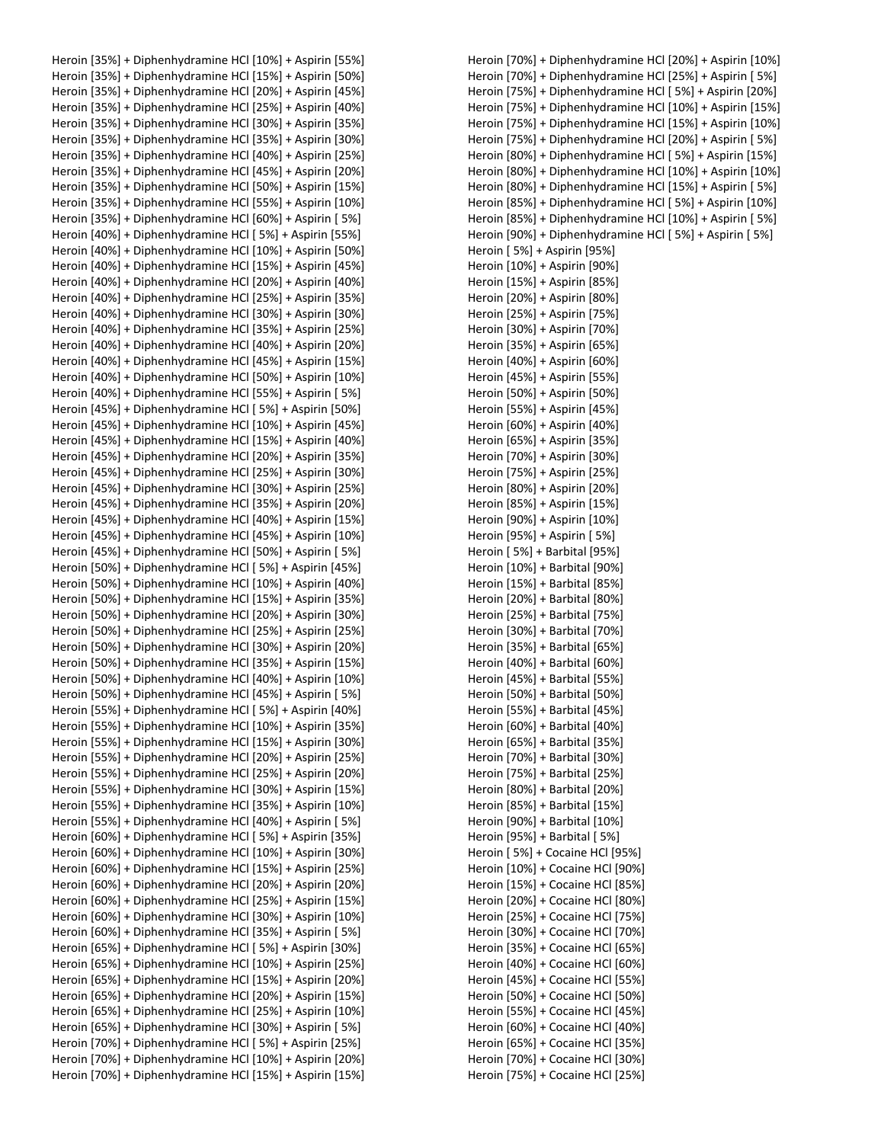Heroin [35%] + Diphenhydramine HCl [10%] + Aspirin [55%] Heroin [35%] + Diphenhydramine HCl [15%] + Aspirin [50%] Heroin [35%] + Diphenhydramine HCl [20%] + Aspirin [45%] Heroin [35%] + Diphenhydramine HCl [25%] + Aspirin [40%] Heroin [35%] + Diphenhydramine HCl [30%] + Aspirin [35%] Heroin [35%] + Diphenhydramine HCl [35%] + Aspirin [30%] Heroin [35%] + Diphenhydramine HCl [40%] + Aspirin [25%] Heroin [35%] + Diphenhydramine HCl [45%] + Aspirin [20%] Heroin [35%] + Diphenhydramine HCl [50%] + Aspirin [15%] Heroin [35%] + Diphenhydramine HCl [55%] + Aspirin [10%] Heroin [35%] + Diphenhydramine HCl [60%] + Aspirin [ 5%] Heroin [40%] + Diphenhydramine HCl [ 5%] + Aspirin [55%] Heroin [40%] + Diphenhydramine HCl [10%] + Aspirin [50%] Heroin [40%] + Diphenhydramine HCl [15%] + Aspirin [45%] Heroin [40%] + Diphenhydramine HCl [20%] + Aspirin [40%] Heroin [40%] + Diphenhydramine HCl [25%] + Aspirin [35%] Heroin [40%] + Diphenhydramine HCl [30%] + Aspirin [30%] Heroin [40%] + Diphenhydramine HCl [35%] + Aspirin [25%] Heroin [40%] + Diphenhydramine HCl [40%] + Aspirin [20%] Heroin [40%] + Diphenhydramine HCl [45%] + Aspirin [15%] Heroin [40%] + Diphenhydramine HCl [50%] + Aspirin [10%] Heroin [40%] + Diphenhydramine HCl [55%] + Aspirin [ 5%] Heroin [45%] + Diphenhydramine HCl [ 5%] + Aspirin [50%] Heroin [45%] + Diphenhydramine HCl [10%] + Aspirin [45%] Heroin [45%] + Diphenhydramine HCl [15%] + Aspirin [40%] Heroin [45%] + Diphenhydramine HCl [20%] + Aspirin [35%] Heroin [45%] + Diphenhydramine HCl [25%] + Aspirin [30%] Heroin [45%] + Diphenhydramine HCl [30%] + Aspirin [25%] Heroin [45%] + Diphenhydramine HCl [35%] + Aspirin [20%] Heroin [45%] + Diphenhydramine HCl [40%] + Aspirin [15%] Heroin [45%] + Diphenhydramine HCl [45%] + Aspirin [10%] Heroin [45%] + Diphenhydramine HCl [50%] + Aspirin [ 5%] Heroin [50%] + Diphenhydramine HCl [ 5%] + Aspirin [45%] Heroin [50%] + Diphenhydramine HCl [10%] + Aspirin [40%] Heroin [50%] + Diphenhydramine HCl [15%] + Aspirin [35%] Heroin [50%] + Diphenhydramine HCl [20%] + Aspirin [30%] Heroin [50%] + Diphenhydramine HCl [25%] + Aspirin [25%] Heroin [50%] + Diphenhydramine HCl [30%] + Aspirin [20%] Heroin [50%] + Diphenhydramine HCl [35%] + Aspirin [15%] Heroin [50%] + Diphenhydramine HCl [40%] + Aspirin [10%] Heroin [50%] + Diphenhydramine HCl [45%] + Aspirin [ 5%] Heroin [55%] + Diphenhydramine HCl [ 5%] + Aspirin [40%] Heroin [55%] + Diphenhydramine HCl [10%] + Aspirin [35%] Heroin [55%] + Diphenhydramine HCl [15%] + Aspirin [30%] Heroin [55%] + Diphenhydramine HCl [20%] + Aspirin [25%] Heroin [55%] + Diphenhydramine HCl [25%] + Aspirin [20%] Heroin [55%] + Diphenhydramine HCl [30%] + Aspirin [15%] Heroin [55%] + Diphenhydramine HCl [35%] + Aspirin [10%] Heroin [55%] + Diphenhydramine HCl [40%] + Aspirin [ 5%] Heroin [60%] + Diphenhydramine HCl [ 5%] + Aspirin [35%] Heroin [60%] + Diphenhydramine HCl [10%] + Aspirin [30%] Heroin [60%] + Diphenhydramine HCl [15%] + Aspirin [25%] Heroin [60%] + Diphenhydramine HCl [20%] + Aspirin [20%] Heroin [60%] + Diphenhydramine HCl [25%] + Aspirin [15%] Heroin [60%] + Diphenhydramine HCl [30%] + Aspirin [10%] Heroin [60%] + Diphenhydramine HCl [35%] + Aspirin [ 5%] Heroin [65%] + Diphenhydramine HCl [ 5%] + Aspirin [30%] Heroin [65%] + Diphenhydramine HCl [10%] + Aspirin [25%] Heroin [65%] + Diphenhydramine HCl [15%] + Aspirin [20%] Heroin [65%] + Diphenhydramine HCl [20%] + Aspirin [15%] Heroin [65%] + Diphenhydramine HCl [25%] + Aspirin [10%] Heroin [65%] + Diphenhydramine HCl [30%] + Aspirin [ 5%] Heroin [70%] + Diphenhydramine HCl [ 5%] + Aspirin [25%] Heroin [70%] + Diphenhydramine HCl [10%] + Aspirin [20%] Heroin [70%] + Diphenhydramine HCl [15%] + Aspirin [15%]

Heroin [70%] + Diphenhydramine HCl [25%] + Aspirin [ 5%] Heroin [75%] + Diphenhydramine HCl [ 5%] + Aspirin [20%] Heroin [75%] + Diphenhydramine HCl [10%] + Aspirin [15%] Heroin [75%] + Diphenhydramine HCl [15%] + Aspirin [10%] Heroin [75%] + Diphenhydramine HCl [20%] + Aspirin [ 5%] Heroin [80%] + Diphenhydramine HCl [ 5%] + Aspirin [15%] Heroin [80%] + Diphenhydramine HCl [10%] + Aspirin [10%] Heroin [80%] + Diphenhydramine HCl [15%] + Aspirin [ 5%] Heroin [85%] + Diphenhydramine HCl [ 5%] + Aspirin [10%] Heroin [85%] + Diphenhydramine HCl [10%] + Aspirin [ 5%] Heroin [90%] + Diphenhydramine HCl [ 5%] + Aspirin [ 5%] Heroin [ 5%] + Aspirin [95%] Heroin [10%] + Aspirin [90%] Heroin [15%] + Aspirin [85%] Heroin [20%] + Aspirin [80%] Heroin [25%] + Aspirin [75%] Heroin [30%] + Aspirin [70%] Heroin [35%] + Aspirin [65%] Heroin [40%] + Aspirin [60%] Heroin [45%] + Aspirin [55%] Heroin [50%] + Aspirin [50%] Heroin [55%] + Aspirin [45%] Heroin [60%] + Aspirin [40%] Heroin [65%] + Aspirin [35%] Heroin [70%] + Aspirin [30%] Heroin [75%] + Aspirin [25%] Heroin [80%] + Aspirin [20%] Heroin [85%] + Aspirin [15%] Heroin [90%] + Aspirin [10%] Heroin [95%] + Aspirin [ 5%] Heroin [ 5%] + Barbital [95%] Heroin [10%] + Barbital [90%] Heroin [15%] + Barbital [85%] Heroin [20%] + Barbital [80%] Heroin [25%] + Barbital [75%] Heroin [30%] + Barbital [70%] Heroin [35%] + Barbital [65%] Heroin [40%] + Barbital [60%] Heroin [45%] + Barbital [55%] Heroin [50%] + Barbital [50%] Heroin [55%] + Barbital [45%] Heroin [60%] + Barbital [40%] Heroin [65%] + Barbital [35%] Heroin [70%] + Barbital [30%] Heroin [75%] + Barbital [25%] Heroin [80%] + Barbital [20%] Heroin [85%] + Barbital [15%] Heroin [90%] + Barbital [10%] Heroin [95%] + Barbital [ 5%] Heroin [ 5%] + Cocaine HCl [95%] Heroin [10%] + Cocaine HCl [90%] Heroin [15%] + Cocaine HCl [85%] Heroin [20%] + Cocaine HCl [80%] Heroin [25%] + Cocaine HCl [75%] Heroin [30%] + Cocaine HCl [70%] Heroin [35%] + Cocaine HCl [65%] Heroin [40%] + Cocaine HCl [60%] Heroin [45%] + Cocaine HCl [55%] Heroin [50%] + Cocaine HCl [50%] Heroin [55%] + Cocaine HCl [45%] Heroin [60%] + Cocaine HCl [40%] Heroin [65%] + Cocaine HCl [35%] Heroin [70%] + Cocaine HCl [30%] Heroin [75%] + Cocaine HCl [25%]

Heroin [70%] + Diphenhydramine HCl [20%] + Aspirin [10%]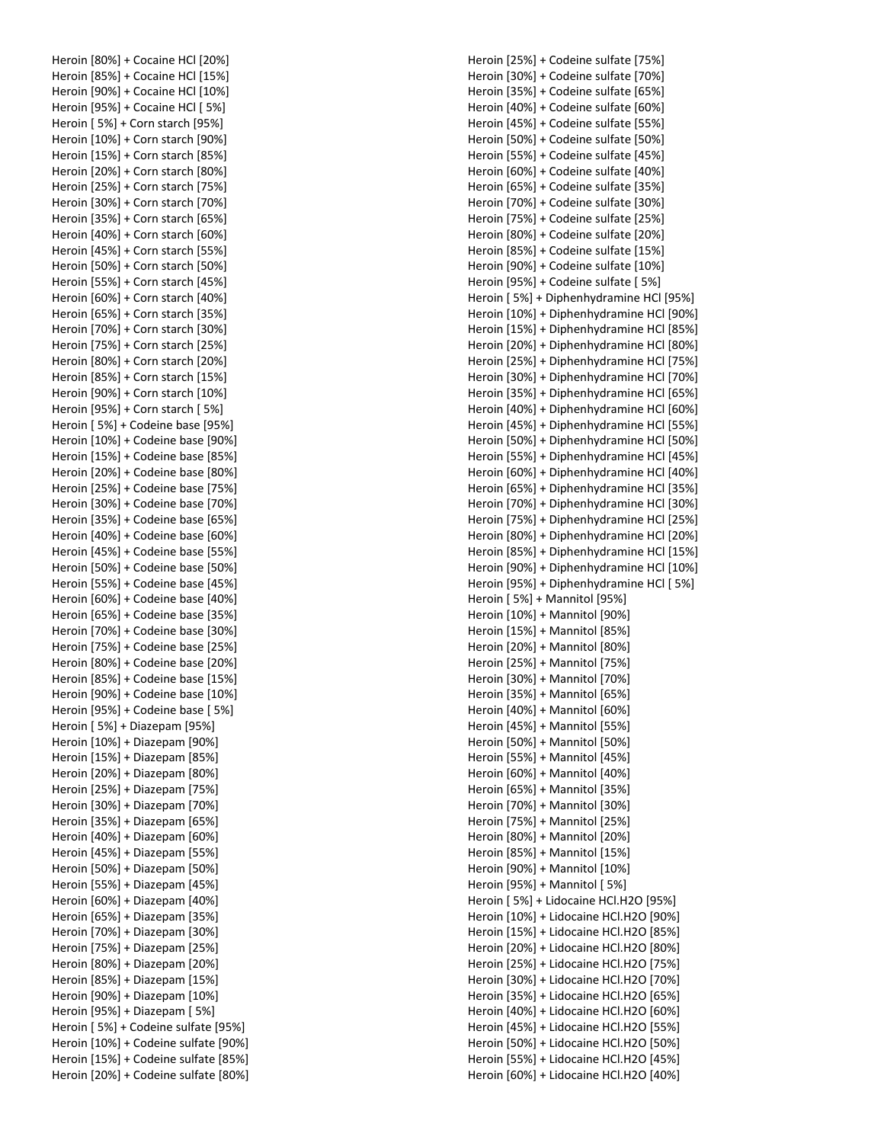Heroin [80%] + Cocaine HCl [20%] Heroin [85%] + Cocaine HCl [15%] Heroin [90%] + Cocaine HCl [10%] Heroin [95%] + Cocaine HCl [ 5%] Heroin [ 5%] + Corn starch [95%] Heroin [10%] + Corn starch [90%] Heroin [15%] + Corn starch [85%] Heroin [20%] + Corn starch [80%] Heroin [25%] + Corn starch [75%] Heroin [30%] + Corn starch [70%] Heroin [35%] + Corn starch [65%] Heroin [40%] + Corn starch [60%] Heroin [45%] + Corn starch [55%] Heroin [50%] + Corn starch [50%] Heroin [55%] + Corn starch [45%] Heroin [60%] + Corn starch [40%] Heroin [65%] + Corn starch [35%] Heroin [70%] + Corn starch [30%] Heroin [75%] + Corn starch [25%] Heroin [80%] + Corn starch [20%] Heroin [85%] + Corn starch [15%] Heroin [90%] + Corn starch [10%] Heroin [95%] + Corn starch [ 5%] Heroin [ 5%] + Codeine base [95%] Heroin [10%] + Codeine base [90%] Heroin [15%] + Codeine base [85%] Heroin [20%] + Codeine base [80%] Heroin [25%] + Codeine base [75%] Heroin [30%] + Codeine base [70%] Heroin [35%] + Codeine base [65%] Heroin [40%] + Codeine base [60%] Heroin [45%] + Codeine base [55%] Heroin [50%] + Codeine base [50%] Heroin [55%] + Codeine base [45%] Heroin [60%] + Codeine base [40%] Heroin [65%] + Codeine base [35%] Heroin [70%] + Codeine base [30%] Heroin [75%] + Codeine base [25%] Heroin [80%] + Codeine base [20%] Heroin [85%] + Codeine base [15%] Heroin [90%] + Codeine base [10%] Heroin [95%] + Codeine base [ 5%] Heroin [ 5%] + Diazepam [95%] Heroin [10%] + Diazepam [90%] Heroin [15%] + Diazepam [85%] Heroin [20%] + Diazepam [80%] Heroin [25%] + Diazepam [75%] Heroin [30%] + Diazepam [70%] Heroin [35%] + Diazepam [65%] Heroin [40%] + Diazepam [60%] Heroin [45%] + Diazepam [55%] Heroin [50%] + Diazepam [50%] Heroin [55%] + Diazepam [45%] Heroin [60%] + Diazepam [40%] Heroin [65%] + Diazepam [35%] Heroin [70%] + Diazepam [30%] Heroin [75%] + Diazepam [25%] Heroin [80%] + Diazepam [20%] Heroin [85%] + Diazepam [15%] Heroin [90%] + Diazepam [10%] Heroin [95%] + Diazepam [ 5%] Heroin [ 5%] + Codeine sulfate [95%] Heroin [10%] + Codeine sulfate [90%] Heroin [15%] + Codeine sulfate [85%] Heroin [20%] + Codeine sulfate [80%] Heroin [25%] + Codeine sulfate [75%] Heroin [30%] + Codeine sulfate [70%] Heroin [35%] + Codeine sulfate [65%] Heroin [40%] + Codeine sulfate [60%] Heroin [45%] + Codeine sulfate [55%] Heroin [50%] + Codeine sulfate [50%] Heroin [55%] + Codeine sulfate [45%] Heroin [60%] + Codeine sulfate [40%] Heroin [65%] + Codeine sulfate [35%] Heroin [70%] + Codeine sulfate [30%] Heroin [75%] + Codeine sulfate [25%] Heroin [80%] + Codeine sulfate [20%] Heroin [85%] + Codeine sulfate [15%] Heroin [90%] + Codeine sulfate [10%] Heroin [95%] + Codeine sulfate [ 5%] Heroin [ 5%] + Diphenhydramine HCl [95%] Heroin [10%] + Diphenhydramine HCl [90%] Heroin [15%] + Diphenhydramine HCl [85%] Heroin [20%] + Diphenhydramine HCl [80%] Heroin [25%] + Diphenhydramine HCl [75%] Heroin [30%] + Diphenhydramine HCl [70%] Heroin [35%] + Diphenhydramine HCl [65%] Heroin [40%] + Diphenhydramine HCl [60%] Heroin [45%] + Diphenhydramine HCl [55%] Heroin [50%] + Diphenhydramine HCl [50%] Heroin [55%] + Diphenhydramine HCl [45%] Heroin [60%] + Diphenhydramine HCl [40%] Heroin [65%] + Diphenhydramine HCl [35%] Heroin [70%] + Diphenhydramine HCl [30%] Heroin [75%] + Diphenhydramine HCl [25%] Heroin [80%] + Diphenhydramine HCl [20%] Heroin [85%] + Diphenhydramine HCl [15%] Heroin [90%] + Diphenhydramine HCl [10%] Heroin [95%] + Diphenhydramine HCl [ 5%] Heroin [ 5%] + Mannitol [95%] Heroin [10%] + Mannitol [90%] Heroin [15%] + Mannitol [85%] Heroin [20%] + Mannitol [80%] Heroin [25%] + Mannitol [75%] Heroin [30%] + Mannitol [70%] Heroin [35%] + Mannitol [65%] Heroin [40%] + Mannitol [60%] Heroin [45%] + Mannitol [55%] Heroin [50%] + Mannitol [50%] Heroin [55%] + Mannitol [45%] Heroin [60%] + Mannitol [40%] Heroin [65%] + Mannitol [35%] Heroin [70%] + Mannitol [30%] Heroin [75%] + Mannitol [25%] Heroin [80%] + Mannitol [20%] Heroin [85%] + Mannitol [15%] Heroin [90%] + Mannitol [10%] Heroin [95%] + Mannitol [ 5%] Heroin [ 5%] + Lidocaine HCl.H2O [95%] Heroin [10%] + Lidocaine HCl.H2O [90%] Heroin [15%] + Lidocaine HCl.H2O [85%] Heroin [20%] + Lidocaine HCl.H2O [80%] Heroin [25%] + Lidocaine HCl.H2O [75%] Heroin [30%] + Lidocaine HCl.H2O [70%] Heroin [35%] + Lidocaine HCl.H2O [65%] Heroin [40%] + Lidocaine HCl.H2O [60%] Heroin [45%] + Lidocaine HCl.H2O [55%] Heroin [50%] + Lidocaine HCl.H2O [50%] Heroin [55%] + Lidocaine HCl.H2O [45%] Heroin [60%] + Lidocaine HCl.H2O [40%]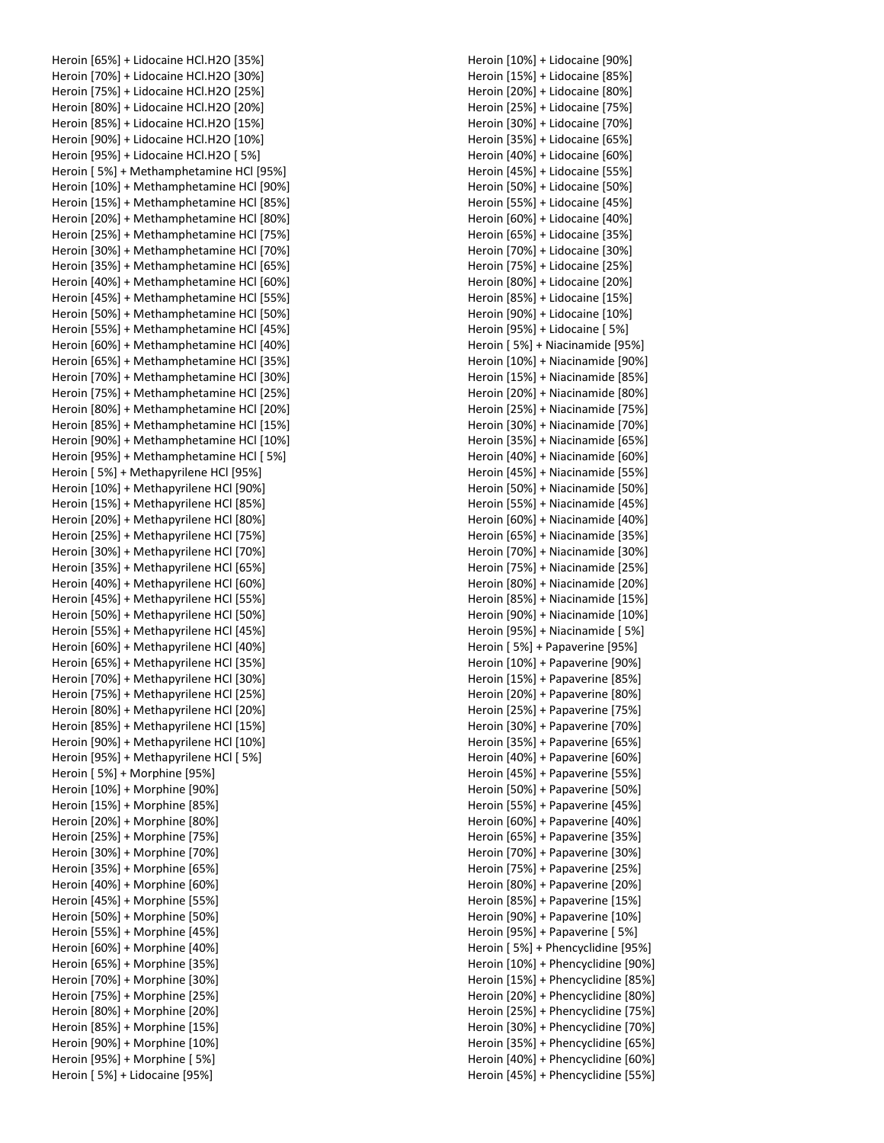Heroin [65%] + Lidocaine HCl.H2O [35%] Heroin [70%] + Lidocaine HCl.H2O [30%] Heroin [75%] + Lidocaine HCl.H2O [25%] Heroin [80%] + Lidocaine HCl.H2O [20%] Heroin [85%] + Lidocaine HCl.H2O [15%] Heroin [90%] + Lidocaine HCl.H2O [10%] Heroin [95%] + Lidocaine HCl.H2O [ 5%] Heroin [ 5%] + Methamphetamine HCl [95%] Heroin [10%] + Methamphetamine HCl [90%] Heroin [15%] + Methamphetamine HCl [85%] Heroin [20%] + Methamphetamine HCl [80%] Heroin [25%] + Methamphetamine HCl [75%] Heroin [30%] + Methamphetamine HCl [70%] Heroin [35%] + Methamphetamine HCl [65%] Heroin [40%] + Methamphetamine HCl [60%] Heroin [45%] + Methamphetamine HCl [55%] Heroin [50%] + Methamphetamine HCl [50%] Heroin [55%] + Methamphetamine HCl [45%] Heroin [60%] + Methamphetamine HCl [40%] Heroin [65%] + Methamphetamine HCl [35%] Heroin [70%] + Methamphetamine HCl [30%] Heroin [75%] + Methamphetamine HCl [25%] Heroin [80%] + Methamphetamine HCl [20%] Heroin [85%] + Methamphetamine HCl [15%] Heroin [90%] + Methamphetamine HCl [10%] Heroin [95%] + Methamphetamine HCl [ 5%] Heroin [ 5%] + Methapyrilene HCl [95%] Heroin [10%] + Methapyrilene HCl [90%] Heroin [15%] + Methapyrilene HCl [85%] Heroin [20%] + Methapyrilene HCl [80%] Heroin [25%] + Methapyrilene HCl [75%] Heroin [30%] + Methapyrilene HCl [70%] Heroin [35%] + Methapyrilene HCl [65%] Heroin [40%] + Methapyrilene HCl [60%] Heroin [45%] + Methapyrilene HCl [55%] Heroin [50%] + Methapyrilene HCl [50%] Heroin [55%] + Methapyrilene HCl [45%] Heroin [60%] + Methapyrilene HCl [40%] Heroin [65%] + Methapyrilene HCl [35%] Heroin [70%] + Methapyrilene HCl [30%] Heroin [75%] + Methapyrilene HCl [25%] Heroin [80%] + Methapyrilene HCl [20%] Heroin [85%] + Methapyrilene HCl [15%] Heroin [90%] + Methapyrilene HCl [10%] Heroin [95%] + Methapyrilene HCl [ 5%] Heroin [ 5%] + Morphine [95%] Heroin [10%] + Morphine [90%] Heroin [15%] + Morphine [85%] Heroin [20%] + Morphine [80%] Heroin [25%] + Morphine [75%] Heroin [30%] + Morphine [70%] Heroin [35%] + Morphine [65%] Heroin [40%] + Morphine [60%] Heroin [45%] + Morphine [55%] Heroin [50%] + Morphine [50%] Heroin [55%] + Morphine [45%] Heroin [60%] + Morphine [40%] Heroin [65%] + Morphine [35%] Heroin [70%] + Morphine [30%] Heroin [75%] + Morphine [25%] Heroin [80%] + Morphine [20%] Heroin [85%] + Morphine [15%] Heroin [90%] + Morphine [10%] Heroin [95%] + Morphine [ 5%] Heroin [ 5%] + Lidocaine [95%]

Heroin [10%] + Lidocaine [90%] Heroin [15%] + Lidocaine [85%] Heroin [20%] + Lidocaine [80%] Heroin [25%] + Lidocaine [75%] Heroin [30%] + Lidocaine [70%] Heroin [35%] + Lidocaine [65%] Heroin [40%] + Lidocaine [60%] Heroin [45%] + Lidocaine [55%] Heroin [50%] + Lidocaine [50%] Heroin [55%] + Lidocaine [45%] Heroin [60%] + Lidocaine [40%] Heroin [65%] + Lidocaine [35%] Heroin [70%] + Lidocaine [30%] Heroin [75%] + Lidocaine [25%] Heroin [80%] + Lidocaine [20%] Heroin [85%] + Lidocaine [15%] Heroin [90%] + Lidocaine [10%] Heroin [95%] + Lidocaine [ 5%] Heroin [ 5%] + Niacinamide [95%] Heroin [10%] + Niacinamide [90%] Heroin [15%] + Niacinamide [85%] Heroin [20%] + Niacinamide [80%] Heroin [25%] + Niacinamide [75%] Heroin [30%] + Niacinamide [70%] Heroin [35%] + Niacinamide [65%] Heroin [40%] + Niacinamide [60%] Heroin [45%] + Niacinamide [55%] Heroin [50%] + Niacinamide [50%] Heroin [55%] + Niacinamide [45%] Heroin [60%] + Niacinamide [40%] Heroin [65%] + Niacinamide [35%] Heroin [70%] + Niacinamide [30%] Heroin [75%] + Niacinamide [25%] Heroin [80%] + Niacinamide [20%] Heroin [85%] + Niacinamide [15%] Heroin [90%] + Niacinamide [10%] Heroin [95%] + Niacinamide [ 5%] Heroin [ 5%] + Papaverine [95%] Heroin [10%] + Papaverine [90%] Heroin [15%] + Papaverine [85%] Heroin [20%] + Papaverine [80%] Heroin [25%] + Papaverine [75%] Heroin [30%] + Papaverine [70%] Heroin [35%] + Papaverine [65%] Heroin [40%] + Papaverine [60%] Heroin [45%] + Papaverine [55%] Heroin [50%] + Papaverine [50%] Heroin [55%] + Papaverine [45%] Heroin [60%] + Papaverine [40%] Heroin [65%] + Papaverine [35%] Heroin [70%] + Papaverine [30%] Heroin [75%] + Papaverine [25%] Heroin [80%] + Papaverine [20%] Heroin [85%] + Papaverine [15%] Heroin [90%] + Papaverine [10%] Heroin [95%] + Papaverine [ 5%] Heroin [ 5%] + Phencyclidine [95%] Heroin [10%] + Phencyclidine [90%] Heroin [15%] + Phencyclidine [85%] Heroin [20%] + Phencyclidine [80%] Heroin [25%] + Phencyclidine [75%] Heroin [30%] + Phencyclidine [70%] Heroin [35%] + Phencyclidine [65%] Heroin [40%] + Phencyclidine [60%] Heroin [45%] + Phencyclidine [55%]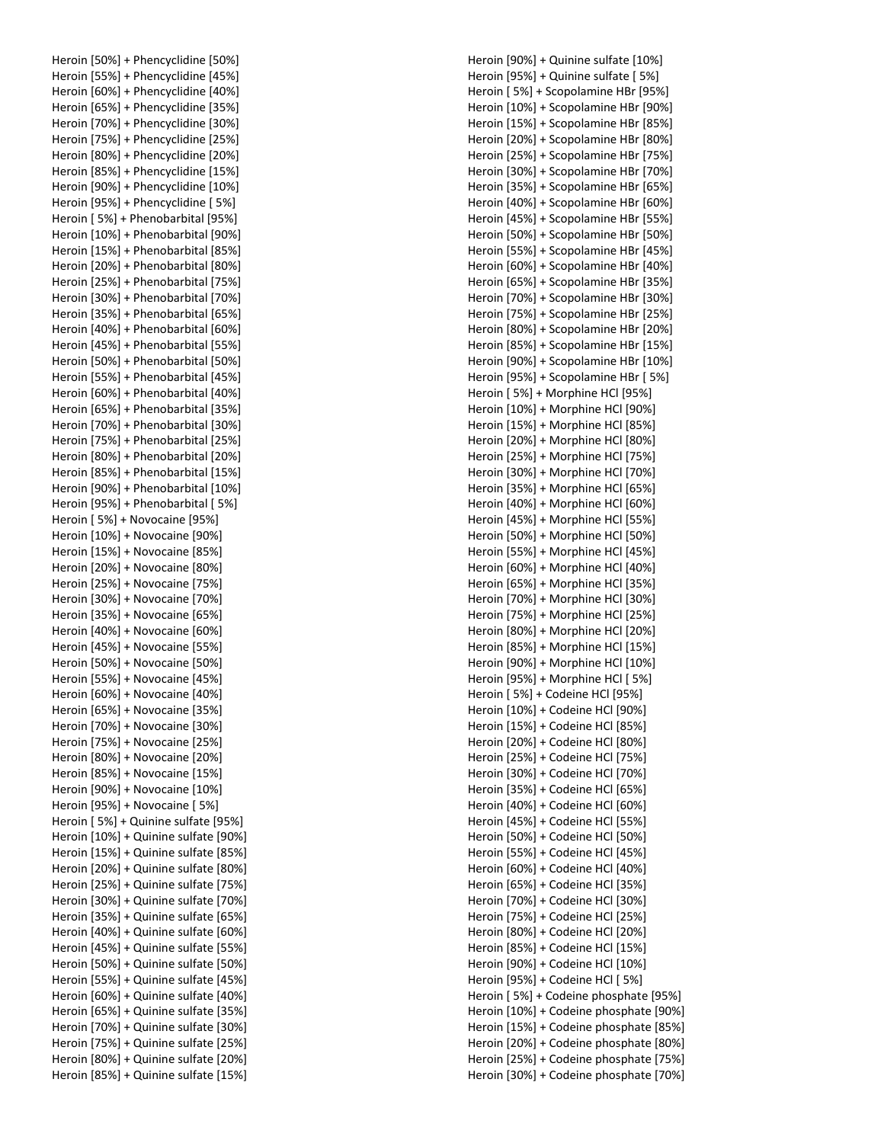Heroin [50%] + Phencyclidine [50%] Heroin [55%] + Phencyclidine [45%] Heroin [60%] + Phencyclidine [40%] Heroin [65%] + Phencyclidine [35%] Heroin [70%] + Phencyclidine [30%] Heroin [75%] + Phencyclidine [25%] Heroin [80%] + Phencyclidine [20%] Heroin [85%] + Phencyclidine [15%] Heroin [90%] + Phencyclidine [10%] Heroin [95%] + Phencyclidine [ 5%] Heroin [ 5%] + Phenobarbital [95%] Heroin [10%] + Phenobarbital [90%] Heroin [15%] + Phenobarbital [85%] Heroin [20%] + Phenobarbital [80%] Heroin [25%] + Phenobarbital [75%] Heroin [30%] + Phenobarbital [70%] Heroin [35%] + Phenobarbital [65%] Heroin [40%] + Phenobarbital [60%] Heroin [45%] + Phenobarbital [55%] Heroin [50%] + Phenobarbital [50%] Heroin [55%] + Phenobarbital [45%] Heroin [60%] + Phenobarbital [40%] Heroin [65%] + Phenobarbital [35%] Heroin [70%] + Phenobarbital [30%] Heroin [75%] + Phenobarbital [25%] Heroin [80%] + Phenobarbital [20%] Heroin [85%] + Phenobarbital [15%] Heroin [90%] + Phenobarbital [10%] Heroin [95%] + Phenobarbital [ 5%] Heroin [ 5%] + Novocaine [95%] Heroin [10%] + Novocaine [90%] Heroin [15%] + Novocaine [85%] Heroin [20%] + Novocaine [80%] Heroin [25%] + Novocaine [75%] Heroin [30%] + Novocaine [70%] Heroin [35%] + Novocaine [65%] Heroin [40%] + Novocaine [60%] Heroin [45%] + Novocaine [55%] Heroin [50%] + Novocaine [50%] Heroin [55%] + Novocaine [45%] Heroin [60%] + Novocaine [40%] Heroin [65%] + Novocaine [35%] Heroin [70%] + Novocaine [30%] Heroin [75%] + Novocaine [25%] Heroin [80%] + Novocaine [20%] Heroin [85%] + Novocaine [15%] Heroin [90%] + Novocaine [10%] Heroin [95%] + Novocaine [ 5%] Heroin [ 5%] + Quinine sulfate [95%] Heroin [10%] + Quinine sulfate [90%] Heroin [15%] + Quinine sulfate [85%] Heroin [20%] + Quinine sulfate [80%] Heroin [25%] + Quinine sulfate [75%] Heroin [30%] + Quinine sulfate [70%] Heroin [35%] + Quinine sulfate [65%] Heroin [40%] + Quinine sulfate [60%] Heroin [45%] + Quinine sulfate [55%] Heroin [50%] + Quinine sulfate [50%] Heroin [55%] + Quinine sulfate [45%] Heroin [60%] + Quinine sulfate [40%] Heroin [65%] + Quinine sulfate [35%] Heroin [70%] + Quinine sulfate [30%] Heroin [75%] + Quinine sulfate [25%] Heroin [80%] + Quinine sulfate [20%] Heroin [85%] + Quinine sulfate [15%] Heroin [90%] + Quinine sulfate [10%] Heroin [95%] + Quinine sulfate [ 5%] Heroin [ 5%] + Scopolamine HBr [95%] Heroin [10%] + Scopolamine HBr [90%] Heroin [15%] + Scopolamine HBr [85%] Heroin [20%] + Scopolamine HBr [80%] Heroin [25%] + Scopolamine HBr [75%] Heroin [30%] + Scopolamine HBr [70%] Heroin [35%] + Scopolamine HBr [65%] Heroin [40%] + Scopolamine HBr [60%] Heroin [45%] + Scopolamine HBr [55%] Heroin [50%] + Scopolamine HBr [50%] Heroin [55%] + Scopolamine HBr [45%] Heroin [60%] + Scopolamine HBr [40%] Heroin [65%] + Scopolamine HBr [35%] Heroin [70%] + Scopolamine HBr [30%] Heroin [75%] + Scopolamine HBr [25%] Heroin [80%] + Scopolamine HBr [20%] Heroin [85%] + Scopolamine HBr [15%] Heroin [90%] + Scopolamine HBr [10%] Heroin [95%] + Scopolamine HBr [ 5%] Heroin [ 5%] + Morphine HCl [95%] Heroin [10%] + Morphine HCl [90%] Heroin [15%] + Morphine HCl [85%] Heroin [20%] + Morphine HCl [80%] Heroin [25%] + Morphine HCl [75%] Heroin [30%] + Morphine HCl [70%] Heroin [35%] + Morphine HCl [65%] Heroin [40%] + Morphine HCl [60%] Heroin [45%] + Morphine HCl [55%] Heroin [50%] + Morphine HCl [50%] Heroin [55%] + Morphine HCl [45%] Heroin [60%] + Morphine HCl [40%] Heroin [65%] + Morphine HCl [35%] Heroin [70%] + Morphine HCl [30%] Heroin [75%] + Morphine HCl [25%] Heroin [80%] + Morphine HCl [20%] Heroin [85%] + Morphine HCl [15%] Heroin [90%] + Morphine HCl [10%] Heroin [95%] + Morphine HCl [ 5%] Heroin [ 5%] + Codeine HCl [95%] Heroin [10%] + Codeine HCl [90%] Heroin [15%] + Codeine HCl [85%] Heroin [20%] + Codeine HCl [80%] Heroin [25%] + Codeine HCl [75%] Heroin [30%] + Codeine HCl [70%] Heroin [35%] + Codeine HCl [65%] Heroin [40%] + Codeine HCl [60%] Heroin [45%] + Codeine HCl [55%] Heroin [50%] + Codeine HCl [50%] Heroin [55%] + Codeine HCl [45%] Heroin [60%] + Codeine HCl [40%] Heroin [65%] + Codeine HCl [35%] Heroin [70%] + Codeine HCl [30%] Heroin [75%] + Codeine HCl [25%] Heroin [80%] + Codeine HCl [20%] Heroin [85%] + Codeine HCl [15%] Heroin [90%] + Codeine HCl [10%] Heroin [95%] + Codeine HCl [ 5%] Heroin [ 5%] + Codeine phosphate [95%] Heroin [10%] + Codeine phosphate [90%] Heroin [15%] + Codeine phosphate [85%] Heroin [20%] + Codeine phosphate [80%] Heroin [25%] + Codeine phosphate [75%] Heroin [30%] + Codeine phosphate [70%]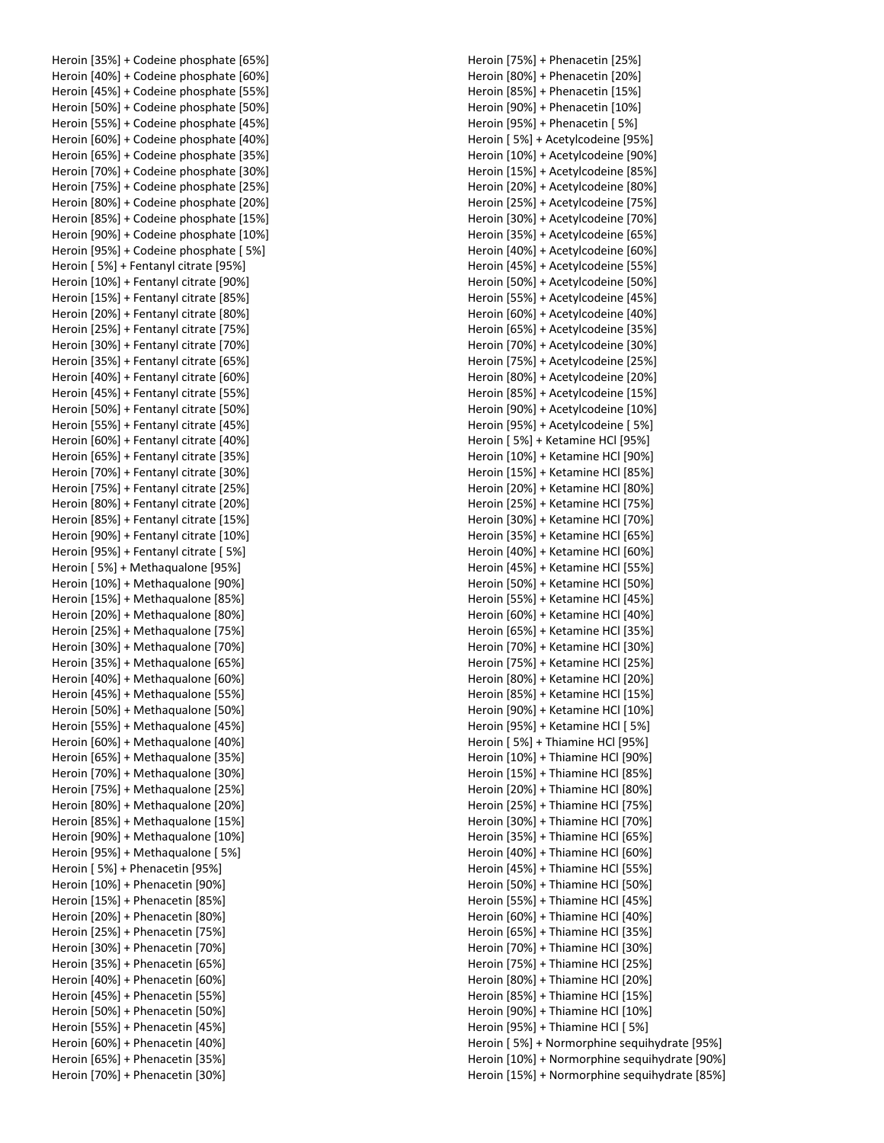Heroin [35%] + Codeine phosphate [65%] Heroin [40%] + Codeine phosphate [60%] Heroin [45%] + Codeine phosphate [55%] Heroin [50%] + Codeine phosphate [50%] Heroin [55%] + Codeine phosphate [45%] Heroin [60%] + Codeine phosphate [40%] Heroin [65%] + Codeine phosphate [35%] Heroin [70%] + Codeine phosphate [30%] Heroin [75%] + Codeine phosphate [25%] Heroin [80%] + Codeine phosphate [20%] Heroin [85%] + Codeine phosphate [15%] Heroin [90%] + Codeine phosphate [10%] Heroin [95%] + Codeine phosphate [ 5%] Heroin [ 5%] + Fentanyl citrate [95%] Heroin [10%] + Fentanyl citrate [90%] Heroin [15%] + Fentanyl citrate [85%] Heroin [20%] + Fentanyl citrate [80%] Heroin [25%] + Fentanyl citrate [75%] Heroin [30%] + Fentanyl citrate [70%] Heroin [35%] + Fentanyl citrate [65%] Heroin [40%] + Fentanyl citrate [60%] Heroin [45%] + Fentanyl citrate [55%] Heroin [50%] + Fentanyl citrate [50%] Heroin [55%] + Fentanyl citrate [45%] Heroin [60%] + Fentanyl citrate [40%] Heroin [65%] + Fentanyl citrate [35%] Heroin [70%] + Fentanyl citrate [30%] Heroin [75%] + Fentanyl citrate [25%] Heroin [80%] + Fentanyl citrate [20%] Heroin [85%] + Fentanyl citrate [15%] Heroin [90%] + Fentanyl citrate [10%] Heroin [95%] + Fentanyl citrate [ 5%] Heroin [ 5%] + Methaqualone [95%] Heroin [10%] + Methaqualone [90%] Heroin [15%] + Methaqualone [85%] Heroin [20%] + Methaqualone [80%] Heroin [25%] + Methaqualone [75%] Heroin [30%] + Methaqualone [70%] Heroin [35%] + Methaqualone [65%] Heroin [40%] + Methaqualone [60%] Heroin [45%] + Methaqualone [55%] Heroin [50%] + Methaqualone [50%] Heroin [55%] + Methaqualone [45%] Heroin [60%] + Methaqualone [40%] Heroin [65%] + Methaqualone [35%] Heroin [70%] + Methaqualone [30%] Heroin [75%] + Methaqualone [25%] Heroin [80%] + Methaqualone [20%] Heroin [85%] + Methaqualone [15%] Heroin [90%] + Methaqualone [10%] Heroin [95%] + Methaqualone [ 5%] Heroin [ 5%] + Phenacetin [95%] Heroin [10%] + Phenacetin [90%] Heroin [15%] + Phenacetin [85%] Heroin [20%] + Phenacetin [80%] Heroin [25%] + Phenacetin [75%] Heroin [30%] + Phenacetin [70%] Heroin [35%] + Phenacetin [65%] Heroin [40%] + Phenacetin [60%] Heroin [45%] + Phenacetin [55%] Heroin [50%] + Phenacetin [50%] Heroin [55%] + Phenacetin [45%] Heroin [60%] + Phenacetin [40%] Heroin [65%] + Phenacetin [35%] Heroin [70%] + Phenacetin [30%]

Heroin [75%] + Phenacetin [25%] Heroin [80%] + Phenacetin [20%] Heroin [85%] + Phenacetin [15%] Heroin [90%] + Phenacetin [10%] Heroin [95%] + Phenacetin [ 5%] Heroin [ 5%] + Acetylcodeine [95%] Heroin [10%] + Acetylcodeine [90%] Heroin [15%] + Acetylcodeine [85%] Heroin [20%] + Acetylcodeine [80%] Heroin [25%] + Acetylcodeine [75%] Heroin [30%] + Acetylcodeine [70%] Heroin [35%] + Acetylcodeine [65%] Heroin [40%] + Acetylcodeine [60%] Heroin [45%] + Acetylcodeine [55%] Heroin [50%] + Acetylcodeine [50%] Heroin [55%] + Acetylcodeine [45%] Heroin [60%] + Acetylcodeine [40%] Heroin [65%] + Acetylcodeine [35%] Heroin [70%] + Acetylcodeine [30%] Heroin [75%] + Acetylcodeine [25%] Heroin [80%] + Acetylcodeine [20%] Heroin [85%] + Acetylcodeine [15%] Heroin [90%] + Acetylcodeine [10%] Heroin [95%] + Acetylcodeine [ 5%] Heroin [ 5%] + Ketamine HCl [95%] Heroin [10%] + Ketamine HCl [90%] Heroin [15%] + Ketamine HCl [85%] Heroin [20%] + Ketamine HCl [80%] Heroin [25%] + Ketamine HCl [75%] Heroin [30%] + Ketamine HCl [70%] Heroin [35%] + Ketamine HCl [65%] Heroin [40%] + Ketamine HCl [60%] Heroin [45%] + Ketamine HCl [55%] Heroin [50%] + Ketamine HCl [50%] Heroin [55%] + Ketamine HCl [45%] Heroin [60%] + Ketamine HCl [40%] Heroin [65%] + Ketamine HCl [35%] Heroin [70%] + Ketamine HCl [30%] Heroin [75%] + Ketamine HCl [25%] Heroin [80%] + Ketamine HCl [20%] Heroin [85%] + Ketamine HCl [15%] Heroin [90%] + Ketamine HCl [10%] Heroin [95%] + Ketamine HCl [ 5%] Heroin [ 5%] + Thiamine HCl [95%] Heroin [10%] + Thiamine HCl [90%] Heroin [15%] + Thiamine HCl [85%] Heroin [20%] + Thiamine HCl [80%] Heroin [25%] + Thiamine HCl [75%] Heroin [30%] + Thiamine HCl [70%] Heroin [35%] + Thiamine HCl [65%] Heroin [40%] + Thiamine HCl [60%] Heroin [45%] + Thiamine HCl [55%] Heroin [50%] + Thiamine HCl [50%] Heroin [55%] + Thiamine HCl [45%] Heroin [60%] + Thiamine HCl [40%] Heroin [65%] + Thiamine HCl [35%] Heroin [70%] + Thiamine HCl [30%] Heroin [75%] + Thiamine HCl [25%] Heroin [80%] + Thiamine HCl [20%] Heroin [85%] + Thiamine HCl [15%] Heroin [90%] + Thiamine HCl [10%] Heroin [95%] + Thiamine HCl [ 5%] Heroin [ 5%] + Normorphine sequihydrate [95%] Heroin [10%] + Normorphine sequihydrate [90%] Heroin [15%] + Normorphine sequihydrate [85%]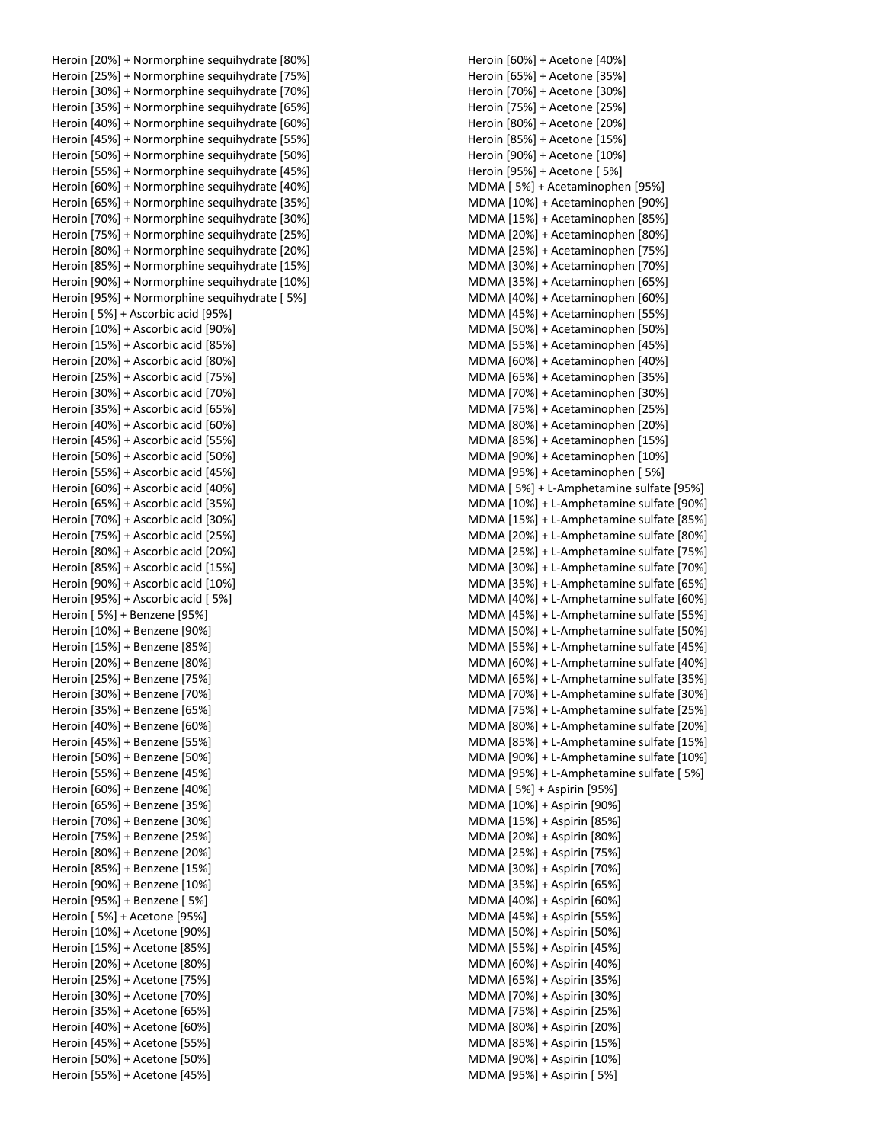Heroin [20%] + Normorphine sequihydrate [80%] Heroin [25%] + Normorphine sequihydrate [75%] Heroin [30%] + Normorphine sequihydrate [70%] Heroin [35%] + Normorphine sequihydrate [65%] Heroin [40%] + Normorphine sequihydrate [60%] Heroin [45%] + Normorphine sequihydrate [55%] Heroin [50%] + Normorphine sequihydrate [50%] Heroin [55%] + Normorphine sequihydrate [45%] Heroin [60%] + Normorphine sequihydrate [40%] Heroin [65%] + Normorphine sequihydrate [35%] Heroin [70%] + Normorphine sequihydrate [30%] Heroin [75%] + Normorphine sequihydrate [25%] Heroin [80%] + Normorphine sequihydrate [20%] Heroin [85%] + Normorphine sequihydrate [15%] Heroin [90%] + Normorphine sequihydrate [10%] Heroin [95%] + Normorphine sequihydrate [ 5%] Heroin [ 5%] + Ascorbic acid [95%] Heroin [10%] + Ascorbic acid [90%] Heroin [15%] + Ascorbic acid [85%] Heroin [20%] + Ascorbic acid [80%] Heroin [25%] + Ascorbic acid [75%] Heroin [30%] + Ascorbic acid [70%] Heroin [35%] + Ascorbic acid [65%] Heroin [40%] + Ascorbic acid [60%] Heroin [45%] + Ascorbic acid [55%] Heroin [50%] + Ascorbic acid [50%] Heroin [55%] + Ascorbic acid [45%] Heroin [60%] + Ascorbic acid [40%] Heroin [65%] + Ascorbic acid [35%] Heroin [70%] + Ascorbic acid [30%] Heroin [75%] + Ascorbic acid [25%] Heroin [80%] + Ascorbic acid [20%] Heroin [85%] + Ascorbic acid [15%] Heroin [90%] + Ascorbic acid [10%] Heroin [95%] + Ascorbic acid [ 5%] Heroin [ 5%] + Benzene [95%] Heroin [10%] + Benzene [90%] Heroin [15%] + Benzene [85%] Heroin [20%] + Benzene [80%] Heroin [25%] + Benzene [75%] Heroin [30%] + Benzene [70%] Heroin [35%] + Benzene [65%] Heroin [40%] + Benzene [60%] Heroin [45%] + Benzene [55%] Heroin [50%] + Benzene [50%] Heroin [55%] + Benzene [45%] Heroin [60%] + Benzene [40%] Heroin [65%] + Benzene [35%] Heroin [70%] + Benzene [30%] Heroin [75%] + Benzene [25%] Heroin [80%] + Benzene [20%] Heroin [85%] + Benzene [15%] Heroin [90%] + Benzene [10%] Heroin [95%] + Benzene [ 5%] Heroin [ 5%] + Acetone [95%] Heroin [10%] + Acetone [90%] Heroin [15%] + Acetone [85%] Heroin [20%] + Acetone [80%] Heroin [25%] + Acetone [75%] Heroin [30%] + Acetone [70%] Heroin [35%] + Acetone [65%] Heroin [40%] + Acetone [60%] Heroin [45%] + Acetone [55%] Heroin [50%] + Acetone [50%] Heroin [55%] + Acetone [45%]

Heroin [60%] + Acetone [40%] Heroin [65%] + Acetone [35%] Heroin [70%] + Acetone [30%] Heroin [75%] + Acetone [25%] Heroin [80%] + Acetone [20%] Heroin [85%] + Acetone [15%] Heroin [90%] + Acetone [10%] Heroin [95%] + Acetone [ 5%] MDMA [ 5%] + Acetaminophen [95%] MDMA [10%] + Acetaminophen [90%] MDMA [15%] + Acetaminophen [85%] MDMA [20%] + Acetaminophen [80%] MDMA [25%] + Acetaminophen [75%] MDMA [30%] + Acetaminophen [70%] MDMA [35%] + Acetaminophen [65%] MDMA [40%] + Acetaminophen [60%] MDMA [45%] + Acetaminophen [55%] MDMA [50%] + Acetaminophen [50%] MDMA [55%] + Acetaminophen [45%] MDMA [60%] + Acetaminophen [40%] MDMA [65%] + Acetaminophen [35%] MDMA [70%] + Acetaminophen [30%] MDMA [75%] + Acetaminophen [25%] MDMA [80%] + Acetaminophen [20%] MDMA [85%] + Acetaminophen [15%] MDMA [90%] + Acetaminophen [10%] MDMA [95%] + Acetaminophen [ 5%] MDMA [ 5%] + L-Amphetamine sulfate [95%] MDMA [10%] + L-Amphetamine sulfate [90%] MDMA [15%] + L-Amphetamine sulfate [85%] MDMA [20%] + L-Amphetamine sulfate [80%] MDMA [25%] + L-Amphetamine sulfate [75%] MDMA [30%] + L-Amphetamine sulfate [70%] MDMA [35%] + L-Amphetamine sulfate [65%] MDMA [40%] + L-Amphetamine sulfate [60%] MDMA [45%] + L-Amphetamine sulfate [55%] MDMA [50%] + L-Amphetamine sulfate [50%] MDMA [55%] + L-Amphetamine sulfate [45%] MDMA [60%] + L-Amphetamine sulfate [40%] MDMA [65%] + L-Amphetamine sulfate [35%] MDMA [70%] + L-Amphetamine sulfate [30%] MDMA [75%] + L-Amphetamine sulfate [25%] MDMA [80%] + L-Amphetamine sulfate [20%] MDMA [85%] + L-Amphetamine sulfate [15%] MDMA [90%] + L-Amphetamine sulfate [10%] MDMA [95%] + L-Amphetamine sulfate [ 5%] MDMA [ 5%] + Aspirin [95%] MDMA [10%] + Aspirin [90%] MDMA [15%] + Aspirin [85%] MDMA [20%] + Aspirin [80%] MDMA [25%] + Aspirin [75%] MDMA [30%] + Aspirin [70%] MDMA [35%] + Aspirin [65%] MDMA [40%] + Aspirin [60%] MDMA [45%] + Aspirin [55%] MDMA [50%] + Aspirin [50%] MDMA [55%] + Aspirin [45%] MDMA [60%] + Aspirin [40%] MDMA [65%] + Aspirin [35%] MDMA [70%] + Aspirin [30%] MDMA [75%] + Aspirin [25%] MDMA [80%] + Aspirin [20%] MDMA [85%] + Aspirin [15%] MDMA [90%] + Aspirin [10%] MDMA [95%] + Aspirin [ 5%]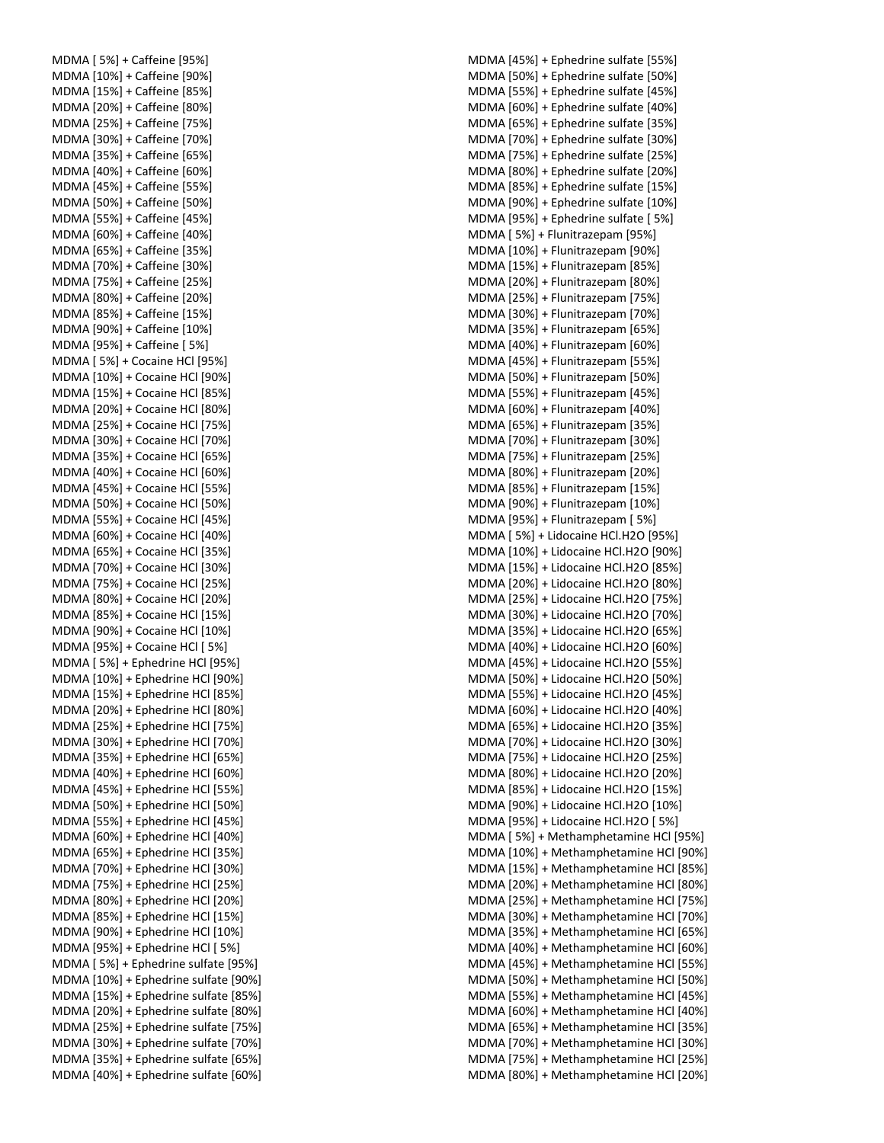MDMA [ 5%] + Caffeine [95%] MDMA [10%] + Caffeine [90%] MDMA [15%] + Caffeine [85%] MDMA [20%] + Caffeine [80%] MDMA [25%] + Caffeine [75%] MDMA [30%] + Caffeine [70%] MDMA [35%] + Caffeine [65%] MDMA [40%] + Caffeine [60%] MDMA [45%] + Caffeine [55%] MDMA [50%] + Caffeine [50%] MDMA [55%] + Caffeine [45%] MDMA [60%] + Caffeine [40%] MDMA [65%] + Caffeine [35%] MDMA [70%] + Caffeine [30%] MDMA [75%] + Caffeine [25%] MDMA [80%] + Caffeine [20%] MDMA [85%] + Caffeine [15%] MDMA [90%] + Caffeine [10%] MDMA [95%] + Caffeine [ 5%] MDMA [ 5%] + Cocaine HCl [95%] MDMA [10%] + Cocaine HCl [90%] MDMA [15%] + Cocaine HCl [85%] MDMA [20%] + Cocaine HCl [80%] MDMA [25%] + Cocaine HCl [75%] MDMA [30%] + Cocaine HCl [70%] MDMA [35%] + Cocaine HCl [65%] MDMA [40%] + Cocaine HCl [60%] MDMA [45%] + Cocaine HCl [55%] MDMA [50%] + Cocaine HCl [50%] MDMA [55%] + Cocaine HCl [45%] MDMA [60%] + Cocaine HCl [40%] MDMA [65%] + Cocaine HCl [35%] MDMA [70%] + Cocaine HCl [30%] MDMA [75%] + Cocaine HCl [25%] MDMA [80%] + Cocaine HCl [20%] MDMA [85%] + Cocaine HCl [15%] MDMA [90%] + Cocaine HCl [10%] MDMA [95%] + Cocaine HCl [ 5%] MDMA [ 5%] + Ephedrine HCl [95%] MDMA [10%] + Ephedrine HCl [90%] MDMA [15%] + Ephedrine HCl [85%] MDMA [20%] + Ephedrine HCl [80%] MDMA [25%] + Ephedrine HCl [75%] MDMA [30%] + Ephedrine HCl [70%] MDMA [35%] + Ephedrine HCl [65%] MDMA [40%] + Ephedrine HCl [60%] MDMA [45%] + Ephedrine HCl [55%] MDMA [50%] + Ephedrine HCl [50%] MDMA [55%] + Ephedrine HCl [45%] MDMA [60%] + Ephedrine HCl [40%] MDMA [65%] + Ephedrine HCl [35%] MDMA [70%] + Ephedrine HCl [30%] MDMA [75%] + Ephedrine HCl [25%] MDMA [80%] + Ephedrine HCl [20%] MDMA [85%] + Ephedrine HCl [15%] MDMA [90%] + Ephedrine HCl [10%] MDMA [95%] + Ephedrine HCl [ 5%] MDMA [ 5%] + Ephedrine sulfate [95%] MDMA [10%] + Ephedrine sulfate [90%] MDMA [15%] + Ephedrine sulfate [85%] MDMA [20%] + Ephedrine sulfate [80%] MDMA [25%] + Ephedrine sulfate [75%] MDMA [30%] + Ephedrine sulfate [70%] MDMA [35%] + Ephedrine sulfate [65%] MDMA [40%] + Ephedrine sulfate [60%]

MDMA [45%] + Ephedrine sulfate [55%] MDMA [50%] + Ephedrine sulfate [50%] MDMA [55%] + Ephedrine sulfate [45%] MDMA [60%] + Ephedrine sulfate [40%] MDMA [65%] + Ephedrine sulfate [35%] MDMA [70%] + Ephedrine sulfate [30%] MDMA [75%] + Ephedrine sulfate [25%] MDMA [80%] + Ephedrine sulfate [20%] MDMA [85%] + Ephedrine sulfate [15%] MDMA [90%] + Ephedrine sulfate [10%] MDMA [95%] + Ephedrine sulfate [ 5%] MDMA [ 5%] + Flunitrazepam [95%] MDMA [10%] + Flunitrazepam [90%] MDMA [15%] + Flunitrazepam [85%] MDMA [20%] + Flunitrazepam [80%] MDMA [25%] + Flunitrazepam [75%] MDMA [30%] + Flunitrazepam [70%] MDMA [35%] + Flunitrazepam [65%] MDMA [40%] + Flunitrazepam [60%] MDMA [45%] + Flunitrazepam [55%] MDMA [50%] + Flunitrazepam [50%] MDMA [55%] + Flunitrazepam [45%] MDMA [60%] + Flunitrazepam [40%] MDMA [65%] + Flunitrazepam [35%] MDMA [70%] + Flunitrazepam [30%] MDMA [75%] + Flunitrazepam [25%] MDMA [80%] + Flunitrazepam [20%] MDMA [85%] + Flunitrazepam [15%] MDMA [90%] + Flunitrazepam [10%] MDMA [95%] + Flunitrazepam [ 5%] MDMA [ 5%] + Lidocaine HCl.H2O [95%] MDMA [10%] + Lidocaine HCl.H2O [90%] MDMA [15%] + Lidocaine HCl.H2O [85%] MDMA [20%] + Lidocaine HCl.H2O [80%] MDMA [25%] + Lidocaine HCl.H2O [75%] MDMA [30%] + Lidocaine HCl.H2O [70%] MDMA [35%] + Lidocaine HCl.H2O [65%] MDMA [40%] + Lidocaine HCl.H2O [60%] MDMA [45%] + Lidocaine HCl.H2O [55%] MDMA [50%] + Lidocaine HCl.H2O [50%] MDMA [55%] + Lidocaine HCl.H2O [45%] MDMA [60%] + Lidocaine HCl.H2O [40%] MDMA [65%] + Lidocaine HCl.H2O [35%] MDMA [70%] + Lidocaine HCl.H2O [30%] MDMA [75%] + Lidocaine HCl.H2O [25%] MDMA [80%] + Lidocaine HCl.H2O [20%] MDMA [85%] + Lidocaine HCl.H2O [15%] MDMA [90%] + Lidocaine HCl.H2O [10%] MDMA [95%] + Lidocaine HCl.H2O [ 5%] MDMA [ 5%] + Methamphetamine HCl [95%] MDMA [10%] + Methamphetamine HCl [90%] MDMA [15%] + Methamphetamine HCl [85%] MDMA [20%] + Methamphetamine HCl [80%] MDMA [25%] + Methamphetamine HCl [75%] MDMA [30%] + Methamphetamine HCl [70%] MDMA [35%] + Methamphetamine HCl [65%] MDMA [40%] + Methamphetamine HCl [60%] MDMA [45%] + Methamphetamine HCl [55%] MDMA [50%] + Methamphetamine HCl [50%] MDMA [55%] + Methamphetamine HCl [45%] MDMA [60%] + Methamphetamine HCl [40%] MDMA [65%] + Methamphetamine HCl [35%] MDMA [70%] + Methamphetamine HCl [30%] MDMA [75%] + Methamphetamine HCl [25%] MDMA [80%] + Methamphetamine HCl [20%]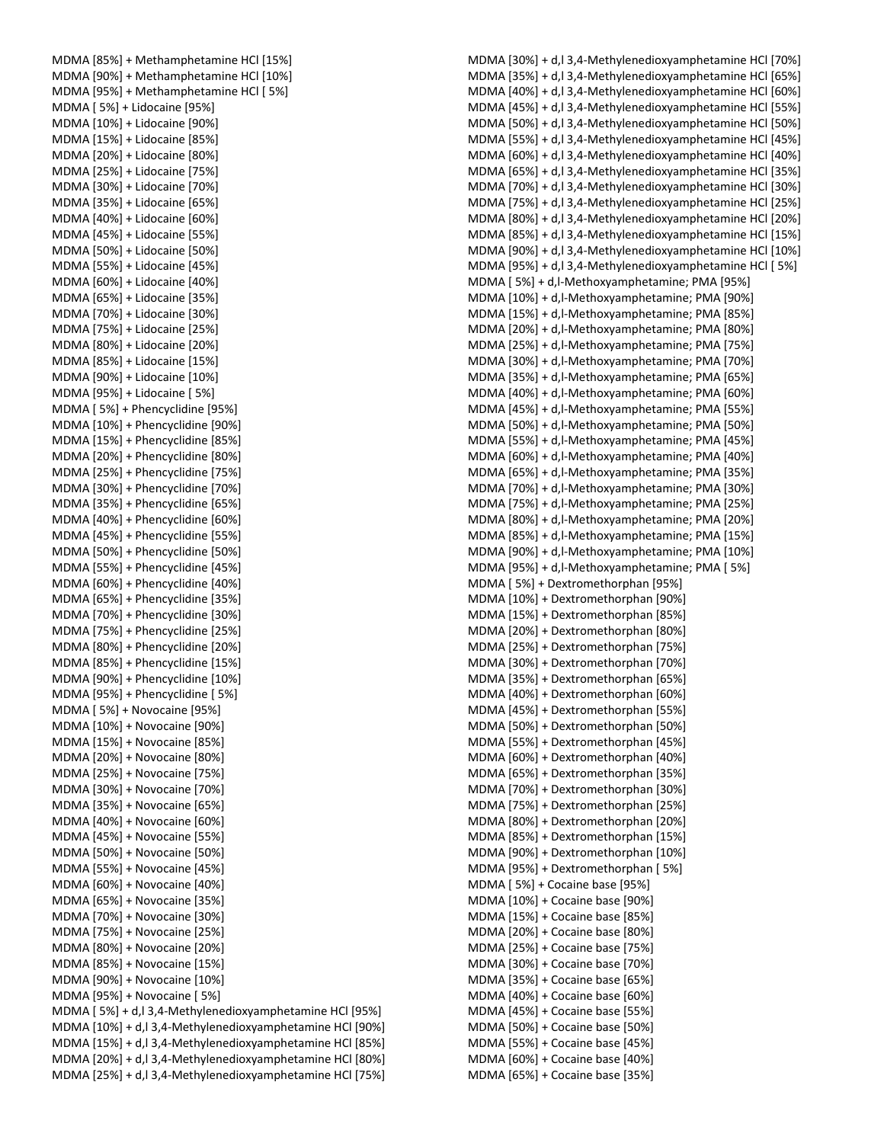| MDMA [85%] + Methamphetamine HCl [15%]                                                                                 |
|------------------------------------------------------------------------------------------------------------------------|
| MDMA [90%] + Methamphetamine HCl [10%]                                                                                 |
| MDMA [95%] + Methamphetamine HCl [5%]                                                                                  |
|                                                                                                                        |
| MDMA [5%] + Lidocaine [95%]                                                                                            |
| MDMA [10%] + Lidocaine [90%]                                                                                           |
|                                                                                                                        |
| MDMA [15%] + Lidocaine [85%]                                                                                           |
| MDMA [20%] + Lidocaine [80%]                                                                                           |
| MDMA [25%] + Lidocaine [75%]                                                                                           |
|                                                                                                                        |
| MDMA [30%] + Lidocaine [70%]                                                                                           |
| MDMA [35%] + Lidocaine [65%]                                                                                           |
| MDMA [40%] + Lidocaine [60%]                                                                                           |
|                                                                                                                        |
| MDMA [45%] + Lidocaine [55%]                                                                                           |
| MDMA [50%] + Lidocaine [50%]                                                                                           |
| MDMA [55%] + Lidocaine [45%]                                                                                           |
|                                                                                                                        |
| MDMA [60%] + Lidocaine [40%]                                                                                           |
| MDMA [65%] + Lidocaine [35%]                                                                                           |
| MDMA [70%] + Lidocaine [30%]                                                                                           |
|                                                                                                                        |
| MDMA [75%] + Lidocaine [25%]                                                                                           |
| MDMA [80%] + Lidocaine [20%]                                                                                           |
| MDMA [85%] + Lidocaine [15%]                                                                                           |
|                                                                                                                        |
| MDMA [90%] + Lidocaine [10%]                                                                                           |
| MDMA [95%] + Lidocaine [5%]                                                                                            |
| MDMA [5%] + Phencyclidine [95%]                                                                                        |
|                                                                                                                        |
| MDMA [10%] + Phencyclidine [90%]                                                                                       |
| MDMA [15%] + Phencyclidine [85%]                                                                                       |
| MDMA [20%] + Phencyclidine [80%]                                                                                       |
|                                                                                                                        |
| MDMA [25%] + Phencyclidine [75%]                                                                                       |
| MDMA [30%] + Phencyclidine [70%]                                                                                       |
| MDMA [35%] + Phencyclidine [65%]                                                                                       |
|                                                                                                                        |
| MDMA [40%] + Phencyclidine [60%]                                                                                       |
| MDMA [45%] + Phencyclidine [55%]                                                                                       |
| MDMA [50%] + Phencyclidine [50%]                                                                                       |
|                                                                                                                        |
| MDMA [55%] + Phencyclidine [45%]                                                                                       |
| MDMA [60%] + Phencyclidine [40%]                                                                                       |
| MDMA [65%] + Phencyclidine [35%]                                                                                       |
|                                                                                                                        |
| MDMA [70%] + Phencyclidine [30%]                                                                                       |
| MDMA [75%] + Phencyclidine [25%]                                                                                       |
| MDMA [80%] + Phencyclidine [20%]                                                                                       |
| MDMA [85%] + Phencyclidine [15%]                                                                                       |
|                                                                                                                        |
| MDMA [90%] + Phencyclidine [10%]                                                                                       |
| MDMA [95%] + Phencyclidine [5%]                                                                                        |
| MDMA [5%] + Novocaine [95%]                                                                                            |
|                                                                                                                        |
| MDMA [10%] + Novocaine [90%]                                                                                           |
| MDMA [15%] + Novocaine [85%]                                                                                           |
| MDMA [20%] + Novocaine [80%]                                                                                           |
|                                                                                                                        |
| MDMA [25%] + Novocaine [75%]                                                                                           |
| MDMA [30%] + Novocaine [70%]                                                                                           |
| MDMA [35%] + Novocaine [65%]                                                                                           |
|                                                                                                                        |
| MDMA [40%] + Novocaine [60%]                                                                                           |
| MDMA [45%] + Novocaine [55%]                                                                                           |
| MDMA [50%] + Novocaine [50%]                                                                                           |
|                                                                                                                        |
| MDMA [55%] + Novocaine [45%]                                                                                           |
| MDMA [60%] + Novocaine [40%]                                                                                           |
| MDMA [65%] + Novocaine [35%]                                                                                           |
| MDMA [70%] + Novocaine [30%]                                                                                           |
|                                                                                                                        |
| MDMA [75%] + Novocaine [25%]                                                                                           |
| MDMA [80%] + Novocaine [20%]                                                                                           |
| MDMA [85%] + Novocaine [15%]                                                                                           |
|                                                                                                                        |
| MDMA [90%] + Novocaine [10%]                                                                                           |
| MDMA [95%] + Novocaine [5%]                                                                                            |
| MDMA [ 5%] + d,l 3,4-Methylenedioxyamphetamine HCl [95%]                                                               |
|                                                                                                                        |
| MDMA [10%] + d,l 3,4-Methylenedioxyamphetamine HCl [90%]                                                               |
|                                                                                                                        |
| MDMA [15%] + d, l 3, 4-Methylenedioxyamphetamine HCI [85%]                                                             |
|                                                                                                                        |
| MDMA [20%] + d, l 3, 4-Methylenedioxyamphetamine HCI [80%]<br>MDMA [25%] + d,l 3,4-Methylenedioxyamphetamine HCl [75%] |

| MDMA [30%] + d,l 3,4-Methylenedioxyamphetamine HCl [70%]                                         |
|--------------------------------------------------------------------------------------------------|
| MDMA [35%] + d,l 3,4-Methylenedioxyamphetamine HCl [65%]                                         |
| MDMA [40%] + d,l 3,4-Methylenedioxyamphetamine HCl [60%]                                         |
| MDMA [45%] + d,l 3,4-Methylenedioxyamphetamine HCl [55%]                                         |
| MDMA [50%] + d,l 3,4-Methylenedioxyamphetamine HCl [50%]                                         |
| MDMA [55%] + d, l 3, 4-Methylenedioxyamphetamine HCl [45%]                                       |
| MDMA [60%] + d,l 3,4-Methylenedioxyamphetamine HCl [40%]                                         |
| MDMA [65%] + d,l 3,4-Methylenedioxyamphetamine HCl [35%]                                         |
| MDMA [70%] + d, l 3, 4-Methylenedioxyamphetamine HCl [30%]                                       |
| MDMA [75%] + d,l 3,4-Methylenedioxyamphetamine HCl [25%]                                         |
| MDMA [80%] + d, l 3, 4-Methylenedioxyamphetamine HCl [20%]                                       |
| MDMA [85%] + d,l 3,4-Methylenedioxyamphetamine HCl [15%]                                         |
| MDMA [90%] + d, l 3, 4-Methylenedioxyamphetamine HCl [10%]                                       |
| MDMA [95%] + d,l 3,4-Methylenedioxyamphetamine HCl [5%]                                          |
| MDMA [5%] + d,l-Methoxyamphetamine; PMA [95%]                                                    |
| MDMA [10%] + d,l-Methoxyamphetamine; PMA [90%]                                                   |
| MDMA [15%] + d,l-Methoxyamphetamine; PMA [85%]                                                   |
| MDMA [20%] + d,l-Methoxyamphetamine; PMA [80%]                                                   |
| MDMA [25%] + d,l-Methoxyamphetamine; PMA [75%]                                                   |
| MDMA [30%] + d, l-Methoxyamphetamine; PMA [70%]                                                  |
| MDMA [35%] + d,l-Methoxyamphetamine; PMA [65%]                                                   |
| MDMA [40%] + d, l-Methoxyamphetamine; PMA [60%]                                                  |
| MDMA [45%] + d, l-Methoxyamphetamine; PMA [55%]                                                  |
|                                                                                                  |
| MDMA [50%] + d,l-Methoxyamphetamine; PMA [50%]                                                   |
| MDMA [55%] + d,l-Methoxyamphetamine; PMA [45%]                                                   |
| MDMA [60%] + d,l-Methoxyamphetamine; PMA [40%]                                                   |
| MDMA [65%] + d,l-Methoxyamphetamine; PMA [35%]                                                   |
| MDMA [70%] + d,l-Methoxyamphetamine; PMA [30%]                                                   |
| MDMA [75%] + d,l-Methoxyamphetamine; PMA [25%]                                                   |
| MDMA [80%] + d,l-Methoxyamphetamine; PMA [20%]                                                   |
| MDMA [85%] + d,l-Methoxyamphetamine; PMA [15%]                                                   |
| MDMA [90%] + d, l-Methoxyamphetamine; PMA [10%]<br>MDMA [95%] + d,l-Methoxyamphetamine; PMA [5%] |
|                                                                                                  |
| MDMA [5%] + Dextromethorphan [95%]<br>MDMA [10%] + Dextromethorphan [90%]                        |
| MDMA [15%] + Dextromethorphan [85%]                                                              |
| MDMA [20%] + Dextromethorphan [80%]                                                              |
| MDMA [25%] + Dextromethorphan [75%]                                                              |
| MDMA [30%] + Dextromethorphan [70%]                                                              |
| MDMA [35%] + Dextromethorphan [65%]                                                              |
| MDMA [40%] + Dextromethorphan [60%]                                                              |
|                                                                                                  |
| MDMA [45%] + Dextromethorphan [55%]                                                              |
| MDMA [50%] + Dextromethorphan [50%]                                                              |
| MDMA [55%] + Dextromethorphan [45%]                                                              |
| MDMA [60%] + Dextromethorphan [40%]<br>MDMA [65%] + Dextromethorphan [35%]                       |
| MDMA [70%] + Dextromethorphan [30%]                                                              |
| MDMA [75%] + Dextromethorphan [25%]                                                              |
| MDMA [80%] + Dextromethorphan [20%]                                                              |
| MDMA [85%] + Dextromethorphan [15%]                                                              |
| MDMA [90%] + Dextromethorphan [10%]                                                              |
| MDMA [95%] + Dextromethorphan [5%]                                                               |
| MDMA [5%] + Cocaine base [95%]                                                                   |
|                                                                                                  |
| MDMA [10%] + Cocaine base [90%]                                                                  |
| MDMA [15%] + Cocaine base [85%]                                                                  |
| MDMA [20%] + Cocaine base [80%]                                                                  |
| MDMA [25%] + Cocaine base [75%]                                                                  |
| MDMA [30%] + Cocaine base [70%]                                                                  |
| MDMA [35%] + Cocaine base [65%]                                                                  |
| MDMA [40%] + Cocaine base [60%]                                                                  |
| MDMA [45%] + Cocaine base [55%]                                                                  |
| MDMA [50%] + Cocaine base [50%]                                                                  |
| MDMA [55%] + Cocaine base [45%]                                                                  |
| MDMA [60%] + Cocaine base [40%]                                                                  |
| MDMA [65%] + Cocaine base [35%]                                                                  |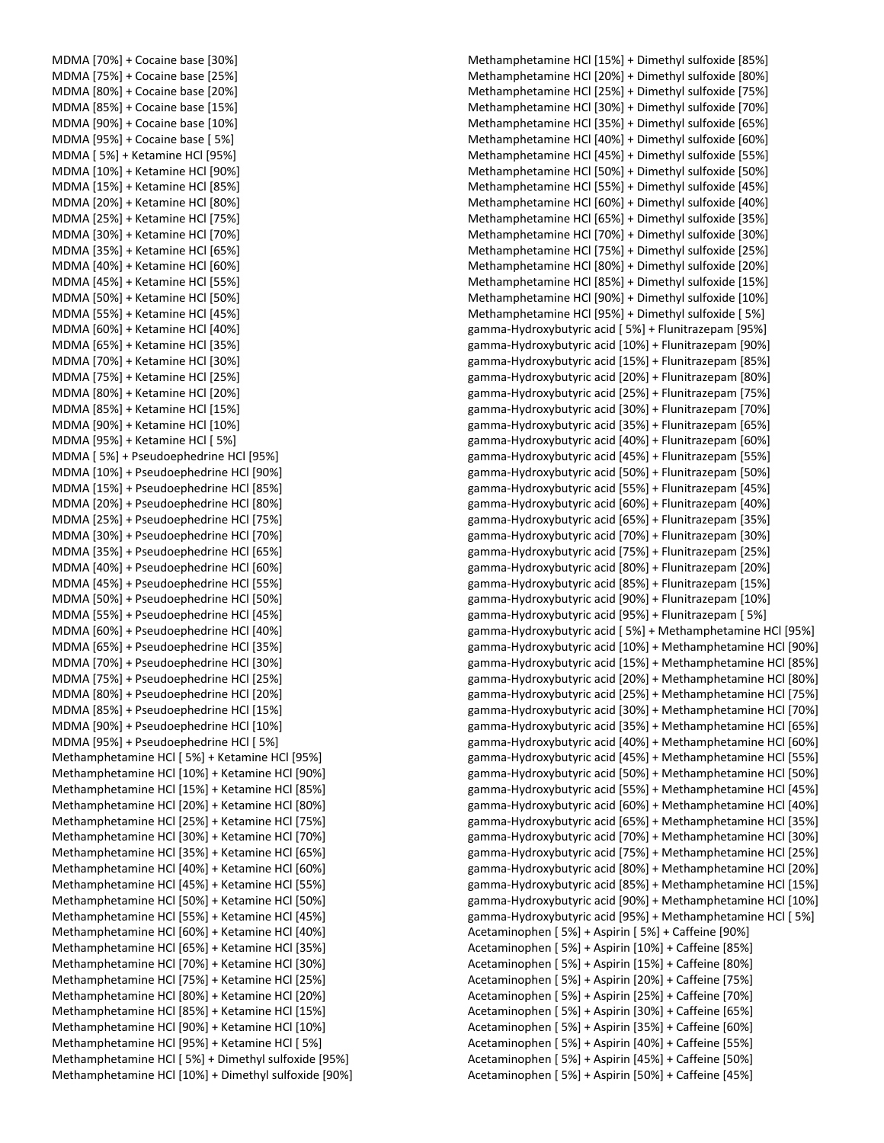MDMA [70%] + Cocaine base [30%] MDMA [75%] + Cocaine base [25%] MDMA [80%] + Cocaine base [20%] MDMA [85%] + Cocaine base [15%] MDMA [90%] + Cocaine base [10%] MDMA [95%] + Cocaine base [ 5%] MDMA [ 5%] + Ketamine HCl [95%] MDMA [10%] + Ketamine HCl [90%] MDMA [15%] + Ketamine HCl [85%] MDMA [20%] + Ketamine HCl [80%] MDMA [25%] + Ketamine HCl [75%] MDMA [30%] + Ketamine HCl [70%] MDMA [35%] + Ketamine HCl [65%] MDMA [40%] + Ketamine HCl [60%] MDMA [45%] + Ketamine HCl [55%] MDMA [50%] + Ketamine HCl [50%] MDMA [55%] + Ketamine HCl [45%] MDMA [60%] + Ketamine HCl [40%] MDMA [65%] + Ketamine HCl [35%] MDMA [70%] + Ketamine HCl [30%] MDMA [75%] + Ketamine HCl [25%] MDMA [80%] + Ketamine HCl [20%] MDMA [85%] + Ketamine HCl [15%] MDMA [90%] + Ketamine HCl [10%] MDMA [95%] + Ketamine HCl [ 5%] MDMA [ 5%] + Pseudoephedrine HCl [95%] MDMA [10%] + Pseudoephedrine HCl [90%] MDMA [15%] + Pseudoephedrine HCl [85%] MDMA [20%] + Pseudoephedrine HCl [80%] MDMA [25%] + Pseudoephedrine HCl [75%] MDMA [30%] + Pseudoephedrine HCl [70%] MDMA [35%] + Pseudoephedrine HCl [65%] MDMA [40%] + Pseudoephedrine HCl [60%] MDMA [45%] + Pseudoephedrine HCl [55%] MDMA [50%] + Pseudoephedrine HCl [50%] MDMA [55%] + Pseudoephedrine HCl [45%] MDMA [60%] + Pseudoephedrine HCl [40%] MDMA [65%] + Pseudoephedrine HCl [35%] MDMA [70%] + Pseudoephedrine HCl [30%] MDMA [75%] + Pseudoephedrine HCl [25%] MDMA [80%] + Pseudoephedrine HCl [20%] MDMA [85%] + Pseudoephedrine HCl [15%] MDMA [90%] + Pseudoephedrine HCl [10%] MDMA [95%] + Pseudoephedrine HCl [ 5%] Methamphetamine HCl [ 5%] + Ketamine HCl [95%] Methamphetamine HCl [10%] + Ketamine HCl [90%] Methamphetamine HCl [15%] + Ketamine HCl [85%] Methamphetamine HCl [20%] + Ketamine HCl [80%] Methamphetamine HCl [25%] + Ketamine HCl [75%] Methamphetamine HCl [30%] + Ketamine HCl [70%] Methamphetamine HCl [35%] + Ketamine HCl [65%] Methamphetamine HCl [40%] + Ketamine HCl [60%] Methamphetamine HCl [45%] + Ketamine HCl [55%] Methamphetamine HCl [50%] + Ketamine HCl [50%] Methamphetamine HCl [55%] + Ketamine HCl [45%] Methamphetamine HCl [60%] + Ketamine HCl [40%] Methamphetamine HCl [65%] + Ketamine HCl [35%] Methamphetamine HCl [70%] + Ketamine HCl [30%] Methamphetamine HCl [75%] + Ketamine HCl [25%] Methamphetamine HCl [80%] + Ketamine HCl [20%] Methamphetamine HCl [85%] + Ketamine HCl [15%] Methamphetamine HCl [90%] + Ketamine HCl [10%] Methamphetamine HCl [95%] + Ketamine HCl [ 5%] Methamphetamine HCl [ 5%] + Dimethyl sulfoxide [95%] Methamphetamine HCl [10%] + Dimethyl sulfoxide [90%]

Methamphetamine HCl [15%] + Dimethyl sulfoxide [85%] Methamphetamine HCl [20%] + Dimethyl sulfoxide [80%] Methamphetamine HCl [25%] + Dimethyl sulfoxide [75%] Methamphetamine HCl [30%] + Dimethyl sulfoxide [70%] Methamphetamine HCl [35%] + Dimethyl sulfoxide [65%] Methamphetamine HCl [40%] + Dimethyl sulfoxide [60%] Methamphetamine HCl [45%] + Dimethyl sulfoxide [55%] Methamphetamine HCl [50%] + Dimethyl sulfoxide [50%] Methamphetamine HCl [55%] + Dimethyl sulfoxide [45%] Methamphetamine HCl [60%] + Dimethyl sulfoxide [40%] Methamphetamine HCl [65%] + Dimethyl sulfoxide [35%] Methamphetamine HCl [70%] + Dimethyl sulfoxide [30%] Methamphetamine HCl [75%] + Dimethyl sulfoxide [25%] Methamphetamine HCl [80%] + Dimethyl sulfoxide [20%] Methamphetamine HCl [85%] + Dimethyl sulfoxide [15%] Methamphetamine HCl [90%] + Dimethyl sulfoxide [10%] Methamphetamine HCl [95%] + Dimethyl sulfoxide [ 5%] gamma-Hydroxybutyric acid [ 5%] + Flunitrazepam [95%] gamma-Hydroxybutyric acid [10%] + Flunitrazepam [90%] gamma-Hydroxybutyric acid [15%] + Flunitrazepam [85%] gamma-Hydroxybutyric acid [20%] + Flunitrazepam [80%] gamma-Hydroxybutyric acid [25%] + Flunitrazepam [75%] gamma-Hydroxybutyric acid [30%] + Flunitrazepam [70%] gamma-Hydroxybutyric acid [35%] + Flunitrazepam [65%] gamma-Hydroxybutyric acid [40%] + Flunitrazepam [60%] gamma-Hydroxybutyric acid [45%] + Flunitrazepam [55%] gamma-Hydroxybutyric acid [50%] + Flunitrazepam [50%] gamma-Hydroxybutyric acid [55%] + Flunitrazepam [45%] gamma-Hydroxybutyric acid [60%] + Flunitrazepam [40%] gamma-Hydroxybutyric acid [65%] + Flunitrazepam [35%] gamma-Hydroxybutyric acid [70%] + Flunitrazepam [30%] gamma-Hydroxybutyric acid [75%] + Flunitrazepam [25%] gamma-Hydroxybutyric acid [80%] + Flunitrazepam [20%] gamma-Hydroxybutyric acid [85%] + Flunitrazepam [15%] gamma-Hydroxybutyric acid [90%] + Flunitrazepam [10%] gamma-Hydroxybutyric acid [95%] + Flunitrazepam [ 5%] gamma-Hydroxybutyric acid [ 5%] + Methamphetamine HCl [95%] gamma-Hydroxybutyric acid [10%] + Methamphetamine HCl [90%] gamma-Hydroxybutyric acid [15%] + Methamphetamine HCl [85%] gamma-Hydroxybutyric acid [20%] + Methamphetamine HCl [80%] gamma-Hydroxybutyric acid [25%] + Methamphetamine HCl [75%] gamma-Hydroxybutyric acid [30%] + Methamphetamine HCl [70%] gamma-Hydroxybutyric acid [35%] + Methamphetamine HCl [65%] gamma-Hydroxybutyric acid [40%] + Methamphetamine HCl [60%] gamma-Hydroxybutyric acid [45%] + Methamphetamine HCl [55%] gamma-Hydroxybutyric acid [50%] + Methamphetamine HCl [50%] gamma-Hydroxybutyric acid [55%] + Methamphetamine HCl [45%] gamma-Hydroxybutyric acid [60%] + Methamphetamine HCl [40%] gamma-Hydroxybutyric acid [65%] + Methamphetamine HCl [35%] gamma-Hydroxybutyric acid [70%] + Methamphetamine HCl [30%] gamma-Hydroxybutyric acid [75%] + Methamphetamine HCl [25%] gamma-Hydroxybutyric acid [80%] + Methamphetamine HCl [20%] gamma-Hydroxybutyric acid [85%] + Methamphetamine HCl [15%] gamma-Hydroxybutyric acid [90%] + Methamphetamine HCl [10%] gamma-Hydroxybutyric acid [95%] + Methamphetamine HCl [ 5%] Acetaminophen [ 5%] + Aspirin [ 5%] + Caffeine [90%] Acetaminophen [ 5%] + Aspirin [10%] + Caffeine [85%] Acetaminophen [ 5%] + Aspirin [15%] + Caffeine [80%] Acetaminophen [ 5%] + Aspirin [20%] + Caffeine [75%] Acetaminophen [ 5%] + Aspirin [25%] + Caffeine [70%] Acetaminophen [ 5%] + Aspirin [30%] + Caffeine [65%] Acetaminophen [ 5%] + Aspirin [35%] + Caffeine [60%] Acetaminophen [ 5%] + Aspirin [40%] + Caffeine [55%] Acetaminophen [ 5%] + Aspirin [45%] + Caffeine [50%] Acetaminophen [ 5%] + Aspirin [50%] + Caffeine [45%]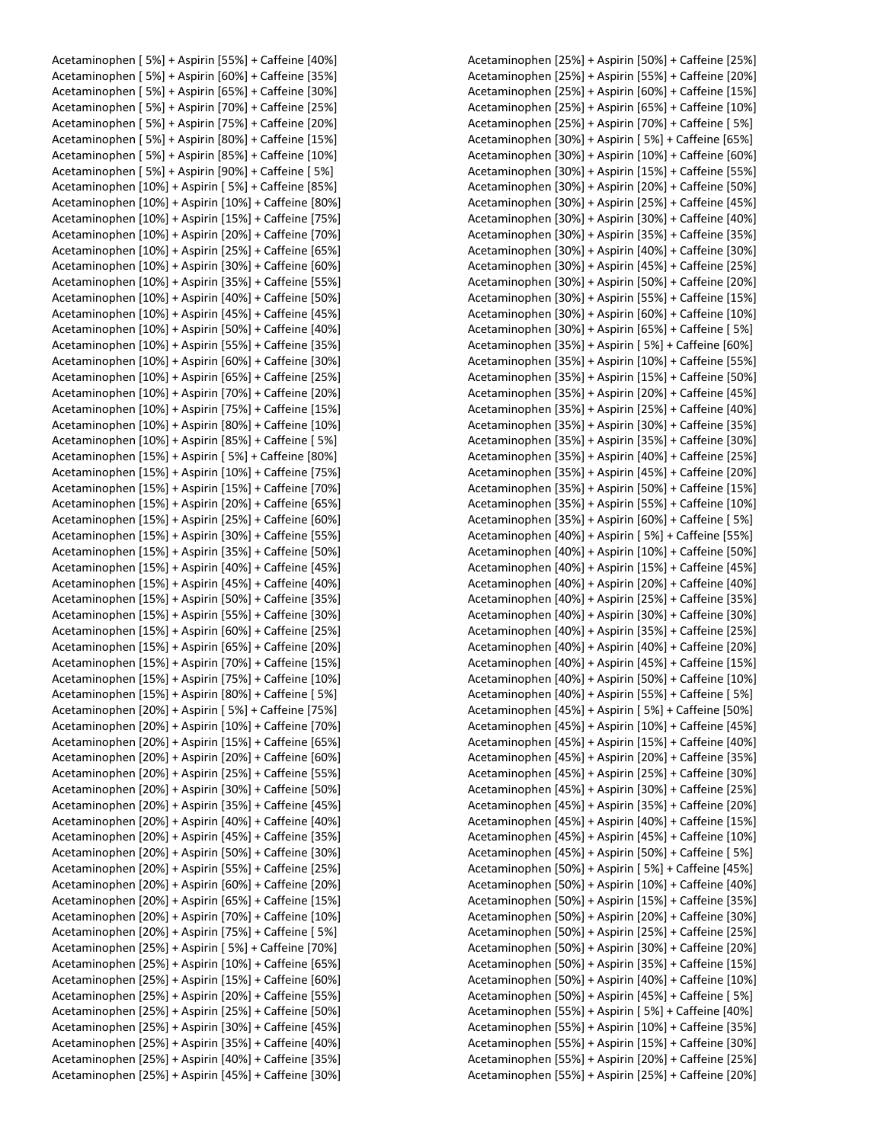Acetaminophen [ 5%] + Aspirin [55%] + Caffeine [40%] Acetaminophen [ 5%] + Aspirin [60%] + Caffeine [35%] Acetaminophen [ 5%] + Aspirin [65%] + Caffeine [30%] Acetaminophen [ 5%] + Aspirin [70%] + Caffeine [25%] Acetaminophen [ 5%] + Aspirin [75%] + Caffeine [20%] Acetaminophen [ 5%] + Aspirin [80%] + Caffeine [15%] Acetaminophen [ 5%] + Aspirin [85%] + Caffeine [10%] Acetaminophen [ 5%] + Aspirin [90%] + Caffeine [ 5%] Acetaminophen [10%] + Aspirin [ 5%] + Caffeine [85%] Acetaminophen [10%] + Aspirin [10%] + Caffeine [80%] Acetaminophen [10%] + Aspirin [15%] + Caffeine [75%] Acetaminophen [10%] + Aspirin [20%] + Caffeine [70%] Acetaminophen [10%] + Aspirin [25%] + Caffeine [65%] Acetaminophen [10%] + Aspirin [30%] + Caffeine [60%] Acetaminophen [10%] + Aspirin [35%] + Caffeine [55%] Acetaminophen [10%] + Aspirin [40%] + Caffeine [50%] Acetaminophen [10%] + Aspirin [45%] + Caffeine [45%] Acetaminophen [10%] + Aspirin [50%] + Caffeine [40%] Acetaminophen [10%] + Aspirin [55%] + Caffeine [35%] Acetaminophen [10%] + Aspirin [60%] + Caffeine [30%] Acetaminophen [10%] + Aspirin [65%] + Caffeine [25%] Acetaminophen [10%] + Aspirin [70%] + Caffeine [20%] Acetaminophen [10%] + Aspirin [75%] + Caffeine [15%] Acetaminophen [10%] + Aspirin [80%] + Caffeine [10%] Acetaminophen [10%] + Aspirin [85%] + Caffeine [ 5%] Acetaminophen [15%] + Aspirin [ 5%] + Caffeine [80%] Acetaminophen [15%] + Aspirin [10%] + Caffeine [75%] Acetaminophen [15%] + Aspirin [15%] + Caffeine [70%] Acetaminophen [15%] + Aspirin [20%] + Caffeine [65%] Acetaminophen [15%] + Aspirin [25%] + Caffeine [60%] Acetaminophen [15%] + Aspirin [30%] + Caffeine [55%] Acetaminophen [15%] + Aspirin [35%] + Caffeine [50%] Acetaminophen [15%] + Aspirin [40%] + Caffeine [45%] Acetaminophen [15%] + Aspirin [45%] + Caffeine [40%] Acetaminophen [15%] + Aspirin [50%] + Caffeine [35%] Acetaminophen [15%] + Aspirin [55%] + Caffeine [30%] Acetaminophen [15%] + Aspirin [60%] + Caffeine [25%] Acetaminophen [15%] + Aspirin [65%] + Caffeine [20%] Acetaminophen [15%] + Aspirin [70%] + Caffeine [15%] Acetaminophen [15%] + Aspirin [75%] + Caffeine [10%] Acetaminophen [15%] + Aspirin [80%] + Caffeine [ 5%] Acetaminophen [20%] + Aspirin [ 5%] + Caffeine [75%] Acetaminophen [20%] + Aspirin [10%] + Caffeine [70%] Acetaminophen [20%] + Aspirin [15%] + Caffeine [65%] Acetaminophen [20%] + Aspirin [20%] + Caffeine [60%] Acetaminophen [20%] + Aspirin [25%] + Caffeine [55%] Acetaminophen [20%] + Aspirin [30%] + Caffeine [50%] Acetaminophen [20%] + Aspirin [35%] + Caffeine [45%] Acetaminophen [20%] + Aspirin [40%] + Caffeine [40%] Acetaminophen [20%] + Aspirin [45%] + Caffeine [35%] Acetaminophen [20%] + Aspirin [50%] + Caffeine [30%] Acetaminophen [20%] + Aspirin [55%] + Caffeine [25%] Acetaminophen [20%] + Aspirin [60%] + Caffeine [20%] Acetaminophen [20%] + Aspirin [65%] + Caffeine [15%] Acetaminophen [20%] + Aspirin [70%] + Caffeine [10%] Acetaminophen [20%] + Aspirin [75%] + Caffeine [ 5%] Acetaminophen [25%] + Aspirin [ 5%] + Caffeine [70%] Acetaminophen [25%] + Aspirin [10%] + Caffeine [65%] Acetaminophen [25%] + Aspirin [15%] + Caffeine [60%] Acetaminophen [25%] + Aspirin [20%] + Caffeine [55%] Acetaminophen [25%] + Aspirin [25%] + Caffeine [50%] Acetaminophen [25%] + Aspirin [30%] + Caffeine [45%] Acetaminophen [25%] + Aspirin [35%] + Caffeine [40%] Acetaminophen [25%] + Aspirin [40%] + Caffeine [35%] Acetaminophen [25%] + Aspirin [45%] + Caffeine [30%]

Acetaminophen [25%] + Aspirin [50%] + Caffeine [25%] Acetaminophen [25%] + Aspirin [55%] + Caffeine [20%] Acetaminophen [25%] + Aspirin [60%] + Caffeine [15%] Acetaminophen [25%] + Aspirin [65%] + Caffeine [10%] Acetaminophen [25%] + Aspirin [70%] + Caffeine [ 5%] Acetaminophen [30%] + Aspirin [ 5%] + Caffeine [65%] Acetaminophen [30%] + Aspirin [10%] + Caffeine [60%] Acetaminophen [30%] + Aspirin [15%] + Caffeine [55%] Acetaminophen [30%] + Aspirin [20%] + Caffeine [50%] Acetaminophen [30%] + Aspirin [25%] + Caffeine [45%] Acetaminophen [30%] + Aspirin [30%] + Caffeine [40%] Acetaminophen [30%] + Aspirin [35%] + Caffeine [35%] Acetaminophen [30%] + Aspirin [40%] + Caffeine [30%] Acetaminophen [30%] + Aspirin [45%] + Caffeine [25%] Acetaminophen [30%] + Aspirin [50%] + Caffeine [20%] Acetaminophen [30%] + Aspirin [55%] + Caffeine [15%] Acetaminophen [30%] + Aspirin [60%] + Caffeine [10%] Acetaminophen [30%] + Aspirin [65%] + Caffeine [ 5%] Acetaminophen [35%] + Aspirin [ 5%] + Caffeine [60%] Acetaminophen [35%] + Aspirin [10%] + Caffeine [55%] Acetaminophen [35%] + Aspirin [15%] + Caffeine [50%] Acetaminophen [35%] + Aspirin [20%] + Caffeine [45%] Acetaminophen [35%] + Aspirin [25%] + Caffeine [40%] Acetaminophen [35%] + Aspirin [30%] + Caffeine [35%] Acetaminophen [35%] + Aspirin [35%] + Caffeine [30%] Acetaminophen [35%] + Aspirin [40%] + Caffeine [25%] Acetaminophen [35%] + Aspirin [45%] + Caffeine [20%] Acetaminophen [35%] + Aspirin [50%] + Caffeine [15%] Acetaminophen [35%] + Aspirin [55%] + Caffeine [10%] Acetaminophen [35%] + Aspirin [60%] + Caffeine [ 5%] Acetaminophen [40%] + Aspirin [ 5%] + Caffeine [55%] Acetaminophen [40%] + Aspirin [10%] + Caffeine [50%] Acetaminophen [40%] + Aspirin [15%] + Caffeine [45%] Acetaminophen [40%] + Aspirin [20%] + Caffeine [40%] Acetaminophen [40%] + Aspirin [25%] + Caffeine [35%] Acetaminophen [40%] + Aspirin [30%] + Caffeine [30%] Acetaminophen [40%] + Aspirin [35%] + Caffeine [25%] Acetaminophen [40%] + Aspirin [40%] + Caffeine [20%] Acetaminophen [40%] + Aspirin [45%] + Caffeine [15%] Acetaminophen [40%] + Aspirin [50%] + Caffeine [10%] Acetaminophen [40%] + Aspirin [55%] + Caffeine [ 5%] Acetaminophen [45%] + Aspirin [ 5%] + Caffeine [50%] Acetaminophen [45%] + Aspirin [10%] + Caffeine [45%] Acetaminophen [45%] + Aspirin [15%] + Caffeine [40%] Acetaminophen [45%] + Aspirin [20%] + Caffeine [35%] Acetaminophen [45%] + Aspirin [25%] + Caffeine [30%] Acetaminophen [45%] + Aspirin [30%] + Caffeine [25%] Acetaminophen [45%] + Aspirin [35%] + Caffeine [20%] Acetaminophen [45%] + Aspirin [40%] + Caffeine [15%] Acetaminophen [45%] + Aspirin [45%] + Caffeine [10%] Acetaminophen [45%] + Aspirin [50%] + Caffeine [ 5%] Acetaminophen [50%] + Aspirin [ 5%] + Caffeine [45%] Acetaminophen [50%] + Aspirin [10%] + Caffeine [40%] Acetaminophen [50%] + Aspirin [15%] + Caffeine [35%] Acetaminophen [50%] + Aspirin [20%] + Caffeine [30%] Acetaminophen [50%] + Aspirin [25%] + Caffeine [25%] Acetaminophen [50%] + Aspirin [30%] + Caffeine [20%] Acetaminophen [50%] + Aspirin [35%] + Caffeine [15%] Acetaminophen [50%] + Aspirin [40%] + Caffeine [10%] Acetaminophen [50%] + Aspirin [45%] + Caffeine [ 5%] Acetaminophen [55%] + Aspirin [ 5%] + Caffeine [40%] Acetaminophen [55%] + Aspirin [10%] + Caffeine [35%] Acetaminophen [55%] + Aspirin [15%] + Caffeine [30%] Acetaminophen [55%] + Aspirin [20%] + Caffeine [25%] Acetaminophen [55%] + Aspirin [25%] + Caffeine [20%]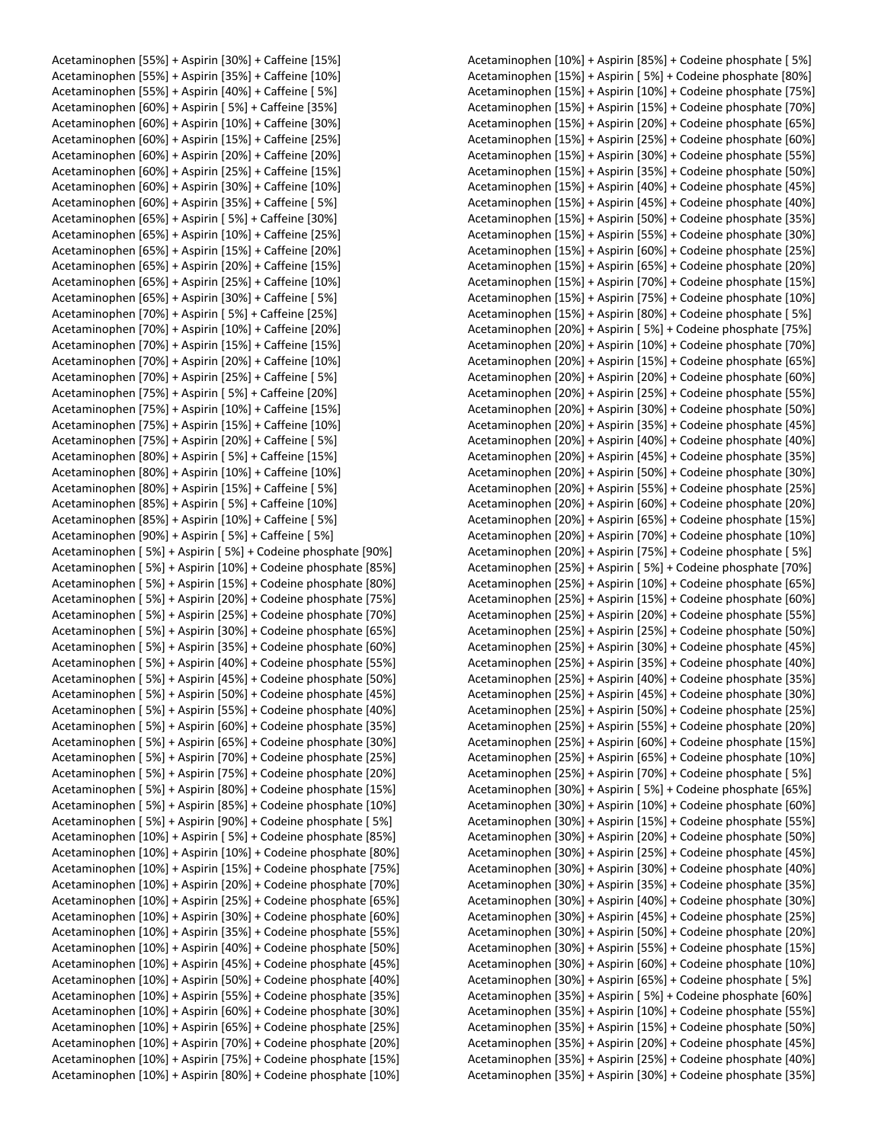Acetaminophen [55%] + Aspirin [30%] + Caffeine [15%] Acetaminophen [55%] + Aspirin [35%] + Caffeine [10%] Acetaminophen [55%] + Aspirin [40%] + Caffeine [ 5%] Acetaminophen [60%] + Aspirin [ 5%] + Caffeine [35%] Acetaminophen [60%] + Aspirin [10%] + Caffeine [30%] Acetaminophen [60%] + Aspirin [15%] + Caffeine [25%] Acetaminophen [60%] + Aspirin [20%] + Caffeine [20%] Acetaminophen [60%] + Aspirin [25%] + Caffeine [15%] Acetaminophen [60%] + Aspirin [30%] + Caffeine [10%] Acetaminophen [60%] + Aspirin [35%] + Caffeine [ 5%] Acetaminophen [65%] + Aspirin [ 5%] + Caffeine [30%] Acetaminophen [65%] + Aspirin [10%] + Caffeine [25%] Acetaminophen [65%] + Aspirin [15%] + Caffeine [20%] Acetaminophen [65%] + Aspirin [20%] + Caffeine [15%] Acetaminophen [65%] + Aspirin [25%] + Caffeine [10%] Acetaminophen [65%] + Aspirin [30%] + Caffeine [ 5%] Acetaminophen [70%] + Aspirin [ 5%] + Caffeine [25%] Acetaminophen [70%] + Aspirin [10%] + Caffeine [20%] Acetaminophen [70%] + Aspirin [15%] + Caffeine [15%] Acetaminophen [70%] + Aspirin [20%] + Caffeine [10%] Acetaminophen [70%] + Aspirin [25%] + Caffeine [ 5%] Acetaminophen [75%] + Aspirin [ 5%] + Caffeine [20%] Acetaminophen [75%] + Aspirin [10%] + Caffeine [15%] Acetaminophen [75%] + Aspirin [15%] + Caffeine [10%] Acetaminophen [75%] + Aspirin [20%] + Caffeine [ 5%] Acetaminophen [80%] + Aspirin [ 5%] + Caffeine [15%] Acetaminophen [80%] + Aspirin [10%] + Caffeine [10%] Acetaminophen [80%] + Aspirin [15%] + Caffeine [ 5%] Acetaminophen [85%] + Aspirin [ 5%] + Caffeine [10%] Acetaminophen [85%] + Aspirin [10%] + Caffeine [ 5%] Acetaminophen [90%] + Aspirin [ 5%] + Caffeine [ 5%] Acetaminophen [ 5%] + Aspirin [ 5%] + Codeine phosphate [90%] Acetaminophen [ 5%] + Aspirin [10%] + Codeine phosphate [85%] Acetaminophen [ 5%] + Aspirin [15%] + Codeine phosphate [80%] Acetaminophen [ 5%] + Aspirin [20%] + Codeine phosphate [75%] Acetaminophen [ 5%] + Aspirin [25%] + Codeine phosphate [70%] Acetaminophen [ 5%] + Aspirin [30%] + Codeine phosphate [65%] Acetaminophen [ 5%] + Aspirin [35%] + Codeine phosphate [60%] Acetaminophen [ 5%] + Aspirin [40%] + Codeine phosphate [55%] Acetaminophen [ 5%] + Aspirin [45%] + Codeine phosphate [50%] Acetaminophen [ 5%] + Aspirin [50%] + Codeine phosphate [45%] Acetaminophen [ 5%] + Aspirin [55%] + Codeine phosphate [40%] Acetaminophen [ 5%] + Aspirin [60%] + Codeine phosphate [35%] Acetaminophen [ 5%] + Aspirin [65%] + Codeine phosphate [30%] Acetaminophen [ 5%] + Aspirin [70%] + Codeine phosphate [25%] Acetaminophen [ 5%] + Aspirin [75%] + Codeine phosphate [20%] Acetaminophen [ 5%] + Aspirin [80%] + Codeine phosphate [15%] Acetaminophen [ 5%] + Aspirin [85%] + Codeine phosphate [10%] Acetaminophen [ 5%] + Aspirin [90%] + Codeine phosphate [ 5%] Acetaminophen [10%] + Aspirin [ 5%] + Codeine phosphate [85%] Acetaminophen [10%] + Aspirin [10%] + Codeine phosphate [80%] Acetaminophen [10%] + Aspirin [15%] + Codeine phosphate [75%] Acetaminophen [10%] + Aspirin [20%] + Codeine phosphate [70%] Acetaminophen [10%] + Aspirin [25%] + Codeine phosphate [65%] Acetaminophen [10%] + Aspirin [30%] + Codeine phosphate [60%] Acetaminophen [10%] + Aspirin [35%] + Codeine phosphate [55%] Acetaminophen [10%] + Aspirin [40%] + Codeine phosphate [50%] Acetaminophen [10%] + Aspirin [45%] + Codeine phosphate [45%] Acetaminophen [10%] + Aspirin [50%] + Codeine phosphate [40%] Acetaminophen [10%] + Aspirin [55%] + Codeine phosphate [35%] Acetaminophen [10%] + Aspirin [60%] + Codeine phosphate [30%] Acetaminophen [10%] + Aspirin [65%] + Codeine phosphate [25%] Acetaminophen [10%] + Aspirin [70%] + Codeine phosphate [20%] Acetaminophen [10%] + Aspirin [75%] + Codeine phosphate [15%] Acetaminophen [10%] + Aspirin [80%] + Codeine phosphate [10%]

Acetaminophen [10%] + Aspirin [85%] + Codeine phosphate [ 5%] Acetaminophen [15%] + Aspirin [ 5%] + Codeine phosphate [80%] Acetaminophen [15%] + Aspirin [10%] + Codeine phosphate [75%] Acetaminophen [15%] + Aspirin [15%] + Codeine phosphate [70%] Acetaminophen [15%] + Aspirin [20%] + Codeine phosphate [65%] Acetaminophen [15%] + Aspirin [25%] + Codeine phosphate [60%] Acetaminophen [15%] + Aspirin [30%] + Codeine phosphate [55%] Acetaminophen [15%] + Aspirin [35%] + Codeine phosphate [50%] Acetaminophen [15%] + Aspirin [40%] + Codeine phosphate [45%] Acetaminophen [15%] + Aspirin [45%] + Codeine phosphate [40%] Acetaminophen [15%] + Aspirin [50%] + Codeine phosphate [35%] Acetaminophen [15%] + Aspirin [55%] + Codeine phosphate [30%] Acetaminophen [15%] + Aspirin [60%] + Codeine phosphate [25%] Acetaminophen [15%] + Aspirin [65%] + Codeine phosphate [20%] Acetaminophen [15%] + Aspirin [70%] + Codeine phosphate [15%] Acetaminophen [15%] + Aspirin [75%] + Codeine phosphate [10%] Acetaminophen [15%] + Aspirin [80%] + Codeine phosphate [ 5%] Acetaminophen [20%] + Aspirin [ 5%] + Codeine phosphate [75%] Acetaminophen [20%] + Aspirin [10%] + Codeine phosphate [70%] Acetaminophen [20%] + Aspirin [15%] + Codeine phosphate [65%] Acetaminophen [20%] + Aspirin [20%] + Codeine phosphate [60%] Acetaminophen [20%] + Aspirin [25%] + Codeine phosphate [55%] Acetaminophen [20%] + Aspirin [30%] + Codeine phosphate [50%] Acetaminophen [20%] + Aspirin [35%] + Codeine phosphate [45%] Acetaminophen [20%] + Aspirin [40%] + Codeine phosphate [40%] Acetaminophen [20%] + Aspirin [45%] + Codeine phosphate [35%] Acetaminophen [20%] + Aspirin [50%] + Codeine phosphate [30%] Acetaminophen [20%] + Aspirin [55%] + Codeine phosphate [25%] Acetaminophen [20%] + Aspirin [60%] + Codeine phosphate [20%] Acetaminophen [20%] + Aspirin [65%] + Codeine phosphate [15%] Acetaminophen [20%] + Aspirin [70%] + Codeine phosphate [10%] Acetaminophen [20%] + Aspirin [75%] + Codeine phosphate [ 5%] Acetaminophen [25%] + Aspirin [ 5%] + Codeine phosphate [70%] Acetaminophen [25%] + Aspirin [10%] + Codeine phosphate [65%] Acetaminophen [25%] + Aspirin [15%] + Codeine phosphate [60%] Acetaminophen [25%] + Aspirin [20%] + Codeine phosphate [55%] Acetaminophen [25%] + Aspirin [25%] + Codeine phosphate [50%] Acetaminophen [25%] + Aspirin [30%] + Codeine phosphate [45%] Acetaminophen [25%] + Aspirin [35%] + Codeine phosphate [40%] Acetaminophen [25%] + Aspirin [40%] + Codeine phosphate [35%] Acetaminophen [25%] + Aspirin [45%] + Codeine phosphate [30%] Acetaminophen [25%] + Aspirin [50%] + Codeine phosphate [25%] Acetaminophen [25%] + Aspirin [55%] + Codeine phosphate [20%] Acetaminophen [25%] + Aspirin [60%] + Codeine phosphate [15%] Acetaminophen [25%] + Aspirin [65%] + Codeine phosphate [10%] Acetaminophen [25%] + Aspirin [70%] + Codeine phosphate [ 5%] Acetaminophen [30%] + Aspirin [ 5%] + Codeine phosphate [65%] Acetaminophen [30%] + Aspirin [10%] + Codeine phosphate [60%] Acetaminophen [30%] + Aspirin [15%] + Codeine phosphate [55%] Acetaminophen [30%] + Aspirin [20%] + Codeine phosphate [50%] Acetaminophen [30%] + Aspirin [25%] + Codeine phosphate [45%] Acetaminophen [30%] + Aspirin [30%] + Codeine phosphate [40%] Acetaminophen [30%] + Aspirin [35%] + Codeine phosphate [35%] Acetaminophen [30%] + Aspirin [40%] + Codeine phosphate [30%] Acetaminophen [30%] + Aspirin [45%] + Codeine phosphate [25%] Acetaminophen [30%] + Aspirin [50%] + Codeine phosphate [20%] Acetaminophen [30%] + Aspirin [55%] + Codeine phosphate [15%] Acetaminophen [30%] + Aspirin [60%] + Codeine phosphate [10%] Acetaminophen [30%] + Aspirin [65%] + Codeine phosphate [ 5%] Acetaminophen [35%] + Aspirin [ 5%] + Codeine phosphate [60%] Acetaminophen [35%] + Aspirin [10%] + Codeine phosphate [55%] Acetaminophen [35%] + Aspirin [15%] + Codeine phosphate [50%] Acetaminophen [35%] + Aspirin [20%] + Codeine phosphate [45%] Acetaminophen [35%] + Aspirin [25%] + Codeine phosphate [40%] Acetaminophen [35%] + Aspirin [30%] + Codeine phosphate [35%]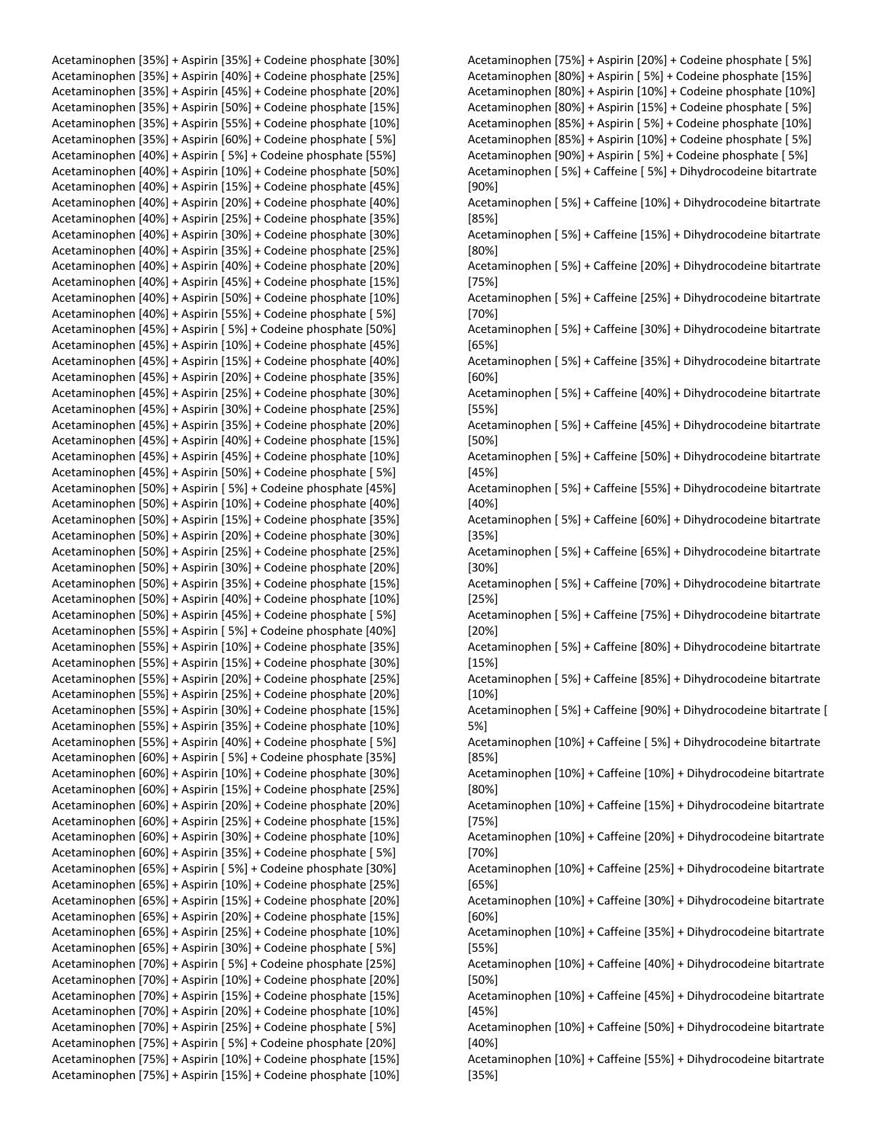Acetaminophen [35%] + Aspirin [35%] + Codeine phosphate [30%] Acetaminophen [35%] + Aspirin [40%] + Codeine phosphate [25%] Acetaminophen [35%] + Aspirin [45%] + Codeine phosphate [20%] Acetaminophen [35%] + Aspirin [50%] + Codeine phosphate [15%] Acetaminophen [35%] + Aspirin [55%] + Codeine phosphate [10%] Acetaminophen [35%] + Aspirin [60%] + Codeine phosphate [ 5%] Acetaminophen [40%] + Aspirin [ 5%] + Codeine phosphate [55%] Acetaminophen [40%] + Aspirin [10%] + Codeine phosphate [50%] Acetaminophen [40%] + Aspirin [15%] + Codeine phosphate [45%] Acetaminophen [40%] + Aspirin [20%] + Codeine phosphate [40%] Acetaminophen [40%] + Aspirin [25%] + Codeine phosphate [35%] Acetaminophen [40%] + Aspirin [30%] + Codeine phosphate [30%] Acetaminophen [40%] + Aspirin [35%] + Codeine phosphate [25%] Acetaminophen [40%] + Aspirin [40%] + Codeine phosphate [20%] Acetaminophen [40%] + Aspirin [45%] + Codeine phosphate [15%] Acetaminophen [40%] + Aspirin [50%] + Codeine phosphate [10%] Acetaminophen [40%] + Aspirin [55%] + Codeine phosphate [ 5%] Acetaminophen [45%] + Aspirin [ 5%] + Codeine phosphate [50%] Acetaminophen [45%] + Aspirin [10%] + Codeine phosphate [45%] Acetaminophen [45%] + Aspirin [15%] + Codeine phosphate [40%] Acetaminophen [45%] + Aspirin [20%] + Codeine phosphate [35%] Acetaminophen [45%] + Aspirin [25%] + Codeine phosphate [30%] Acetaminophen [45%] + Aspirin [30%] + Codeine phosphate [25%] Acetaminophen [45%] + Aspirin [35%] + Codeine phosphate [20%] Acetaminophen [45%] + Aspirin [40%] + Codeine phosphate [15%] Acetaminophen [45%] + Aspirin [45%] + Codeine phosphate [10%] Acetaminophen [45%] + Aspirin [50%] + Codeine phosphate [ 5%] Acetaminophen [50%] + Aspirin [ 5%] + Codeine phosphate [45%] Acetaminophen [50%] + Aspirin [10%] + Codeine phosphate [40%] Acetaminophen [50%] + Aspirin [15%] + Codeine phosphate [35%] Acetaminophen [50%] + Aspirin [20%] + Codeine phosphate [30%] Acetaminophen [50%] + Aspirin [25%] + Codeine phosphate [25%] Acetaminophen [50%] + Aspirin [30%] + Codeine phosphate [20%] Acetaminophen [50%] + Aspirin [35%] + Codeine phosphate [15%] Acetaminophen [50%] + Aspirin [40%] + Codeine phosphate [10%] Acetaminophen [50%] + Aspirin [45%] + Codeine phosphate [ 5%] Acetaminophen [55%] + Aspirin [ 5%] + Codeine phosphate [40%] Acetaminophen [55%] + Aspirin [10%] + Codeine phosphate [35%] Acetaminophen [55%] + Aspirin [15%] + Codeine phosphate [30%] Acetaminophen [55%] + Aspirin [20%] + Codeine phosphate [25%] Acetaminophen [55%] + Aspirin [25%] + Codeine phosphate [20%] Acetaminophen [55%] + Aspirin [30%] + Codeine phosphate [15%] Acetaminophen [55%] + Aspirin [35%] + Codeine phosphate [10%] Acetaminophen [55%] + Aspirin [40%] + Codeine phosphate [ 5%] Acetaminophen [60%] + Aspirin [ 5%] + Codeine phosphate [35%] Acetaminophen [60%] + Aspirin [10%] + Codeine phosphate [30%] Acetaminophen [60%] + Aspirin [15%] + Codeine phosphate [25%] Acetaminophen [60%] + Aspirin [20%] + Codeine phosphate [20%] Acetaminophen [60%] + Aspirin [25%] + Codeine phosphate [15%] Acetaminophen [60%] + Aspirin [30%] + Codeine phosphate [10%] Acetaminophen [60%] + Aspirin [35%] + Codeine phosphate [ 5%] Acetaminophen [65%] + Aspirin [ 5%] + Codeine phosphate [30%] Acetaminophen [65%] + Aspirin [10%] + Codeine phosphate [25%] Acetaminophen [65%] + Aspirin [15%] + Codeine phosphate [20%] Acetaminophen [65%] + Aspirin [20%] + Codeine phosphate [15%] Acetaminophen [65%] + Aspirin [25%] + Codeine phosphate [10%] Acetaminophen [65%] + Aspirin [30%] + Codeine phosphate [ 5%] Acetaminophen [70%] + Aspirin [ 5%] + Codeine phosphate [25%] Acetaminophen [70%] + Aspirin [10%] + Codeine phosphate [20%] Acetaminophen [70%] + Aspirin [15%] + Codeine phosphate [15%] Acetaminophen [70%] + Aspirin [20%] + Codeine phosphate [10%] Acetaminophen [70%] + Aspirin [25%] + Codeine phosphate [ 5%] Acetaminophen [75%] + Aspirin [ 5%] + Codeine phosphate [20%] Acetaminophen [75%] + Aspirin [10%] + Codeine phosphate [15%] Acetaminophen [75%] + Aspirin [15%] + Codeine phosphate [10%]

Acetaminophen [75%] + Aspirin [20%] + Codeine phosphate [ 5%] Acetaminophen [80%] + Aspirin [ 5%] + Codeine phosphate [15%] Acetaminophen [80%] + Aspirin [10%] + Codeine phosphate [10%] Acetaminophen [80%] + Aspirin [15%] + Codeine phosphate [ 5%] Acetaminophen [85%] + Aspirin [ 5%] + Codeine phosphate [10%] Acetaminophen [85%] + Aspirin [10%] + Codeine phosphate [ 5%] Acetaminophen [90%] + Aspirin [ 5%] + Codeine phosphate [ 5%] Acetaminophen [ 5%] + Caffeine [ 5%] + Dihydrocodeine bitartrate [90%] Acetaminophen [ 5%] + Caffeine [10%] + Dihydrocodeine bitartrate [85%] Acetaminophen [ 5%] + Caffeine [15%] + Dihydrocodeine bitartrate [80%] Acetaminophen [ 5%] + Caffeine [20%] + Dihydrocodeine bitartrate [75%] Acetaminophen [ 5%] + Caffeine [25%] + Dihydrocodeine bitartrate [70%] Acetaminophen [ 5%] + Caffeine [30%] + Dihydrocodeine bitartrate [65%] Acetaminophen [ 5%] + Caffeine [35%] + Dihydrocodeine bitartrate [60%] Acetaminophen [ 5%] + Caffeine [40%] + Dihydrocodeine bitartrate [55%] Acetaminophen [ 5%] + Caffeine [45%] + Dihydrocodeine bitartrate [50%] Acetaminophen [ 5%] + Caffeine [50%] + Dihydrocodeine bitartrate [45%] Acetaminophen [ 5%] + Caffeine [55%] + Dihydrocodeine bitartrate [40%] Acetaminophen [ 5%] + Caffeine [60%] + Dihydrocodeine bitartrate [35%] Acetaminophen [ 5%] + Caffeine [65%] + Dihydrocodeine bitartrate [30%] Acetaminophen [ 5%] + Caffeine [70%] + Dihydrocodeine bitartrate [25%] Acetaminophen [ 5%] + Caffeine [75%] + Dihydrocodeine bitartrate [20%] Acetaminophen [ 5%] + Caffeine [80%] + Dihydrocodeine bitartrate [15%] Acetaminophen [ 5%] + Caffeine [85%] + Dihydrocodeine bitartrate [10%] Acetaminophen [ 5%] + Caffeine [90%] + Dihydrocodeine bitartrate [ 5%] Acetaminophen [10%] + Caffeine [ 5%] + Dihydrocodeine bitartrate [85%] Acetaminophen [10%] + Caffeine [10%] + Dihydrocodeine bitartrate [80%] Acetaminophen [10%] + Caffeine [15%] + Dihydrocodeine bitartrate [75%] Acetaminophen [10%] + Caffeine [20%] + Dihydrocodeine bitartrate [70%] Acetaminophen [10%] + Caffeine [25%] + Dihydrocodeine bitartrate [65%] Acetaminophen [10%] + Caffeine [30%] + Dihydrocodeine bitartrate [60%] Acetaminophen [10%] + Caffeine [35%] + Dihydrocodeine bitartrate [55%] Acetaminophen [10%] + Caffeine [40%] + Dihydrocodeine bitartrate [50%] Acetaminophen [10%] + Caffeine [45%] + Dihydrocodeine bitartrate [45%] Acetaminophen [10%] + Caffeine [50%] + Dihydrocodeine bitartrate [40%] Acetaminophen [10%] + Caffeine [55%] + Dihydrocodeine bitartrate [35%]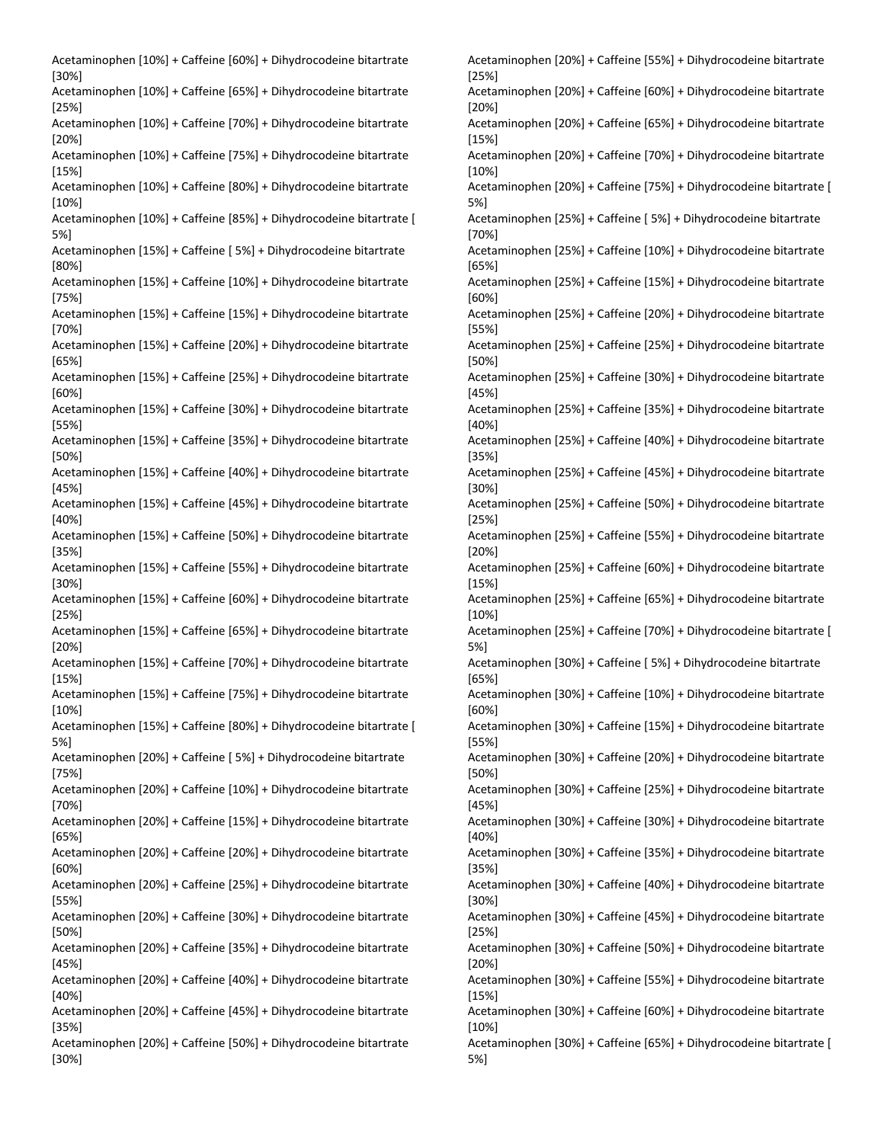Acetaminophen [10%] + Caffeine [60%] + Dihydrocodeine bitartrate [30%] Acetaminophen [10%] + Caffeine [65%] + Dihydrocodeine bitartrate [25%] Acetaminophen [10%] + Caffeine [70%] + Dihydrocodeine bitartrate [20%] Acetaminophen [10%] + Caffeine [75%] + Dihydrocodeine bitartrate [15%] Acetaminophen [10%] + Caffeine [80%] + Dihydrocodeine bitartrate [10%] Acetaminophen [10%] + Caffeine [85%] + Dihydrocodeine bitartrate [ 5%] Acetaminophen [15%] + Caffeine [ 5%] + Dihydrocodeine bitartrate [80%] Acetaminophen [15%] + Caffeine [10%] + Dihydrocodeine bitartrate [75%] Acetaminophen [15%] + Caffeine [15%] + Dihydrocodeine bitartrate [70%] Acetaminophen [15%] + Caffeine [20%] + Dihydrocodeine bitartrate [65%] Acetaminophen [15%] + Caffeine [25%] + Dihydrocodeine bitartrate [60%] Acetaminophen [15%] + Caffeine [30%] + Dihydrocodeine bitartrate [55%] Acetaminophen [15%] + Caffeine [35%] + Dihydrocodeine bitartrate [50%] Acetaminophen [15%] + Caffeine [40%] + Dihydrocodeine bitartrate [45%] Acetaminophen [15%] + Caffeine [45%] + Dihydrocodeine bitartrate [40%] Acetaminophen [15%] + Caffeine [50%] + Dihydrocodeine bitartrate [35%] Acetaminophen [15%] + Caffeine [55%] + Dihydrocodeine bitartrate [30%] Acetaminophen [15%] + Caffeine [60%] + Dihydrocodeine bitartrate [25%] Acetaminophen [15%] + Caffeine [65%] + Dihydrocodeine bitartrate [20%] Acetaminophen [15%] + Caffeine [70%] + Dihydrocodeine bitartrate [15%] Acetaminophen [15%] + Caffeine [75%] + Dihydrocodeine bitartrate [10%] Acetaminophen [15%] + Caffeine [80%] + Dihydrocodeine bitartrate [ 5%] Acetaminophen [20%] + Caffeine [ 5%] + Dihydrocodeine bitartrate [75%] Acetaminophen [20%] + Caffeine [10%] + Dihydrocodeine bitartrate [70%] Acetaminophen [20%] + Caffeine [15%] + Dihydrocodeine bitartrate [65%] Acetaminophen [20%] + Caffeine [20%] + Dihydrocodeine bitartrate [60%] Acetaminophen [20%] + Caffeine [25%] + Dihydrocodeine bitartrate [55%] Acetaminophen [20%] + Caffeine [30%] + Dihydrocodeine bitartrate [50%] Acetaminophen [20%] + Caffeine [35%] + Dihydrocodeine bitartrate [45%] Acetaminophen [20%] + Caffeine [40%] + Dihydrocodeine bitartrate [40%] Acetaminophen [20%] + Caffeine [45%] + Dihydrocodeine bitartrate [35%] Acetaminophen [20%] + Caffeine [50%] + Dihydrocodeine bitartrate [30%]

Acetaminophen [20%] + Caffeine [55%] + Dihydrocodeine bitartrate [25%] Acetaminophen [20%] + Caffeine [60%] + Dihydrocodeine bitartrate [20%] Acetaminophen [20%] + Caffeine [65%] + Dihydrocodeine bitartrate [15%] Acetaminophen [20%] + Caffeine [70%] + Dihydrocodeine bitartrate [10%] Acetaminophen [20%] + Caffeine [75%] + Dihydrocodeine bitartrate [ 5%] Acetaminophen [25%] + Caffeine [ 5%] + Dihydrocodeine bitartrate [70%] Acetaminophen [25%] + Caffeine [10%] + Dihydrocodeine bitartrate [65%] Acetaminophen [25%] + Caffeine [15%] + Dihydrocodeine bitartrate [60%] Acetaminophen [25%] + Caffeine [20%] + Dihydrocodeine bitartrate [55%] Acetaminophen [25%] + Caffeine [25%] + Dihydrocodeine bitartrate [50%] Acetaminophen [25%] + Caffeine [30%] + Dihydrocodeine bitartrate [45%] Acetaminophen [25%] + Caffeine [35%] + Dihydrocodeine bitartrate [40%] Acetaminophen [25%] + Caffeine [40%] + Dihydrocodeine bitartrate [35%] Acetaminophen [25%] + Caffeine [45%] + Dihydrocodeine bitartrate [30%] Acetaminophen [25%] + Caffeine [50%] + Dihydrocodeine bitartrate [25%] Acetaminophen [25%] + Caffeine [55%] + Dihydrocodeine bitartrate [20%] Acetaminophen [25%] + Caffeine [60%] + Dihydrocodeine bitartrate [15%] Acetaminophen [25%] + Caffeine [65%] + Dihydrocodeine bitartrate [10%] Acetaminophen [25%] + Caffeine [70%] + Dihydrocodeine bitartrate [ 5%] Acetaminophen [30%] + Caffeine [ 5%] + Dihydrocodeine bitartrate [65%] Acetaminophen [30%] + Caffeine [10%] + Dihydrocodeine bitartrate [60%] Acetaminophen [30%] + Caffeine [15%] + Dihydrocodeine bitartrate [55%] Acetaminophen [30%] + Caffeine [20%] + Dihydrocodeine bitartrate [50%] Acetaminophen [30%] + Caffeine [25%] + Dihydrocodeine bitartrate [45%] Acetaminophen [30%] + Caffeine [30%] + Dihydrocodeine bitartrate [40%] Acetaminophen [30%] + Caffeine [35%] + Dihydrocodeine bitartrate [35%] Acetaminophen [30%] + Caffeine [40%] + Dihydrocodeine bitartrate [30%] Acetaminophen [30%] + Caffeine [45%] + Dihydrocodeine bitartrate [25%] Acetaminophen [30%] + Caffeine [50%] + Dihydrocodeine bitartrate [20%] Acetaminophen [30%] + Caffeine [55%] + Dihydrocodeine bitartrate [15%] Acetaminophen [30%] + Caffeine [60%] + Dihydrocodeine bitartrate [10%] Acetaminophen [30%] + Caffeine [65%] + Dihydrocodeine bitartrate [ 5%]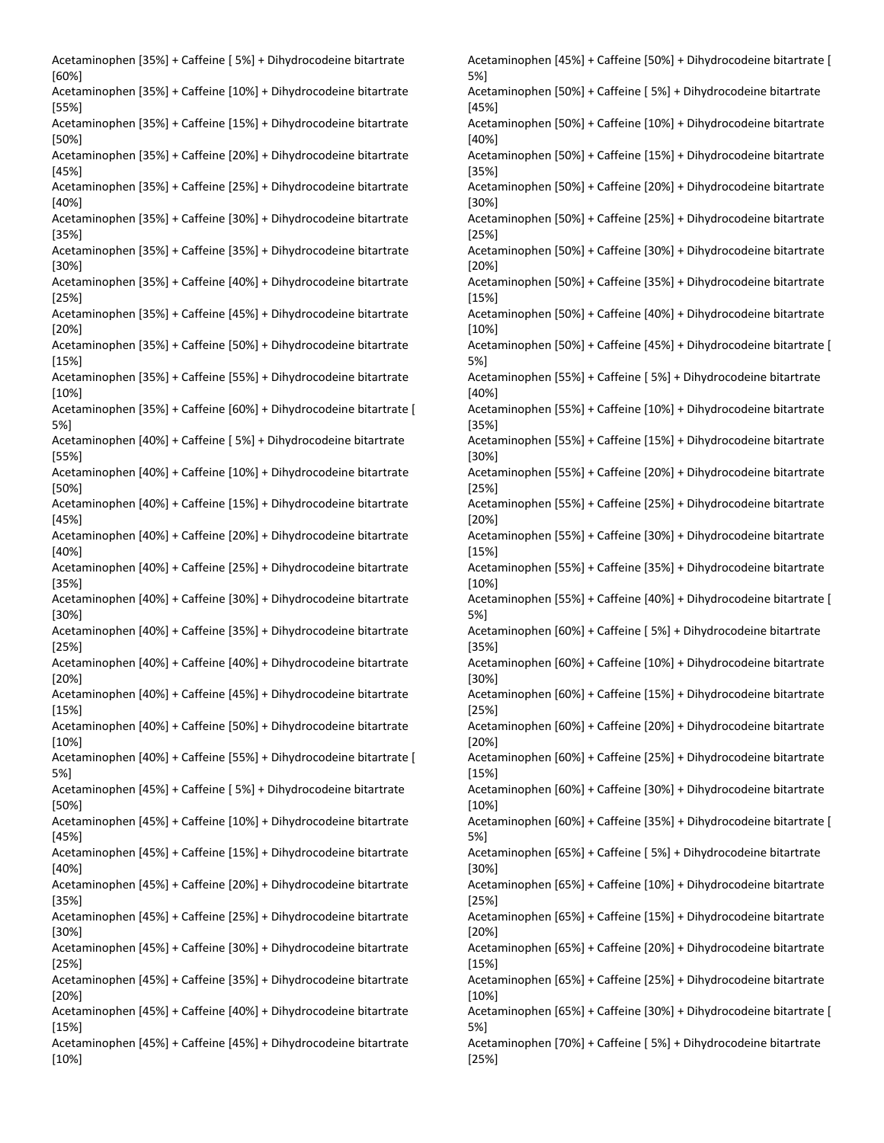Acetaminophen [35%] + Caffeine [ 5%] + Dihydrocodeine bitartrate [60%] Acetaminophen [35%] + Caffeine [10%] + Dihydrocodeine bitartrate [55%] Acetaminophen [35%] + Caffeine [15%] + Dihydrocodeine bitartrate [50%] Acetaminophen [35%] + Caffeine [20%] + Dihydrocodeine bitartrate [45%] Acetaminophen [35%] + Caffeine [25%] + Dihydrocodeine bitartrate [40%] Acetaminophen [35%] + Caffeine [30%] + Dihydrocodeine bitartrate [35%] Acetaminophen [35%] + Caffeine [35%] + Dihydrocodeine bitartrate [30%] Acetaminophen [35%] + Caffeine [40%] + Dihydrocodeine bitartrate [25%] Acetaminophen [35%] + Caffeine [45%] + Dihydrocodeine bitartrate [20%] Acetaminophen [35%] + Caffeine [50%] + Dihydrocodeine bitartrate [15%] Acetaminophen [35%] + Caffeine [55%] + Dihydrocodeine bitartrate [10%] Acetaminophen [35%] + Caffeine [60%] + Dihydrocodeine bitartrate [ 5%] Acetaminophen [40%] + Caffeine [ 5%] + Dihydrocodeine bitartrate [55%] Acetaminophen [40%] + Caffeine [10%] + Dihydrocodeine bitartrate [50%] Acetaminophen [40%] + Caffeine [15%] + Dihydrocodeine bitartrate [45%] Acetaminophen [40%] + Caffeine [20%] + Dihydrocodeine bitartrate [40%] Acetaminophen [40%] + Caffeine [25%] + Dihydrocodeine bitartrate [35%] Acetaminophen [40%] + Caffeine [30%] + Dihydrocodeine bitartrate [30%] Acetaminophen [40%] + Caffeine [35%] + Dihydrocodeine bitartrate [25%] Acetaminophen [40%] + Caffeine [40%] + Dihydrocodeine bitartrate [20%] Acetaminophen [40%] + Caffeine [45%] + Dihydrocodeine bitartrate [15%] Acetaminophen [40%] + Caffeine [50%] + Dihydrocodeine bitartrate [10%] Acetaminophen [40%] + Caffeine [55%] + Dihydrocodeine bitartrate [ 5%] Acetaminophen [45%] + Caffeine [ 5%] + Dihydrocodeine bitartrate [50%] Acetaminophen [45%] + Caffeine [10%] + Dihydrocodeine bitartrate [45%] Acetaminophen [45%] + Caffeine [15%] + Dihydrocodeine bitartrate [40%] Acetaminophen [45%] + Caffeine [20%] + Dihydrocodeine bitartrate [35%] Acetaminophen [45%] + Caffeine [25%] + Dihydrocodeine bitartrate [30%] Acetaminophen [45%] + Caffeine [30%] + Dihydrocodeine bitartrate [25%] Acetaminophen [45%] + Caffeine [35%] + Dihydrocodeine bitartrate [20%] Acetaminophen [45%] + Caffeine [40%] + Dihydrocodeine bitartrate [15%] Acetaminophen [45%] + Caffeine [45%] + Dihydrocodeine bitartrate [10%]

Acetaminophen [45%] + Caffeine [50%] + Dihydrocodeine bitartrate [ 5%] Acetaminophen [50%] + Caffeine [ 5%] + Dihydrocodeine bitartrate [45%] Acetaminophen [50%] + Caffeine [10%] + Dihydrocodeine bitartrate [40%] Acetaminophen [50%] + Caffeine [15%] + Dihydrocodeine bitartrate [35%] Acetaminophen [50%] + Caffeine [20%] + Dihydrocodeine bitartrate [30%] Acetaminophen [50%] + Caffeine [25%] + Dihydrocodeine bitartrate [25%] Acetaminophen [50%] + Caffeine [30%] + Dihydrocodeine bitartrate [20%] Acetaminophen [50%] + Caffeine [35%] + Dihydrocodeine bitartrate [15%] Acetaminophen [50%] + Caffeine [40%] + Dihydrocodeine bitartrate [10%] Acetaminophen [50%] + Caffeine [45%] + Dihydrocodeine bitartrate [ 5%] Acetaminophen [55%] + Caffeine [ 5%] + Dihydrocodeine bitartrate [40%] Acetaminophen [55%] + Caffeine [10%] + Dihydrocodeine bitartrate [35%] Acetaminophen [55%] + Caffeine [15%] + Dihydrocodeine bitartrate [30%] Acetaminophen [55%] + Caffeine [20%] + Dihydrocodeine bitartrate [25%] Acetaminophen [55%] + Caffeine [25%] + Dihydrocodeine bitartrate [20%] Acetaminophen [55%] + Caffeine [30%] + Dihydrocodeine bitartrate [15%] Acetaminophen [55%] + Caffeine [35%] + Dihydrocodeine bitartrate [10%] Acetaminophen [55%] + Caffeine [40%] + Dihydrocodeine bitartrate [ 5%] Acetaminophen [60%] + Caffeine [ 5%] + Dihydrocodeine bitartrate [35%] Acetaminophen [60%] + Caffeine [10%] + Dihydrocodeine bitartrate [30%] Acetaminophen [60%] + Caffeine [15%] + Dihydrocodeine bitartrate [25%] Acetaminophen [60%] + Caffeine [20%] + Dihydrocodeine bitartrate [20%] Acetaminophen [60%] + Caffeine [25%] + Dihydrocodeine bitartrate [15%] Acetaminophen [60%] + Caffeine [30%] + Dihydrocodeine bitartrate [10%] Acetaminophen [60%] + Caffeine [35%] + Dihydrocodeine bitartrate [ 5%] Acetaminophen [65%] + Caffeine [ 5%] + Dihydrocodeine bitartrate [30%] Acetaminophen [65%] + Caffeine [10%] + Dihydrocodeine bitartrate [25%] Acetaminophen [65%] + Caffeine [15%] + Dihydrocodeine bitartrate [20%] Acetaminophen [65%] + Caffeine [20%] + Dihydrocodeine bitartrate [15%] Acetaminophen [65%] + Caffeine [25%] + Dihydrocodeine bitartrate [10%] Acetaminophen [65%] + Caffeine [30%] + Dihydrocodeine bitartrate [ 5%] Acetaminophen [70%] + Caffeine [ 5%] + Dihydrocodeine bitartrate [25%]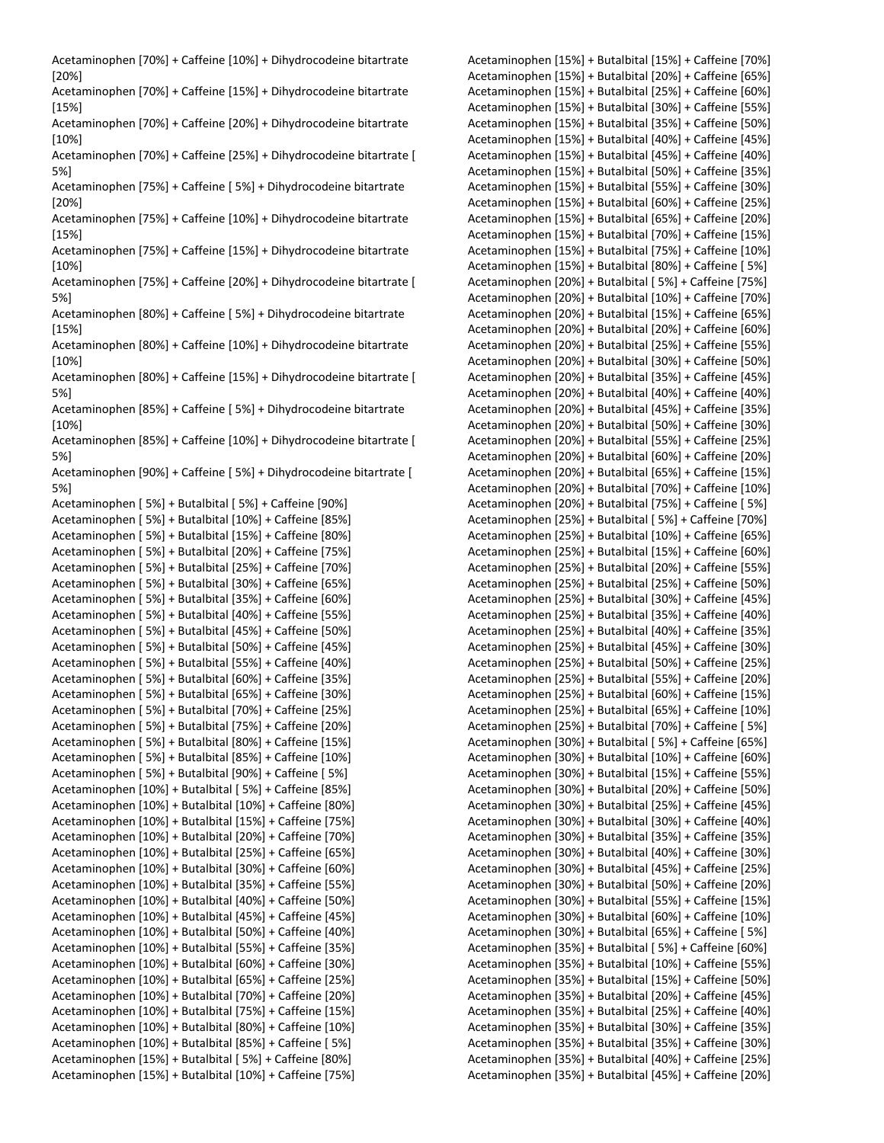| Acetaminophen [70%] + Caffeine [10%] + Dihydrocodeine bitartrate                                                   | Acetaminophen [15%] + Butalbital [15%] + Caffeine [70%]                                                            |
|--------------------------------------------------------------------------------------------------------------------|--------------------------------------------------------------------------------------------------------------------|
| $[20\%]$                                                                                                           | Acetaminophen [15%] + Butalbital [20%] + Caffeine [65%]                                                            |
| Acetaminophen [70%] + Caffeine [15%] + Dihydrocodeine bitartrate                                                   | Acetaminophen [15%] + Butalbital [25%] + Caffeine [60%]                                                            |
| [15%]                                                                                                              | Acetaminophen [15%] + Butalbital [30%] + Caffeine [55%]                                                            |
| Acetaminophen [70%] + Caffeine [20%] + Dihydrocodeine bitartrate                                                   | Acetaminophen [15%] + Butalbital [35%] + Caffeine [50%]                                                            |
| $[10\%]$                                                                                                           | Acetaminophen [15%] + Butalbital [40%] + Caffeine [45%]                                                            |
| Acetaminophen [70%] + Caffeine [25%] + Dihydrocodeine bitartrate [                                                 | Acetaminophen [15%] + Butalbital [45%] + Caffeine [40%]                                                            |
| 5%]                                                                                                                | Acetaminophen [15%] + Butalbital [50%] + Caffeine [35%]                                                            |
| Acetaminophen [75%] + Caffeine [5%] + Dihydrocodeine bitartrate<br>$[20\%]$                                        | Acetaminophen [15%] + Butalbital [55%] + Caffeine [30%]<br>Acetaminophen [15%] + Butalbital [60%] + Caffeine [25%] |
| Acetaminophen [75%] + Caffeine [10%] + Dihydrocodeine bitartrate                                                   | Acetaminophen [15%] + Butalbital [65%] + Caffeine [20%]                                                            |
| $[15\%]$                                                                                                           | Acetaminophen [15%] + Butalbital [70%] + Caffeine [15%]                                                            |
| Acetaminophen [75%] + Caffeine [15%] + Dihydrocodeine bitartrate                                                   | Acetaminophen [15%] + Butalbital [75%] + Caffeine [10%]                                                            |
| $[10\%]$                                                                                                           | Acetaminophen [15%] + Butalbital [80%] + Caffeine [5%]                                                             |
| Acetaminophen [75%] + Caffeine [20%] + Dihydrocodeine bitartrate [                                                 | Acetaminophen [20%] + Butalbital [5%] + Caffeine [75%]                                                             |
| 5%]                                                                                                                | Acetaminophen [20%] + Butalbital [10%] + Caffeine [70%]                                                            |
| Acetaminophen [80%] + Caffeine [5%] + Dihydrocodeine bitartrate                                                    | Acetaminophen [20%] + Butalbital [15%] + Caffeine [65%]                                                            |
| $[15\%]$                                                                                                           | Acetaminophen [20%] + Butalbital [20%] + Caffeine [60%]                                                            |
| Acetaminophen [80%] + Caffeine [10%] + Dihydrocodeine bitartrate                                                   | Acetaminophen [20%] + Butalbital [25%] + Caffeine [55%]                                                            |
| $[10\%]$                                                                                                           | Acetaminophen [20%] + Butalbital [30%] + Caffeine [50%]                                                            |
| Acetaminophen [80%] + Caffeine [15%] + Dihydrocodeine bitartrate [                                                 | Acetaminophen [20%] + Butalbital [35%] + Caffeine [45%]                                                            |
| 5%]                                                                                                                | Acetaminophen [20%] + Butalbital [40%] + Caffeine [40%]                                                            |
| Acetaminophen [85%] + Caffeine [5%] + Dihydrocodeine bitartrate                                                    | Acetaminophen [20%] + Butalbital [45%] + Caffeine [35%]                                                            |
| $[10\%]$                                                                                                           | Acetaminophen [20%] + Butalbital [50%] + Caffeine [30%]                                                            |
| Acetaminophen [85%] + Caffeine [10%] + Dihydrocodeine bitartrate [                                                 | Acetaminophen [20%] + Butalbital [55%] + Caffeine [25%]                                                            |
| 5%]                                                                                                                | Acetaminophen [20%] + Butalbital [60%] + Caffeine [20%]                                                            |
| Acetaminophen [90%] + Caffeine [ 5%] + Dihydrocodeine bitartrate [                                                 | Acetaminophen [20%] + Butalbital [65%] + Caffeine [15%]                                                            |
| 5%]                                                                                                                | Acetaminophen [20%] + Butalbital [70%] + Caffeine [10%]                                                            |
| Acetaminophen [5%] + Butalbital [5%] + Caffeine [90%]                                                              | Acetaminophen [20%] + Butalbital [75%] + Caffeine [5%]                                                             |
| Acetaminophen [5%] + Butalbital [10%] + Caffeine [85%]                                                             | Acetaminophen [25%] + Butalbital [5%] + Caffeine [70%]                                                             |
| Acetaminophen [5%] + Butalbital [15%] + Caffeine [80%]                                                             | Acetaminophen [25%] + Butalbital [10%] + Caffeine [65%]                                                            |
| Acetaminophen [5%] + Butalbital [20%] + Caffeine [75%]                                                             | Acetaminophen [25%] + Butalbital [15%] + Caffeine [60%]                                                            |
| Acetaminophen [5%] + Butalbital [25%] + Caffeine [70%]                                                             | Acetaminophen [25%] + Butalbital [20%] + Caffeine [55%]<br>Acetaminophen [25%] + Butalbital [25%] + Caffeine [50%] |
| Acetaminophen [5%] + Butalbital [30%] + Caffeine [65%]<br>Acetaminophen [5%] + Butalbital [35%] + Caffeine [60%]   | Acetaminophen [25%] + Butalbital [30%] + Caffeine [45%]                                                            |
| Acetaminophen [5%] + Butalbital [40%] + Caffeine [55%]                                                             | Acetaminophen [25%] + Butalbital [35%] + Caffeine [40%]                                                            |
| Acetaminophen [ 5%] + Butalbital [45%] + Caffeine [50%]                                                            | Acetaminophen [25%] + Butalbital [40%] + Caffeine [35%]                                                            |
| Acetaminophen [5%] + Butalbital [50%] + Caffeine [45%]                                                             | Acetaminophen [25%] + Butalbital [45%] + Caffeine [30%]                                                            |
| Acetaminophen [5%] + Butalbital [55%] + Caffeine [40%]                                                             | Acetaminophen [25%] + Butalbital [50%] + Caffeine [25%]                                                            |
| Acetaminophen [5%] + Butalbital [60%] + Caffeine [35%]                                                             | Acetaminophen [25%] + Butalbital [55%] + Caffeine [20%]                                                            |
| Acetaminophen [ 5%] + Butalbital [65%] + Caffeine [30%]                                                            | Acetaminophen [25%] + Butalbital [60%] + Caffeine [15%]                                                            |
| Acetaminophen [ 5%] + Butalbital [70%] + Caffeine [25%]                                                            | Acetaminophen [25%] + Butalbital [65%] + Caffeine [10%]                                                            |
| Acetaminophen [5%] + Butalbital [75%] + Caffeine [20%]                                                             | Acetaminophen [25%] + Butalbital [70%] + Caffeine [5%]                                                             |
| Acetaminophen [5%] + Butalbital [80%] + Caffeine [15%]                                                             | Acetaminophen [30%] + Butalbital [5%] + Caffeine [65%]                                                             |
| Acetaminophen [5%] + Butalbital [85%] + Caffeine [10%]                                                             | Acetaminophen [30%] + Butalbital [10%] + Caffeine [60%]                                                            |
| Acetaminophen [5%] + Butalbital [90%] + Caffeine [5%]                                                              | Acetaminophen [30%] + Butalbital [15%] + Caffeine [55%]                                                            |
| Acetaminophen [10%] + Butalbital [5%] + Caffeine [85%]                                                             | Acetaminophen [30%] + Butalbital [20%] + Caffeine [50%]                                                            |
| Acetaminophen [10%] + Butalbital [10%] + Caffeine [80%]                                                            | Acetaminophen [30%] + Butalbital [25%] + Caffeine [45%]                                                            |
| Acetaminophen [10%] + Butalbital [15%] + Caffeine [75%]                                                            | Acetaminophen [30%] + Butalbital [30%] + Caffeine [40%]                                                            |
| Acetaminophen [10%] + Butalbital [20%] + Caffeine [70%]                                                            | Acetaminophen [30%] + Butalbital [35%] + Caffeine [35%]                                                            |
| Acetaminophen [10%] + Butalbital [25%] + Caffeine [65%]                                                            | Acetaminophen [30%] + Butalbital [40%] + Caffeine [30%]                                                            |
| Acetaminophen [10%] + Butalbital [30%] + Caffeine [60%]                                                            | Acetaminophen [30%] + Butalbital [45%] + Caffeine [25%]                                                            |
| Acetaminophen [10%] + Butalbital [35%] + Caffeine [55%]                                                            | Acetaminophen [30%] + Butalbital [50%] + Caffeine [20%]                                                            |
| Acetaminophen [10%] + Butalbital [40%] + Caffeine [50%]                                                            | Acetaminophen [30%] + Butalbital [55%] + Caffeine [15%]                                                            |
| Acetaminophen [10%] + Butalbital [45%] + Caffeine [45%]                                                            | Acetaminophen [30%] + Butalbital [60%] + Caffeine [10%]                                                            |
| Acetaminophen [10%] + Butalbital [50%] + Caffeine [40%]<br>Acetaminophen [10%] + Butalbital [55%] + Caffeine [35%] | Acetaminophen [30%] + Butalbital [65%] + Caffeine [5%]<br>Acetaminophen [35%] + Butalbital [5%] + Caffeine [60%]   |
| Acetaminophen [10%] + Butalbital [60%] + Caffeine [30%]                                                            | Acetaminophen [35%] + Butalbital [10%] + Caffeine [55%]                                                            |
| Acetaminophen [10%] + Butalbital [65%] + Caffeine [25%]                                                            | Acetaminophen [35%] + Butalbital [15%] + Caffeine [50%]                                                            |
| Acetaminophen [10%] + Butalbital [70%] + Caffeine [20%]                                                            | Acetaminophen [35%] + Butalbital [20%] + Caffeine [45%]                                                            |
| Acetaminophen [10%] + Butalbital [75%] + Caffeine [15%]                                                            | Acetaminophen [35%] + Butalbital [25%] + Caffeine [40%]                                                            |
| Acetaminophen [10%] + Butalbital [80%] + Caffeine [10%]                                                            | Acetaminophen [35%] + Butalbital [30%] + Caffeine [35%]                                                            |
| Acetaminophen [10%] + Butalbital [85%] + Caffeine [5%]                                                             | Acetaminophen [35%] + Butalbital [35%] + Caffeine [30%]                                                            |
| Acetaminophen [15%] + Butalbital [5%] + Caffeine [80%]                                                             | Acetaminophen [35%] + Butalbital [40%] + Caffeine [25%]                                                            |
| Acetaminophen [15%] + Butalbital [10%] + Caffeine [75%]                                                            | Acetaminophen [35%] + Butalbital [45%] + Caffeine [20%]                                                            |

| Acetaminophen [15%] + Butalbital [15%] + Caffeine [70%]                                                            |
|--------------------------------------------------------------------------------------------------------------------|
| Acetaminophen [15%] + Butalbital [20%] + Caffeine [65%]                                                            |
| Acetaminophen [15%] + Butalbital [25%] + Caffeine [60%]                                                            |
| Acetaminophen [15%] + Butalbital [30%] + Caffeine [55%]                                                            |
| Acetaminophen [15%] + Butalbital [35%] + Caffeine [50%]                                                            |
| Acetaminophen [15%] + Butalbital [40%] + Caffeine [45%]                                                            |
| Acetaminophen [15%] + Butalbital [45%] + Caffeine [40%]                                                            |
| Acetaminophen [15%] + Butalbital [50%] + Caffeine [35%]                                                            |
| Acetaminophen [15%] + Butalbital [55%] + Caffeine [30%]                                                            |
| Acetaminophen [15%] + Butalbital [60%] + Caffeine [25%]                                                            |
| Acetaminophen [15%] + Butalbital [65%] + Caffeine [20%]                                                            |
| Acetaminophen [15%] + Butalbital [70%] + Caffeine [15%]                                                            |
| Acetaminophen [15%] + Butalbital [75%] + Caffeine [10%]                                                            |
| Acetaminophen [15%] + Butalbital [80%] + Caffeine [5%]                                                             |
| Acetaminophen [20%] + Butalbital [5%] + Caffeine [75%]                                                             |
| Acetaminophen [20%] + Butalbital [10%] + Caffeine [70%]                                                            |
| Acetaminophen [20%] + Butalbital [15%] + Caffeine [65%]                                                            |
| Acetaminophen [20%] + Butalbital [20%] + Caffeine [60%]                                                            |
| Acetaminophen [20%] + Butalbital [25%] + Caffeine [55%]                                                            |
| Acetaminophen [20%] + Butalbital [30%] + Caffeine [50%]                                                            |
| Acetaminophen [20%] + Butalbital [35%] + Caffeine [45%]                                                            |
| Acetaminophen [20%] + Butalbital [40%] + Caffeine [40%]                                                            |
| Acetaminophen [20%] + Butalbital [45%] + Caffeine [35%]                                                            |
| Acetaminophen [20%] + Butalbital [50%] + Caffeine [30%]                                                            |
| Acetaminophen [20%] + Butalbital [55%] + Caffeine [25%]                                                            |
| Acetaminophen [20%] + Butalbital [60%] + Caffeine [20%]                                                            |
| Acetaminophen [20%] + Butalbital [65%] + Caffeine [15%]                                                            |
| Acetaminophen [20%] + Butalbital [70%] + Caffeine [10%]                                                            |
| Acetaminophen [20%] + Butalbital [75%] + Caffeine [5%]                                                             |
| Acetaminophen [25%] + Butalbital [5%] + Caffeine [70%]                                                             |
| Acetaminophen [25%] + Butalbital [10%] + Caffeine [65%]<br>Acetaminophen [25%] + Butalbital [15%] + Caffeine [60%] |
| Acetaminophen [25%] + Butalbital [20%] + Caffeine [55%]                                                            |
| Acetaminophen [25%] + Butalbital [25%] + Caffeine [50%]                                                            |
| Acetaminophen [25%] + Butalbital [30%] + Caffeine [45%]                                                            |
| Acetaminophen [25%] + Butalbital [35%] + Caffeine [40%]                                                            |
| Acetaminophen [25%] + Butalbital [40%] + Caffeine [35%]                                                            |
| Acetaminophen [25%] + Butalbital [45%] + Caffeine [30%]                                                            |
| Acetaminophen [25%] + Butalbital [50%] + Caffeine [25%]                                                            |
| Acetaminophen [25%] + Butalbital [55%] + Caffeine [20%]                                                            |
| Acetaminophen [25%] + Butalbital [60%] + Caffeine [15%]                                                            |
| Acetaminophen [25%] + Butalbital [65%] + Caffeine [10%]                                                            |
| Acetaminophen [25%] + Butalbital [70%] + Caffeine [5%]                                                             |
| Acetaminophen [30%] + Butalbital [5%] + Caffeine [65%]                                                             |
| Acetaminophen [30%] + Butalbital [10%] + Caffeine [60%]                                                            |
| Acetaminophen [30%] + Butalbital [15%] + Caffeine [55%]                                                            |
| Acetaminophen [30%] + Butalbital [20%] + Caffeine [50%]                                                            |
| Acetaminophen [30%] + Butalbital [25%] + Caffeine [45%]                                                            |
| Acetaminophen [30%] + Butalbital [30%] + Caffeine [40%]                                                            |
| Acetaminophen [30%] + Butalbital [35%] + Caffeine [35%]                                                            |
| Acetaminophen [30%] + Butalbital [40%] + Caffeine [30%]                                                            |
| Acetaminophen [30%] + Butalbital [45%] + Caffeine [25%]                                                            |
| Acetaminophen [30%] + Butalbital [50%] + Caffeine [20%]                                                            |
| Acetaminophen [30%] + Butalbital [55%] + Caffeine [15%]                                                            |
| Acetaminophen [30%] + Butalbital [60%] + Caffeine [10%]                                                            |
| Acetaminophen [30%] + Butalbital [65%] + Caffeine [5%]                                                             |
| Acetaminophen [35%] + Butalbital [5%] + Caffeine [60%]                                                             |
| Acetaminophen [35%] + Butalbital [10%] + Caffeine [55%]                                                            |
| Acetaminophen [35%] + Butalbital [15%] + Caffeine [50%]                                                            |
| Acetaminophen [35%] + Butalbital [20%] + Caffeine [45%]                                                            |
| Acetaminophen [35%] + Butalbital [25%] + Caffeine [40%]                                                            |
| Acetaminophen [35%] + Butalbital [30%] + Caffeine [35%]                                                            |
| Acetaminophen [35%] + Butalbital [35%] + Caffeine [30%]                                                            |
| Acetaminophen [35%] + Butalbital [40%] + Caffeine [25%]<br>Acetaminophen [35%] + Butalbital [45%] + Caffeine [20%] |
|                                                                                                                    |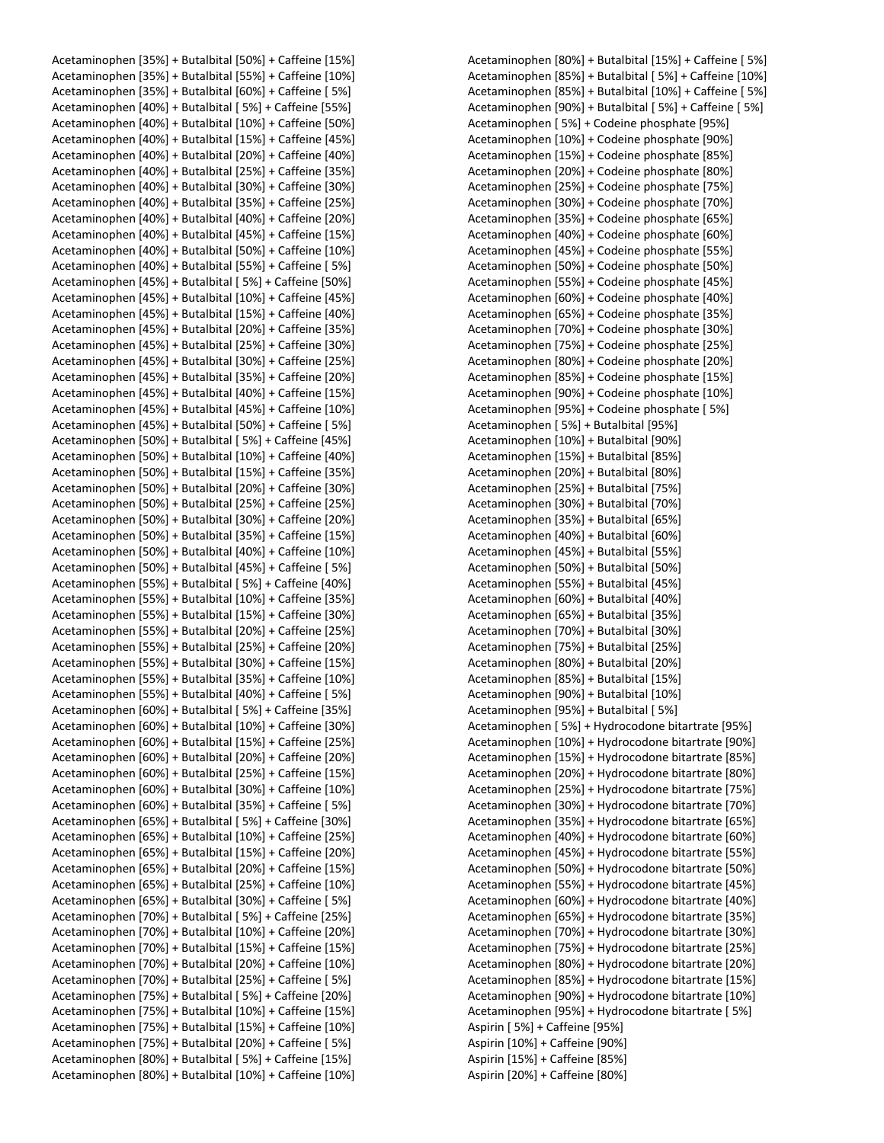Acetaminophen [35%] + Butalbital [50%] + Caffeine [15%] Acetaminophen [35%] + Butalbital [55%] + Caffeine [10%] Acetaminophen [35%] + Butalbital [60%] + Caffeine [ 5%] Acetaminophen [40%] + Butalbital [ 5%] + Caffeine [55%] Acetaminophen [40%] + Butalbital [10%] + Caffeine [50%] Acetaminophen [40%] + Butalbital [15%] + Caffeine [45%] Acetaminophen [40%] + Butalbital [20%] + Caffeine [40%] Acetaminophen [40%] + Butalbital [25%] + Caffeine [35%] Acetaminophen [40%] + Butalbital [30%] + Caffeine [30%] Acetaminophen [40%] + Butalbital [35%] + Caffeine [25%] Acetaminophen [40%] + Butalbital [40%] + Caffeine [20%] Acetaminophen [40%] + Butalbital [45%] + Caffeine [15%] Acetaminophen [40%] + Butalbital [50%] + Caffeine [10%] Acetaminophen [40%] + Butalbital [55%] + Caffeine [ 5%] Acetaminophen [45%] + Butalbital [ 5%] + Caffeine [50%] Acetaminophen [45%] + Butalbital [10%] + Caffeine [45%] Acetaminophen [45%] + Butalbital [15%] + Caffeine [40%] Acetaminophen [45%] + Butalbital [20%] + Caffeine [35%] Acetaminophen [45%] + Butalbital [25%] + Caffeine [30%] Acetaminophen [45%] + Butalbital [30%] + Caffeine [25%] Acetaminophen [45%] + Butalbital [35%] + Caffeine [20%] Acetaminophen [45%] + Butalbital [40%] + Caffeine [15%] Acetaminophen [45%] + Butalbital [45%] + Caffeine [10%] Acetaminophen [45%] + Butalbital [50%] + Caffeine [ 5%] Acetaminophen [50%] + Butalbital [ 5%] + Caffeine [45%] Acetaminophen [50%] + Butalbital [10%] + Caffeine [40%] Acetaminophen [50%] + Butalbital [15%] + Caffeine [35%] Acetaminophen [50%] + Butalbital [20%] + Caffeine [30%] Acetaminophen [50%] + Butalbital [25%] + Caffeine [25%] Acetaminophen [50%] + Butalbital [30%] + Caffeine [20%] Acetaminophen [50%] + Butalbital [35%] + Caffeine [15%] Acetaminophen [50%] + Butalbital [40%] + Caffeine [10%] Acetaminophen [50%] + Butalbital [45%] + Caffeine [ 5%] Acetaminophen [55%] + Butalbital [ 5%] + Caffeine [40%] Acetaminophen [55%] + Butalbital [10%] + Caffeine [35%] Acetaminophen [55%] + Butalbital [15%] + Caffeine [30%] Acetaminophen [55%] + Butalbital [20%] + Caffeine [25%] Acetaminophen [55%] + Butalbital [25%] + Caffeine [20%] Acetaminophen [55%] + Butalbital [30%] + Caffeine [15%] Acetaminophen [55%] + Butalbital [35%] + Caffeine [10%] Acetaminophen [55%] + Butalbital [40%] + Caffeine [ 5%] Acetaminophen [60%] + Butalbital [ 5%] + Caffeine [35%] Acetaminophen [60%] + Butalbital [10%] + Caffeine [30%] Acetaminophen [60%] + Butalbital [15%] + Caffeine [25%] Acetaminophen [60%] + Butalbital [20%] + Caffeine [20%] Acetaminophen [60%] + Butalbital [25%] + Caffeine [15%] Acetaminophen [60%] + Butalbital [30%] + Caffeine [10%] Acetaminophen [60%] + Butalbital [35%] + Caffeine [ 5%] Acetaminophen [65%] + Butalbital [ 5%] + Caffeine [30%] Acetaminophen [65%] + Butalbital [10%] + Caffeine [25%] Acetaminophen [65%] + Butalbital [15%] + Caffeine [20%] Acetaminophen [65%] + Butalbital [20%] + Caffeine [15%] Acetaminophen [65%] + Butalbital [25%] + Caffeine [10%] Acetaminophen [65%] + Butalbital [30%] + Caffeine [ 5%] Acetaminophen [70%] + Butalbital [ 5%] + Caffeine [25%] Acetaminophen [70%] + Butalbital [10%] + Caffeine [20%] Acetaminophen [70%] + Butalbital [15%] + Caffeine [15%] Acetaminophen [70%] + Butalbital [20%] + Caffeine [10%] Acetaminophen [70%] + Butalbital [25%] + Caffeine [ 5%] Acetaminophen [75%] + Butalbital [ 5%] + Caffeine [20%] Acetaminophen [75%] + Butalbital [10%] + Caffeine [15%] Acetaminophen [75%] + Butalbital [15%] + Caffeine [10%] Acetaminophen [75%] + Butalbital [20%] + Caffeine [ 5%] Acetaminophen [80%] + Butalbital [ 5%] + Caffeine [15%] Acetaminophen [80%] + Butalbital [10%] + Caffeine [10%]

Acetaminophen [80%] + Butalbital [15%] + Caffeine [ 5%] Acetaminophen [85%] + Butalbital [ 5%] + Caffeine [10%] Acetaminophen [85%] + Butalbital [10%] + Caffeine [ 5%] Acetaminophen [90%] + Butalbital [ 5%] + Caffeine [ 5%] Acetaminophen [ 5%] + Codeine phosphate [95%] Acetaminophen [10%] + Codeine phosphate [90%] Acetaminophen [15%] + Codeine phosphate [85%] Acetaminophen [20%] + Codeine phosphate [80%] Acetaminophen [25%] + Codeine phosphate [75%] Acetaminophen [30%] + Codeine phosphate [70%] Acetaminophen [35%] + Codeine phosphate [65%] Acetaminophen [40%] + Codeine phosphate [60%] Acetaminophen [45%] + Codeine phosphate [55%] Acetaminophen [50%] + Codeine phosphate [50%] Acetaminophen [55%] + Codeine phosphate [45%] Acetaminophen [60%] + Codeine phosphate [40%] Acetaminophen [65%] + Codeine phosphate [35%] Acetaminophen [70%] + Codeine phosphate [30%] Acetaminophen [75%] + Codeine phosphate [25%] Acetaminophen [80%] + Codeine phosphate [20%] Acetaminophen [85%] + Codeine phosphate [15%] Acetaminophen [90%] + Codeine phosphate [10%] Acetaminophen [95%] + Codeine phosphate [ 5%] Acetaminophen [ 5%] + Butalbital [95%] Acetaminophen [10%] + Butalbital [90%] Acetaminophen [15%] + Butalbital [85%] Acetaminophen [20%] + Butalbital [80%] Acetaminophen [25%] + Butalbital [75%] Acetaminophen [30%] + Butalbital [70%] Acetaminophen [35%] + Butalbital [65%] Acetaminophen [40%] + Butalbital [60%] Acetaminophen [45%] + Butalbital [55%] Acetaminophen [50%] + Butalbital [50%] Acetaminophen [55%] + Butalbital [45%] Acetaminophen [60%] + Butalbital [40%] Acetaminophen [65%] + Butalbital [35%] Acetaminophen [70%] + Butalbital [30%] Acetaminophen [75%] + Butalbital [25%] Acetaminophen [80%] + Butalbital [20%] Acetaminophen [85%] + Butalbital [15%] Acetaminophen [90%] + Butalbital [10%] Acetaminophen [95%] + Butalbital [ 5%] Acetaminophen [ 5%] + Hydrocodone bitartrate [95%] Acetaminophen [10%] + Hydrocodone bitartrate [90%] Acetaminophen [15%] + Hydrocodone bitartrate [85%] Acetaminophen [20%] + Hydrocodone bitartrate [80%] Acetaminophen [25%] + Hydrocodone bitartrate [75%] Acetaminophen [30%] + Hydrocodone bitartrate [70%] Acetaminophen [35%] + Hydrocodone bitartrate [65%] Acetaminophen [40%] + Hydrocodone bitartrate [60%] Acetaminophen [45%] + Hydrocodone bitartrate [55%] Acetaminophen [50%] + Hydrocodone bitartrate [50%] Acetaminophen [55%] + Hydrocodone bitartrate [45%] Acetaminophen [60%] + Hydrocodone bitartrate [40%] Acetaminophen [65%] + Hydrocodone bitartrate [35%] Acetaminophen [70%] + Hydrocodone bitartrate [30%] Acetaminophen [75%] + Hydrocodone bitartrate [25%] Acetaminophen [80%] + Hydrocodone bitartrate [20%] Acetaminophen [85%] + Hydrocodone bitartrate [15%] Acetaminophen [90%] + Hydrocodone bitartrate [10%] Acetaminophen [95%] + Hydrocodone bitartrate [ 5%] Aspirin [ 5%] + Caffeine [95%] Aspirin [10%] + Caffeine [90%] Aspirin [15%] + Caffeine [85%] Aspirin [20%] + Caffeine [80%]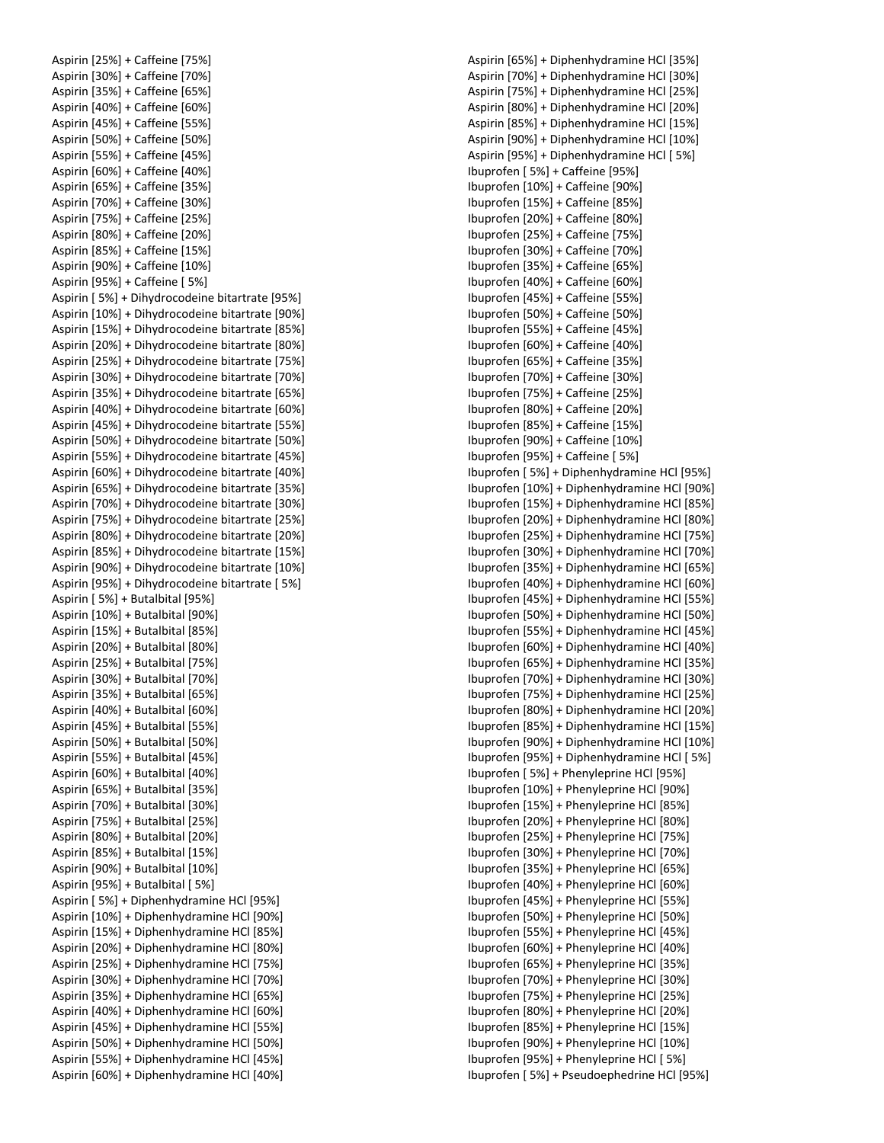Aspirin [25%] + Caffeine [75%] Aspirin [30%] + Caffeine [70%] Aspirin [35%] + Caffeine [65%] Aspirin [40%] + Caffeine [60%] Aspirin [45%] + Caffeine [55%] Aspirin [50%] + Caffeine [50%] Aspirin [55%] + Caffeine [45%] Aspirin [60%] + Caffeine [40%] Aspirin [65%] + Caffeine [35%] Aspirin [70%] + Caffeine [30%] Aspirin [75%] + Caffeine [25%] Aspirin [80%] + Caffeine [20%] Aspirin [85%] + Caffeine [15%] Aspirin [90%] + Caffeine [10%] Aspirin [95%] + Caffeine [ 5%] Aspirin [ 5%] + Dihydrocodeine bitartrate [95%] Aspirin [10%] + Dihydrocodeine bitartrate [90%] Aspirin [15%] + Dihydrocodeine bitartrate [85%] Aspirin [20%] + Dihydrocodeine bitartrate [80%] Aspirin [25%] + Dihydrocodeine bitartrate [75%] Aspirin [30%] + Dihydrocodeine bitartrate [70%] Aspirin [35%] + Dihydrocodeine bitartrate [65%] Aspirin [40%] + Dihydrocodeine bitartrate [60%] Aspirin [45%] + Dihydrocodeine bitartrate [55%] Aspirin [50%] + Dihydrocodeine bitartrate [50%] Aspirin [55%] + Dihydrocodeine bitartrate [45%] Aspirin [60%] + Dihydrocodeine bitartrate [40%] Aspirin [65%] + Dihydrocodeine bitartrate [35%] Aspirin [70%] + Dihydrocodeine bitartrate [30%] Aspirin [75%] + Dihydrocodeine bitartrate [25%] Aspirin [80%] + Dihydrocodeine bitartrate [20%] Aspirin [85%] + Dihydrocodeine bitartrate [15%] Aspirin [90%] + Dihydrocodeine bitartrate [10%] Aspirin [95%] + Dihydrocodeine bitartrate [ 5%] Aspirin [ 5%] + Butalbital [95%] Aspirin [10%] + Butalbital [90%] Aspirin [15%] + Butalbital [85%] Aspirin [20%] + Butalbital [80%] Aspirin [25%] + Butalbital [75%] Aspirin [30%] + Butalbital [70%] Aspirin [35%] + Butalbital [65%] Aspirin [40%] + Butalbital [60%] Aspirin [45%] + Butalbital [55%] Aspirin [50%] + Butalbital [50%] Aspirin [55%] + Butalbital [45%] Aspirin [60%] + Butalbital [40%] Aspirin [65%] + Butalbital [35%] Aspirin [70%] + Butalbital [30%] Aspirin [75%] + Butalbital [25%] Aspirin [80%] + Butalbital [20%] Aspirin [85%] + Butalbital [15%] Aspirin [90%] + Butalbital [10%] Aspirin [95%] + Butalbital [ 5%] Aspirin [ 5%] + Diphenhydramine HCl [95%] Aspirin [10%] + Diphenhydramine HCl [90%] Aspirin [15%] + Diphenhydramine HCl [85%] Aspirin [20%] + Diphenhydramine HCl [80%] Aspirin [25%] + Diphenhydramine HCl [75%] Aspirin [30%] + Diphenhydramine HCl [70%] Aspirin [35%] + Diphenhydramine HCl [65%] Aspirin [40%] + Diphenhydramine HCl [60%] Aspirin [45%] + Diphenhydramine HCl [55%] Aspirin [50%] + Diphenhydramine HCl [50%] Aspirin [55%] + Diphenhydramine HCl [45%] Aspirin [60%] + Diphenhydramine HCl [40%]

Aspirin [65%] + Diphenhydramine HCl [35%] Aspirin [70%] + Diphenhydramine HCl [30%] Aspirin [75%] + Diphenhydramine HCl [25%] Aspirin [80%] + Diphenhydramine HCl [20%] Aspirin [85%] + Diphenhydramine HCl [15%] Aspirin [90%] + Diphenhydramine HCl [10%] Aspirin [95%] + Diphenhydramine HCl [ 5%] Ibuprofen [ 5%] + Caffeine [95%] Ibuprofen [10%] + Caffeine [90%] Ibuprofen [15%] + Caffeine [85%] Ibuprofen [20%] + Caffeine [80%] Ibuprofen [25%] + Caffeine [75%] Ibuprofen [30%] + Caffeine [70%] Ibuprofen [35%] + Caffeine [65%] Ibuprofen [40%] + Caffeine [60%] Ibuprofen [45%] + Caffeine [55%] Ibuprofen [50%] + Caffeine [50%] Ibuprofen [55%] + Caffeine [45%] Ibuprofen [60%] + Caffeine [40%] Ibuprofen [65%] + Caffeine [35%] Ibuprofen [70%] + Caffeine [30%] Ibuprofen [75%] + Caffeine [25%] Ibuprofen [80%] + Caffeine [20%] Ibuprofen [85%] + Caffeine [15%] Ibuprofen [90%] + Caffeine [10%] Ibuprofen [95%] + Caffeine [ 5%] Ibuprofen [ 5%] + Diphenhydramine HCl [95%] Ibuprofen [10%] + Diphenhydramine HCl [90%] Ibuprofen [15%] + Diphenhydramine HCl [85%] Ibuprofen [20%] + Diphenhydramine HCl [80%] Ibuprofen [25%] + Diphenhydramine HCl [75%] Ibuprofen [30%] + Diphenhydramine HCl [70%] Ibuprofen [35%] + Diphenhydramine HCl [65%] Ibuprofen [40%] + Diphenhydramine HCl [60%] Ibuprofen [45%] + Diphenhydramine HCl [55%] Ibuprofen [50%] + Diphenhydramine HCl [50%] Ibuprofen [55%] + Diphenhydramine HCl [45%] Ibuprofen [60%] + Diphenhydramine HCl [40%] Ibuprofen [65%] + Diphenhydramine HCl [35%] Ibuprofen [70%] + Diphenhydramine HCl [30%] Ibuprofen [75%] + Diphenhydramine HCl [25%] Ibuprofen [80%] + Diphenhydramine HCl [20%] Ibuprofen [85%] + Diphenhydramine HCl [15%] Ibuprofen [90%] + Diphenhydramine HCl [10%] Ibuprofen [95%] + Diphenhydramine HCl [ 5%] Ibuprofen [ 5%] + Phenyleprine HCl [95%] Ibuprofen [10%] + Phenyleprine HCl [90%] Ibuprofen [15%] + Phenyleprine HCl [85%] Ibuprofen [20%] + Phenyleprine HCl [80%] Ibuprofen [25%] + Phenyleprine HCl [75%] Ibuprofen [30%] + Phenyleprine HCl [70%] Ibuprofen [35%] + Phenyleprine HCl [65%] Ibuprofen [40%] + Phenyleprine HCl [60%] Ibuprofen [45%] + Phenyleprine HCl [55%] Ibuprofen [50%] + Phenyleprine HCl [50%] Ibuprofen [55%] + Phenyleprine HCl [45%] Ibuprofen [60%] + Phenyleprine HCl [40%] Ibuprofen [65%] + Phenyleprine HCl [35%] Ibuprofen [70%] + Phenyleprine HCl [30%] Ibuprofen [75%] + Phenyleprine HCl [25%] Ibuprofen [80%] + Phenyleprine HCl [20%] Ibuprofen [85%] + Phenyleprine HCl [15%] Ibuprofen [90%] + Phenyleprine HCl [10%] Ibuprofen [95%] + Phenyleprine HCl [ 5%] Ibuprofen [ 5%] + Pseudoephedrine HCl [95%]